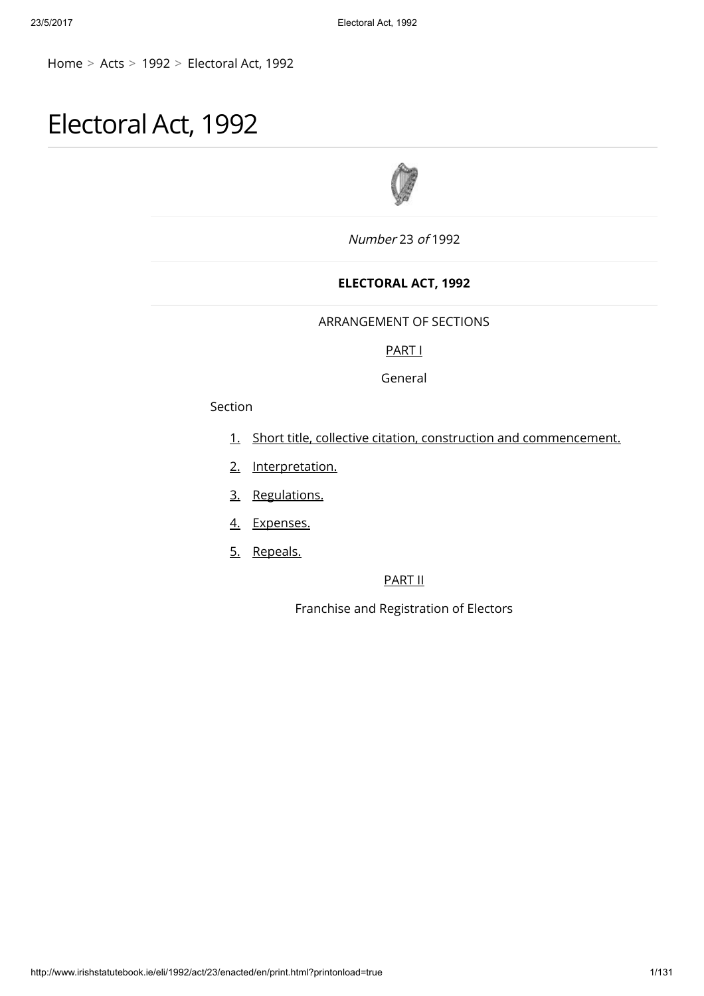[Home](http://www.irishstatutebook.ie/index.html) > [Acts](http://www.irishstatutebook.ie/acts.html) > [1992](http://www.irishstatutebook.ie/1992/1992.html) > [Electoral](http://www.irishstatutebook.ie/eli/1992/act/23/enacted/en/index.html) Act, 1992

# Electoral Act, 1992



Number 23 of 1992

# ELECTORAL ACT, 1992

# ARRANGEMENT OF SECTIONS

# [PART](http://www.irishstatutebook.ie/1992/en/act/pub/0023/print.html#parti) I

General

# Section

- [1.](http://www.irishstatutebook.ie/1992/en/act/pub/0023/print.html#sec1) Short title, collective citation, construction and [commencement.](http://www.irishstatutebook.ie/1992/en/act/pub/0023/print.html#sec1)
- [2.](http://www.irishstatutebook.ie/1992/en/act/pub/0023/print.html#sec2) [Interpretation.](http://www.irishstatutebook.ie/1992/en/act/pub/0023/print.html#sec2)
- [3.](http://www.irishstatutebook.ie/1992/en/act/pub/0023/print.html#sec3) [Regulations.](http://www.irishstatutebook.ie/1992/en/act/pub/0023/print.html#sec3)
- [4.](http://www.irishstatutebook.ie/1992/en/act/pub/0023/print.html#sec4) [Expenses.](http://www.irishstatutebook.ie/1992/en/act/pub/0023/print.html#sec4)
- [5.](http://www.irishstatutebook.ie/1992/en/act/pub/0023/print.html#sec5) [Repeals.](http://www.irishstatutebook.ie/1992/en/act/pub/0023/print.html#sec5)

# [PART](http://www.irishstatutebook.ie/1992/en/act/pub/0023/print.html#partii) II

Franchise and Registration of Electors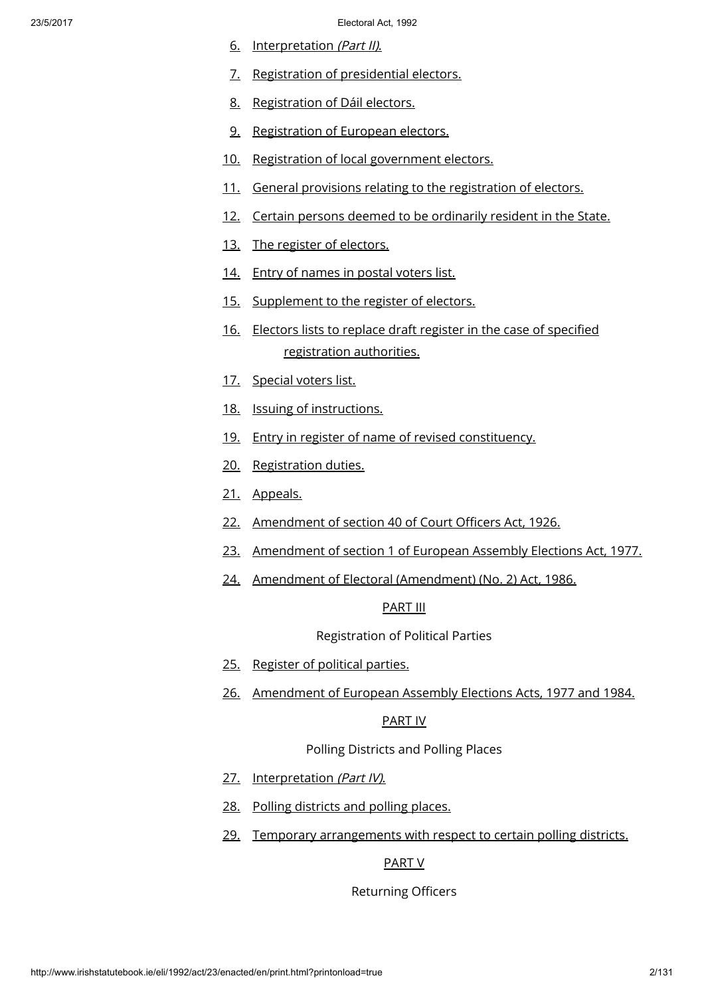- [6.](http://www.irishstatutebook.ie/1992/en/act/pub/0023/print.html#sec6) [Interpretation](http://www.irishstatutebook.ie/1992/en/act/pub/0023/print.html#sec6) (Part II).
- [7.](http://www.irishstatutebook.ie/1992/en/act/pub/0023/print.html#sec7) [Registration](http://www.irishstatutebook.ie/1992/en/act/pub/0023/print.html#sec7) of presidential electors.
- [8.](http://www.irishstatutebook.ie/1992/en/act/pub/0023/print.html#sec8) [Registration](http://www.irishstatutebook.ie/1992/en/act/pub/0023/print.html#sec8) of Dáil electors.
- [9.](http://www.irishstatutebook.ie/1992/en/act/pub/0023/print.html#sec9) [Registration](http://www.irishstatutebook.ie/1992/en/act/pub/0023/print.html#sec9) of European electors.
- [10.](http://www.irishstatutebook.ie/1992/en/act/pub/0023/print.html#sec10) Registration of local [government](http://www.irishstatutebook.ie/1992/en/act/pub/0023/print.html#sec10) electors.
- [11.](http://www.irishstatutebook.ie/1992/en/act/pub/0023/print.html#sec11) General provisions relating to the [registration](http://www.irishstatutebook.ie/1992/en/act/pub/0023/print.html#sec11) of electors.
- [12.](http://www.irishstatutebook.ie/1992/en/act/pub/0023/print.html#sec12) Certain persons deemed to be [ordinarily](http://www.irishstatutebook.ie/1992/en/act/pub/0023/print.html#sec12) resident in the State.
- [13.](http://www.irishstatutebook.ie/1992/en/act/pub/0023/print.html#sec13) The register of [electors.](http://www.irishstatutebook.ie/1992/en/act/pub/0023/print.html#sec13)
- [14.](http://www.irishstatutebook.ie/1992/en/act/pub/0023/print.html#sec14) Entry of [names](http://www.irishstatutebook.ie/1992/en/act/pub/0023/print.html#sec14) in postal voters list.
- [15.](http://www.irishstatutebook.ie/1992/en/act/pub/0023/print.html#sec15) [Supplement](http://www.irishstatutebook.ie/1992/en/act/pub/0023/print.html#sec15) to the register of electors.
- [16.](http://www.irishstatutebook.ie/1992/en/act/pub/0023/print.html#sec16) Electors lists to replace draft register in the case of specified [registration](http://www.irishstatutebook.ie/1992/en/act/pub/0023/print.html#sec16) authorities.
- [17.](http://www.irishstatutebook.ie/1992/en/act/pub/0023/print.html#sec17) [Special](http://www.irishstatutebook.ie/1992/en/act/pub/0023/print.html#sec17) voters list.
- [18.](http://www.irishstatutebook.ie/1992/en/act/pub/0023/print.html#sec18) Issuing of [instructions.](http://www.irishstatutebook.ie/1992/en/act/pub/0023/print.html#sec18)
- [19.](http://www.irishstatutebook.ie/1992/en/act/pub/0023/print.html#sec19) Entry in register of name of revised [constituency.](http://www.irishstatutebook.ie/1992/en/act/pub/0023/print.html#sec19)
- [20.](http://www.irishstatutebook.ie/1992/en/act/pub/0023/print.html#sec20) [Registration](http://www.irishstatutebook.ie/1992/en/act/pub/0023/print.html#sec20) duties.
- [21.](http://www.irishstatutebook.ie/1992/en/act/pub/0023/print.html#sec21) [Appeals.](http://www.irishstatutebook.ie/1992/en/act/pub/0023/print.html#sec21)
- [22.](http://www.irishstatutebook.ie/1992/en/act/pub/0023/print.html#sec22) [Amendment](http://www.irishstatutebook.ie/1992/en/act/pub/0023/print.html#sec22) of section 40 of Court Officers Act, 1926.
- [23.](http://www.irishstatutebook.ie/1992/en/act/pub/0023/print.html#sec23) [Amendment](http://www.irishstatutebook.ie/1992/en/act/pub/0023/print.html#sec23) of section 1 of European Assembly Elections Act, 1977.
- [24.](http://www.irishstatutebook.ie/1992/en/act/pub/0023/print.html#sec24) Amendment of Electoral [\(Amendment\)](http://www.irishstatutebook.ie/1992/en/act/pub/0023/print.html#sec24) (No. 2) Act, 1986.

# [PART](http://www.irishstatutebook.ie/1992/en/act/pub/0023/print.html#partiii) III

Registration of Political Parties

- [25.](http://www.irishstatutebook.ie/1992/en/act/pub/0023/print.html#sec25) [Register](http://www.irishstatutebook.ie/1992/en/act/pub/0023/print.html#sec25) of political parties.
- [26.](http://www.irishstatutebook.ie/1992/en/act/pub/0023/print.html#sec26) [Amendment](http://www.irishstatutebook.ie/1992/en/act/pub/0023/print.html#sec26) of European Assembly Elections Acts, 1977 and 1984.

### [PART](http://www.irishstatutebook.ie/1992/en/act/pub/0023/print.html#partiv) IV

# Polling Districts and Polling Places

- [27.](http://www.irishstatutebook.ie/1992/en/act/pub/0023/print.html#sec27) [Interpretation](http://www.irishstatutebook.ie/1992/en/act/pub/0023/print.html#sec27) (Part IV).
- [28.](http://www.irishstatutebook.ie/1992/en/act/pub/0023/print.html#sec28) Polling [districts](http://www.irishstatutebook.ie/1992/en/act/pub/0023/print.html#sec28) and polling places.
- [29.](http://www.irishstatutebook.ie/1992/en/act/pub/0023/print.html#sec29) Temporary [arrangements](http://www.irishstatutebook.ie/1992/en/act/pub/0023/print.html#sec29) with respect to certain polling districts.

# [PART](http://www.irishstatutebook.ie/1992/en/act/pub/0023/print.html#partv) V

# Returning Officers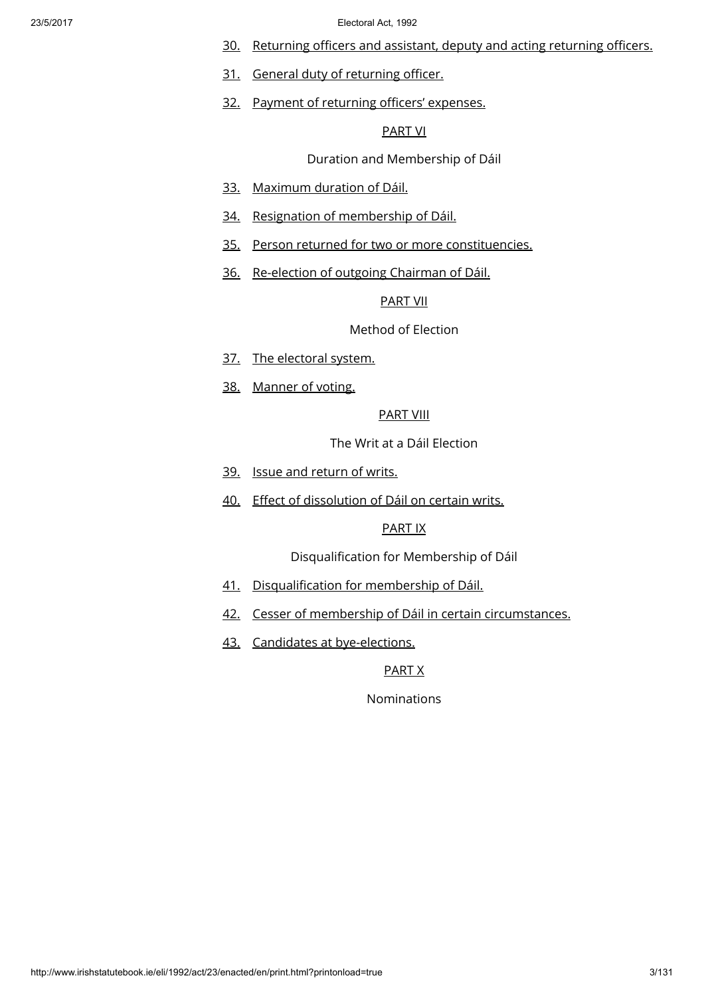- [30.](http://www.irishstatutebook.ie/1992/en/act/pub/0023/print.html#sec30) [Returning](http://www.irishstatutebook.ie/1992/en/act/pub/0023/print.html#sec30) officers and assistant, deputy and acting returning officers.
- [31.](http://www.irishstatutebook.ie/1992/en/act/pub/0023/print.html#sec31) General duty of [returning](http://www.irishstatutebook.ie/1992/en/act/pub/0023/print.html#sec31) officer.
- [32.](http://www.irishstatutebook.ie/1992/en/act/pub/0023/print.html#sec32) Payment of returning officers' [expenses.](http://www.irishstatutebook.ie/1992/en/act/pub/0023/print.html#sec32)

# [PART](http://www.irishstatutebook.ie/1992/en/act/pub/0023/print.html#partvi) VI

# Duration and Membership of Dáil

- [33.](http://www.irishstatutebook.ie/1992/en/act/pub/0023/print.html#sec33) [Maximum](http://www.irishstatutebook.ie/1992/en/act/pub/0023/print.html#sec33) duration of Dáil.
- [34.](http://www.irishstatutebook.ie/1992/en/act/pub/0023/print.html#sec34) Resignation of [membership](http://www.irishstatutebook.ie/1992/en/act/pub/0023/print.html#sec34) of Dáil.
- [35.](http://www.irishstatutebook.ie/1992/en/act/pub/0023/print.html#sec35) Person returned for two or more [constituencies.](http://www.irishstatutebook.ie/1992/en/act/pub/0023/print.html#sec35)
- [36.](http://www.irishstatutebook.ie/1992/en/act/pub/0023/print.html#sec36) [Re-election](http://www.irishstatutebook.ie/1992/en/act/pub/0023/print.html#sec36) of outgoing Chairman of Dáil.

## [PART](http://www.irishstatutebook.ie/1992/en/act/pub/0023/print.html#partvii) VII

# Method of Election

- [37.](http://www.irishstatutebook.ie/1992/en/act/pub/0023/print.html#sec37) The [electoral](http://www.irishstatutebook.ie/1992/en/act/pub/0023/print.html#sec37) system.
- [38.](http://www.irishstatutebook.ie/1992/en/act/pub/0023/print.html#sec38) [Manner](http://www.irishstatutebook.ie/1992/en/act/pub/0023/print.html#sec38) of voting.

# [PART](http://www.irishstatutebook.ie/1992/en/act/pub/0023/print.html#partviii) VIII

The Writ at a Dáil Election

- [39.](http://www.irishstatutebook.ie/1992/en/act/pub/0023/print.html#sec39) Issue and [return](http://www.irishstatutebook.ie/1992/en/act/pub/0023/print.html#sec39) of writs.
- [40.](http://www.irishstatutebook.ie/1992/en/act/pub/0023/print.html#sec40) Effect of [dissolution](http://www.irishstatutebook.ie/1992/en/act/pub/0023/print.html#sec40) of Dáil on certain writs.

# [PART](http://www.irishstatutebook.ie/1992/en/act/pub/0023/print.html#partix) IX

Disqualification for Membership of Dáil

- [41.](http://www.irishstatutebook.ie/1992/en/act/pub/0023/print.html#sec41) [Disqualification](http://www.irishstatutebook.ie/1992/en/act/pub/0023/print.html#sec41) for membership of Dáil.
- [42.](http://www.irishstatutebook.ie/1992/en/act/pub/0023/print.html#sec42) Cesser of membership of Dáil in certain [circumstances.](http://www.irishstatutebook.ie/1992/en/act/pub/0023/print.html#sec42)
- [43.](http://www.irishstatutebook.ie/1992/en/act/pub/0023/print.html#sec43) Candidates at [bye-elections.](http://www.irishstatutebook.ie/1992/en/act/pub/0023/print.html#sec43)

### [PART](http://www.irishstatutebook.ie/1992/en/act/pub/0023/print.html#partx) X

Nominations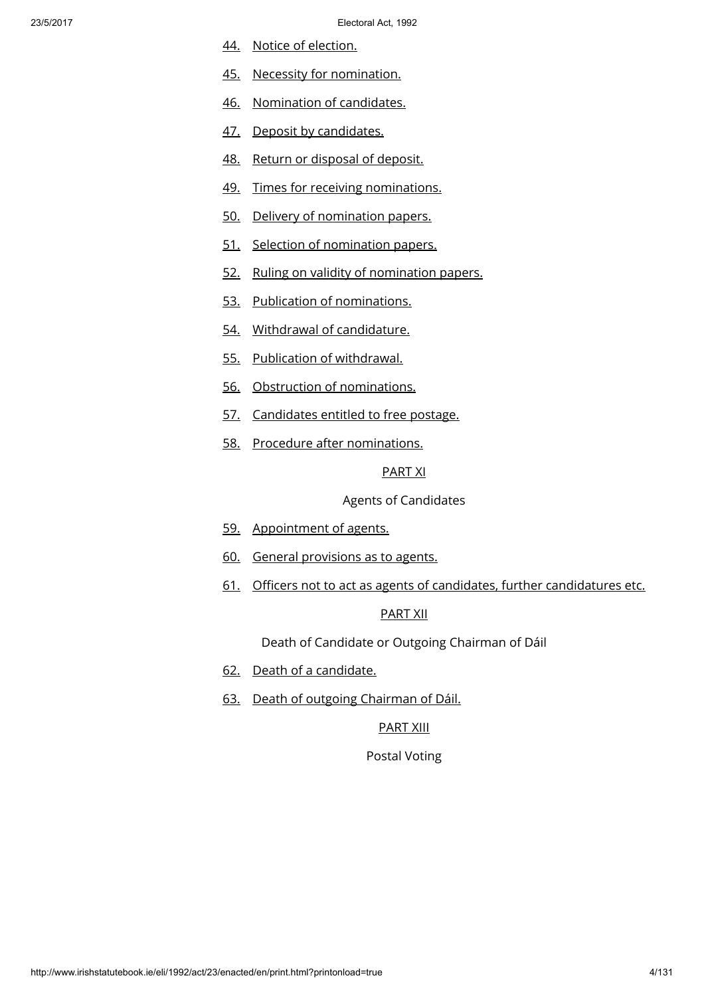- [44.](http://www.irishstatutebook.ie/1992/en/act/pub/0023/print.html#sec44) Notice of [election.](http://www.irishstatutebook.ie/1992/en/act/pub/0023/print.html#sec44)
- [45.](http://www.irishstatutebook.ie/1992/en/act/pub/0023/print.html#sec45) Necessity for [nomination.](http://www.irishstatutebook.ie/1992/en/act/pub/0023/print.html#sec45)
- [46.](http://www.irishstatutebook.ie/1992/en/act/pub/0023/print.html#sec46) [Nomination](http://www.irishstatutebook.ie/1992/en/act/pub/0023/print.html#sec46) of candidates.
- [47.](http://www.irishstatutebook.ie/1992/en/act/pub/0023/print.html#sec47) Deposit by [candidates.](http://www.irishstatutebook.ie/1992/en/act/pub/0023/print.html#sec47)
- [48.](http://www.irishstatutebook.ie/1992/en/act/pub/0023/print.html#sec48) Return or [disposal](http://www.irishstatutebook.ie/1992/en/act/pub/0023/print.html#sec48) of deposit.
- [49.](http://www.irishstatutebook.ie/1992/en/act/pub/0023/print.html#sec49) Times for receiving [nominations.](http://www.irishstatutebook.ie/1992/en/act/pub/0023/print.html#sec49)
- [50.](http://www.irishstatutebook.ie/1992/en/act/pub/0023/print.html#sec50) Delivery of [nomination](http://www.irishstatutebook.ie/1992/en/act/pub/0023/print.html#sec50) papers.
- [51.](http://www.irishstatutebook.ie/1992/en/act/pub/0023/print.html#sec51) Selection of [nomination](http://www.irishstatutebook.ie/1992/en/act/pub/0023/print.html#sec51) papers.
- [52.](http://www.irishstatutebook.ie/1992/en/act/pub/0023/print.html#sec52) Ruling on validity of [nomination](http://www.irishstatutebook.ie/1992/en/act/pub/0023/print.html#sec52) papers.
- [53.](http://www.irishstatutebook.ie/1992/en/act/pub/0023/print.html#sec53) Publication of [nominations.](http://www.irishstatutebook.ie/1992/en/act/pub/0023/print.html#sec53)
- [54.](http://www.irishstatutebook.ie/1992/en/act/pub/0023/print.html#sec54) Withdrawal of [candidature.](http://www.irishstatutebook.ie/1992/en/act/pub/0023/print.html#sec54)
- [55.](http://www.irishstatutebook.ie/1992/en/act/pub/0023/print.html#sec55) Publication of [withdrawal.](http://www.irishstatutebook.ie/1992/en/act/pub/0023/print.html#sec55)
- [56.](http://www.irishstatutebook.ie/1992/en/act/pub/0023/print.html#sec56) Obstruction of [nominations.](http://www.irishstatutebook.ie/1992/en/act/pub/0023/print.html#sec56)
- [57.](http://www.irishstatutebook.ie/1992/en/act/pub/0023/print.html#sec57) [Candidates](http://www.irishstatutebook.ie/1992/en/act/pub/0023/print.html#sec57) entitled to free postage.
- [58.](http://www.irishstatutebook.ie/1992/en/act/pub/0023/print.html#sec58) Procedure after [nominations.](http://www.irishstatutebook.ie/1992/en/act/pub/0023/print.html#sec58)

[PART](http://www.irishstatutebook.ie/1992/en/act/pub/0023/print.html#partxi) XI

Agents of Candidates

- [59.](http://www.irishstatutebook.ie/1992/en/act/pub/0023/print.html#sec59) [Appointment](http://www.irishstatutebook.ie/1992/en/act/pub/0023/print.html#sec59) of agents.
- [60.](http://www.irishstatutebook.ie/1992/en/act/pub/0023/print.html#sec60) General [provisions](http://www.irishstatutebook.ie/1992/en/act/pub/0023/print.html#sec60) as to agents.
- [61.](http://www.irishstatutebook.ie/1992/en/act/pub/0023/print.html#sec61) Officers not to act as agents of candidates, further [candidatures](http://www.irishstatutebook.ie/1992/en/act/pub/0023/print.html#sec61) etc.

# [PART](http://www.irishstatutebook.ie/1992/en/act/pub/0023/print.html#partxii) XII

Death of Candidate or Outgoing Chairman of Dáil

- [62.](http://www.irishstatutebook.ie/1992/en/act/pub/0023/print.html#sec62) Death of a [candidate.](http://www.irishstatutebook.ie/1992/en/act/pub/0023/print.html#sec62)
- [63.](http://www.irishstatutebook.ie/1992/en/act/pub/0023/print.html#sec63) Death of outgoing [Chairman](http://www.irishstatutebook.ie/1992/en/act/pub/0023/print.html#sec63) of Dáil.

# [PART](http://www.irishstatutebook.ie/1992/en/act/pub/0023/print.html#partxiii) XIII

Postal Voting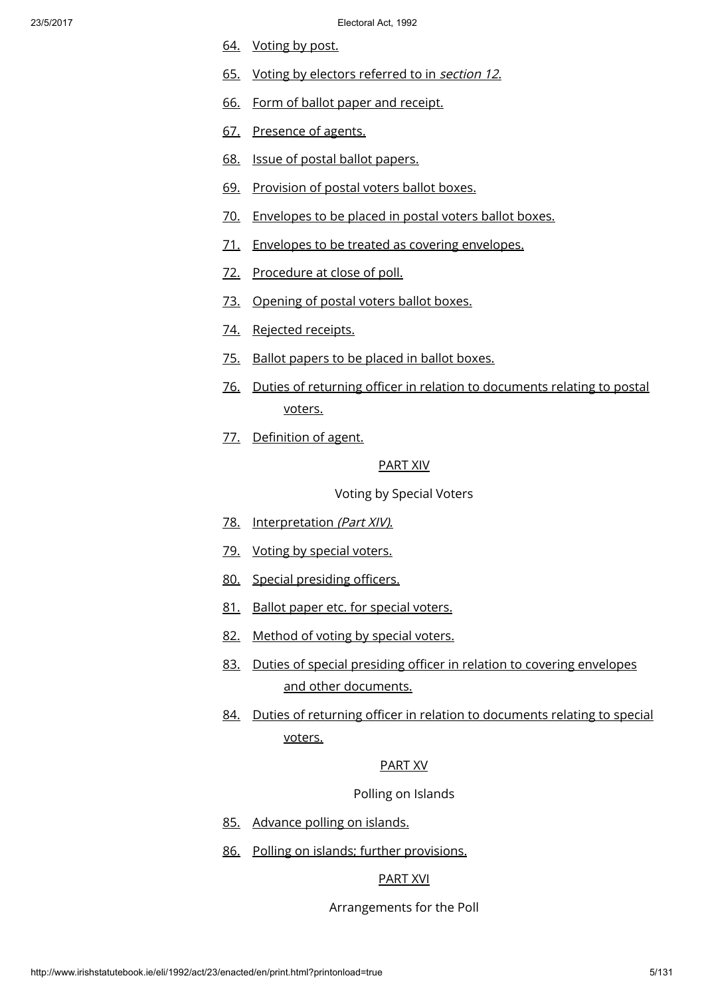- [64.](http://www.irishstatutebook.ie/1992/en/act/pub/0023/print.html#sec64) [Voting](http://www.irishstatutebook.ie/1992/en/act/pub/0023/print.html#sec64) by post.
- [65.](http://www.irishstatutebook.ie/1992/en/act/pub/0023/print.html#sec65) Voting by electors [referred](http://www.irishstatutebook.ie/1992/en/act/pub/0023/print.html#sec65) to in section 12.
- [66.](http://www.irishstatutebook.ie/1992/en/act/pub/0023/print.html#sec66) Form of ballot paper and [receipt.](http://www.irishstatutebook.ie/1992/en/act/pub/0023/print.html#sec66)
- [67.](http://www.irishstatutebook.ie/1992/en/act/pub/0023/print.html#sec67) [Presence](http://www.irishstatutebook.ie/1992/en/act/pub/0023/print.html#sec67) of agents.
- [68.](http://www.irishstatutebook.ie/1992/en/act/pub/0023/print.html#sec68) Issue of postal ballot [papers.](http://www.irishstatutebook.ie/1992/en/act/pub/0023/print.html#sec68)
- [69.](http://www.irishstatutebook.ie/1992/en/act/pub/0023/print.html#sec69) [Provision](http://www.irishstatutebook.ie/1992/en/act/pub/0023/print.html#sec69) of postal voters ballot boxes.
- [70.](http://www.irishstatutebook.ie/1992/en/act/pub/0023/print.html#sec70) [Envelopes](http://www.irishstatutebook.ie/1992/en/act/pub/0023/print.html#sec70) to be placed in postal voters ballot boxes.
- [71.](http://www.irishstatutebook.ie/1992/en/act/pub/0023/print.html#sec71) Envelopes to be treated as covering [envelopes.](http://www.irishstatutebook.ie/1992/en/act/pub/0023/print.html#sec71)
- [72.](http://www.irishstatutebook.ie/1992/en/act/pub/0023/print.html#sec72) [Procedure](http://www.irishstatutebook.ie/1992/en/act/pub/0023/print.html#sec72) at close of poll.
- [73.](http://www.irishstatutebook.ie/1992/en/act/pub/0023/print.html#sec73) [Opening](http://www.irishstatutebook.ie/1992/en/act/pub/0023/print.html#sec73) of postal voters ballot boxes.
- [74.](http://www.irishstatutebook.ie/1992/en/act/pub/0023/print.html#sec74) Rejected [receipts.](http://www.irishstatutebook.ie/1992/en/act/pub/0023/print.html#sec74)
- [75.](http://www.irishstatutebook.ie/1992/en/act/pub/0023/print.html#sec75) Ballot [papers](http://www.irishstatutebook.ie/1992/en/act/pub/0023/print.html#sec75) to be placed in ballot boxes.
- [76.](http://www.irishstatutebook.ie/1992/en/act/pub/0023/print.html#sec76) Duties of returning officer in relation to [documents](http://www.irishstatutebook.ie/1992/en/act/pub/0023/print.html#sec76) relating to postal voters.
- [77.](http://www.irishstatutebook.ie/1992/en/act/pub/0023/print.html#sec77) [Definition](http://www.irishstatutebook.ie/1992/en/act/pub/0023/print.html#sec77) of agent.

### [PART](http://www.irishstatutebook.ie/1992/en/act/pub/0023/print.html#partxiv) XIV

Voting by Special Voters

- [78.](http://www.irishstatutebook.ie/1992/en/act/pub/0023/print.html#sec78) [Interpretation](http://www.irishstatutebook.ie/1992/en/act/pub/0023/print.html#sec78) (Part XIV).
- [79.](http://www.irishstatutebook.ie/1992/en/act/pub/0023/print.html#sec79) Voting by [special](http://www.irishstatutebook.ie/1992/en/act/pub/0023/print.html#sec79) voters.
- [80.](http://www.irishstatutebook.ie/1992/en/act/pub/0023/print.html#sec80) Special [presiding](http://www.irishstatutebook.ie/1992/en/act/pub/0023/print.html#sec80) officers.
- [81.](http://www.irishstatutebook.ie/1992/en/act/pub/0023/print.html#sec81) Ballot paper etc. for [special](http://www.irishstatutebook.ie/1992/en/act/pub/0023/print.html#sec81) voters.
- [82.](http://www.irishstatutebook.ie/1992/en/act/pub/0023/print.html#sec82) [Method](http://www.irishstatutebook.ie/1992/en/act/pub/0023/print.html#sec82) of voting by special voters.
- [83.](http://www.irishstatutebook.ie/1992/en/act/pub/0023/print.html#sec83) Duties of special presiding officer in relation to covering envelopes and other [documents.](http://www.irishstatutebook.ie/1992/en/act/pub/0023/print.html#sec83)
- [84.](http://www.irishstatutebook.ie/1992/en/act/pub/0023/print.html#sec84) Duties of returning officer in relation to [documents](http://www.irishstatutebook.ie/1992/en/act/pub/0023/print.html#sec84) relating to special voters.

### [PART](http://www.irishstatutebook.ie/1992/en/act/pub/0023/print.html#partxv) XV

Polling on Islands

- [85.](http://www.irishstatutebook.ie/1992/en/act/pub/0023/print.html#sec85) [Advance](http://www.irishstatutebook.ie/1992/en/act/pub/0023/print.html#sec85) polling on islands.
- [86.](http://www.irishstatutebook.ie/1992/en/act/pub/0023/print.html#sec86) Polling on islands; further [provisions.](http://www.irishstatutebook.ie/1992/en/act/pub/0023/print.html#sec86)

# [PART](http://www.irishstatutebook.ie/1992/en/act/pub/0023/print.html#partxvi) XVI

Arrangements for the Poll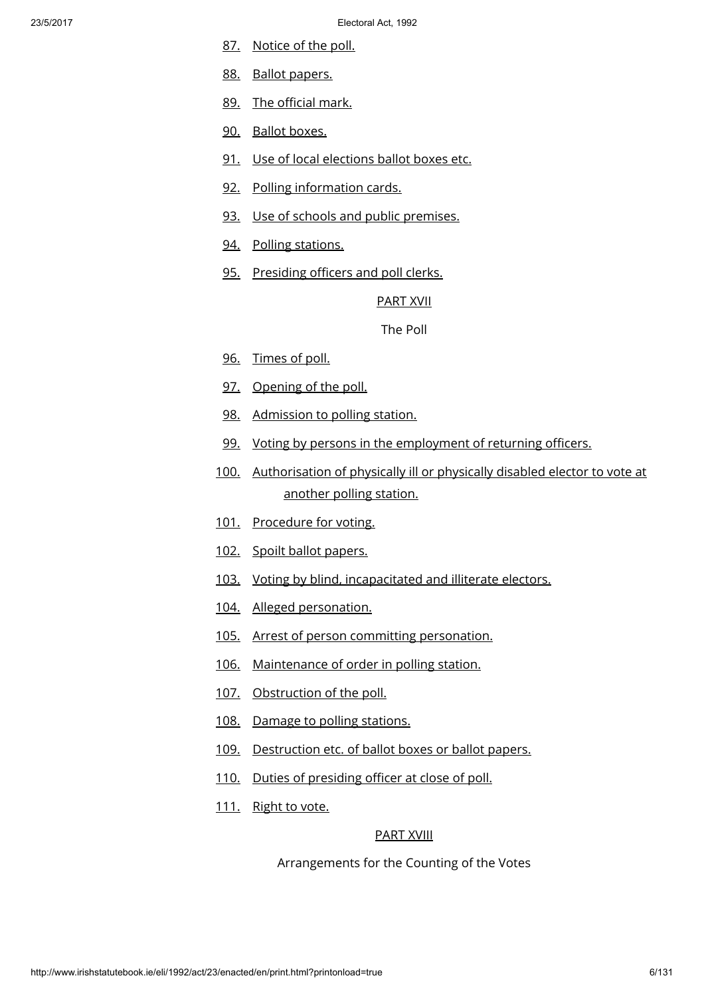- [87.](http://www.irishstatutebook.ie/1992/en/act/pub/0023/print.html#sec87) [Notice](http://www.irishstatutebook.ie/1992/en/act/pub/0023/print.html#sec87) of the poll.
- [88.](http://www.irishstatutebook.ie/1992/en/act/pub/0023/print.html#sec88) Ballot [papers.](http://www.irishstatutebook.ie/1992/en/act/pub/0023/print.html#sec88)
- [89.](http://www.irishstatutebook.ie/1992/en/act/pub/0023/print.html#sec89) The [official](http://www.irishstatutebook.ie/1992/en/act/pub/0023/print.html#sec89) mark.
- [90.](http://www.irishstatutebook.ie/1992/en/act/pub/0023/print.html#sec90) Ballot [boxes.](http://www.irishstatutebook.ie/1992/en/act/pub/0023/print.html#sec90)
- [91.](http://www.irishstatutebook.ie/1992/en/act/pub/0023/print.html#sec91) Use of local [elections](http://www.irishstatutebook.ie/1992/en/act/pub/0023/print.html#sec91) ballot boxes etc.
- [92.](http://www.irishstatutebook.ie/1992/en/act/pub/0023/print.html#sec92) Polling [information](http://www.irishstatutebook.ie/1992/en/act/pub/0023/print.html#sec92) cards.
- [93.](http://www.irishstatutebook.ie/1992/en/act/pub/0023/print.html#sec93) Use of schools and public [premises.](http://www.irishstatutebook.ie/1992/en/act/pub/0023/print.html#sec93)
- [94.](http://www.irishstatutebook.ie/1992/en/act/pub/0023/print.html#sec94) Polling [stations.](http://www.irishstatutebook.ie/1992/en/act/pub/0023/print.html#sec94)
- [95.](http://www.irishstatutebook.ie/1992/en/act/pub/0023/print.html#sec95) [Presiding](http://www.irishstatutebook.ie/1992/en/act/pub/0023/print.html#sec95) officers and poll clerks.

[PART](http://www.irishstatutebook.ie/1992/en/act/pub/0023/print.html#partxvii) XVII

The Poll

- [96.](http://www.irishstatutebook.ie/1992/en/act/pub/0023/print.html#sec96) [Times](http://www.irishstatutebook.ie/1992/en/act/pub/0023/print.html#sec96) of poll.
- [97.](http://www.irishstatutebook.ie/1992/en/act/pub/0023/print.html#sec97) [Opening](http://www.irishstatutebook.ie/1992/en/act/pub/0023/print.html#sec97) of the poll.
- [98.](http://www.irishstatutebook.ie/1992/en/act/pub/0023/print.html#sec98) [Admission](http://www.irishstatutebook.ie/1992/en/act/pub/0023/print.html#sec98) to polling station.
- [99.](http://www.irishstatutebook.ie/1992/en/act/pub/0023/print.html#sec99) Voting by persons in the [employment](http://www.irishstatutebook.ie/1992/en/act/pub/0023/print.html#sec99) of returning officers.
- [100.](http://www.irishstatutebook.ie/1992/en/act/pub/0023/print.html#sec100) [Authorisation](http://www.irishstatutebook.ie/1992/en/act/pub/0023/print.html#sec100) of physically ill or physically disabled elector to vote at another polling station.
- [101.](http://www.irishstatutebook.ie/1992/en/act/pub/0023/print.html#sec101) [Procedure](http://www.irishstatutebook.ie/1992/en/act/pub/0023/print.html#sec101) for voting.
- [102.](http://www.irishstatutebook.ie/1992/en/act/pub/0023/print.html#sec102) Spoilt ballot [papers.](http://www.irishstatutebook.ie/1992/en/act/pub/0023/print.html#sec102)
- [103.](http://www.irishstatutebook.ie/1992/en/act/pub/0023/print.html#sec103) Voting by blind, [incapacitated](http://www.irishstatutebook.ie/1992/en/act/pub/0023/print.html#sec103) and illiterate electors.
- [104.](http://www.irishstatutebook.ie/1992/en/act/pub/0023/print.html#sec104) Alleged [personation.](http://www.irishstatutebook.ie/1992/en/act/pub/0023/print.html#sec104)
- [105.](http://www.irishstatutebook.ie/1992/en/act/pub/0023/print.html#sec105) Arrest of person committing [personation.](http://www.irishstatutebook.ie/1992/en/act/pub/0023/print.html#sec105)
- [106.](http://www.irishstatutebook.ie/1992/en/act/pub/0023/print.html#sec106) [Maintenance](http://www.irishstatutebook.ie/1992/en/act/pub/0023/print.html#sec106) of order in polling station.
- [107.](http://www.irishstatutebook.ie/1992/en/act/pub/0023/print.html#sec107) [Obstruction](http://www.irishstatutebook.ie/1992/en/act/pub/0023/print.html#sec107) of the poll.
- [108.](http://www.irishstatutebook.ie/1992/en/act/pub/0023/print.html#sec108) Damage to polling [stations.](http://www.irishstatutebook.ie/1992/en/act/pub/0023/print.html#sec108)
- [109.](http://www.irishstatutebook.ie/1992/en/act/pub/0023/print.html#sec109) [Destruction](http://www.irishstatutebook.ie/1992/en/act/pub/0023/print.html#sec109) etc. of ballot boxes or ballot papers.
- [110.](http://www.irishstatutebook.ie/1992/en/act/pub/0023/print.html#sec110) Duties of [presiding](http://www.irishstatutebook.ie/1992/en/act/pub/0023/print.html#sec110) officer at close of poll.
- [111.](http://www.irishstatutebook.ie/1992/en/act/pub/0023/print.html#sec111) [Right](http://www.irishstatutebook.ie/1992/en/act/pub/0023/print.html#sec111) to vote.

# [PART](http://www.irishstatutebook.ie/1992/en/act/pub/0023/print.html#partxviii) XVIII

Arrangements for the Counting of the Votes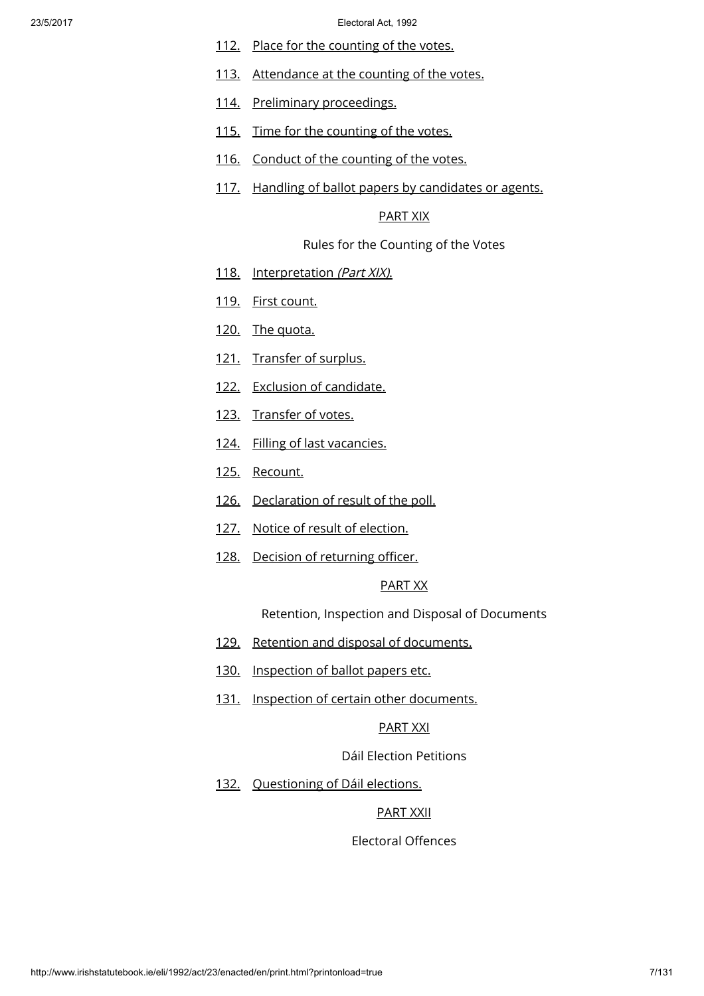- [112.](http://www.irishstatutebook.ie/1992/en/act/pub/0023/print.html#sec112) Place for the [counting](http://www.irishstatutebook.ie/1992/en/act/pub/0023/print.html#sec112) of the votes.
- [113.](http://www.irishstatutebook.ie/1992/en/act/pub/0023/print.html#sec113) [Attendance](http://www.irishstatutebook.ie/1992/en/act/pub/0023/print.html#sec113) at the counting of the votes.
- [114.](http://www.irishstatutebook.ie/1992/en/act/pub/0023/print.html#sec114) Preliminary [proceedings.](http://www.irishstatutebook.ie/1992/en/act/pub/0023/print.html#sec114)
- [115.](http://www.irishstatutebook.ie/1992/en/act/pub/0023/print.html#sec115) Time for the [counting](http://www.irishstatutebook.ie/1992/en/act/pub/0023/print.html#sec115) of the votes.
- [116.](http://www.irishstatutebook.ie/1992/en/act/pub/0023/print.html#sec116) Conduct of the [counting](http://www.irishstatutebook.ie/1992/en/act/pub/0023/print.html#sec116) of the votes.
- [117.](http://www.irishstatutebook.ie/1992/en/act/pub/0023/print.html#sec117) Handling of ballot papers by [candidates](http://www.irishstatutebook.ie/1992/en/act/pub/0023/print.html#sec117) or agents.

# [PART](http://www.irishstatutebook.ie/1992/en/act/pub/0023/print.html#partxix) XIX

Rules for the Counting of the Votes

- [118.](http://www.irishstatutebook.ie/1992/en/act/pub/0023/print.html#sec118) [Interpretation](http://www.irishstatutebook.ie/1992/en/act/pub/0023/print.html#sec118) (Part XIX).
- [119.](http://www.irishstatutebook.ie/1992/en/act/pub/0023/print.html#sec119) First [count.](http://www.irishstatutebook.ie/1992/en/act/pub/0023/print.html#sec119)
- [120.](http://www.irishstatutebook.ie/1992/en/act/pub/0023/print.html#sec120) The [quota.](http://www.irishstatutebook.ie/1992/en/act/pub/0023/print.html#sec120)
- [121.](http://www.irishstatutebook.ie/1992/en/act/pub/0023/print.html#sec121) [Transfer](http://www.irishstatutebook.ie/1992/en/act/pub/0023/print.html#sec121) of surplus.
- [122.](http://www.irishstatutebook.ie/1992/en/act/pub/0023/print.html#sec122) Exclusion of [candidate.](http://www.irishstatutebook.ie/1992/en/act/pub/0023/print.html#sec122)
- [123.](http://www.irishstatutebook.ie/1992/en/act/pub/0023/print.html#sec123) [Transfer](http://www.irishstatutebook.ie/1992/en/act/pub/0023/print.html#sec123) of votes.
- [124.](http://www.irishstatutebook.ie/1992/en/act/pub/0023/print.html#sec124) Filling of last [vacancies.](http://www.irishstatutebook.ie/1992/en/act/pub/0023/print.html#sec124)
- [125.](http://www.irishstatutebook.ie/1992/en/act/pub/0023/print.html#sec125) [Recount.](http://www.irishstatutebook.ie/1992/en/act/pub/0023/print.html#sec125)
- [126.](http://www.irishstatutebook.ie/1992/en/act/pub/0023/print.html#sec126) [Declaration](http://www.irishstatutebook.ie/1992/en/act/pub/0023/print.html#sec126) of result of the poll.
- [127.](http://www.irishstatutebook.ie/1992/en/act/pub/0023/print.html#sec127) Notice of result of [election.](http://www.irishstatutebook.ie/1992/en/act/pub/0023/print.html#sec127)
- [128.](http://www.irishstatutebook.ie/1992/en/act/pub/0023/print.html#sec128) Decision of [returning](http://www.irishstatutebook.ie/1992/en/act/pub/0023/print.html#sec128) officer.

# [PART](http://www.irishstatutebook.ie/1992/en/act/pub/0023/print.html#partxx) XX

Retention, Inspection and Disposal of Documents

- [129.](http://www.irishstatutebook.ie/1992/en/act/pub/0023/print.html#sec129) Retention and disposal of [documents.](http://www.irishstatutebook.ie/1992/en/act/pub/0023/print.html#sec129)
- [130.](http://www.irishstatutebook.ie/1992/en/act/pub/0023/print.html#sec130) [Inspection](http://www.irishstatutebook.ie/1992/en/act/pub/0023/print.html#sec130) of ballot papers etc.
- [131.](http://www.irishstatutebook.ie/1992/en/act/pub/0023/print.html#sec131) Inspection of certain other [documents.](http://www.irishstatutebook.ie/1992/en/act/pub/0023/print.html#sec131)

### [PART](http://www.irishstatutebook.ie/1992/en/act/pub/0023/print.html#partxxi) XXI

Dáil Election Petitions

[132.](http://www.irishstatutebook.ie/1992/en/act/pub/0023/print.html#sec132) Ouestioning of Dáil elections.

# [PART](http://www.irishstatutebook.ie/1992/en/act/pub/0023/print.html#partxxii) XXII

Electoral Offences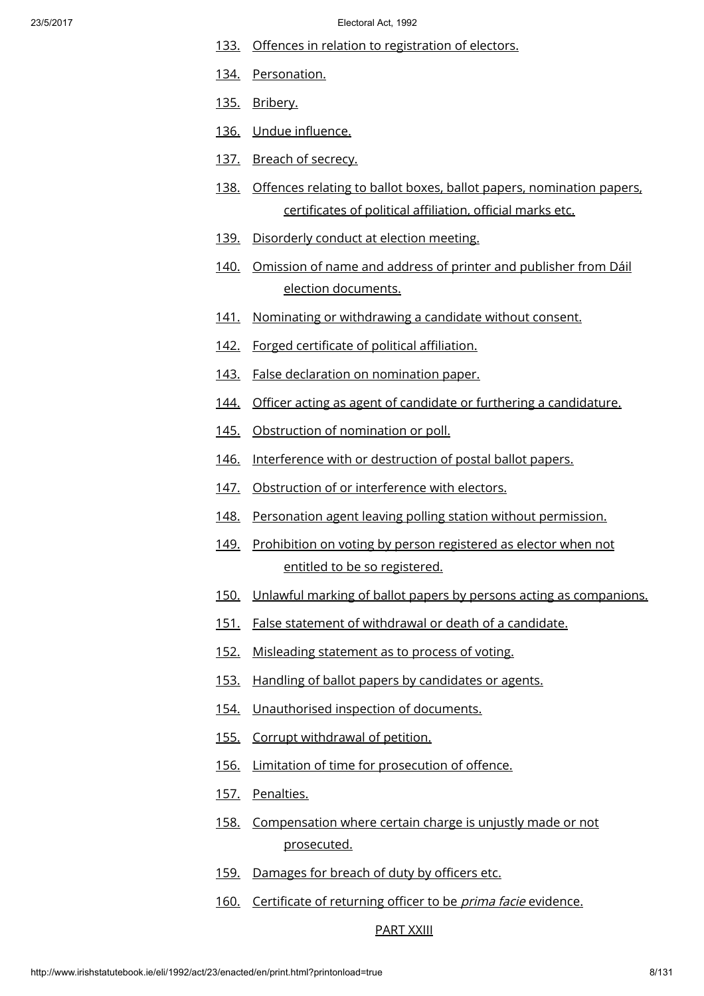- [133.](http://www.irishstatutebook.ie/1992/en/act/pub/0023/print.html#sec133) Offences in relation to [registration](http://www.irishstatutebook.ie/1992/en/act/pub/0023/print.html#sec133) of electors.
- [134.](http://www.irishstatutebook.ie/1992/en/act/pub/0023/print.html#sec134) [Personation.](http://www.irishstatutebook.ie/1992/en/act/pub/0023/print.html#sec134)
- [135.](http://www.irishstatutebook.ie/1992/en/act/pub/0023/print.html#sec135) [Bribery.](http://www.irishstatutebook.ie/1992/en/act/pub/0023/print.html#sec135)
- [136.](http://www.irishstatutebook.ie/1992/en/act/pub/0023/print.html#sec136) Undue [influence.](http://www.irishstatutebook.ie/1992/en/act/pub/0023/print.html#sec136)
- [137.](http://www.irishstatutebook.ie/1992/en/act/pub/0023/print.html#sec137) Breach of [secrecy.](http://www.irishstatutebook.ie/1992/en/act/pub/0023/print.html#sec137)
- [138.](http://www.irishstatutebook.ie/1992/en/act/pub/0023/print.html#sec138) Offences relating to ballot boxes, ballot papers, [nomination](http://www.irishstatutebook.ie/1992/en/act/pub/0023/print.html#sec138) papers, certificates of political affiliation, official marks etc.
- [139.](http://www.irishstatutebook.ie/1992/en/act/pub/0023/print.html#sec139) [Disorderly](http://www.irishstatutebook.ie/1992/en/act/pub/0023/print.html#sec139) conduct at election meeting.
- [140.](http://www.irishstatutebook.ie/1992/en/act/pub/0023/print.html#sec140) Omission of name and address of printer and publisher from Dáil election [documents.](http://www.irishstatutebook.ie/1992/en/act/pub/0023/print.html#sec140)
- [141.](http://www.irishstatutebook.ie/1992/en/act/pub/0023/print.html#sec141) Nominating or [withdrawing](http://www.irishstatutebook.ie/1992/en/act/pub/0023/print.html#sec141) a candidate without consent.
- [142.](http://www.irishstatutebook.ie/1992/en/act/pub/0023/print.html#sec142) Forged certificate of political [affiliation.](http://www.irishstatutebook.ie/1992/en/act/pub/0023/print.html#sec142)
- [143.](http://www.irishstatutebook.ie/1992/en/act/pub/0023/print.html#sec143) False declaration on [nomination](http://www.irishstatutebook.ie/1992/en/act/pub/0023/print.html#sec143) paper.
- [144.](http://www.irishstatutebook.ie/1992/en/act/pub/0023/print.html#sec144) Officer acting as agent of candidate or furthering a [candidature.](http://www.irishstatutebook.ie/1992/en/act/pub/0023/print.html#sec144)
- [145.](http://www.irishstatutebook.ie/1992/en/act/pub/0023/print.html#sec145) [Obstruction](http://www.irishstatutebook.ie/1992/en/act/pub/0023/print.html#sec145) of nomination or poll.
- [146.](http://www.irishstatutebook.ie/1992/en/act/pub/0023/print.html#sec146) [Interference](http://www.irishstatutebook.ie/1992/en/act/pub/0023/print.html#sec146) with or destruction of postal ballot papers.
- [147.](http://www.irishstatutebook.ie/1992/en/act/pub/0023/print.html#sec147) Obstruction of or [interference](http://www.irishstatutebook.ie/1992/en/act/pub/0023/print.html#sec147) with electors.
- [148.](http://www.irishstatutebook.ie/1992/en/act/pub/0023/print.html#sec148) [Personation](http://www.irishstatutebook.ie/1992/en/act/pub/0023/print.html#sec148) agent leaving polling station without permission.
- [149.](http://www.irishstatutebook.ie/1992/en/act/pub/0023/print.html#sec149) [Prohibition](http://www.irishstatutebook.ie/1992/en/act/pub/0023/print.html#sec149) on voting by person registered as elector when not entitled to be so registered.
- [150.](http://www.irishstatutebook.ie/1992/en/act/pub/0023/print.html#sec150) Unlawful marking of ballot papers by persons acting as [companions.](http://www.irishstatutebook.ie/1992/en/act/pub/0023/print.html#sec150)
- [151.](http://www.irishstatutebook.ie/1992/en/act/pub/0023/print.html#sec151) False statement of [withdrawal](http://www.irishstatutebook.ie/1992/en/act/pub/0023/print.html#sec151) or death of a candidate.
- [152.](http://www.irishstatutebook.ie/1992/en/act/pub/0023/print.html#sec152) [Misleading](http://www.irishstatutebook.ie/1992/en/act/pub/0023/print.html#sec152) statement as to process of voting.
- [153.](http://www.irishstatutebook.ie/1992/en/act/pub/0023/print.html#sec153) Handling of ballot papers by [candidates](http://www.irishstatutebook.ie/1992/en/act/pub/0023/print.html#sec153) or agents.
- [154.](http://www.irishstatutebook.ie/1992/en/act/pub/0023/print.html#sec154) [Unauthorised](http://www.irishstatutebook.ie/1992/en/act/pub/0023/print.html#sec154) inspection of documents.
- [155.](http://www.irishstatutebook.ie/1992/en/act/pub/0023/print.html#sec155) Corrupt [withdrawal](http://www.irishstatutebook.ie/1992/en/act/pub/0023/print.html#sec155) of petition.
- [156.](http://www.irishstatutebook.ie/1992/en/act/pub/0023/print.html#sec156) Limitation of time for [prosecution](http://www.irishstatutebook.ie/1992/en/act/pub/0023/print.html#sec156) of offence.
- [157.](http://www.irishstatutebook.ie/1992/en/act/pub/0023/print.html#sec157) [Penalties.](http://www.irishstatutebook.ie/1992/en/act/pub/0023/print.html#sec157)
- [158.](http://www.irishstatutebook.ie/1992/en/act/pub/0023/print.html#sec158) [Compensation](http://www.irishstatutebook.ie/1992/en/act/pub/0023/print.html#sec158) where certain charge is unjustly made or not prosecuted.
- [159.](http://www.irishstatutebook.ie/1992/en/act/pub/0023/print.html#sec159) [Damages](http://www.irishstatutebook.ie/1992/en/act/pub/0023/print.html#sec159) for breach of duty by officers etc.
- [160.](http://www.irishstatutebook.ie/1992/en/act/pub/0023/print.html#sec160) [Certificate](http://www.irishstatutebook.ie/1992/en/act/pub/0023/print.html#sec160) of returning officer to be *prima facie* evidence.

### [PART](http://www.irishstatutebook.ie/1992/en/act/pub/0023/print.html#partxxiii) XXIII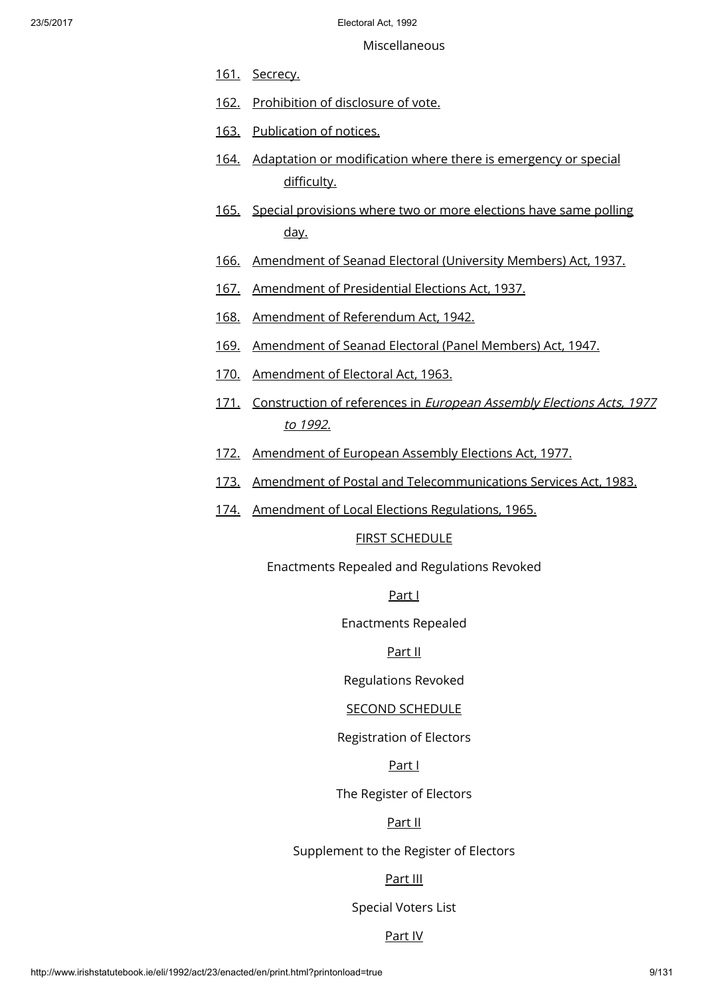Miscellaneous

- [161.](http://www.irishstatutebook.ie/1992/en/act/pub/0023/print.html#sec161) [Secrecy.](http://www.irishstatutebook.ie/1992/en/act/pub/0023/print.html#sec161)
- [162.](http://www.irishstatutebook.ie/1992/en/act/pub/0023/print.html#sec162) [Prohibition](http://www.irishstatutebook.ie/1992/en/act/pub/0023/print.html#sec162) of disclosure of vote.
- [163.](http://www.irishstatutebook.ie/1992/en/act/pub/0023/print.html#sec163) [Publication](http://www.irishstatutebook.ie/1992/en/act/pub/0023/print.html#sec163) of notices.
- [164.](http://www.irishstatutebook.ie/1992/en/act/pub/0023/print.html#sec164) Adaptation or [modification](http://www.irishstatutebook.ie/1992/en/act/pub/0023/print.html#sec164) where there is emergency or special difficulty.
- [165.](http://www.irishstatutebook.ie/1992/en/act/pub/0023/print.html#sec165) Special [provisions](http://www.irishstatutebook.ie/1992/en/act/pub/0023/print.html#sec165) where two or more elections have same polling day.
- [166.](http://www.irishstatutebook.ie/1992/en/act/pub/0023/print.html#sec166) [Amendment](http://www.irishstatutebook.ie/1992/en/act/pub/0023/print.html#sec166) of Seanad Electoral (University Members) Act, 1937.
- [167.](http://www.irishstatutebook.ie/1992/en/act/pub/0023/print.html#sec167) [Amendment](http://www.irishstatutebook.ie/1992/en/act/pub/0023/print.html#sec167) of Presidential Elections Act, 1937.
- [168.](http://www.irishstatutebook.ie/1992/en/act/pub/0023/print.html#sec168) Amendment of [Referendum](http://www.irishstatutebook.ie/1992/en/act/pub/0023/print.html#sec168) Act, 1942.
- [169.](http://www.irishstatutebook.ie/1992/en/act/pub/0023/print.html#sec169) [Amendment](http://www.irishstatutebook.ie/1992/en/act/pub/0023/print.html#sec169) of Seanad Electoral (Panel Members) Act, 1947.
- [170.](http://www.irishstatutebook.ie/1992/en/act/pub/0023/print.html#sec170) [Amendment](http://www.irishstatutebook.ie/1992/en/act/pub/0023/print.html#sec170) of Electoral Act, 1963.
- [171.](http://www.irishstatutebook.ie/1992/en/act/pub/0023/print.html#sec171) [Construction](http://www.irishstatutebook.ie/1992/en/act/pub/0023/print.html#sec171) of references in European Assembly Elections Acts, 1977 to 1992.
- [172.](http://www.irishstatutebook.ie/1992/en/act/pub/0023/print.html#sec172) [Amendment](http://www.irishstatutebook.ie/1992/en/act/pub/0023/print.html#sec172) of European Assembly Elections Act, 1977.
- [173.](http://www.irishstatutebook.ie/1992/en/act/pub/0023/print.html#sec173) Amendment of Postal and [Telecommunications](http://www.irishstatutebook.ie/1992/en/act/pub/0023/print.html#sec173) Services Act, 1983.
- [174.](http://www.irishstatutebook.ie/1992/en/act/pub/0023/print.html#sec174) [Amendment](http://www.irishstatutebook.ie/1992/en/act/pub/0023/print.html#sec174) of Local Elections Regulations, 1965.

# FIRST [SCHEDULE](http://www.irishstatutebook.ie/1992/en/act/pub/0023/print.html#sched1)

Enactments Repealed and Regulations Revoked

# [Part](http://www.irishstatutebook.ie/1992/en/act/pub/0023/print.html#sched1-parti) I

Enactments Repealed

# [Part](http://www.irishstatutebook.ie/1992/en/act/pub/0023/print.html#sched1-partii) II

Regulations Revoked

# SECOND [SCHEDULE](http://www.irishstatutebook.ie/1992/en/act/pub/0023/print.html#sched2)

Registration of Electors

# [Part](http://www.irishstatutebook.ie/1992/en/act/pub/0023/print.html#sched2-parti) I

The Register of Electors

# [Part](http://www.irishstatutebook.ie/1992/en/act/pub/0023/print.html#sched2-partii) II

Supplement to the Register of Electors

# [Part](http://www.irishstatutebook.ie/1992/en/act/pub/0023/print.html#sched2-partiii) III

Special Voters List

# [Part](http://www.irishstatutebook.ie/1992/en/act/pub/0023/print.html#sched2-partiv) IV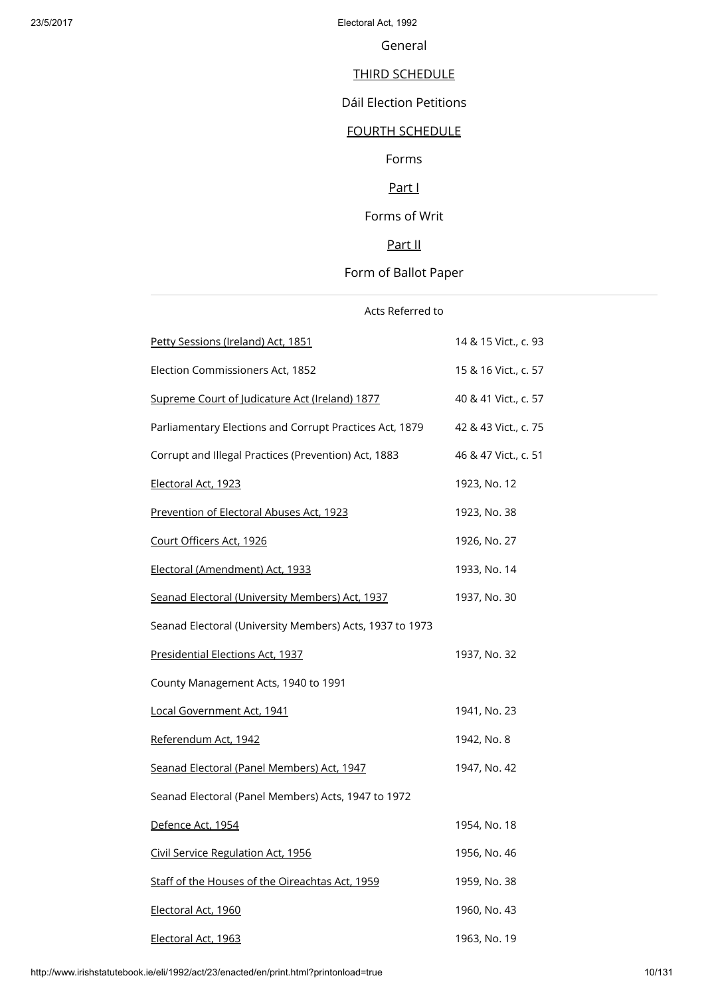General

# THIRD [SCHEDULE](http://www.irishstatutebook.ie/1992/en/act/pub/0023/print.html#sched3)

Dáil Election Petitions

# FOURTH [SCHEDULE](http://www.irishstatutebook.ie/1992/en/act/pub/0023/print.html#sched4)

Forms

# [Part](http://www.irishstatutebook.ie/1992/en/act/pub/0023/print.html#sched4-parti) I

Forms of Writ

# [Part](http://www.irishstatutebook.ie/1992/en/act/pub/0023/print.html#sched4-partii) II

# Form of Ballot Paper

| Acts Referred to                                         |                      |
|----------------------------------------------------------|----------------------|
| Petty Sessions (Ireland) Act, 1851                       | 14 & 15 Vict., c. 93 |
| Election Commissioners Act, 1852                         | 15 & 16 Vict., c. 57 |
| Supreme Court of Judicature Act (Ireland) 1877           | 40 & 41 Vict., c. 57 |
| Parliamentary Elections and Corrupt Practices Act, 1879  | 42 & 43 Vict., c. 75 |
| Corrupt and Illegal Practices (Prevention) Act, 1883     | 46 & 47 Vict., c. 51 |
| Electoral Act, 1923                                      | 1923, No. 12         |
| Prevention of Electoral Abuses Act, 1923                 | 1923, No. 38         |
| Court Officers Act, 1926                                 | 1926, No. 27         |
| Electoral (Amendment) Act, 1933                          | 1933, No. 14         |
| Seanad Electoral (University Members) Act, 1937          | 1937, No. 30         |
| Seanad Electoral (University Members) Acts, 1937 to 1973 |                      |
| Presidential Elections Act, 1937                         | 1937, No. 32         |
| County Management Acts, 1940 to 1991                     |                      |
| Local Government Act, 1941                               | 1941, No. 23         |
| Referendum Act, 1942                                     | 1942, No. 8          |
| Seanad Electoral (Panel Members) Act, 1947               | 1947, No. 42         |
| Seanad Electoral (Panel Members) Acts, 1947 to 1972      |                      |
| Defence Act, 1954                                        | 1954, No. 18         |
| Civil Service Regulation Act, 1956                       | 1956, No. 46         |
| Staff of the Houses of the Oireachtas Act, 1959          | 1959, No. 38         |
| Electoral Act, 1960                                      | 1960, No. 43         |
| Electoral Act, 1963                                      | 1963, No. 19         |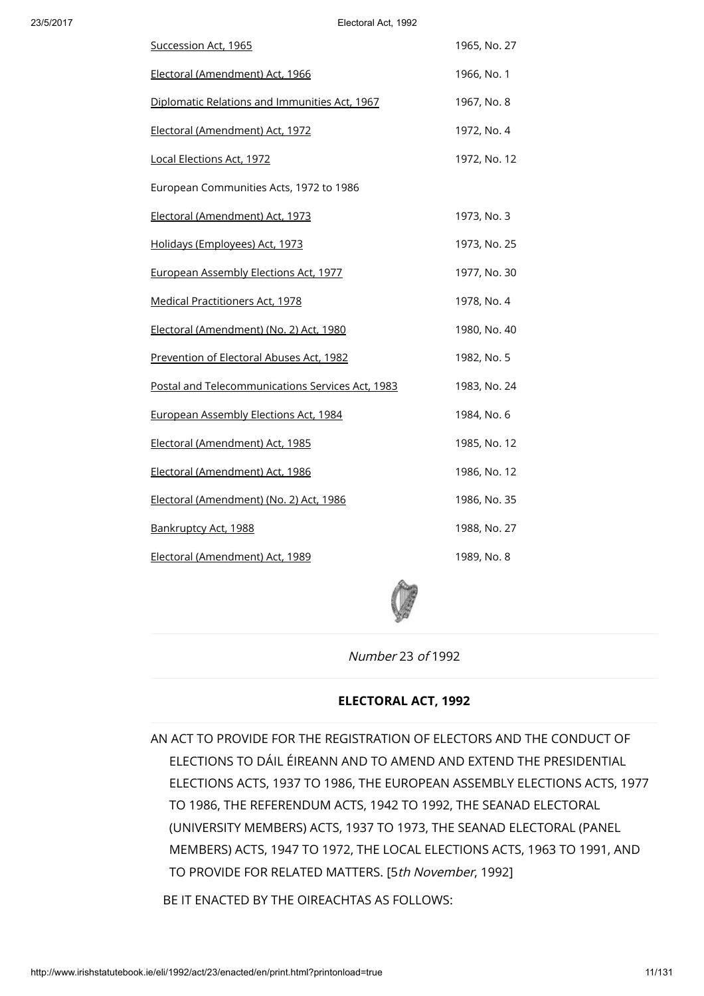| Succession Act, 1965                             | 1965, No. 27 |
|--------------------------------------------------|--------------|
| Electoral (Amendment) Act, 1966                  | 1966, No. 1  |
| Diplomatic Relations and Immunities Act, 1967    | 1967, No. 8  |
| Electoral (Amendment) Act, 1972                  | 1972, No. 4  |
| Local Elections Act, 1972                        | 1972, No. 12 |
| European Communities Acts, 1972 to 1986          |              |
| Electoral (Amendment) Act, 1973                  | 1973, No. 3  |
| Holidays (Employees) Act, 1973                   | 1973, No. 25 |
| European Assembly Elections Act, 1977            | 1977, No. 30 |
| <b>Medical Practitioners Act, 1978</b>           | 1978, No. 4  |
| Electoral (Amendment) (No. 2) Act, 1980          | 1980, No. 40 |
| Prevention of Electoral Abuses Act, 1982         | 1982, No. 5  |
| Postal and Telecommunications Services Act, 1983 | 1983, No. 24 |
| European Assembly Elections Act, 1984            | 1984, No. 6  |
| Electoral (Amendment) Act, 1985                  | 1985, No. 12 |
| Electoral (Amendment) Act, 1986                  | 1986, No. 12 |
| Electoral (Amendment) (No. 2) Act, 1986          | 1986, No. 35 |
| Bankruptcy Act, 1988                             | 1988, No. 27 |
| Electoral (Amendment) Act, 1989                  | 1989, No. 8  |



Number 23 of 1992

### ELECTORAL ACT, 1992

AN ACT TO PROVIDE FOR THE REGISTRATION OF ELECTORS AND THE CONDUCT OF ELECTIONS TO DÁIL ÉIREANN AND TO AMEND AND EXTEND THE PRESIDENTIAL ELECTIONS ACTS, 1937 TO 1986, THE EUROPEAN ASSEMBLY ELECTIONS ACTS, 1977 TO 1986, THE REFERENDUM ACTS, 1942 TO 1992, THE SEANAD ELECTORAL (UNIVERSITY MEMBERS) ACTS, 1937 TO 1973, THE SEANAD ELECTORAL (PANEL MEMBERS) ACTS, 1947 TO 1972, THE LOCAL ELECTIONS ACTS, 1963 TO 1991, AND TO PROVIDE FOR RELATED MATTERS. [5th November, 1992]

BE IT ENACTED BY THE OIREACHTAS AS FOLLOWS: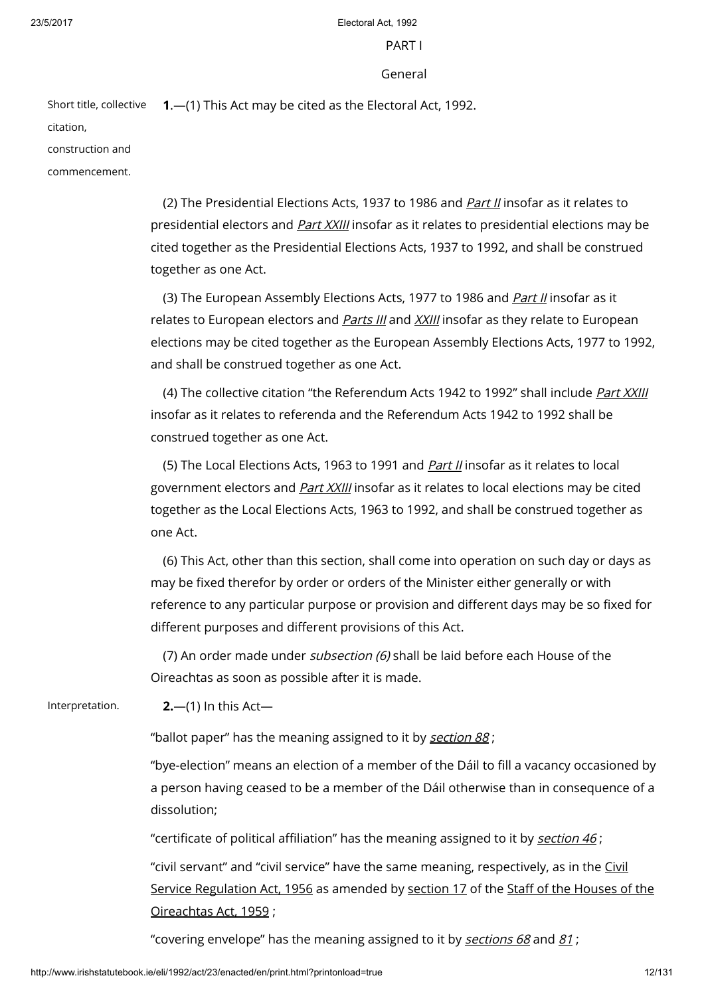### PART I

### General

Short title, collective 1.—(1) This Act may be cited as the Electoral Act, 1992.

citation,

construction and

commencement.

(2) The Presidential Elections Acts, 1937 to 1986 and [Part](http://www.irishstatutebook.ie/1992/en/act/pub/0023/print.html#partii) II insofar as it relates to presidential electors and *Part [XXIII](http://www.irishstatutebook.ie/1992/en/act/pub/0023/print.html#partxxiii)* insofar as it relates to presidential elections may be cited together as the Presidential Elections Acts, 1937 to 1992, and shall be construed together as one Act.

(3) The European Assembly Elections Acts, 1977 to 1986 and *[Part](http://www.irishstatutebook.ie/1992/en/act/pub/0023/print.html#partii) II* insofar as it relates to European electors and *[Parts](http://www.irishstatutebook.ie/1992/en/act/pub/0023/print.html#partiii) III* and *[XXIII](http://www.irishstatutebook.ie/1992/en/act/pub/0023/print.html#partxxiii)* insofar as they relate to European elections may be cited together as the European Assembly Elections Acts, 1977 to 1992, and shall be construed together as one Act.

(4) The collective citation "the Referendum Acts 1942 to 1992" shall include [Part](http://www.irishstatutebook.ie/1992/en/act/pub/0023/print.html#partxxiii) XXIII insofar as it relates to referenda and the Referendum Acts 1942 to 1992 shall be construed together as one Act.

(5) The Local Elections Acts, 1963 to 1991 and *[Part](http://www.irishstatutebook.ie/1992/en/act/pub/0023/print.html#partii) II* insofar as it relates to local government electors and *Part [XXIII](http://www.irishstatutebook.ie/1992/en/act/pub/0023/print.html#partxxiii)* insofar as it relates to local elections may be cited together as the Local Elections Acts, 1963 to 1992, and shall be construed together as one Act.

(6) This Act, other than this section, shall come into operation on such day or days as may be fixed therefor by order or orders of the Minister either generally or with reference to any particular purpose or provision and different days may be so fixed for different purposes and different provisions of this Act.

(7) An order made under subsection (6) shall be laid before each House of the Oireachtas as soon as possible after it is made.

Interpretation. **2.**—(1) In this Act—

"ballot paper" has the meaning assigned to it by [section](http://www.irishstatutebook.ie/1992/en/act/pub/0023/print.html#sec88) 88;

"bye-election" means an election of a member of the Dáil to fill a vacancy occasioned by a person having ceased to be a member of the Dáil otherwise than in consequence of a dissolution;

"certificate of political affiliation" has the meaning assigned to it by [section](http://www.irishstatutebook.ie/1992/en/act/pub/0023/print.html#sec46)  $46$ ;

"civil servant" and "civil service" have the same meaning, [respectively,](http://www.irishstatutebook.ie/1956/en/act/pub/0046/index.html) as in the Civil Service Regulation Act, 1956 as amended by [section](http://www.irishstatutebook.ie/1959/en/act/pub/0038/sec0017.html#sec17) 17 of the Staff of the Houses of the [Oireachtas](http://www.irishstatutebook.ie/1959/en/act/pub/0038/index.html) Act, 1959 ;

"covering envelope" has the meaning assigned to it by [sections](http://www.irishstatutebook.ie/1992/en/act/pub/0023/print.html#sec68) 68 and [81](http://www.irishstatutebook.ie/1992/en/act/pub/0023/print.html#sec81) ;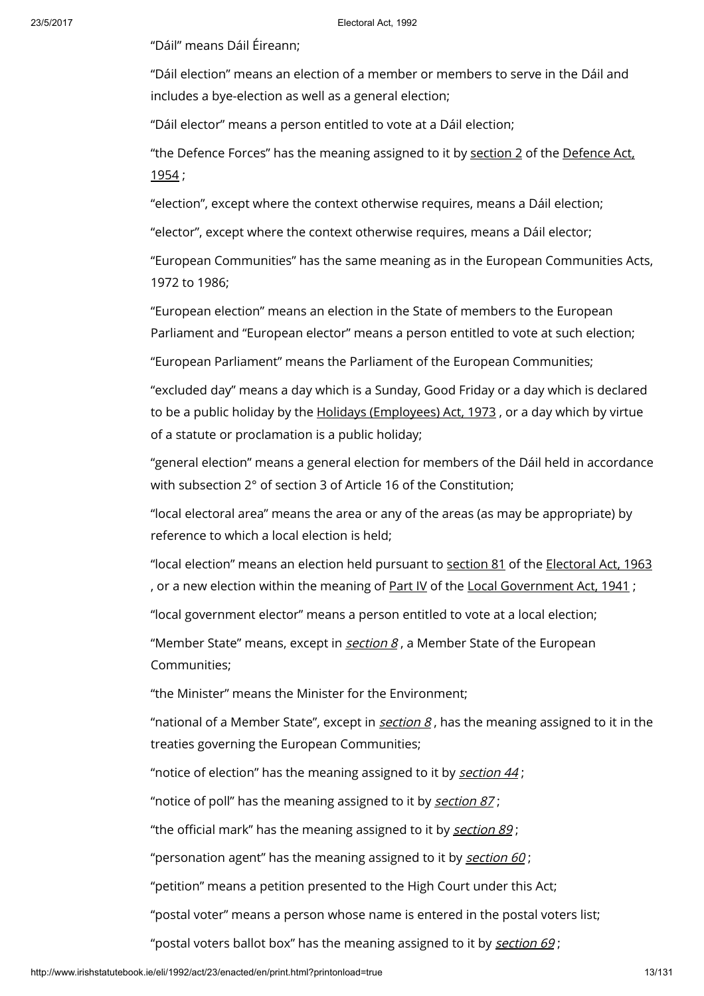"Dáil" means Dáil Éireann;

"Dáil election" means an election of a member or members to serve in the Dáil and includes a bye-election as well as a general election;

"Dáil elector" means a person entitled to vote at a Dáil election;

"the Defence Forces" has the meaning [assigned](http://www.irishstatutebook.ie/1954/en/act/pub/0018/index.html) to it by [section](http://www.irishstatutebook.ie/1954/en/act/pub/0018/sec0002.html#sec2) 2 of the Defence Act, 1954 ;

"election", except where the context otherwise requires, means a Dáil election;

"elector", except where the context otherwise requires, means a Dáil elector;

"European Communities" has the same meaning as in the European Communities Acts, 1972 to 1986;

"European election" means an election in the State of members to the European Parliament and "European elector" means a person entitled to vote at such election;

"European Parliament" means the Parliament of the European Communities;

"excluded day" means a day which is a Sunday, Good Friday or a day which is declared to be a public holiday by the Holidays [\(Employees\)](http://www.irishstatutebook.ie/1973/en/act/pub/0025/index.html) Act, 1973, or a day which by virtue of a statute or proclamation is a public holiday;

"general election" means a general election for members of the Dáil held in accordance with subsection 2° of section 3 of Article 16 of the Constitution;

"local electoral area" means the area or any of the areas (as may be appropriate) by reference to which a local election is held;

"local election" means an election held pursuant to [section](http://www.irishstatutebook.ie/1963/en/act/pub/0019/sec0081.html#sec81) 81 of the [Electoral](http://www.irishstatutebook.ie/1963/en/act/pub/0019/index.html) Act, 1963 , or a new election within the meaning of [Part](http://www.irishstatutebook.ie/1941/en/act/pub/0023/index.html) IV of the Local [Government](http://www.irishstatutebook.ie/1941/en/act/pub/0023/index.html) Act, 1941;

"local government elector" means a person entitled to vote at a local election;

"Member State" means, except in *[section](http://www.irishstatutebook.ie/1992/en/act/pub/0023/print.html#sec8) 8, a* Member State of the European Communities;

"the Minister" means the Minister for the Environment;

"national of a Member State", except in  $section 8$  $section 8$ , has the meaning assigned to it in the treaties governing the European Communities;

"notice of election" has the meaning assigned to it by [section](http://www.irishstatutebook.ie/1992/en/act/pub/0023/print.html#sec44) 44 ;

"notice of poll" has the meaning assigned to it by [section](http://www.irishstatutebook.ie/1992/en/act/pub/0023/print.html#sec87) 87;

"the official mark" has the meaning assigned to it by [section](http://www.irishstatutebook.ie/1992/en/act/pub/0023/print.html#sec89) 89;

"personation agent" has the meaning assigned to it by [section](http://www.irishstatutebook.ie/1992/en/act/pub/0023/print.html#sec60)  $60$ ;

"petition" means a petition presented to the High Court under this Act;

"postal voter" means a person whose name is entered in the postal voters list;

"postal voters ballot box" has the meaning assigned to it by [section](http://www.irishstatutebook.ie/1992/en/act/pub/0023/print.html#sec69) 69 ;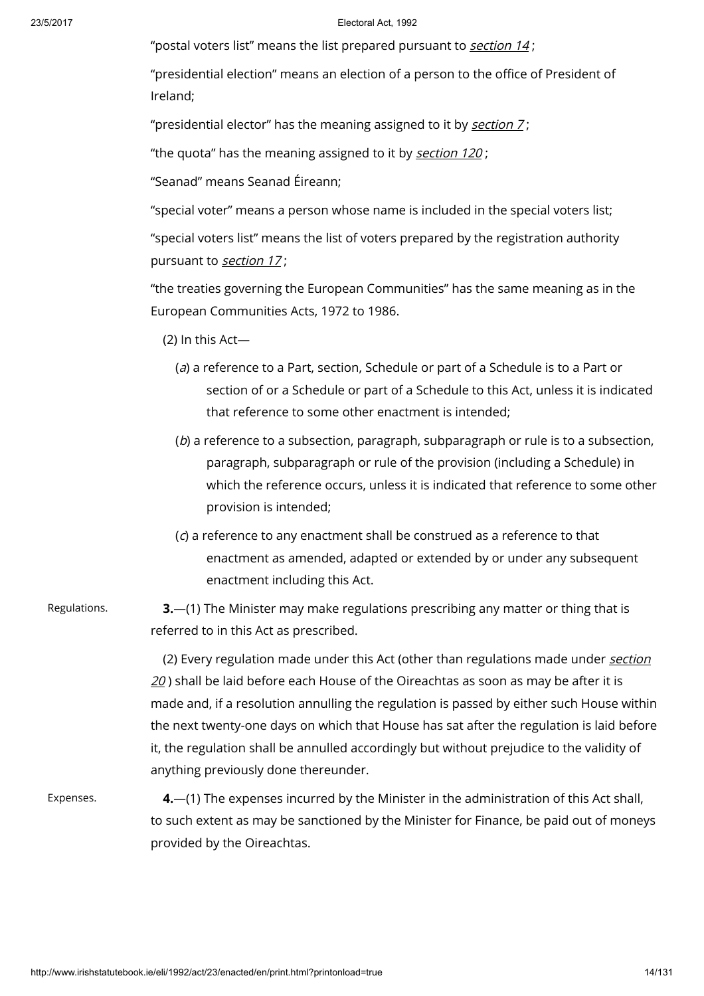"postal voters list" means the list prepared pursuant to [section](http://www.irishstatutebook.ie/1992/en/act/pub/0023/print.html#sec14) 14 ;

"presidential election" means an election of a person to the office of President of Ireland;

"presidential elector" has the meaning assigned to it by [section](http://www.irishstatutebook.ie/1992/en/act/pub/0023/print.html#sec7)  $Z$ ;

"the quota" has the meaning assigned to it by [section](http://www.irishstatutebook.ie/1992/en/act/pub/0023/print.html#sec120) 120;

"Seanad" means Seanad Éireann;

"special voter" means a person whose name is included in the special voters list;

"special voters list" means the list of voters prepared by the registration authority pursuant to [section](http://www.irishstatutebook.ie/1992/en/act/pub/0023/print.html#sec17) 17;

"the treaties governing the European Communities" has the same meaning as in the European Communities Acts, 1972 to 1986.

(2) In this Act—

- (a) a reference to a Part, section, Schedule or part of a Schedule is to a Part or section of or a Schedule or part of a Schedule to this Act, unless it is indicated that reference to some other enactment is intended;
- (b) a reference to a subsection, paragraph, subparagraph or rule is to a subsection, paragraph, subparagraph or rule of the provision (including a Schedule) in which the reference occurs, unless it is indicated that reference to some other provision is intended;
- (c) a reference to any enactment shall be construed as a reference to that enactment as amended, adapted or extended by or under any subsequent enactment including this Act.
- Regulations. **3.**—(1) The Minister may make regulations prescribing any matter or thing that is referred to in this Act as prescribed.

(2) Every regulation made under this Act (other than [regulations](http://www.irishstatutebook.ie/1992/en/act/pub/0023/print.html#sec20) made under section  $20$ ) shall be laid before each House of the Oireachtas as soon as may be after it is made and, if a resolution annulling the regulation is passed by either such House within the next twenty-one days on which that House has sat after the regulation is laid before it, the regulation shall be annulled accordingly but without prejudice to the validity of anything previously done thereunder.

Expenses. 4.—(1) The expenses incurred by the Minister in the administration of this Act shall, to such extent as may be sanctioned by the Minister for Finance, be paid out of moneys provided by the Oireachtas.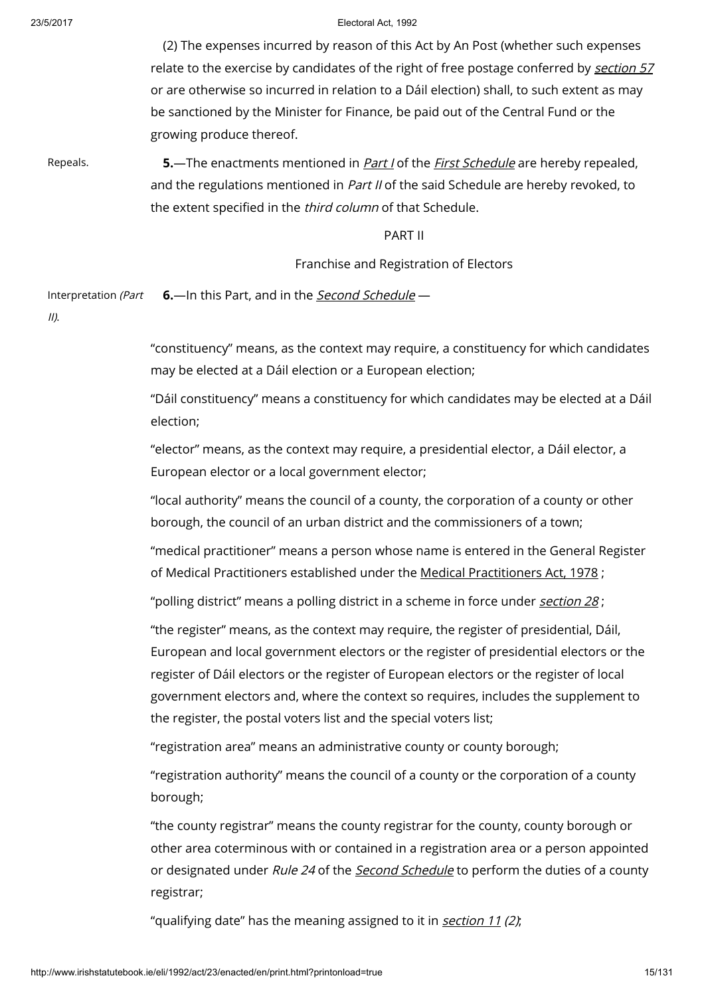(2) The expenses incurred by reason of this Act by An Post (whether such expenses relate to the exercise by candidates of the right of free postage conferred by [section](http://www.irishstatutebook.ie/1992/en/act/pub/0023/print.html#sec57) 57 or are otherwise so incurred in relation to a Dáil election) shall, to such extent as may be sanctioned by the Minister for Finance, be paid out of the Central Fund or the growing produce thereof.

Repeals. **5.—The enactments mentioned in [Part](http://www.irishstatutebook.ie/1992/en/act/pub/0023/print.html#sched1-parti) I of the First [Schedule](http://www.irishstatutebook.ie/1992/en/act/pub/0023/print.html#sched1) are hereby repealed,** and the regulations mentioned in Part II of the said Schedule are hereby revoked, to the extent specified in the third column of that Schedule.

### PART II

# Franchise and Registration of Electors

Interpretation (Part **6.**—In this Part, and in the **Second [Schedule](http://www.irishstatutebook.ie/1992/en/act/pub/0023/print.html#sched2)** —

II).

"constituency" means, as the context may require, a constituency for which candidates may be elected at a Dáil election or a European election;

"Dáil constituency" means a constituency for which candidates may be elected at a Dáil election;

"elector" means, as the context may require, a presidential elector, a Dáil elector, a European elector or a local government elector;

"local authority" means the council of a county, the corporation of a county or other borough, the council of an urban district and the commissioners of a town;

"medical practitioner" means a person whose name is entered in the General Register of Medical Practitioners established under the Medical [Practitioners](http://www.irishstatutebook.ie/1978/en/act/pub/0004/index.html) Act, 1978 ;

"polling district" means a polling district in a scheme in force under [section](http://www.irishstatutebook.ie/1992/en/act/pub/0023/print.html#sec28) 28;

"the register" means, as the context may require, the register of presidential, Dáil, European and local government electors or the register of presidential electors or the register of Dáil electors or the register of European electors or the register of local government electors and, where the context so requires, includes the supplement to the register, the postal voters list and the special voters list;

"registration area" means an administrative county or county borough;

"registration authority" means the council of a county or the corporation of a county borough;

"the county registrar" means the county registrar for the county, county borough or other area coterminous with or contained in a registration area or a person appointed or designated under Rule 24 of the Second [Schedule](http://www.irishstatutebook.ie/1992/en/act/pub/0023/print.html#sched2) to perform the duties of a county registrar;

"qualifying date" has the meaning assigned to it in [section](http://www.irishstatutebook.ie/1992/en/act/pub/0023/print.html#sec11) 11 (2);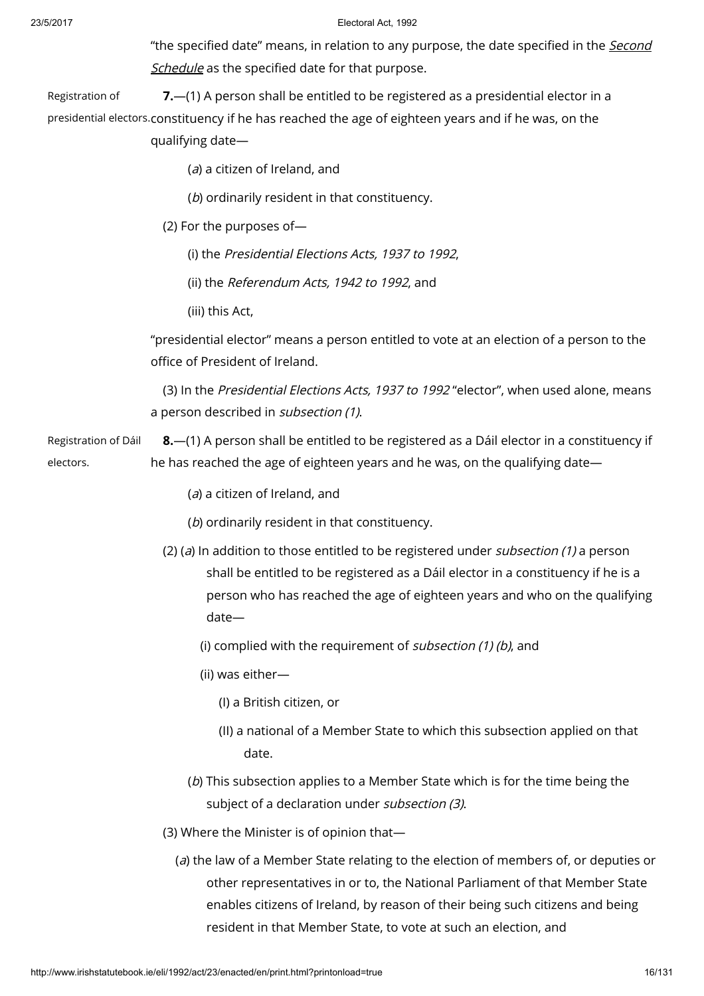"the specified date" means, in relation to any purpose, the date specified in the Second Schedule as the specified date for that [purpose.](http://www.irishstatutebook.ie/1992/en/act/pub/0023/print.html#sched2)

Registration of presidential electors. constituency if he has reached the age of eighteen years and if he was, on the 7.—(1) A person shall be entitled to be registered as a presidential elector in a qualifying date—

(a) a citizen of Ireland, and

(b) ordinarily resident in that constituency.

(2) For the purposes of—

(i) the Presidential Elections Acts, 1937 to 1992,

(ii) the Referendum Acts, 1942 to 1992, and

(iii) this Act,

"presidential elector" means a person entitled to vote at an election of a person to the office of President of Ireland.

(3) In the Presidential Elections Acts, 1937 to 1992 "elector", when used alone, means a person described in subsection (1).

Registration of Dáil electors. 8.—(1) A person shall be entitled to be registered as a Dáil elector in a constituency if he has reached the age of eighteen years and he was, on the qualifying date—

(a) a citizen of Ireland, and

(b) ordinarily resident in that constituency.

(2) (a) In addition to those entitled to be registered under *subsection* (1) a person shall be entitled to be registered as a Dáil elector in a constituency if he is a person who has reached the age of eighteen years and who on the qualifying date—

(i) complied with the requirement of *subsection (1) (b)*, and

(ii) was either—

(I) a British citizen, or

- (II) a national of a Member State to which this subsection applied on that date.
- (b) This subsection applies to a Member State which is for the time being the subject of a declaration under subsection (3).

(3) Where the Minister is of opinion that—

(a) the law of a Member State relating to the election of members of, or deputies or other representatives in or to, the National Parliament of that Member State enables citizens of Ireland, by reason of their being such citizens and being resident in that Member State, to vote at such an election, and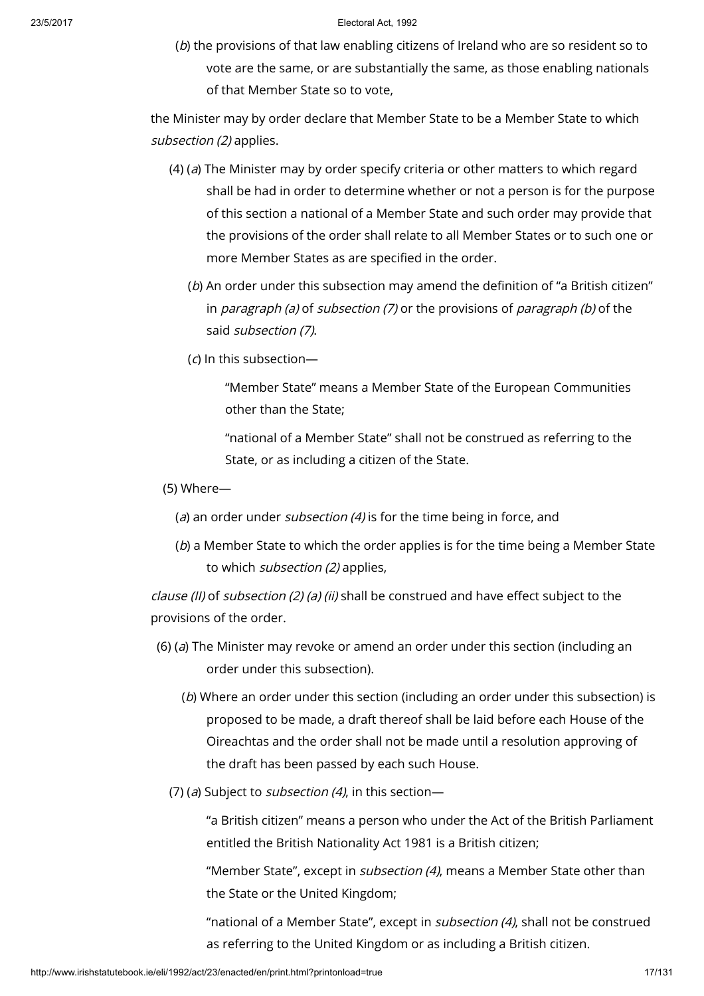(b) the provisions of that law enabling citizens of Ireland who are so resident so to vote are the same, or are substantially the same, as those enabling nationals of that Member State so to vote,

the Minister may by order declare that Member State to be a Member State to which subsection (2) applies.

- (4) ( $a$ ) The Minister may by order specify criteria or other matters to which regard shall be had in order to determine whether or not a person is for the purpose of this section a national of a Member State and such order may provide that the provisions of the order shall relate to all Member States or to such one or more Member States as are specified in the order.
	- (b) An order under this subsection may amend the definition of "a British citizen" in *paragraph (a)* of *subsection (7)* or the provisions of *paragraph (b)* of the said subsection (7).
	- $(d)$  In this subsection-

"Member State" means a Member State of the European Communities other than the State;

"national of a Member State" shall not be construed as referring to the State, or as including a citizen of the State.

- (5) Where—
	- (a) an order under *subsection* (4) is for the time being in force, and
	- (b) a Member State to which the order applies is for the time being a Member State to which *subsection (2)* applies,

clause (II) of subsection (2) (a) (ii) shall be construed and have effect subject to the provisions of the order.

- (6) (a) The Minister may revoke or amend an order under this section (including an order under this subsection).
	- (b) Where an order under this section (including an order under this subsection) is proposed to be made, a draft thereof shall be laid before each House of the Oireachtas and the order shall not be made until a resolution approving of the draft has been passed by each such House.
	- (7) (a) Subject to *subsection (4)*, in this section-

"a British citizen" means a person who under the Act of the British Parliament entitled the British Nationality Act 1981 is a British citizen;

"Member State", except in subsection (4), means a Member State other than the State or the United Kingdom;

"national of a Member State", except in *subsection (4)*, shall not be construed as referring to the United Kingdom or as including a British citizen.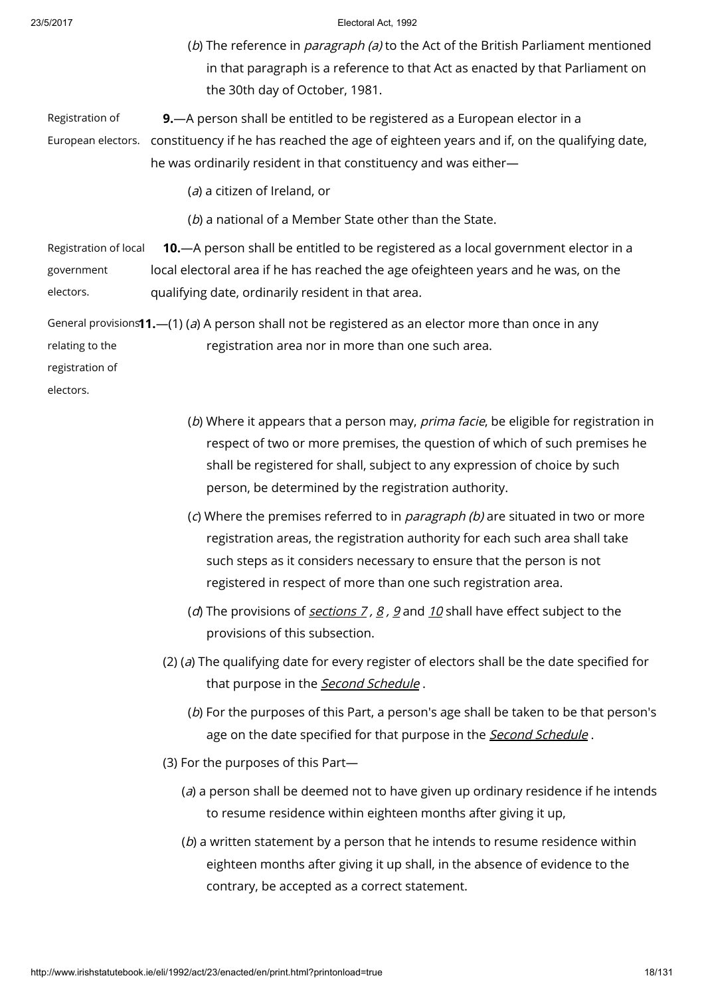(b) The reference in *paragraph (a)* to the Act of the British Parliament mentioned in that paragraph is a reference to that Act as enacted by that Parliament on the 30th day of October, 1981.

Registration of European electors. constituency if he has reached the age of eighteen years and if, on the qualifying date, 9.—A person shall be entitled to be registered as a European elector in a he was ordinarily resident in that constituency and was either—

(a) a citizen of Ireland, or

(b) a national of a Member State other than the State.

Registration of local government electors. 10.—A person shall be entitled to be registered as a local government elector in a local electoral area if he has reached the age ofeighteen years and he was, on the qualifying date, ordinarily resident in that area.

General provisions **1.**—(1) (*a*) A person shall not be registered as an elector more than once in any relating to the registration area nor in more than one such area.

registration of

electors.

- (b) Where it appears that a person may, *prima facie*, be eligible for registration in respect of two or more premises, the question of which of such premises he shall be registered for shall, subject to any expression of choice by such person, be determined by the registration authority.
- (c) Where the premises referred to in *paragraph (b)* are situated in two or more registration areas, the registration authority for each such area shall take such steps as it considers necessary to ensure that the person is not registered in respect of more than one such registration area.
- (d) The provisions of [sections](http://www.irishstatutebook.ie/1992/en/act/pub/0023/print.html#sec7)  $7, 8, 9$  $7, 8, 9$  $7, 8, 9$  $7, 8, 9$  and [10](http://www.irishstatutebook.ie/1992/en/act/pub/0023/print.html#sec10) shall have effect subject to the provisions of this subsection.
- (2) (a) The qualifying date for every register of electors shall be the date specified for that purpose in the **Second [Schedule](http://www.irishstatutebook.ie/1992/en/act/pub/0023/print.html#sched2)**.
	- (b) For the purposes of this Part, a person's age shall be taken to be that person's age on the date specified for that purpose in the Second [Schedule](http://www.irishstatutebook.ie/1992/en/act/pub/0023/print.html#sched2).
- (3) For the purposes of this Part—
	- (a) a person shall be deemed not to have given up ordinary residence if he intends to resume residence within eighteen months after giving it up,
	- $(b)$  a written statement by a person that he intends to resume residence within eighteen months after giving it up shall, in the absence of evidence to the contrary, be accepted as a correct statement.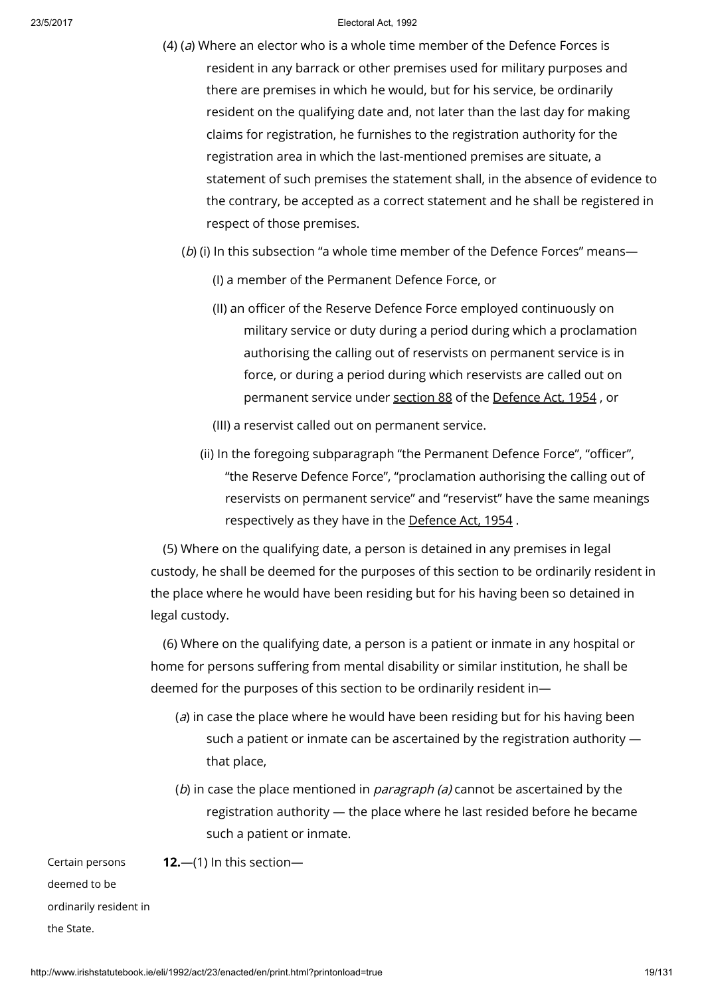- (4) (a) Where an elector who is a whole time member of the Defence Forces is resident in any barrack or other premises used for military purposes and there are premises in which he would, but for his service, be ordinarily resident on the qualifying date and, not later than the last day for making claims for registration, he furnishes to the registration authority for the registration area in which the last-mentioned premises are situate, a statement of such premises the statement shall, in the absence of evidence to the contrary, be accepted as a correct statement and he shall be registered in respect of those premises.
	- (b) (i) In this subsection "a whole time member of the Defence Forces" means—
		- (I) a member of the Permanent Defence Force, or
		- (II) an officer of the Reserve Defence Force employed continuously on military service or duty during a period during which a proclamation authorising the calling out of reservists on permanent service is in force, or during a period during which reservists are called out on permanent service under [section](http://www.irishstatutebook.ie/1954/en/act/pub/0018/sec0088.html#sec88) 88 of the [Defence](http://www.irishstatutebook.ie/1954/en/act/pub/0018/index.html) Act, 1954 , or
		- (III) a reservist called out on permanent service.
		- (ii) In the foregoing subparagraph "the Permanent Defence Force", "officer", "the Reserve Defence Force", "proclamation authorising the calling out of reservists on permanent service" and "reservist" have the same meanings respectively as they have in the [Defence](http://www.irishstatutebook.ie/1954/en/act/pub/0018/index.html) Act, 1954 .

(5) Where on the qualifying date, a person is detained in any premises in legal custody, he shall be deemed for the purposes of this section to be ordinarily resident in the place where he would have been residing but for his having been so detained in legal custody.

(6) Where on the qualifying date, a person is a patient or inmate in any hospital or home for persons suffering from mental disability or similar institution, he shall be deemed for the purposes of this section to be ordinarily resident in—

- (a) in case the place where he would have been residing but for his having been such a patient or inmate can be ascertained by the registration authority that place,
- (b) in case the place mentioned in *paragraph (a)* cannot be ascertained by the registration authority — the place where he last resided before he became such a patient or inmate.

Certain persons deemed to be ordinarily resident in the State.

12.—(1) In this section—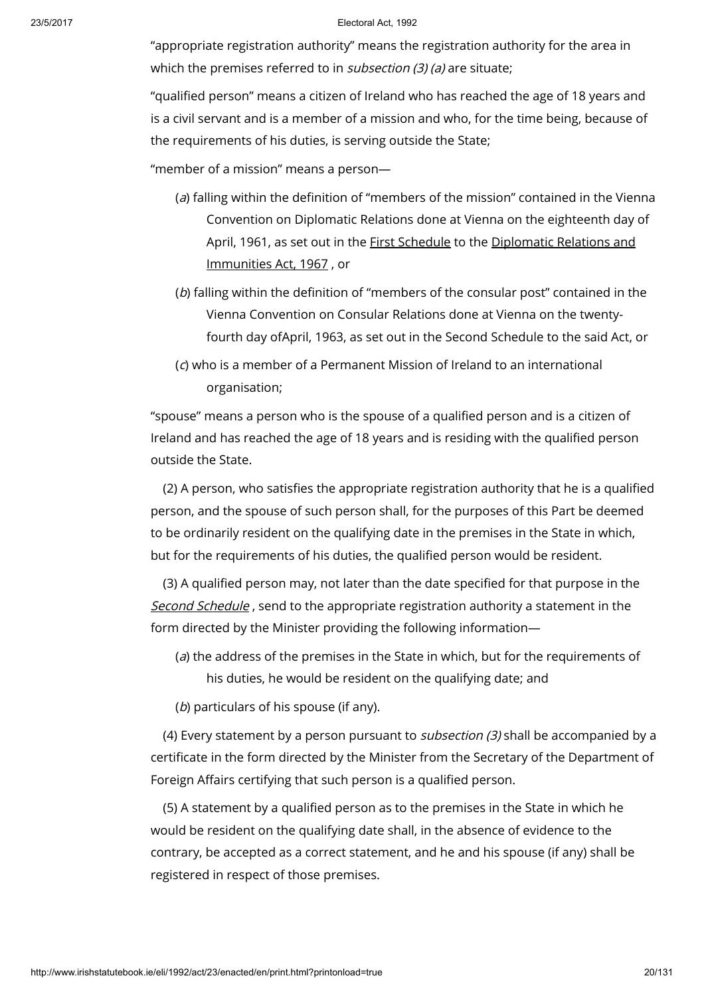"appropriate registration authority" means the registration authority for the area in which the premises referred to in  $subsection (3)$  (a) are situate;

"qualified person" means a citizen of Ireland who has reached the age of 18 years and is a civil servant and is a member of a mission and who, for the time being, because of the requirements of his duties, is serving outside the State;

"member of a mission" means a person—

- (a) falling within the definition of "members of the mission" contained in the Vienna Convention on Diplomatic Relations done at Vienna on the eighteenth day of April, 1961, as set out in the First [Schedule](http://www.irishstatutebook.ie/1967/en/act/pub/0008/index.html) to the Diplomatic Relations and [Immunities](http://www.irishstatutebook.ie/1967/en/act/pub/0008/index.html) Act, 1967 , or
- (b) falling within the definition of "members of the consular post" contained in the Vienna Convention on Consular Relations done at Vienna on the twentyfourth day ofApril, 1963, as set out in the Second Schedule to the said Act, or
- (c) who is a member of a Permanent Mission of Ireland to an international organisation;

"spouse" means a person who is the spouse of a qualified person and is a citizen of Ireland and has reached the age of 18 years and is residing with the qualified person outside the State.

(2) A person, who satisfies the appropriate registration authority that he is a qualified person, and the spouse of such person shall, for the purposes of this Part be deemed to be ordinarily resident on the qualifying date in the premises in the State in which, but for the requirements of his duties, the qualified person would be resident.

(3) A qualified person may, not later than the date specified for that purpose in the Second [Schedule](http://www.irishstatutebook.ie/1992/en/act/pub/0023/print.html#sched2), send to the appropriate registration authority a statement in the form directed by the Minister providing the following information—

- (a) the address of the premises in the State in which, but for the requirements of his duties, he would be resident on the qualifying date; and
- (b) particulars of his spouse (if any).

(4) Every statement by a person pursuant to subsection (3) shall be accompanied by a certificate in the form directed by the Minister from the Secretary of the Department of Foreign Affairs certifying that such person is a qualified person.

(5) A statement by a qualified person as to the premises in the State in which he would be resident on the qualifying date shall, in the absence of evidence to the contrary, be accepted as a correct statement, and he and his spouse (if any) shall be registered in respect of those premises.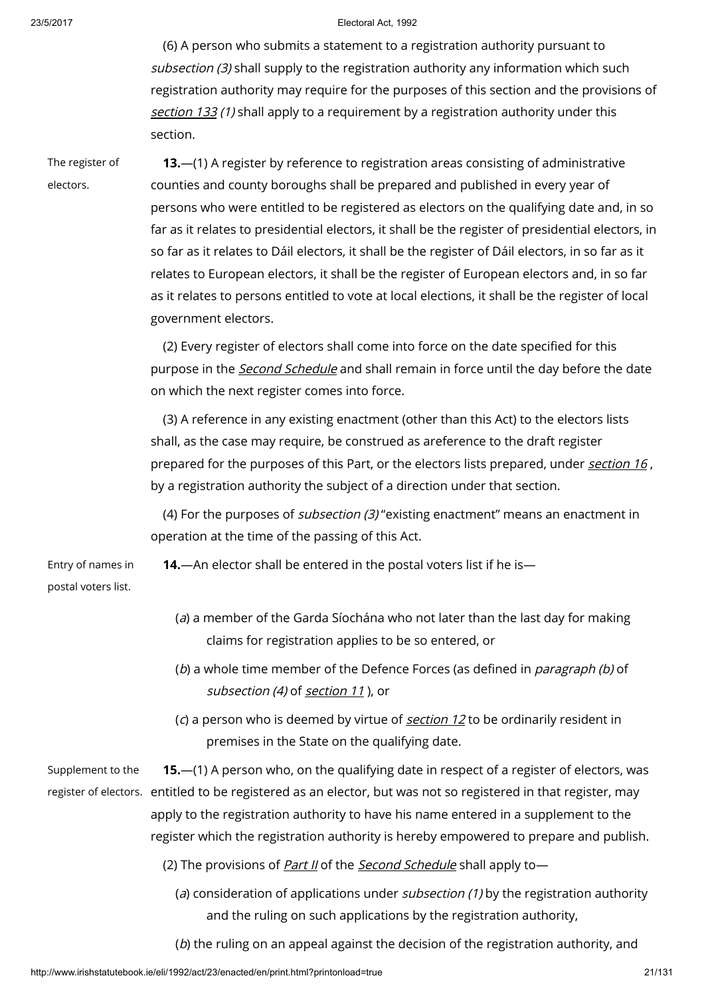(6) A person who submits a statement to a registration authority pursuant to subsection (3) shall supply to the registration authority any information which such registration authority may require for the purposes of this section and the provisions of [section](http://www.irishstatutebook.ie/1992/en/act/pub/0023/print.html#sec133) 133 (1) shall apply to a requirement by a registration authority under this section.

The register of electors.

13.—(1) A register by reference to registration areas consisting of administrative counties and county boroughs shall be prepared and published in every year of persons who were entitled to be registered as electors on the qualifying date and, in so far as it relates to presidential electors, it shall be the register of presidential electors, in so far as it relates to Dáil electors, it shall be the register of Dáil electors, in so far as it relates to European electors, it shall be the register of European electors and, in so far as it relates to persons entitled to vote at local elections, it shall be the register of local government electors.

(2) Every register of electors shall come into force on the date specified for this purpose in the *Second [Schedule](http://www.irishstatutebook.ie/1992/en/act/pub/0023/print.html#sched2)* and shall remain in force until the day before the date on which the next register comes into force.

(3) A reference in any existing enactment (other than this Act) to the electors lists shall, as the case may require, be construed as areference to the draft register prepared for the purposes of this Part, or the electors lists prepared, under [section](http://www.irishstatutebook.ie/1992/en/act/pub/0023/print.html#sec16) 16, by a registration authority the subject of a direction under that section.

(4) For the purposes of subsection (3) "existing enactment" means an enactment in operation at the time of the passing of this Act.

Entry of names in postal voters list.

14.—An elector shall be entered in the postal voters list if he is—

- (a) a member of the Garda Síochána who not later than the last day for making claims for registration applies to be so entered, or
- (b) a whole time member of the Defence Forces (as defined in *paragraph (b)* of sub[section](http://www.irishstatutebook.ie/1992/en/act/pub/0023/print.html#sec11) (4) of section 11), or
- (c) a person who is deemed by virtue of *[section](http://www.irishstatutebook.ie/1992/en/act/pub/0023/print.html#sec12) 12* to be ordinarily resident in premises in the State on the qualifying date.

Supplement to the register of electors. entitled to be registered as an elector, but was not so registered in that register, may 15.—(1) A person who, on the qualifying date in respect of a register of electors, was apply to the registration authority to have his name entered in a supplement to the register which the registration authority is hereby empowered to prepare and publish.

- (2) The provisions of *[Part](http://www.irishstatutebook.ie/1992/en/act/pub/0023/print.html#sched2-partii) II* of the *Second [Schedule](http://www.irishstatutebook.ie/1992/en/act/pub/0023/print.html#sched2)* shall apply to-
	- (a) consideration of applications under *subsection*  $(1)$  by the registration authority and the ruling on such applications by the registration authority,
	- (b) the ruling on an appeal against the decision of the registration authority, and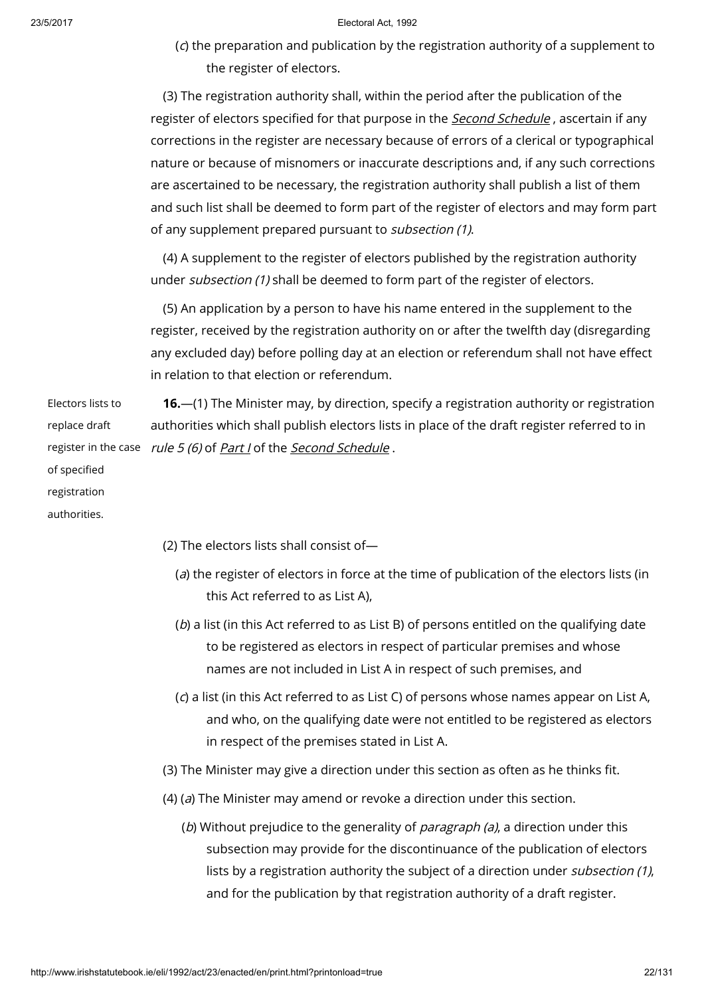(c) the preparation and publication by the registration authority of a supplement to the register of electors.

(3) The registration authority shall, within the period after the publication of the register of electors specified for that purpose in the **Second [Schedule](http://www.irishstatutebook.ie/1992/en/act/pub/0023/print.html#sched2)**, ascertain if any corrections in the register are necessary because of errors of a clerical or typographical nature or because of misnomers or inaccurate descriptions and, if any such corrections are ascertained to be necessary, the registration authority shall publish a list of them and such list shall be deemed to form part of the register of electors and may form part of any supplement prepared pursuant to subsection (1).

(4) A supplement to the register of electors published by the registration authority under *subsection (1)* shall be deemed to form part of the register of electors.

(5) An application by a person to have his name entered in the supplement to the register, received by the registration authority on or after the twelfth day (disregarding any excluded day) before polling day at an election or referendum shall not have effect in relation to that election or referendum.

Electors lists to replace draft of specified registration authorities.

register in the case *rule 5 (6)* of <u>*[Part](http://www.irishstatutebook.ie/1992/en/act/pub/0023/print.html#sched1-parti) I*</u> of the <u>*Second [Schedule](http://www.irishstatutebook.ie/1992/en/act/pub/0023/print.html#sched2)</u> .*</u> 16.—(1) The Minister may, by direction, specify a registration authority or registration authorities which shall publish electors lists in place of the draft register referred to in

(2) The electors lists shall consist of—

- (a) the register of electors in force at the time of publication of the electors lists (in this Act referred to as List A),
- (b) a list (in this Act referred to as List B) of persons entitled on the qualifying date to be registered as electors in respect of particular premises and whose names are not included in List A in respect of such premises, and
- (c) a list (in this Act referred to as List C) of persons whose names appear on List A, and who, on the qualifying date were not entitled to be registered as electors in respect of the premises stated in List A.
- (3) The Minister may give a direction under this section as often as he thinks fit.
- (4) ( $a$ ) The Minister may amend or revoke a direction under this section.
	- (b) Without prejudice to the generality of *paragraph (a)*, a direction under this subsection may provide for the discontinuance of the publication of electors lists by a registration authority the subject of a direction under *subsection (1)*, and for the publication by that registration authority of a draft register.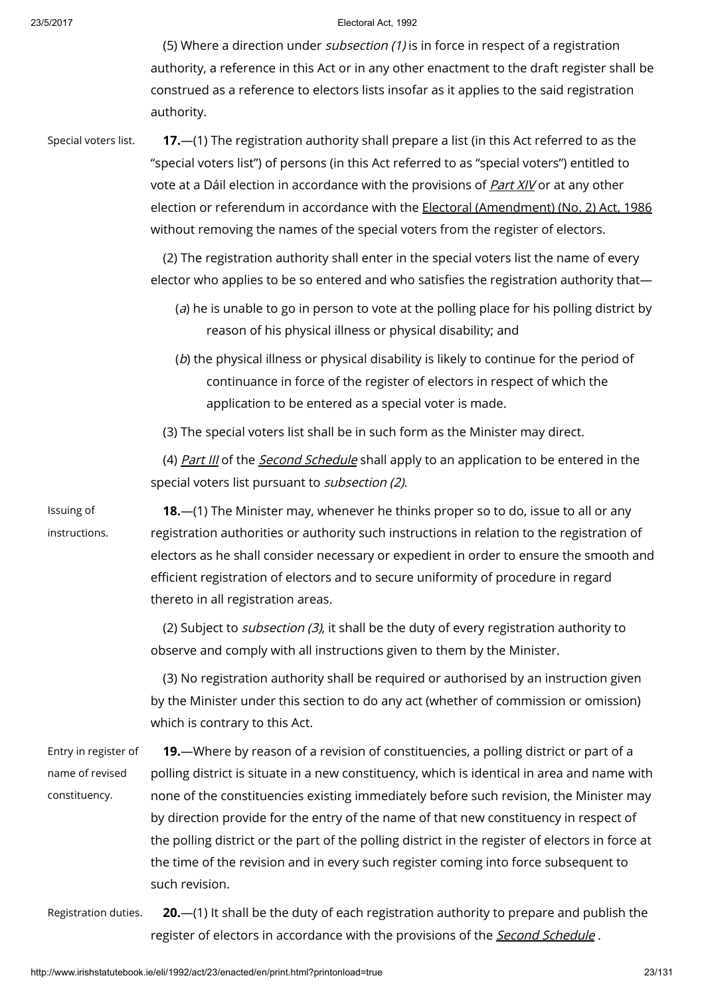(5) Where a direction under *subsection* (1) is in force in respect of a registration authority, a reference in this Act or in any other enactment to the draft register shall be construed as a reference to electors lists insofar as it applies to the said registration authority.

Issuing of instructions.

Special voters list. **17.**—(1) The registration authority shall prepare a list (in this Act referred to as the "special voters list") of persons (in this Act referred to as "special voters") entitled to vote at a Dáil election in accordance with the provisions of [Part](http://www.irishstatutebook.ie/1992/en/act/pub/0023/print.html#partxiv) XIV or at any other election or referendum in accordance with the Electoral [\(Amendment\)](http://www.irishstatutebook.ie/1986/en/act/pub/0035/index.html) (No. 2) Act, 1986 without removing the names of the special voters from the register of electors.

> (2) The registration authority shall enter in the special voters list the name of every elector who applies to be so entered and who satisfies the registration authority that—

- $(a)$  he is unable to go in person to vote at the polling place for his polling district by reason of his physical illness or physical disability; and
- (b) the physical illness or physical disability is likely to continue for the period of continuance in force of the register of electors in respect of which the application to be entered as a special voter is made.

(3) The special voters list shall be in such form as the Minister may direct.

(4) [Part](http://www.irishstatutebook.ie/1992/en/act/pub/0023/print.html#sched2-partiii) III of the Second [Schedule](http://www.irishstatutebook.ie/1992/en/act/pub/0023/print.html#sched2) shall apply to an application to be entered in the special voters list pursuant to subsection (2).

18.—(1) The Minister may, whenever he thinks proper so to do, issue to all or any registration authorities or authority such instructions in relation to the registration of electors as he shall consider necessary or expedient in order to ensure the smooth and efficient registration of electors and to secure uniformity of procedure in regard thereto in all registration areas.

(2) Subject to *subsection (3)*, it shall be the duty of every registration authority to observe and comply with all instructions given to them by the Minister.

(3) No registration authority shall be required or authorised by an instruction given by the Minister under this section to do any act (whether of commission or omission) which is contrary to this Act.

Entry in register of name of revised constituency. 19.—Where by reason of a revision of constituencies, a polling district or part of a polling district is situate in a new constituency, which is identical in area and name with none of the constituencies existing immediately before such revision, the Minister may by direction provide for the entry of the name of that new constituency in respect of the polling district or the part of the polling district in the register of electors in force at the time of the revision and in every such register coming into force subsequent to such revision.

Registration duties. 20.—(1) It shall be the duty of each registration authority to prepare and publish the register of electors in accordance with the provisions of the **Second [Schedule](http://www.irishstatutebook.ie/1992/en/act/pub/0023/print.html#sched2)**.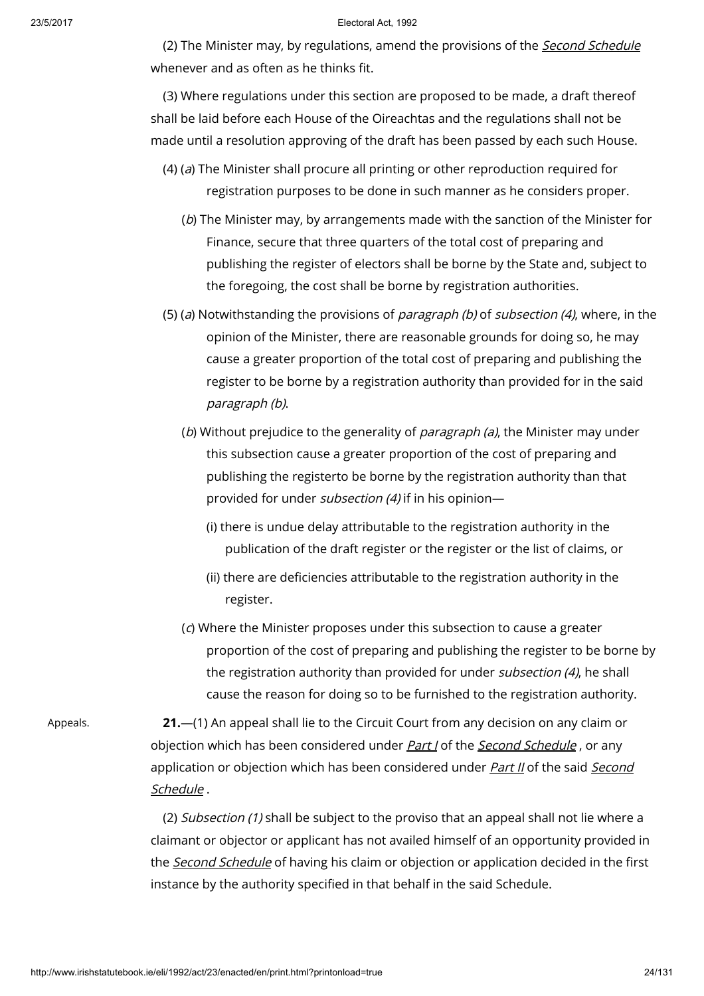(2) The Minister may, by regulations, amend the provisions of the *Second [Schedule](http://www.irishstatutebook.ie/1992/en/act/pub/0023/print.html#sched2)* whenever and as often as he thinks fit.

(3) Where regulations under this section are proposed to be made, a draft thereof shall be laid before each House of the Oireachtas and the regulations shall not be made until a resolution approving of the draft has been passed by each such House.

- (4) (a) The Minister shall procure all printing or other reproduction required for registration purposes to be done in such manner as he considers proper.
	- (b) The Minister may, by arrangements made with the sanction of the Minister for Finance, secure that three quarters of the total cost of preparing and publishing the register of electors shall be borne by the State and, subject to the foregoing, the cost shall be borne by registration authorities.
- (5) (a) Notwithstanding the provisions of *paragraph (b)* of *subsection (4)*, where, in the opinion of the Minister, there are reasonable grounds for doing so, he may cause a greater proportion of the total cost of preparing and publishing the register to be borne by a registration authority than provided for in the said paragraph (b).
	- (b) Without prejudice to the generality of *paragraph (a)*, the Minister may under this subsection cause a greater proportion of the cost of preparing and publishing the registerto be borne by the registration authority than that provided for under subsection (4) if in his opinion—
		- (i) there is undue delay attributable to the registration authority in the publication of the draft register or the register or the list of claims, or
		- (ii) there are deficiencies attributable to the registration authority in the register.
	- (c) Where the Minister proposes under this subsection to cause a greater proportion of the cost of preparing and publishing the register to be borne by the registration authority than provided for under subsection (4), he shall cause the reason for doing so to be furnished to the registration authority.

Appeals. 21.—(1) An appeal shall lie to the Circuit Court from any decision on any claim or objection which has been considered under *[Part](http://www.irishstatutebook.ie/1992/en/act/pub/0023/print.html#sched2-parti) I* of the *Second [Schedule](http://www.irishstatutebook.ie/1992/en/act/pub/0023/print.html#sched2)*, or any application or objection which has been [considered](http://www.irishstatutebook.ie/1992/en/act/pub/0023/print.html#sched2) under [Part](http://www.irishstatutebook.ie/1992/en/act/pub/0023/print.html#sched2-partii) II of the said Second Schedule .

> (2) Subsection (1) shall be subject to the proviso that an appeal shall not lie where a claimant or objector or applicant has not availed himself of an opportunity provided in the **Second [Schedule](http://www.irishstatutebook.ie/1992/en/act/pub/0023/print.html#sched2)** of having his claim or objection or application decided in the first instance by the authority specified in that behalf in the said Schedule.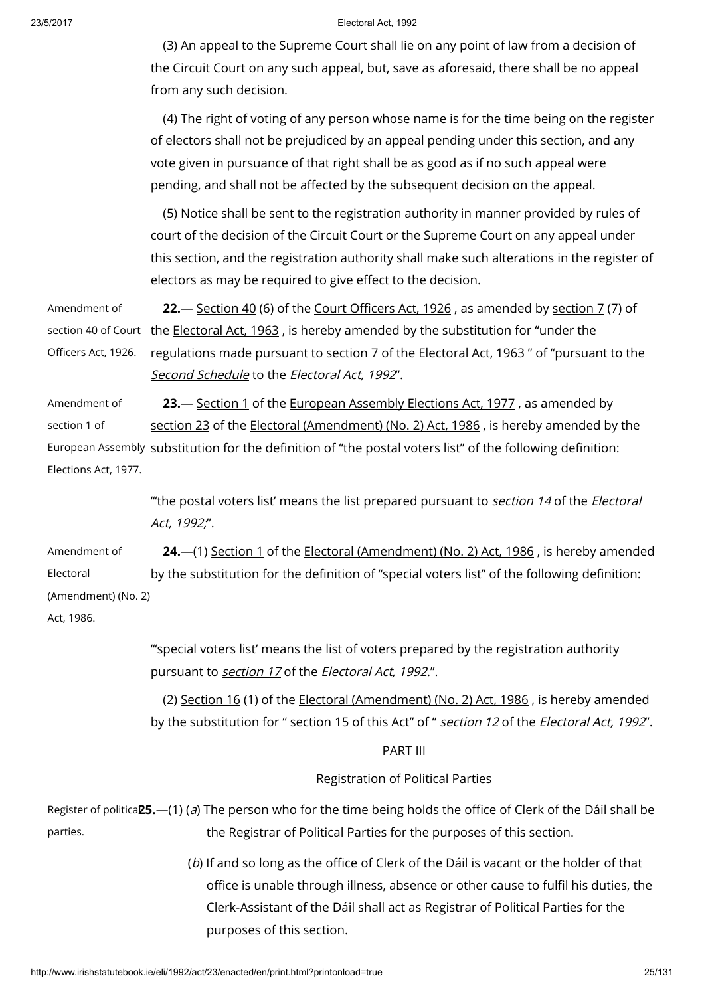(3) An appeal to the Supreme Court shall lie on any point of law from a decision of the Circuit Court on any such appeal, but, save as aforesaid, there shall be no appeal from any such decision.

(4) The right of voting of any person whose name is for the time being on the register of electors shall not be prejudiced by an appeal pending under this section, and any vote given in pursuance of that right shall be as good as if no such appeal were pending, and shall not be affected by the subsequent decision on the appeal.

(5) Notice shall be sent to the registration authority in manner provided by rules of court of the decision of the Circuit Court or the Supreme Court on any appeal under this section, and the registration authority shall make such alterations in the register of electors as may be required to give effect to the decision.

Amendment of section 40 of Court  $\,$  the <u>[Electoral](http://www.irishstatutebook.ie/1963/en/act/pub/0019/index.html) Act, 1963</u> , is hereby amended by the substitution for "under the Officers Act, 1926. 22.— [Section](http://www.irishstatutebook.ie/1926/en/act/pub/0027/sec0040.html#sec40) 40 (6) of the Court [Officers](http://www.irishstatutebook.ie/1926/en/act/pub/0027/index.html) Act, 1926 , as amended by [section](http://www.irishstatutebook.ie/1963/en/act/pub/0019/sec0007.html#sec7) 7 (7) of regulations made pursuant to [section](http://www.irishstatutebook.ie/1963/en/act/pub/0019/sec0007.html#sec7) 7 of the [Electoral](http://www.irishstatutebook.ie/1963/en/act/pub/0019/index.html) Act, 1963" of "pursuant to the Second [Schedule](http://www.irishstatutebook.ie/1992/en/act/pub/0023/print.html#sched2) to the Electoral Act, 1992".

Amendment of section 1 of European Assembly substitution for the definition of "the postal voters list" of the following definition: Elections Act, 1977. 23. [Section](http://www.irishstatutebook.ie/1977/en/act/pub/0030/sec0001.html#sec1) 1 of the [European](http://www.irishstatutebook.ie/1977/en/act/pub/0030/index.html) Assembly Elections Act, 1977, as amended by [section](http://www.irishstatutebook.ie/1986/en/act/pub/0035/sec0023.html#sec23) 23 of the Electoral [\(Amendment\)](http://www.irishstatutebook.ie/1986/en/act/pub/0035/index.html) (No. 2) Act, 1986 , is hereby amended by the

> "'the postal voters list' means the list prepared pursuant to [section](http://www.irishstatutebook.ie/1992/en/act/pub/0023/print.html#sec14) 14 of the Electoral Act, 1992;".

Amendment of Electoral (Amendment) (No. 2) 24.—(1) [Section](http://www.irishstatutebook.ie/1986/en/act/pub/0035/sec0001.html#sec1) 1 of the Electoral [\(Amendment\)](http://www.irishstatutebook.ie/1986/en/act/pub/0035/index.html) (No. 2) Act, 1986 , is hereby amended by the substitution for the definition of "special voters list" of the following definition:

Act, 1986.

"'special voters list' means the list of voters prepared by the registration authority pursuant to [section](http://www.irishstatutebook.ie/1992/en/act/pub/0023/print.html#sec17) 17 of the Electoral Act, 1992.".

(2) [Section](http://www.irishstatutebook.ie/1986/en/act/pub/0035/sec0016.html#sec16) 16 (1) of the Electoral [\(Amendment\)](http://www.irishstatutebook.ie/1986/en/act/pub/0035/index.html) (No. 2) Act, 1986 , is hereby amended by the substitution for " [section](http://www.irishstatutebook.ie/1992/en/act/pub/0023/print.html#sec15) 15 of this Act" of " [section](http://www.irishstatutebook.ie/1992/en/act/pub/0023/print.html#sec12) 12 of the Electoral Act, 1992".

# PART III

Registration of Political Parties

Register of politica**25.—(**1) (*a*) The person who for the time being holds the office of Clerk of the Dáil shall be parties. the Registrar of Political Parties for the purposes of this section.

> (b) If and so long as the office of Clerk of the Dáil is vacant or the holder of that office is unable through illness, absence or other cause to fulfil his duties, the Clerk-Assistant of the Dáil shall act as Registrar of Political Parties for the purposes of this section.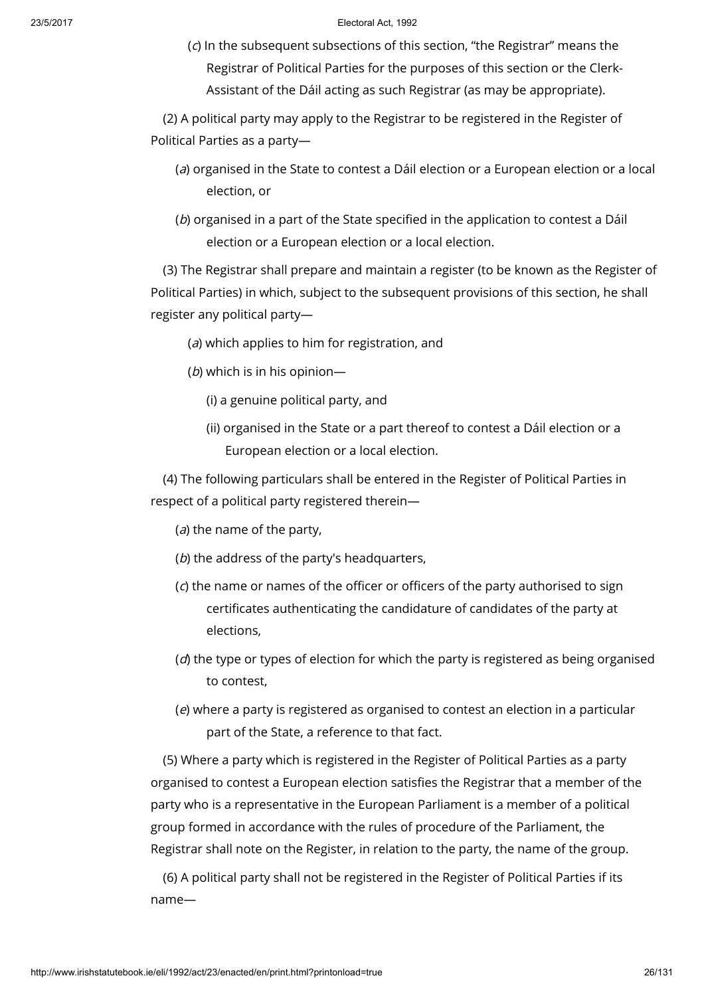(c) In the subsequent subsections of this section, "the Registrar" means the Registrar of Political Parties for the purposes of this section or the Clerk-Assistant of the Dáil acting as such Registrar (as may be appropriate).

(2) A political party may apply to the Registrar to be registered in the Register of Political Parties as a party—

- (a) organised in the State to contest a Dáil election or a European election or a local election, or
- (b) organised in a part of the State specified in the application to contest a Dáil election or a European election or a local election.

(3) The Registrar shall prepare and maintain a register (to be known as the Register of Political Parties) in which, subject to the subsequent provisions of this section, he shall register any political party—

- (a) which applies to him for registration, and
- $(b)$  which is in his opinion—
	- (i) a genuine political party, and
	- (ii) organised in the State or a part thereof to contest a Dáil election or a European election or a local election.

(4) The following particulars shall be entered in the Register of Political Parties in respect of a political party registered therein—

 $(a)$  the name of the party,

- (b) the address of the party's headquarters,
- (c) the name or names of the officer or officers of the party authorised to sign certificates authenticating the candidature of candidates of the party at elections,
- $(d)$  the type or types of election for which the party is registered as being organised to contest,
- (e) where a party is registered as organised to contest an election in a particular part of the State, a reference to that fact.

(5) Where a party which is registered in the Register of Political Parties as a party organised to contest a European election satisfies the Registrar that a member of the party who is a representative in the European Parliament is a member of a political group formed in accordance with the rules of procedure of the Parliament, the Registrar shall note on the Register, in relation to the party, the name of the group.

(6) A political party shall not be registered in the Register of Political Parties if its name—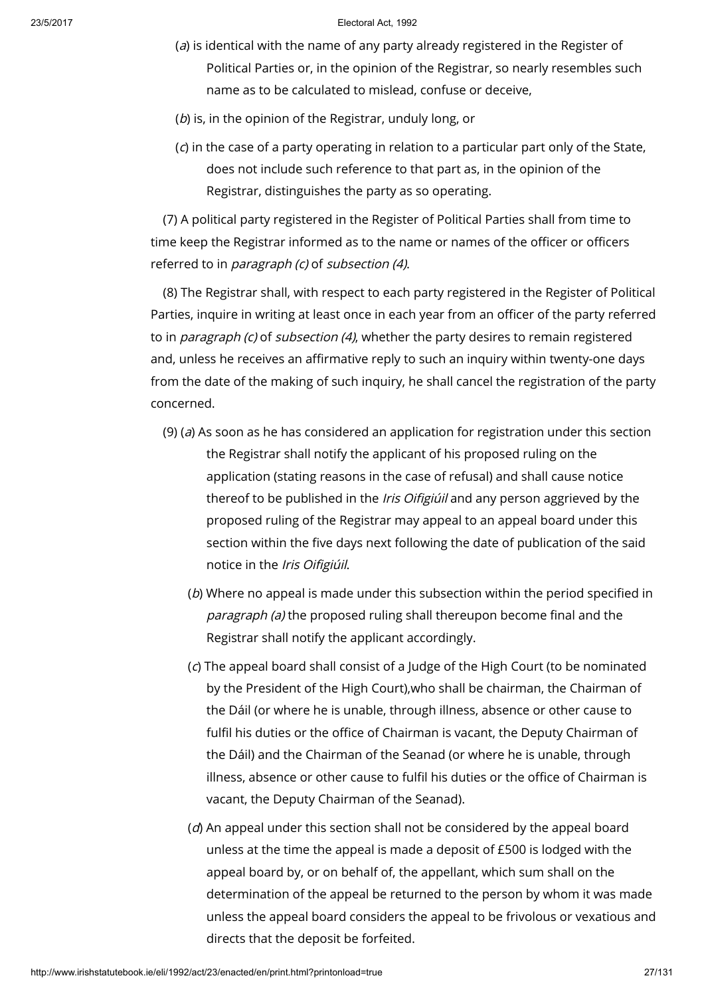- $(a)$  is identical with the name of any party already registered in the Register of Political Parties or, in the opinion of the Registrar, so nearly resembles such name as to be calculated to mislead, confuse or deceive,
- (b) is, in the opinion of the Registrar, unduly long, or
- (c) in the case of a party operating in relation to a particular part only of the State, does not include such reference to that part as, in the opinion of the Registrar, distinguishes the party as so operating.

(7) A political party registered in the Register of Political Parties shall from time to time keep the Registrar informed as to the name or names of the officer or officers referred to in paragraph (c) of subsection (4).

(8) The Registrar shall, with respect to each party registered in the Register of Political Parties, inquire in writing at least once in each year from an officer of the party referred to in *paragraph (c)* of *subsection (4)*, whether the party desires to remain registered and, unless he receives an affirmative reply to such an inquiry within twenty-one days from the date of the making of such inquiry, he shall cancel the registration of the party concerned.

- (9) (a) As soon as he has considered an application for registration under this section the Registrar shall notify the applicant of his proposed ruling on the application (stating reasons in the case of refusal) and shall cause notice thereof to be published in the *Iris Oifigiúil* and any person aggrieved by the proposed ruling of the Registrar may appeal to an appeal board under this section within the five days next following the date of publication of the said notice in the Iris Oifigiúil.
	- (b) Where no appeal is made under this subsection within the period specified in paragraph (a) the proposed ruling shall thereupon become final and the Registrar shall notify the applicant accordingly.
	- (c) The appeal board shall consist of a Judge of the High Court (to be nominated by the President of the High Court),who shall be chairman, the Chairman of the Dáil (or where he is unable, through illness, absence or other cause to fulfil his duties or the office of Chairman is vacant, the Deputy Chairman of the Dáil) and the Chairman of the Seanad (or where he is unable, through illness, absence or other cause to fulfil his duties or the office of Chairman is vacant, the Deputy Chairman of the Seanad).
	- $(d)$  An appeal under this section shall not be considered by the appeal board unless at the time the appeal is made a deposit of £500 is lodged with the appeal board by, or on behalf of, the appellant, which sum shall on the determination of the appeal be returned to the person by whom it was made unless the appeal board considers the appeal to be frivolous or vexatious and directs that the deposit be forfeited.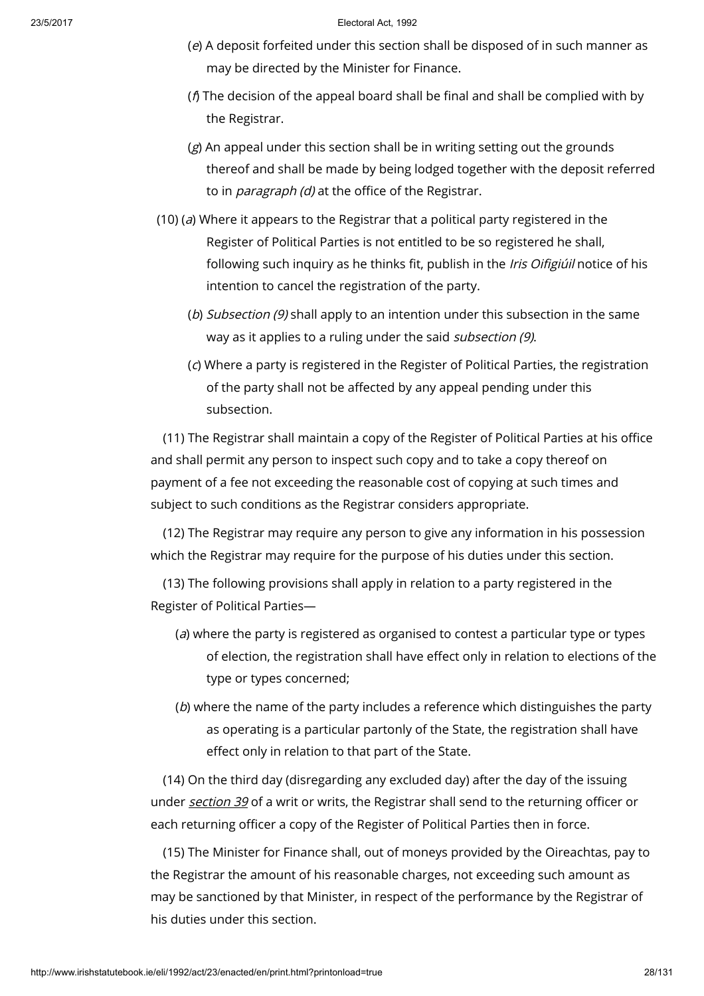- (e) A deposit forfeited under this section shall be disposed of in such manner as may be directed by the Minister for Finance.
- ( $f$ ) The decision of the appeal board shall be final and shall be complied with by the Registrar.
- (g) An appeal under this section shall be in writing setting out the grounds thereof and shall be made by being lodged together with the deposit referred to in *paragraph (d)* at the office of the Registrar.
- (10) (a) Where it appears to the Registrar that a political party registered in the Register of Political Parties is not entitled to be so registered he shall, following such inquiry as he thinks fit, publish in the Iris Oifigiúil notice of his intention to cancel the registration of the party.
	- (b) Subsection (9) shall apply to an intention under this subsection in the same way as it applies to a ruling under the said *subsection (9)*.
	- (c) Where a party is registered in the Register of Political Parties, the registration of the party shall not be affected by any appeal pending under this subsection.

(11) The Registrar shall maintain a copy of the Register of Political Parties at his office and shall permit any person to inspect such copy and to take a copy thereof on payment of a fee not exceeding the reasonable cost of copying at such times and subject to such conditions as the Registrar considers appropriate.

(12) The Registrar may require any person to give any information in his possession which the Registrar may require for the purpose of his duties under this section.

(13) The following provisions shall apply in relation to a party registered in the Register of Political Parties—

- (a) where the party is registered as organised to contest a particular type or types of election, the registration shall have effect only in relation to elections of the type or types concerned;
- (b) where the name of the party includes a reference which distinguishes the party as operating is a particular partonly of the State, the registration shall have effect only in relation to that part of the State.

(14) On the third day (disregarding any excluded day) after the day of the issuing under [section](http://www.irishstatutebook.ie/1992/en/act/pub/0023/print.html#sec39) 39 of a writ or writs, the Registrar shall send to the returning officer or each returning officer a copy of the Register of Political Parties then in force.

(15) The Minister for Finance shall, out of moneys provided by the Oireachtas, pay to the Registrar the amount of his reasonable charges, not exceeding such amount as may be sanctioned by that Minister, in respect of the performance by the Registrar of his duties under this section.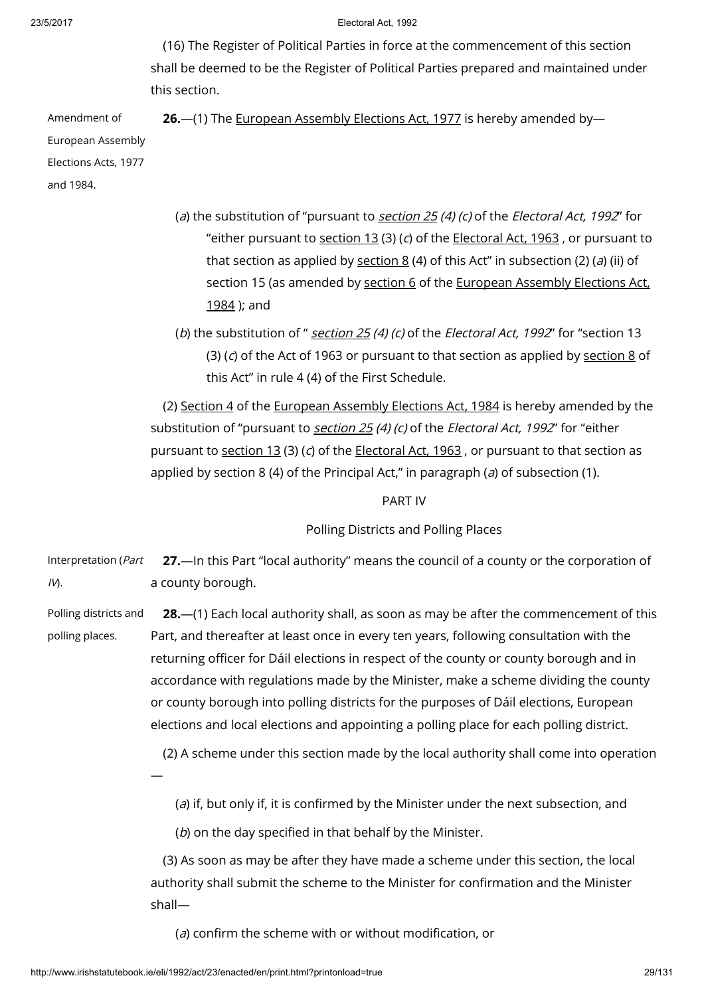(16) The Register of Political Parties in force at the commencement of this section shall be deemed to be the Register of Political Parties prepared and maintained under this section.

Amendment of European Assembly Elections Acts, 1977 and 1984.

26.—(1) The [European](http://www.irishstatutebook.ie/1977/en/act/pub/0030/index.html) Assembly Elections Act, 1977 is hereby amended by—

- (a) the substitution of "pursuant to [section](http://www.irishstatutebook.ie/1992/en/act/pub/0023/print.html#sec25)  $25(4)$  (c) of the Electoral Act, 1992" for "either pursuant to [section](http://www.irishstatutebook.ie/1963/en/act/pub/0019/sec0013.html#sec13)  $13(3)(c)$  of the [Electoral](http://www.irishstatutebook.ie/1963/en/act/pub/0019/index.html) Act, 1963, or pursuant to that [section](http://www.irishstatutebook.ie/1992/en/act/pub/0023/print.html#sec8) as applied by section  $8(4)$  of this Act" in subsection (2) (a) (ii) of [section](http://www.irishstatutebook.ie/1984/en/act/pub/0006/sec0006.html#sec6) 15 (as amended by section 6 of the [European](http://www.irishstatutebook.ie/1984/en/act/pub/0006/index.html) Assembly Elections Act, 1984 ); and
- (b) the substitution of " [section](http://www.irishstatutebook.ie/1992/en/act/pub/0023/print.html#sec25) 25 (4) (c) of the Electoral Act, 1992" for "section 13 (3) (c) of the Act of 1963 or pursuant to that [section](http://www.irishstatutebook.ie/1992/en/act/pub/0023/print.html#sec8) as applied by section 8 of this Act" in rule 4 (4) of the First Schedule.

(2) [Section](http://www.irishstatutebook.ie/1984/en/act/pub/0006/sec0004.html#sec4) 4 of the [European](http://www.irishstatutebook.ie/1984/en/act/pub/0006/index.html) Assembly Elections Act, 1984 is hereby amended by the substitution of "pursuant to *[section](http://www.irishstatutebook.ie/1992/en/act/pub/0023/print.html#sec25) 25 (4) (c)* of the *Electoral Act, 1992*" for "either pursuant to [section](http://www.irishstatutebook.ie/1963/en/act/pub/0019/sec0013.html#sec13) 13 (3) (c) of the [Electoral](http://www.irishstatutebook.ie/1963/en/act/pub/0019/index.html) Act, 1963, or pursuant to that section as applied by section 8 (4) of the Principal Act," in paragraph ( $a$ ) of subsection (1).

PART IV

Polling Districts and Polling Places

Interpretation (Part  $IV.$ 27.—In this Part "local authority" means the council of a county or the corporation of a county borough.

Polling districts and polling places. 28.—(1) Each local authority shall, as soon as may be after the commencement of this Part, and thereafter at least once in every ten years, following consultation with the returning officer for Dáil elections in respect of the county or county borough and in accordance with regulations made by the Minister, make a scheme dividing the county or county borough into polling districts for the purposes of Dáil elections, European elections and local elections and appointing a polling place for each polling district.

(2) A scheme under this section made by the local authority shall come into operation

 $(a)$  if, but only if, it is confirmed by the Minister under the next subsection, and

(b) on the day specified in that behalf by the Minister.

(3) As soon as may be after they have made a scheme under this section, the local authority shall submit the scheme to the Minister for confirmation and the Minister shall—

(a) confirm the scheme with or without modification, or

—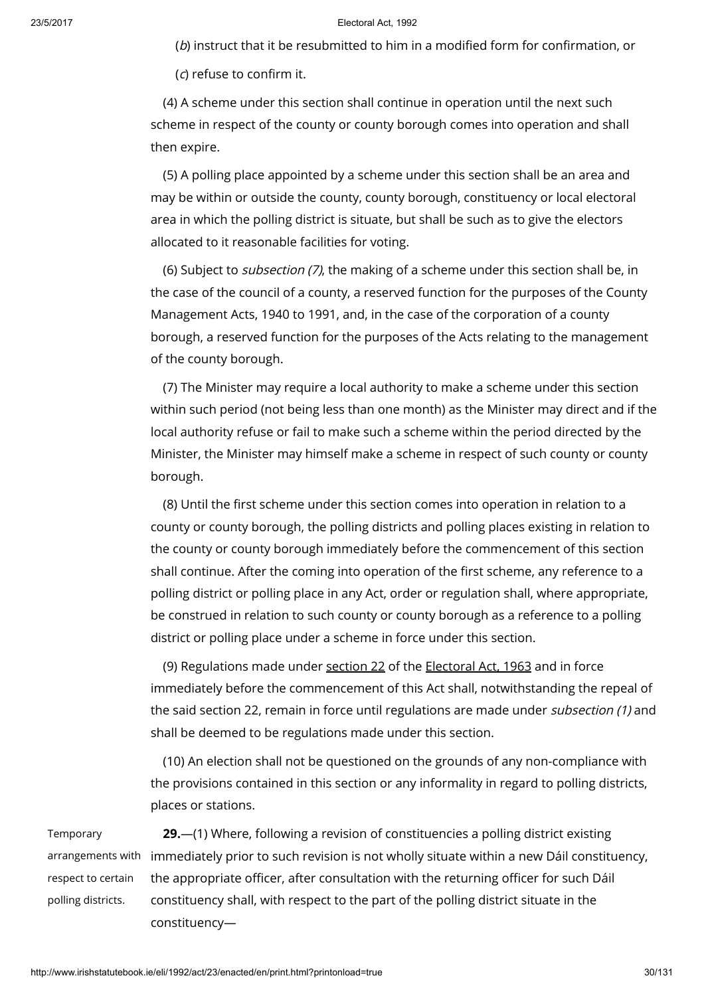(b) instruct that it be resubmitted to him in a modified form for confirmation, or

(c) refuse to confirm it.

(4) A scheme under this section shall continue in operation until the next such scheme in respect of the county or county borough comes into operation and shall then expire.

(5) A polling place appointed by a scheme under this section shall be an area and may be within or outside the county, county borough, constituency or local electoral area in which the polling district is situate, but shall be such as to give the electors allocated to it reasonable facilities for voting.

(6) Subject to subsection (7), the making of a scheme under this section shall be, in the case of the council of a county, a reserved function for the purposes of the County Management Acts, 1940 to 1991, and, in the case of the corporation of a county borough, a reserved function for the purposes of the Acts relating to the management of the county borough.

(7) The Minister may require a local authority to make a scheme under this section within such period (not being less than one month) as the Minister may direct and if the local authority refuse or fail to make such a scheme within the period directed by the Minister, the Minister may himself make a scheme in respect of such county or county borough.

(8) Until the first scheme under this section comes into operation in relation to a county or county borough, the polling districts and polling places existing in relation to the county or county borough immediately before the commencement of this section shall continue. After the coming into operation of the first scheme, any reference to a polling district or polling place in any Act, order or regulation shall, where appropriate, be construed in relation to such county or county borough as a reference to a polling district or polling place under a scheme in force under this section.

(9) Regulations made under [section](http://www.irishstatutebook.ie/1963/en/act/pub/0019/sec0022.html#sec22) 22 of the [Electoral](http://www.irishstatutebook.ie/1963/en/act/pub/0019/index.html) Act, 1963 and in force immediately before the commencement of this Act shall, notwithstanding the repeal of the said section 22, remain in force until regulations are made under *subsection (1)* and shall be deemed to be regulations made under this section.

(10) An election shall not be questioned on the grounds of any non-compliance with the provisions contained in this section or any informality in regard to polling districts, places or stations.

Temporary respect to certain polling districts.

arrangements with immediately prior to such revision is not wholly situate within a new Dáil constituency, 29.—(1) Where, following a revision of constituencies a polling district existing the appropriate officer, after consultation with the returning officer for such Dáil constituency shall, with respect to the part of the polling district situate in the constituency—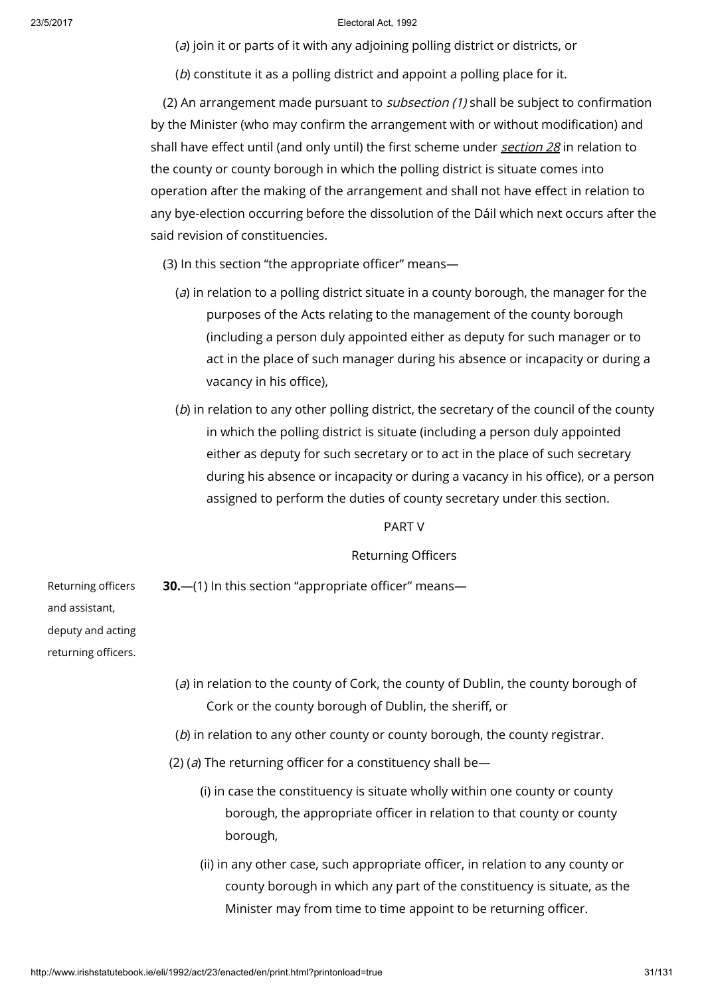(a) join it or parts of it with any adjoining polling district or districts, or

(b) constitute it as a polling district and appoint a polling place for it.

(2) An arrangement made pursuant to *subsection (1)* shall be subject to confirmation by the Minister (who may confirm the arrangement with or without modification) and shall have effect until (and only until) the first scheme under [section](http://www.irishstatutebook.ie/1992/en/act/pub/0023/print.html#sec28) 28 in relation to the county or county borough in which the polling district is situate comes into operation after the making of the arrangement and shall not have effect in relation to any bye-election occurring before the dissolution of the Dáil which next occurs after the said revision of constituencies.

- (3) In this section "the appropriate officer" means—
	- ( $a$ ) in relation to a polling district situate in a county borough, the manager for the purposes of the Acts relating to the management of the county borough (including a person duly appointed either as deputy for such manager or to act in the place of such manager during his absence or incapacity or during a vacancy in his office),
	- (b) in relation to any other polling district, the secretary of the council of the county in which the polling district is situate (including a person duly appointed either as deputy for such secretary or to act in the place of such secretary during his absence or incapacity or during a vacancy in his office), or a person assigned to perform the duties of county secretary under this section.

# PART V

### Returning Officers

30.—(1) In this section "appropriate officer" means—

Returning officers and assistant, deputy and acting returning officers.

- (a) in relation to the county of Cork, the county of Dublin, the county borough of Cork or the county borough of Dublin, the sheriff, or
- (b) in relation to any other county or county borough, the county registrar.
- (2) (a) The returning officer for a constituency shall be—
	- (i) in case the constituency is situate wholly within one county or county borough, the appropriate officer in relation to that county or county borough,
	- (ii) in any other case, such appropriate officer, in relation to any county or county borough in which any part of the constituency is situate, as the Minister may from time to time appoint to be returning officer.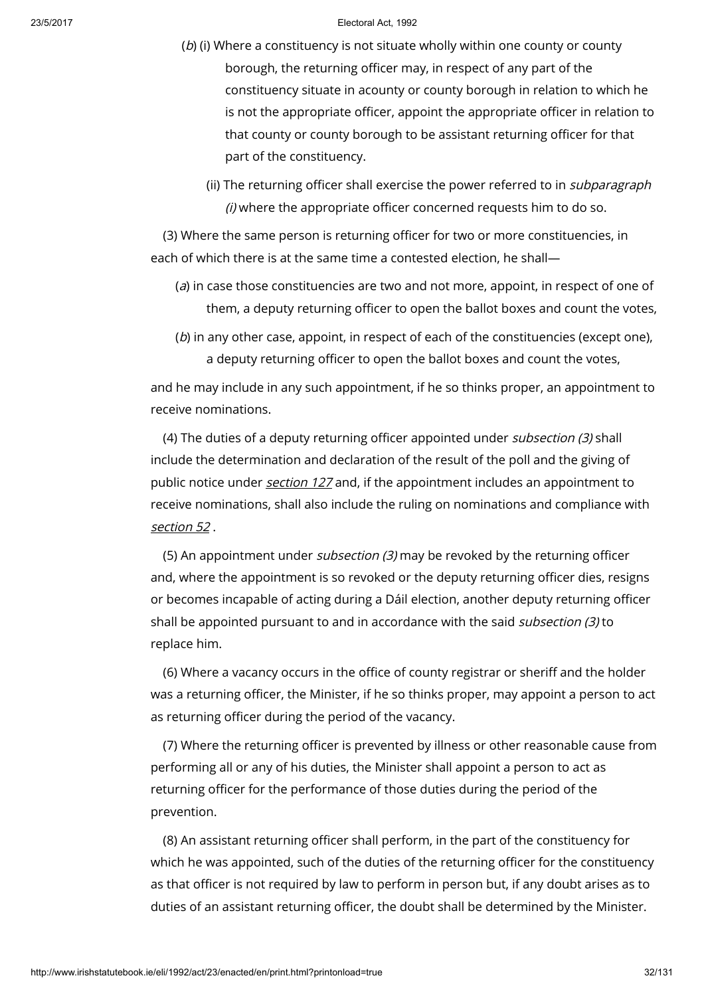- (b) (i) Where a constituency is not situate wholly within one county or county borough, the returning officer may, in respect of any part of the constituency situate in acounty or county borough in relation to which he is not the appropriate officer, appoint the appropriate officer in relation to that county or county borough to be assistant returning officer for that part of the constituency.
	- (ii) The returning officer shall exercise the power referred to in *subparagraph* (i) where the appropriate officer concerned requests him to do so.

(3) Where the same person is returning officer for two or more constituencies, in each of which there is at the same time a contested election, he shall—

- (a) in case those constituencies are two and not more, appoint, in respect of one of them, a deputy returning officer to open the ballot boxes and count the votes,
- (b) in any other case, appoint, in respect of each of the constituencies (except one), a deputy returning officer to open the ballot boxes and count the votes,

and he may include in any such appointment, if he so thinks proper, an appointment to receive nominations.

(4) The duties of a deputy returning officer appointed under subsection (3) shall include the determination and declaration of the result of the poll and the giving of public notice under *[section](http://www.irishstatutebook.ie/1992/en/act/pub/0023/print.html#sec127) 127* and, if the appointment includes an appointment to receive nominations, shall also include the ruling on nominations and compliance with [section](http://www.irishstatutebook.ie/1992/en/act/pub/0023/print.html#sec52) 52 .

(5) An appointment under subsection (3) may be revoked by the returning officer and, where the appointment is so revoked or the deputy returning officer dies, resigns or becomes incapable of acting during a Dáil election, another deputy returning officer shall be appointed pursuant to and in accordance with the said *subsection (3)* to replace him.

(6) Where a vacancy occurs in the office of county registrar or sheriff and the holder was a returning officer, the Minister, if he so thinks proper, may appoint a person to act as returning officer during the period of the vacancy.

(7) Where the returning officer is prevented by illness or other reasonable cause from performing all or any of his duties, the Minister shall appoint a person to act as returning officer for the performance of those duties during the period of the prevention.

(8) An assistant returning officer shall perform, in the part of the constituency for which he was appointed, such of the duties of the returning officer for the constituency as that officer is not required by law to perform in person but, if any doubt arises as to duties of an assistant returning officer, the doubt shall be determined by the Minister.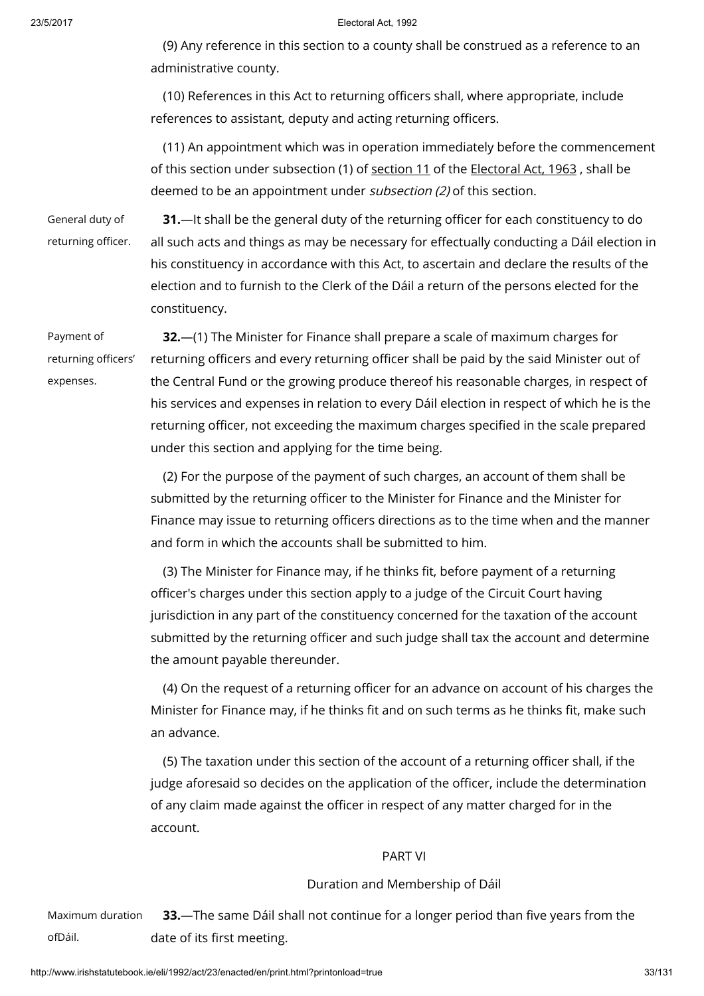(9) Any reference in this section to a county shall be construed as a reference to an administrative county.

(10) References in this Act to returning officers shall, where appropriate, include references to assistant, deputy and acting returning officers.

(11) An appointment which was in operation immediately before the commencement of this [section](http://www.irishstatutebook.ie/1963/en/act/pub/0019/sec0011.html#sec11) under subsection (1) of section 11 of the [Electoral](http://www.irishstatutebook.ie/1963/en/act/pub/0019/index.html) Act, 1963, shall be deemed to be an appointment under subsection (2) of this section.

General duty of returning officer.

31.—It shall be the general duty of the returning officer for each constituency to do all such acts and things as may be necessary for effectually conducting a Dáil election in his constituency in accordance with this Act, to ascertain and declare the results of the election and to furnish to the Clerk of the Dáil a return of the persons elected for the constituency.

Payment of returning officers' expenses.

32.—(1) The Minister for Finance shall prepare a scale of maximum charges for returning officers and every returning officer shall be paid by the said Minister out of the Central Fund or the growing produce thereof his reasonable charges, in respect of his services and expenses in relation to every Dáil election in respect of which he is the returning officer, not exceeding the maximum charges specified in the scale prepared under this section and applying for the time being.

(2) For the purpose of the payment of such charges, an account of them shall be submitted by the returning officer to the Minister for Finance and the Minister for Finance may issue to returning officers directions as to the time when and the manner and form in which the accounts shall be submitted to him.

(3) The Minister for Finance may, if he thinks fit, before payment of a returning officer's charges under this section apply to a judge of the Circuit Court having jurisdiction in any part of the constituency concerned for the taxation of the account submitted by the returning officer and such judge shall tax the account and determine the amount payable thereunder.

(4) On the request of a returning officer for an advance on account of his charges the Minister for Finance may, if he thinks fit and on such terms as he thinks fit, make such an advance.

(5) The taxation under this section of the account of a returning officer shall, if the judge aforesaid so decides on the application of the officer, include the determination of any claim made against the officer in respect of any matter charged for in the account.

### PART VI

### Duration and Membership of Dáil

Maximum duration ofDáil. 33.—The same Dáil shall not continue for a longer period than five years from the date of its first meeting.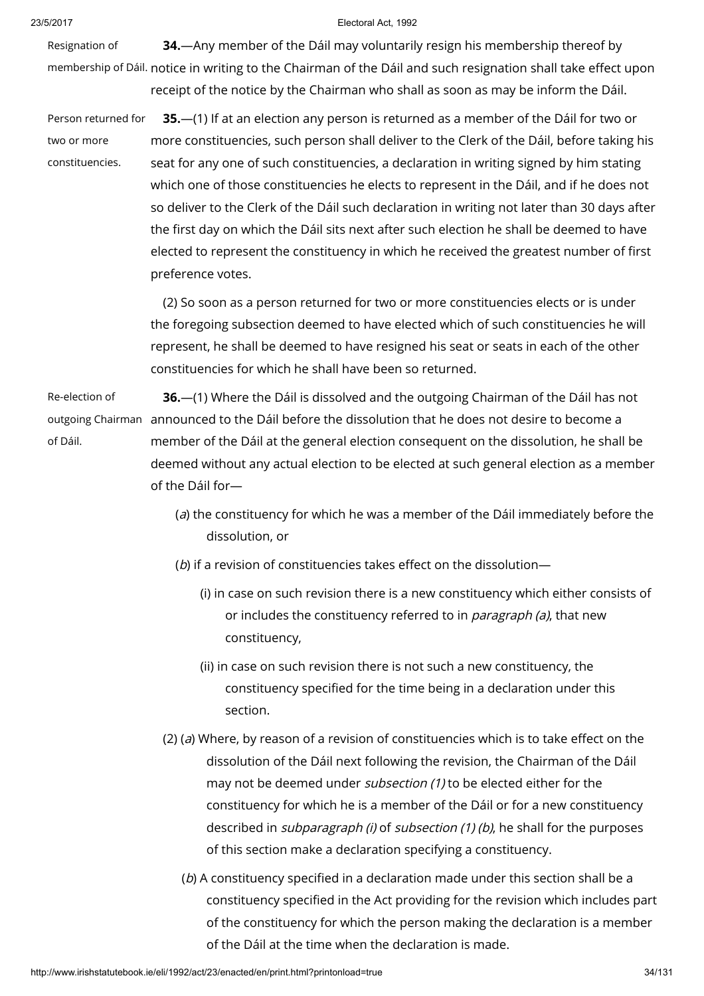Resignation of membership of Dáil. notice in writing to the Chairman of the Dáil and such resignation shall take effect upon 34.—Any member of the Dáil may voluntarily resign his membership thereof by receipt of the notice by the Chairman who shall as soon as may be inform the Dáil.

Person returned for two or more constituencies. 35.—(1) If at an election any person is returned as a member of the Dáil for two or more constituencies, such person shall deliver to the Clerk of the Dáil, before taking his seat for any one of such constituencies, a declaration in writing signed by him stating which one of those constituencies he elects to represent in the Dáil, and if he does not so deliver to the Clerk of the Dáil such declaration in writing not later than 30 days after the first day on which the Dáil sits next after such election he shall be deemed to have elected to represent the constituency in which he received the greatest number of first preference votes.

> (2) So soon as a person returned for two or more constituencies elects or is under the foregoing subsection deemed to have elected which of such constituencies he will represent, he shall be deemed to have resigned his seat or seats in each of the other constituencies for which he shall have been so returned.

Re-election of outgoing Chairman announced to the Dáil before the dissolution that he does not desire to become a of Dáil. 36.—(1) Where the Dáil is dissolved and the outgoing Chairman of the Dáil has not member of the Dáil at the general election consequent on the dissolution, he shall be deemed without any actual election to be elected at such general election as a member of the Dáil for—

- (a) the constituency for which he was a member of the Dáil immediately before the dissolution, or
- (b) if a revision of constituencies takes effect on the dissolution—
	- (i) in case on such revision there is a new constituency which either consists of or includes the constituency referred to in *paragraph (a)*, that new constituency,
	- (ii) in case on such revision there is not such a new constituency, the constituency specified for the time being in a declaration under this section.
- (2) (a) Where, by reason of a revision of constituencies which is to take effect on the dissolution of the Dáil next following the revision, the Chairman of the Dáil may not be deemed under *subsection (1)* to be elected either for the constituency for which he is a member of the Dáil or for a new constituency described in *subparagraph (i)* of *subsection (1) (b)*, he shall for the purposes of this section make a declaration specifying a constituency.
	- (b) A constituency specified in a declaration made under this section shall be a constituency specified in the Act providing for the revision which includes part of the constituency for which the person making the declaration is a member of the Dáil at the time when the declaration is made.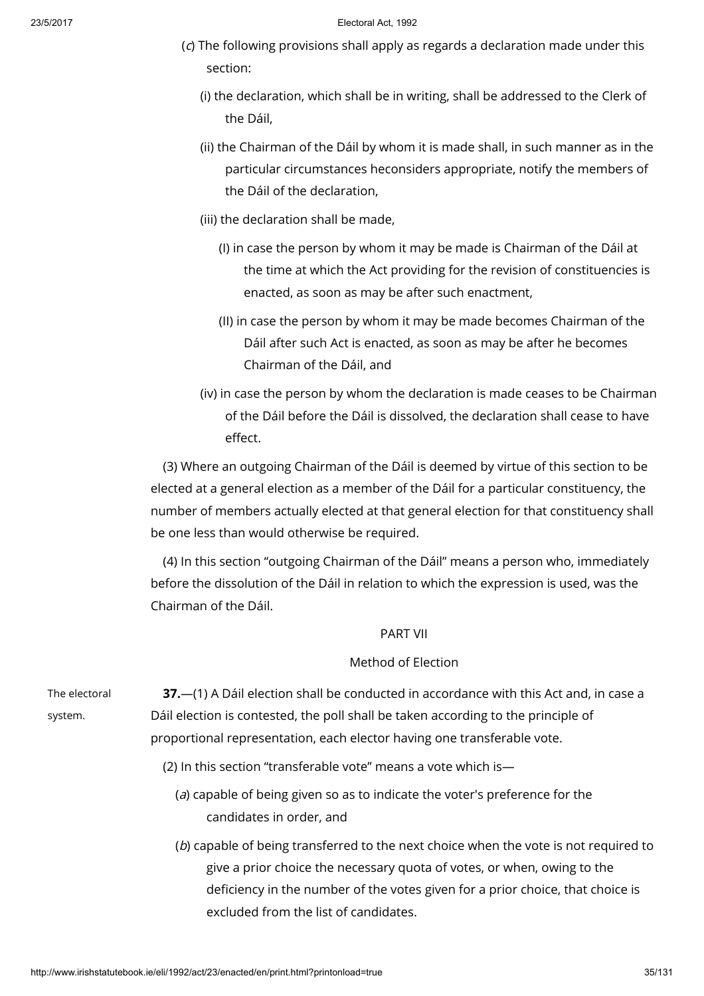- (c) The following provisions shall apply as regards a declaration made under this section:
	- (i) the declaration, which shall be in writing, shall be addressed to the Clerk of the Dáil,
	- (ii) the Chairman of the Dáil by whom it is made shall, in such manner as in the particular circumstances heconsiders appropriate, notify the members of the Dáil of the declaration,
	- (iii) the declaration shall be made,
		- (I) in case the person by whom it may be made is Chairman of the Dáil at the time at which the Act providing for the revision of constituencies is enacted, as soon as may be after such enactment,
		- (II) in case the person by whom it may be made becomes Chairman of the Dáil after such Act is enacted, as soon as may be after he becomes Chairman of the Dáil, and
	- (iv) in case the person by whom the declaration is made ceases to be Chairman of the Dáil before the Dáil is dissolved, the declaration shall cease to have effect.

(3) Where an outgoing Chairman of the Dáil is deemed by virtue of this section to be elected at a general election as a member of the Dáil for a particular constituency, the number of members actually elected at that general election for that constituency shall be one less than would otherwise be required.

(4) In this section "outgoing Chairman of the Dáil" means a person who, immediately before the dissolution of the Dáil in relation to which the expression is used, was the Chairman of the Dáil.

# PART VII

# Method of Election

| The electoral                                                                        | 37.—(1) A Dáil election shall be conducted in accordance with this Act and, in case a |
|--------------------------------------------------------------------------------------|---------------------------------------------------------------------------------------|
| system.                                                                              | Dáil election is contested, the poll shall be taken according to the principle of     |
|                                                                                      | proportional representation, each elector having one transferable vote.               |
|                                                                                      | (2) In this section "transferable vote" means a vote which is—                        |
|                                                                                      | (a) capable of being given so as to indicate the voter's preference for the           |
|                                                                                      | candidates in order, and                                                              |
| (b) capable of being transferred to the next choice when the vote is not required to |                                                                                       |
|                                                                                      | give a prior choice the necessary quota of votes, or when, owing to the               |
|                                                                                      | deficiency in the number of the votes given for a prior choice, that choice is        |

excluded from the list of candidates.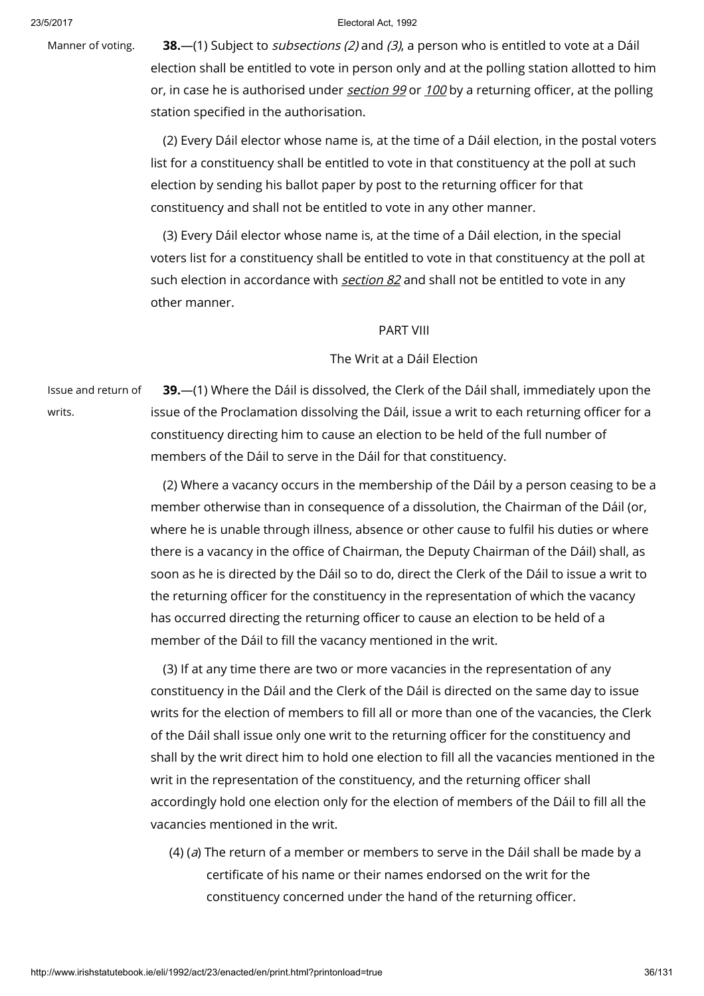Manner of voting. **38.**—(1) Subject to *subsections (2)* and (3), a person who is entitled to vote at a Dáil election shall be entitled to vote in person only and at the polling station allotted to him or, in case he is authorised under [section](http://www.irishstatutebook.ie/1992/en/act/pub/0023/print.html#sec99) 99 or [100](http://www.irishstatutebook.ie/1992/en/act/pub/0023/print.html#sec100) by a returning officer, at the polling station specified in the authorisation.

> (2) Every Dáil elector whose name is, at the time of a Dáil election, in the postal voters list for a constituency shall be entitled to vote in that constituency at the poll at such election by sending his ballot paper by post to the returning officer for that constituency and shall not be entitled to vote in any other manner.

(3) Every Dáil elector whose name is, at the time of a Dáil election, in the special voters list for a constituency shall be entitled to vote in that constituency at the poll at such election in accordance with *[section](http://www.irishstatutebook.ie/1992/en/act/pub/0023/print.html#sec82) 82* and shall not be entitled to vote in any other manner.

# PART VIII

# The Writ at a Dáil Election

Issue and return of writs.

39.—(1) Where the Dáil is dissolved, the Clerk of the Dáil shall, immediately upon the issue of the Proclamation dissolving the Dáil, issue a writ to each returning officer for a constituency directing him to cause an election to be held of the full number of members of the Dáil to serve in the Dáil for that constituency.

(2) Where a vacancy occurs in the membership of the Dáil by a person ceasing to be a member otherwise than in consequence of a dissolution, the Chairman of the Dáil (or, where he is unable through illness, absence or other cause to fulfil his duties or where there is a vacancy in the office of Chairman, the Deputy Chairman of the Dáil) shall, as soon as he is directed by the Dáil so to do, direct the Clerk of the Dáil to issue a writ to the returning officer for the constituency in the representation of which the vacancy has occurred directing the returning officer to cause an election to be held of a member of the Dáil to fill the vacancy mentioned in the writ.

(3) If at any time there are two or more vacancies in the representation of any constituency in the Dáil and the Clerk of the Dáil is directed on the same day to issue writs for the election of members to fill all or more than one of the vacancies, the Clerk of the Dáil shall issue only one writ to the returning officer for the constituency and shall by the writ direct him to hold one election to fill all the vacancies mentioned in the writ in the representation of the constituency, and the returning officer shall accordingly hold one election only for the election of members of the Dáil to fill all the vacancies mentioned in the writ.

(4) (a) The return of a member or members to serve in the Dáil shall be made by a certificate of his name or their names endorsed on the writ for the constituency concerned under the hand of the returning officer.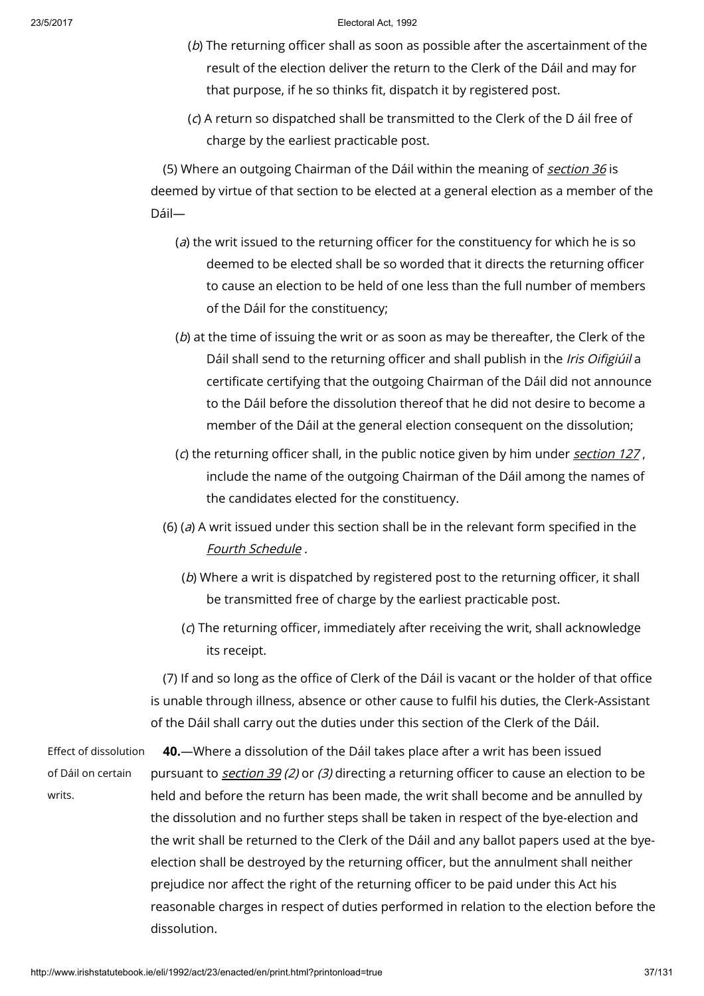- (b) The returning officer shall as soon as possible after the ascertainment of the result of the election deliver the return to the Clerk of the Dáil and may for that purpose, if he so thinks fit, dispatch it by registered post.
- (c) A return so dispatched shall be transmitted to the Clerk of the D áil free of charge by the earliest practicable post.

(5) Where an outgoing Chairman of the Dáil within the meaning of [section](http://www.irishstatutebook.ie/1992/en/act/pub/0023/print.html#sec36)  $36$  is deemed by virtue of that section to be elected at a general election as a member of the Dáil—

- (a) the writ issued to the returning officer for the constituency for which he is so deemed to be elected shall be so worded that it directs the returning officer to cause an election to be held of one less than the full number of members of the Dáil for the constituency;
- (b) at the time of issuing the writ or as soon as may be thereafter, the Clerk of the Dáil shall send to the returning officer and shall publish in the Iris Oifigiúil a certificate certifying that the outgoing Chairman of the Dáil did not announce to the Dáil before the dissolution thereof that he did not desire to become a member of the Dáil at the general election consequent on the dissolution;
- (c) the returning officer shall, in the public notice given by him under [section](http://www.irishstatutebook.ie/1992/en/act/pub/0023/print.html#sec127)  $127$ , include the name of the outgoing Chairman of the Dáil among the names of the candidates elected for the constituency.
- (6) (a) A writ issued under this section shall be in the relevant form specified in the Fourth [Schedule](http://www.irishstatutebook.ie/1992/en/act/pub/0023/print.html#sched4).
	- (b) Where a writ is dispatched by registered post to the returning officer, it shall be transmitted free of charge by the earliest practicable post.
	- (c) The returning officer, immediately after receiving the writ, shall acknowledge its receipt.

(7) If and so long as the office of Clerk of the Dáil is vacant or the holder of that office is unable through illness, absence or other cause to fulfil his duties, the Clerk-Assistant of the Dáil shall carry out the duties under this section of the Clerk of the Dáil.

Effect of dissolution of Dáil on certain writs.

40.—Where a dissolution of the Dáil takes place after a writ has been issued pursuant to [section](http://www.irishstatutebook.ie/1992/en/act/pub/0023/print.html#sec39) 39 (2) or (3) directing a returning officer to cause an election to be held and before the return has been made, the writ shall become and be annulled by the dissolution and no further steps shall be taken in respect of the bye-election and the writ shall be returned to the Clerk of the Dáil and any ballot papers used at the byeelection shall be destroyed by the returning officer, but the annulment shall neither prejudice nor affect the right of the returning officer to be paid under this Act his reasonable charges in respect of duties performed in relation to the election before the dissolution.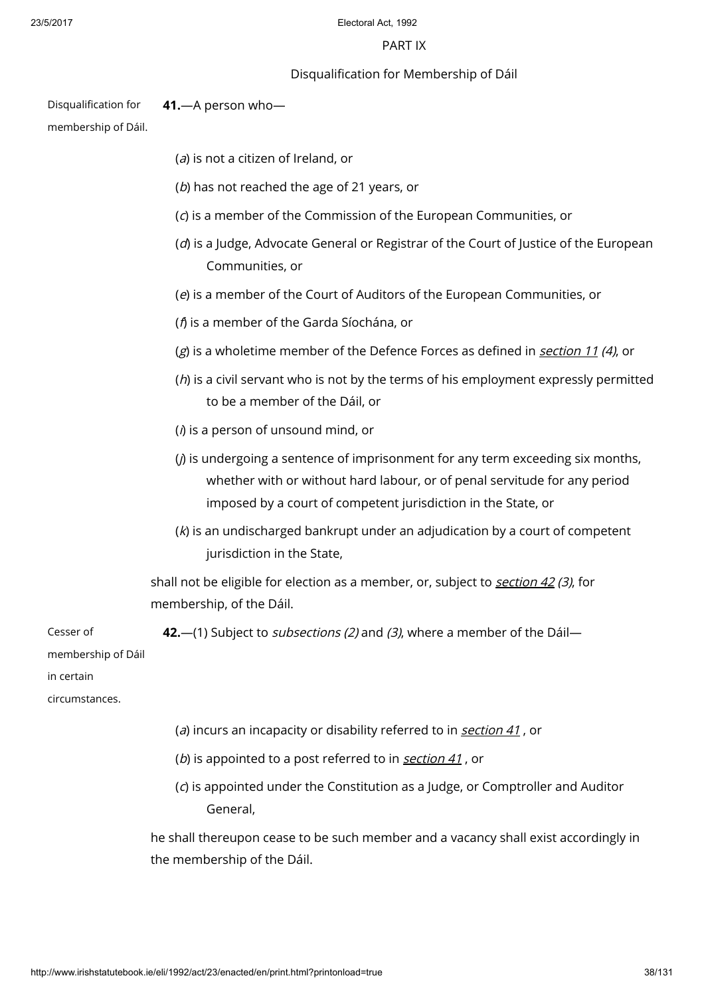# PART IX

# Disqualification for Membership of Dáil

Disqualification for 41.—A person who—

membership of Dáil.

- (a) is not a citizen of Ireland, or
- (b) has not reached the age of 21 years, or
- (c) is a member of the Commission of the European Communities, or
- (d) is a Judge, Advocate General or Registrar of the Court of Justice of the European Communities, or
- (e) is a member of the Court of Auditors of the European Communities, or
- (f) is a member of the Garda Síochána, or
- $(g)$  is a wholetime member of the Defence Forces as defined in [section](http://www.irishstatutebook.ie/1992/en/act/pub/0023/print.html#sec11) 11 (4), or
- $(h)$  is a civil servant who is not by the terms of his employment expressly permitted to be a member of the Dáil, or
- $(i)$  is a person of unsound mind, or
- $(j)$  is undergoing a sentence of imprisonment for any term exceeding six months, whether with or without hard labour, or of penal servitude for any period imposed by a court of competent jurisdiction in the State, or
- $(k)$  is an undischarged bankrupt under an adjudication by a court of competent jurisdiction in the State,

shall not be eligible for election as a member, or, subject to [section](http://www.irishstatutebook.ie/1992/en/act/pub/0023/print.html#sec42)  $42$  (3), for membership, of the Dáil.

Cesser of membership of Dáil in certain circumstances. 42.—(1) Subject to *subsections (2)* and (3), where a member of the Dáil—

- (a) incurs an incapacity or disability referred to in [section](http://www.irishstatutebook.ie/1992/en/act/pub/0023/print.html#sec41)  $41$ , or
- (b) is appointed to a post referred to in [section](http://www.irishstatutebook.ie/1992/en/act/pub/0023/print.html#sec41) 41, or
- (c) is appointed under the Constitution as a Judge, or Comptroller and Auditor General,

he shall thereupon cease to be such member and a vacancy shall exist accordingly in the membership of the Dáil.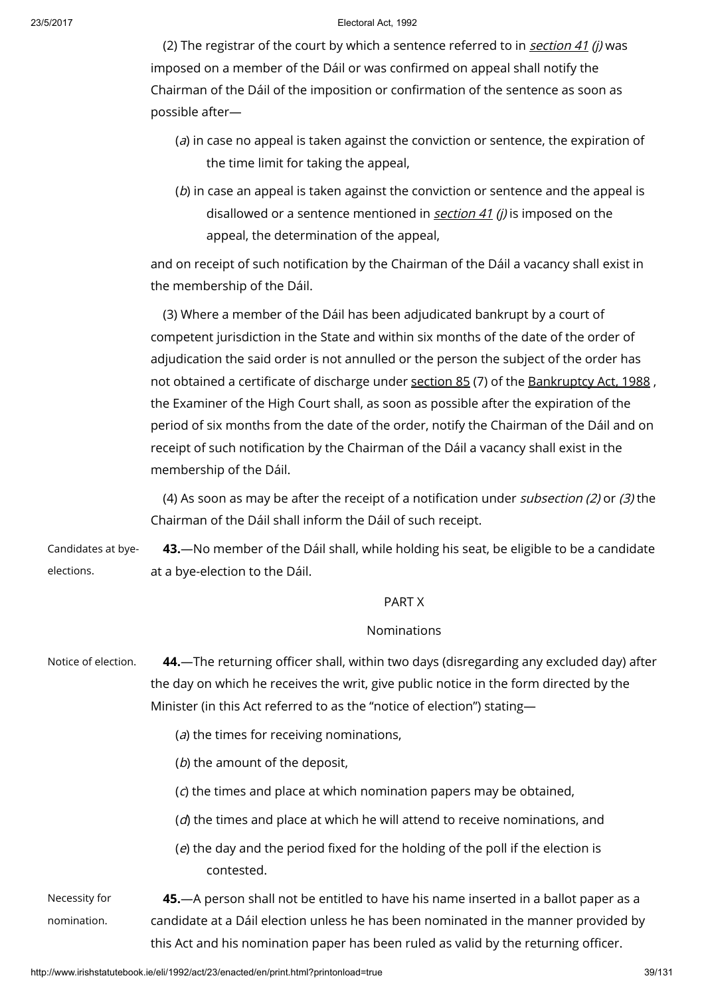(2) The registrar of the court by which a sentence referred to in *[section](http://www.irishstatutebook.ie/1992/en/act/pub/0023/print.html#sec41) 41 (i)* was imposed on a member of the Dáil or was confirmed on appeal shall notify the Chairman of the Dáil of the imposition or confirmation of the sentence as soon as possible after—

- (a) in case no appeal is taken against the conviction or sentence, the expiration of the time limit for taking the appeal,
- (b) in case an appeal is taken against the conviction or sentence and the appeal is disallowed or a sentence mentioned in [section](http://www.irishstatutebook.ie/1992/en/act/pub/0023/print.html#sec41) 41 (i) is imposed on the appeal, the determination of the appeal,

and on receipt of such notification by the Chairman of the Dáil a vacancy shall exist in the membership of the Dáil.

(3) Where a member of the Dáil has been adjudicated bankrupt by a court of competent jurisdiction in the State and within six months of the date of the order of adjudication the said order is not annulled or the person the subject of the order has not obtained a certificate of discharge under [section](http://www.irishstatutebook.ie/1988/en/act/pub/0027/sec0085.html#sec85) 85 (7) of the [Bankruptcy](http://www.irishstatutebook.ie/1988/en/act/pub/0027/index.html) Act, 1988, the Examiner of the High Court shall, as soon as possible after the expiration of the period of six months from the date of the order, notify the Chairman of the Dáil and on receipt of such notification by the Chairman of the Dáil a vacancy shall exist in the membership of the Dáil.

(4) As soon as may be after the receipt of a notification under subsection (2) or (3) the Chairman of the Dáil shall inform the Dáil of such receipt.

Candidates at byeelections. 43.—No member of the Dáil shall, while holding his seat, be eligible to be a candidate at a bye-election to the Dáil.

# PART X

# Nominations

| Notice of election. | 44. The returning officer shall, within two days (disregarding any excluded day) after<br>the day on which he receives the writ, give public notice in the form directed by the<br>Minister (in this Act referred to as the "notice of election") stating- |
|---------------------|------------------------------------------------------------------------------------------------------------------------------------------------------------------------------------------------------------------------------------------------------------|
|                     | (a) the times for receiving nominations,                                                                                                                                                                                                                   |
|                     | (b) the amount of the deposit,                                                                                                                                                                                                                             |
|                     | (c) the times and place at which nomination papers may be obtained,                                                                                                                                                                                        |
|                     | $(d)$ the times and place at which he will attend to receive nominations, and                                                                                                                                                                              |
|                     | (e) the day and the period fixed for the holding of the poll if the election is<br>contested.                                                                                                                                                              |
| Necessity for       | 45.—A person shall not be entitled to have his name inserted in a ballot paper as a                                                                                                                                                                        |
| nomination.         | candidate at a Dáil election unless he has been nominated in the manner provided by                                                                                                                                                                        |
|                     | this Act and his nomination paper has been ruled as valid by the returning officer.                                                                                                                                                                        |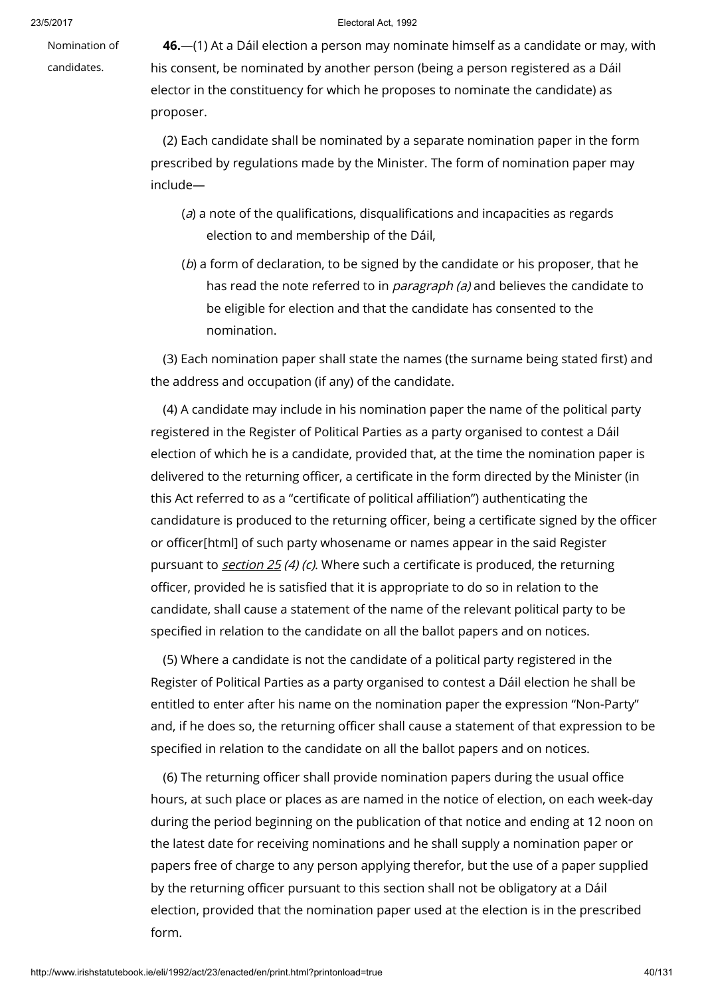Nomination of

candidates.

46.—(1) At a Dáil election a person may nominate himself as a candidate or may, with his consent, be nominated by another person (being a person registered as a Dáil elector in the constituency for which he proposes to nominate the candidate) as proposer.

(2) Each candidate shall be nominated by a separate nomination paper in the form prescribed by regulations made by the Minister. The form of nomination paper may include—

- (a) a note of the qualifications, disqualifications and incapacities as regards election to and membership of the Dáil,
- (b) a form of declaration, to be signed by the candidate or his proposer, that he has read the note referred to in *paragraph (a)* and believes the candidate to be eligible for election and that the candidate has consented to the nomination.

(3) Each nomination paper shall state the names (the surname being stated first) and the address and occupation (if any) of the candidate.

(4) A candidate may include in his nomination paper the name of the political party registered in the Register of Political Parties as a party organised to contest a Dáil election of which he is a candidate, provided that, at the time the nomination paper is delivered to the returning officer, a certificate in the form directed by the Minister (in this Act referred to as a "certificate of political affiliation") authenticating the candidature is produced to the returning officer, being a certificate signed by the officer or officer[html] of such party whosename or names appear in the said Register pursuant to [section](http://www.irishstatutebook.ie/1992/en/act/pub/0023/print.html#sec25) 25 (4) (c). Where such a certificate is produced, the returning officer, provided he is satisfied that it is appropriate to do so in relation to the candidate, shall cause a statement of the name of the relevant political party to be specified in relation to the candidate on all the ballot papers and on notices.

(5) Where a candidate is not the candidate of a political party registered in the Register of Political Parties as a party organised to contest a Dáil election he shall be entitled to enter after his name on the nomination paper the expression "Non-Party" and, if he does so, the returning officer shall cause a statement of that expression to be specified in relation to the candidate on all the ballot papers and on notices.

(6) The returning officer shall provide nomination papers during the usual office hours, at such place or places as are named in the notice of election, on each week-day during the period beginning on the publication of that notice and ending at 12 noon on the latest date for receiving nominations and he shall supply a nomination paper or papers free of charge to any person applying therefor, but the use of a paper supplied by the returning officer pursuant to this section shall not be obligatory at a Dáil election, provided that the nomination paper used at the election is in the prescribed form.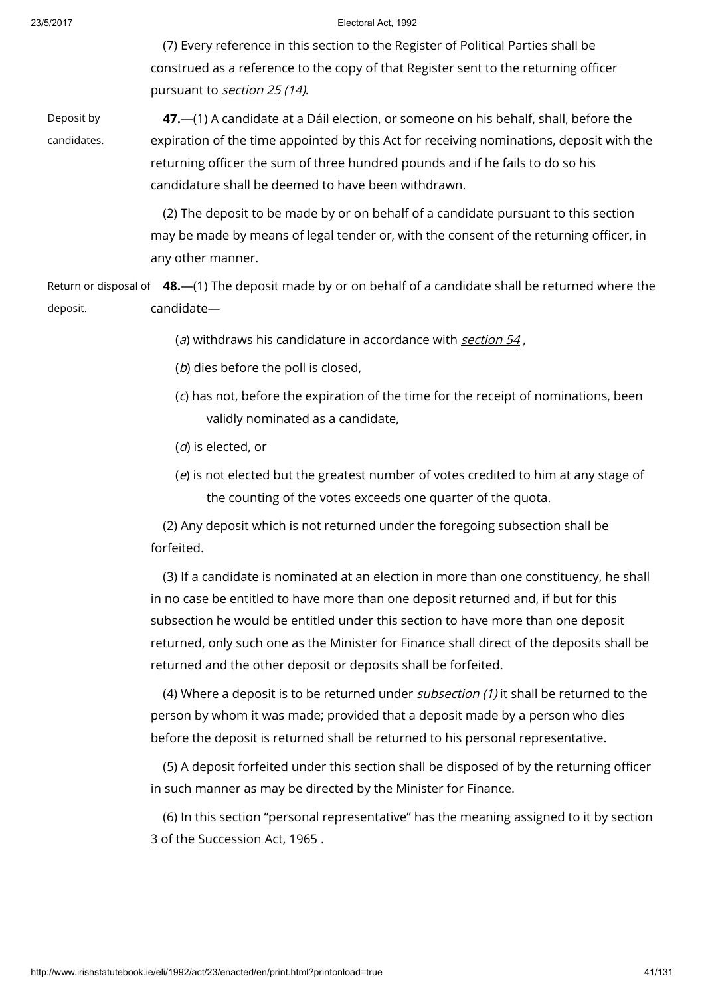(7) Every reference in this section to the Register of Political Parties shall be construed as a reference to the copy of that Register sent to the returning officer pursuant to [section](http://www.irishstatutebook.ie/1992/en/act/pub/0023/print.html#sec25) 25 (14).

Deposit by candidates.

47.—(1) A candidate at a Dáil election, or someone on his behalf, shall, before the expiration of the time appointed by this Act for receiving nominations, deposit with the returning officer the sum of three hundred pounds and if he fails to do so his candidature shall be deemed to have been withdrawn.

(2) The deposit to be made by or on behalf of a candidate pursuant to this section may be made by means of legal tender or, with the consent of the returning officer, in any other manner.

Return or disposal of **48.**—(1) The deposit made by or on behalf of a candidate shall be returned where the deposit. candidate—

( $a$ ) withdraws his candidature in accordance with [section](http://www.irishstatutebook.ie/1992/en/act/pub/0023/print.html#sec54)  $54$ ,

- (b) dies before the poll is closed,
- (c) has not, before the expiration of the time for the receipt of nominations, been validly nominated as a candidate,
- (d) is elected, or
- (e) is not elected but the greatest number of votes credited to him at any stage of the counting of the votes exceeds one quarter of the quota.

(2) Any deposit which is not returned under the foregoing subsection shall be forfeited.

(3) If a candidate is nominated at an election in more than one constituency, he shall in no case be entitled to have more than one deposit returned and, if but for this subsection he would be entitled under this section to have more than one deposit returned, only such one as the Minister for Finance shall direct of the deposits shall be returned and the other deposit or deposits shall be forfeited.

(4) Where a deposit is to be returned under subsection  $(1)$  it shall be returned to the person by whom it was made; provided that a deposit made by a person who dies before the deposit is returned shall be returned to his personal representative.

(5) A deposit forfeited under this section shall be disposed of by the returning officer in such manner as may be directed by the Minister for Finance.

(6) In this section "personal [representative"](http://www.irishstatutebook.ie/1965/en/act/pub/0027/sec0003.html#sec3) has the meaning assigned to it by section 3 of the [Succession](http://www.irishstatutebook.ie/1965/en/act/pub/0027/index.html) Act, 1965 .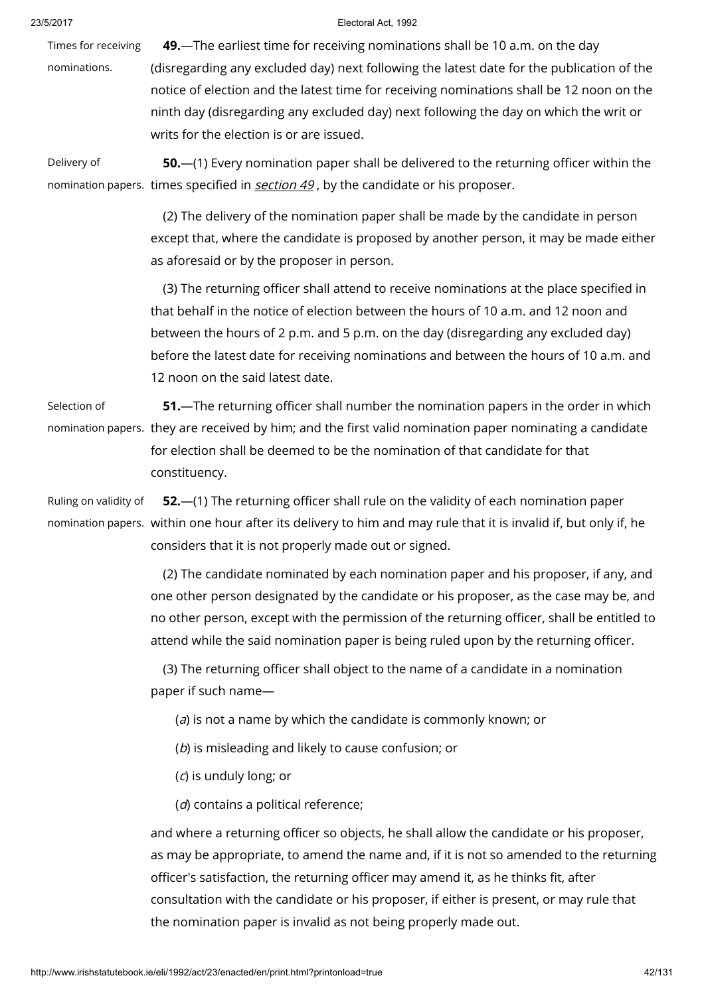Times for receiving

#### 23/5/2017 Electoral Act, 1992

nominations. 49.—The earliest time for receiving nominations shall be 10 a.m. on the day (disregarding any excluded day) next following the latest date for the publication of the notice of election and the latest time for receiving nominations shall be 12 noon on the ninth day (disregarding any excluded day) next following the day on which the writ or writs for the election is or are issued.

Delivery of nomination papers. times specified in **[section](http://www.irishstatutebook.ie/1992/en/act/pub/0023/print.html#sec49) 49**, by the candidate or his proposer. 50.—(1) Every nomination paper shall be delivered to the returning officer within the

> (2) The delivery of the nomination paper shall be made by the candidate in person except that, where the candidate is proposed by another person, it may be made either as aforesaid or by the proposer in person.

> (3) The returning officer shall attend to receive nominations at the place specified in that behalf in the notice of election between the hours of 10 a.m. and 12 noon and between the hours of 2 p.m. and 5 p.m. on the day (disregarding any excluded day) before the latest date for receiving nominations and between the hours of 10 a.m. and 12 noon on the said latest date.

Selection of

nomination papers. they are received by him; and the first valid nomination paper nominating a candidate 51.—The returning officer shall number the nomination papers in the order in which for election shall be deemed to be the nomination of that candidate for that constituency.

Ruling on validity of

nomination papers. within one hour after its delivery to him and may rule that it is invalid if, but only if, he 52.—(1) The returning officer shall rule on the validity of each nomination paper considers that it is not properly made out or signed.

> (2) The candidate nominated by each nomination paper and his proposer, if any, and one other person designated by the candidate or his proposer, as the case may be, and no other person, except with the permission of the returning officer, shall be entitled to attend while the said nomination paper is being ruled upon by the returning officer.

(3) The returning officer shall object to the name of a candidate in a nomination paper if such name—

(a) is not a name by which the candidate is commonly known; or

(b) is misleading and likely to cause confusion; or

(c) is unduly long; or

(d) contains a political reference;

and where a returning officer so objects, he shall allow the candidate or his proposer, as may be appropriate, to amend the name and, if it is not so amended to the returning officer's satisfaction, the returning officer may amend it, as he thinks fit, after consultation with the candidate or his proposer, if either is present, or may rule that the nomination paper is invalid as not being properly made out.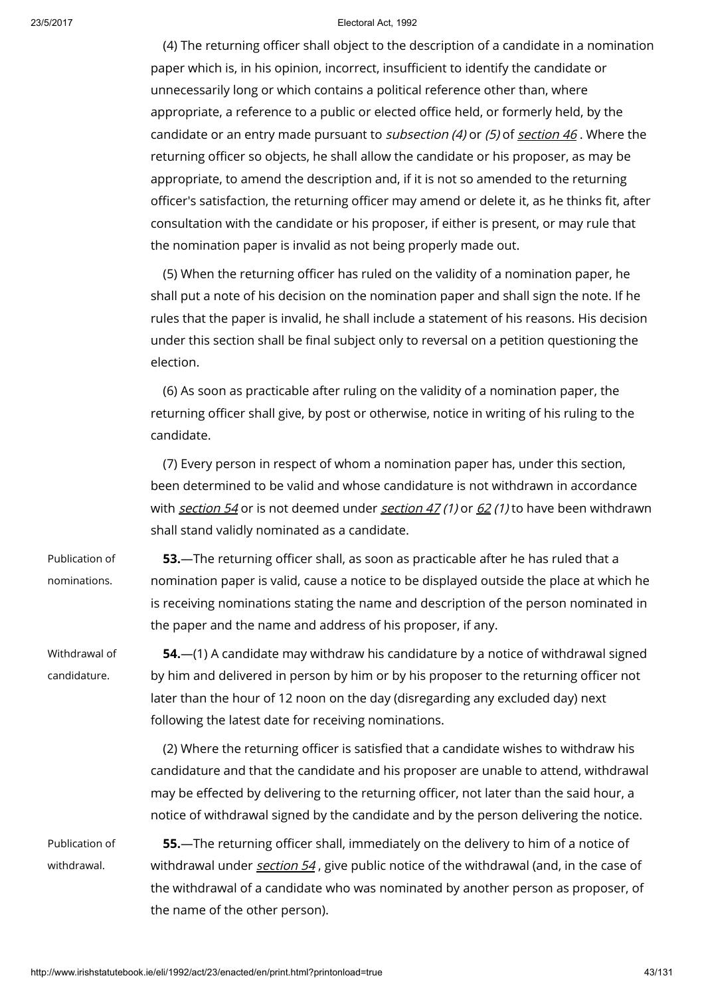(4) The returning officer shall object to the description of a candidate in a nomination paper which is, in his opinion, incorrect, insufficient to identify the candidate or unnecessarily long or which contains a political reference other than, where appropriate, a reference to a public or elected office held, or formerly held, by the candidate or an entry made pursuant to *sub[section](http://www.irishstatutebook.ie/1992/en/act/pub/0023/print.html#sec46) (4)* or (5) of section  $46$ . Where the returning officer so objects, he shall allow the candidate or his proposer, as may be appropriate, to amend the description and, if it is not so amended to the returning officer's satisfaction, the returning officer may amend or delete it, as he thinks fit, after consultation with the candidate or his proposer, if either is present, or may rule that the nomination paper is invalid as not being properly made out.

(5) When the returning officer has ruled on the validity of a nomination paper, he shall put a note of his decision on the nomination paper and shall sign the note. If he rules that the paper is invalid, he shall include a statement of his reasons. His decision under this section shall be final subject only to reversal on a petition questioning the election.

(6) As soon as practicable after ruling on the validity of a nomination paper, the returning officer shall give, by post or otherwise, notice in writing of his ruling to the candidate.

(7) Every person in respect of whom a nomination paper has, under this section, been determined to be valid and whose candidature is not withdrawn in accordance with [section](http://www.irishstatutebook.ie/1992/en/act/pub/0023/print.html#sec47) 54 or is not deemed under section 47 (1) or  $62$  (1) to have been withdrawn shall stand validly nominated as a candidate.

Publication of nominations. 53.—The returning officer shall, as soon as practicable after he has ruled that a nomination paper is valid, cause a notice to be displayed outside the place at which he is receiving nominations stating the name and description of the person nominated in the paper and the name and address of his proposer, if any.

Withdrawal of candidature. 54.—(1) A candidate may withdraw his candidature by a notice of withdrawal signed by him and delivered in person by him or by his proposer to the returning officer not later than the hour of 12 noon on the day (disregarding any excluded day) next following the latest date for receiving nominations.

> (2) Where the returning officer is satisfied that a candidate wishes to withdraw his candidature and that the candidate and his proposer are unable to attend, withdrawal may be effected by delivering to the returning officer, not later than the said hour, a notice of withdrawal signed by the candidate and by the person delivering the notice.

Publication of withdrawal. 55.—The returning officer shall, immediately on the delivery to him of a notice of withdrawal under [section](http://www.irishstatutebook.ie/1992/en/act/pub/0023/print.html#sec54) 54, give public notice of the withdrawal (and, in the case of the withdrawal of a candidate who was nominated by another person as proposer, of the name of the other person).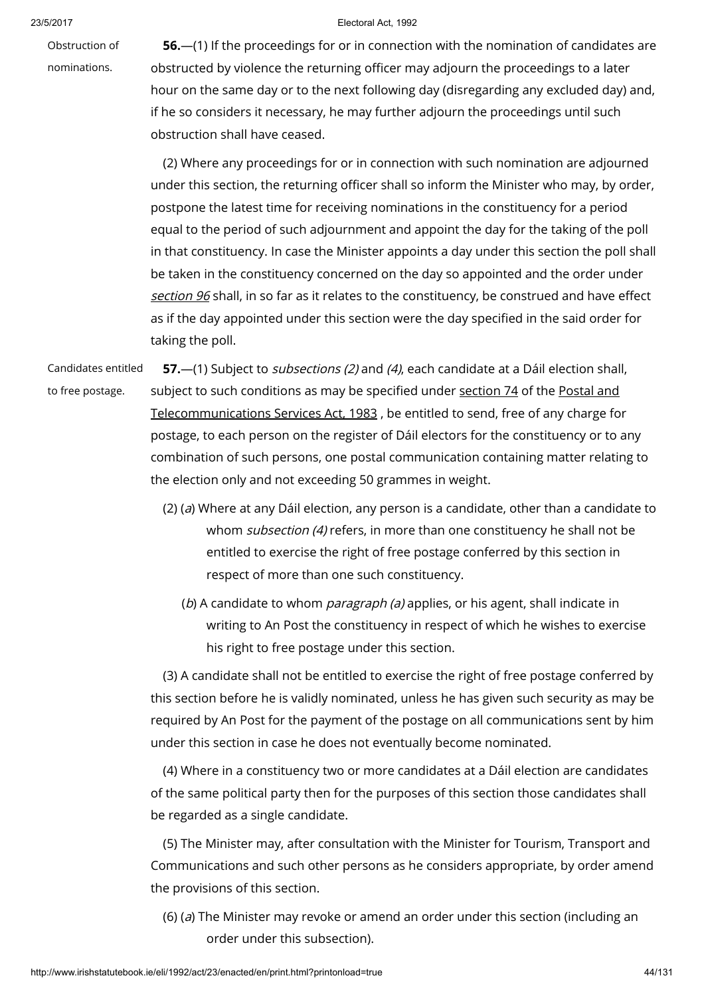Obstruction of nominations.

23/5/2017 Electoral Act, 1992

56.—(1) If the proceedings for or in connection with the nomination of candidates are obstructed by violence the returning officer may adjourn the proceedings to a later hour on the same day or to the next following day (disregarding any excluded day) and, if he so considers it necessary, he may further adjourn the proceedings until such obstruction shall have ceased.

(2) Where any proceedings for or in connection with such nomination are adjourned under this section, the returning officer shall so inform the Minister who may, by order, postpone the latest time for receiving nominations in the constituency for a period equal to the period of such adjournment and appoint the day for the taking of the poll in that constituency. In case the Minister appoints a day under this section the poll shall be taken in the constituency concerned on the day so appointed and the order under [section](http://www.irishstatutebook.ie/1992/en/act/pub/0023/print.html#sec96) 96 shall, in so far as it relates to the constituency, be construed and have effect as if the day appointed under this section were the day specified in the said order for taking the poll.

Candidates entitled to free postage. 57.—(1) Subject to *subsections (2)* and (4), each candidate at a Dáil election shall, subject to such conditions as may be specified under [section](http://www.irishstatutebook.ie/1983/en/act/pub/0024/sec0074.html#sec74) 74 of the Postal and [Telecommunications](http://www.irishstatutebook.ie/1983/en/act/pub/0024/index.html) Services Act, 1983 , be entitled to send, free of any charge for postage, to each person on the register of Dáil electors for the constituency or to any combination of such persons, one postal communication containing matter relating to the election only and not exceeding 50 grammes in weight.

- (2) (a) Where at any Dáil election, any person is a candidate, other than a candidate to whom subsection (4) refers, in more than one constituency he shall not be entitled to exercise the right of free postage conferred by this section in respect of more than one such constituency.
	- (b) A candidate to whom *paragraph (a)* applies, or his agent, shall indicate in writing to An Post the constituency in respect of which he wishes to exercise his right to free postage under this section.

(3) A candidate shall not be entitled to exercise the right of free postage conferred by this section before he is validly nominated, unless he has given such security as may be required by An Post for the payment of the postage on all communications sent by him under this section in case he does not eventually become nominated.

(4) Where in a constituency two or more candidates at a Dáil election are candidates of the same political party then for the purposes of this section those candidates shall be regarded as a single candidate.

(5) The Minister may, after consultation with the Minister for Tourism, Transport and Communications and such other persons as he considers appropriate, by order amend the provisions of this section.

(6) (a) The Minister may revoke or amend an order under this section (including an order under this subsection).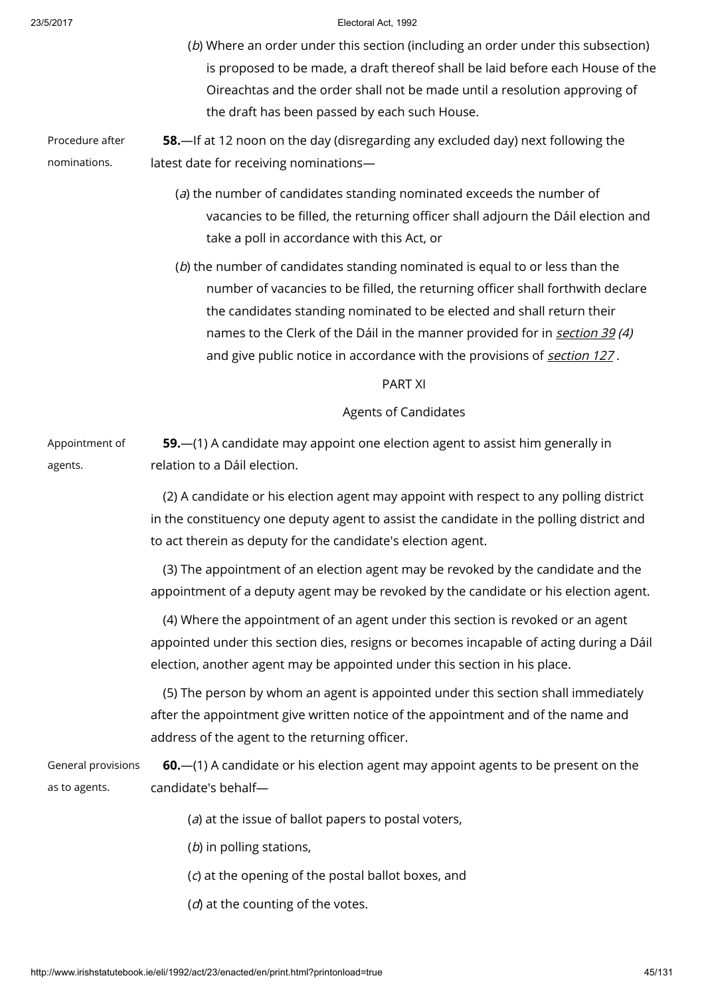- (b) Where an order under this section (including an order under this subsection) is proposed to be made, a draft thereof shall be laid before each House of the Oireachtas and the order shall not be made until a resolution approving of the draft has been passed by each such House.
- Procedure after nominations. 58.—If at 12 noon on the day (disregarding any excluded day) next following the latest date for receiving nominations—
	- (a) the number of candidates standing nominated exceeds the number of vacancies to be filled, the returning officer shall adjourn the Dáil election and take a poll in accordance with this Act, or
	- (b) the number of candidates standing nominated is equal to or less than the number of vacancies to be filled, the returning officer shall forthwith declare the candidates standing nominated to be elected and shall return their names to the Clerk of the Dáil in the manner provided for in [section](http://www.irishstatutebook.ie/1992/en/act/pub/0023/print.html#sec39) 39 (4) and give public notice in accordance with the provisions of [section](http://www.irishstatutebook.ie/1992/en/act/pub/0023/print.html#sec127) 127.

## PART XI

# Agents of Candidates

Appointment of agents. 59.—(1) A candidate may appoint one election agent to assist him generally in relation to a Dáil election.

> (2) A candidate or his election agent may appoint with respect to any polling district in the constituency one deputy agent to assist the candidate in the polling district and to act therein as deputy for the candidate's election agent.

(3) The appointment of an election agent may be revoked by the candidate and the appointment of a deputy agent may be revoked by the candidate or his election agent.

(4) Where the appointment of an agent under this section is revoked or an agent appointed under this section dies, resigns or becomes incapable of acting during a Dáil election, another agent may be appointed under this section in his place.

(5) The person by whom an agent is appointed under this section shall immediately after the appointment give written notice of the appointment and of the name and address of the agent to the returning officer.

| General provisions | <b>60.</b> —(1) A candidate or his election agent may appoint agents to be present on the |
|--------------------|-------------------------------------------------------------------------------------------|
| as to agents.      | candidate's behalf—                                                                       |

- $(a)$  at the issue of ballot papers to postal voters,
- $(b)$  in polling stations,
- (c) at the opening of the postal ballot boxes, and
- $(d)$  at the counting of the votes.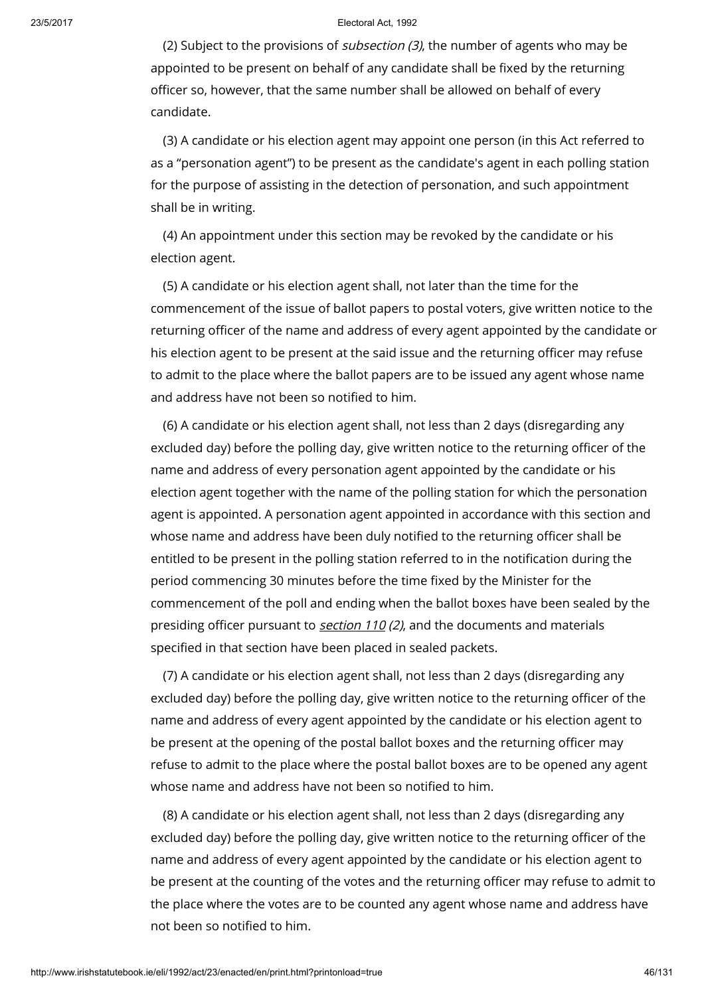(2) Subject to the provisions of *subsection (3)*, the number of agents who may be appointed to be present on behalf of any candidate shall be fixed by the returning officer so, however, that the same number shall be allowed on behalf of every candidate.

(3) A candidate or his election agent may appoint one person (in this Act referred to as a "personation agent") to be present as the candidate's agent in each polling station for the purpose of assisting in the detection of personation, and such appointment shall be in writing.

(4) An appointment under this section may be revoked by the candidate or his election agent.

(5) A candidate or his election agent shall, not later than the time for the commencement of the issue of ballot papers to postal voters, give written notice to the returning officer of the name and address of every agent appointed by the candidate or his election agent to be present at the said issue and the returning officer may refuse to admit to the place where the ballot papers are to be issued any agent whose name and address have not been so notified to him.

(6) A candidate or his election agent shall, not less than 2 days (disregarding any excluded day) before the polling day, give written notice to the returning officer of the name and address of every personation agent appointed by the candidate or his election agent together with the name of the polling station for which the personation agent is appointed. A personation agent appointed in accordance with this section and whose name and address have been duly notified to the returning officer shall be entitled to be present in the polling station referred to in the notification during the period commencing 30 minutes before the time fixed by the Minister for the commencement of the poll and ending when the ballot boxes have been sealed by the presiding officer pursuant to **[section](http://www.irishstatutebook.ie/1992/en/act/pub/0023/print.html#sec110) 110 (2)**, and the documents and materials specified in that section have been placed in sealed packets.

(7) A candidate or his election agent shall, not less than 2 days (disregarding any excluded day) before the polling day, give written notice to the returning officer of the name and address of every agent appointed by the candidate or his election agent to be present at the opening of the postal ballot boxes and the returning officer may refuse to admit to the place where the postal ballot boxes are to be opened any agent whose name and address have not been so notified to him.

(8) A candidate or his election agent shall, not less than 2 days (disregarding any excluded day) before the polling day, give written notice to the returning officer of the name and address of every agent appointed by the candidate or his election agent to be present at the counting of the votes and the returning officer may refuse to admit to the place where the votes are to be counted any agent whose name and address have not been so notified to him.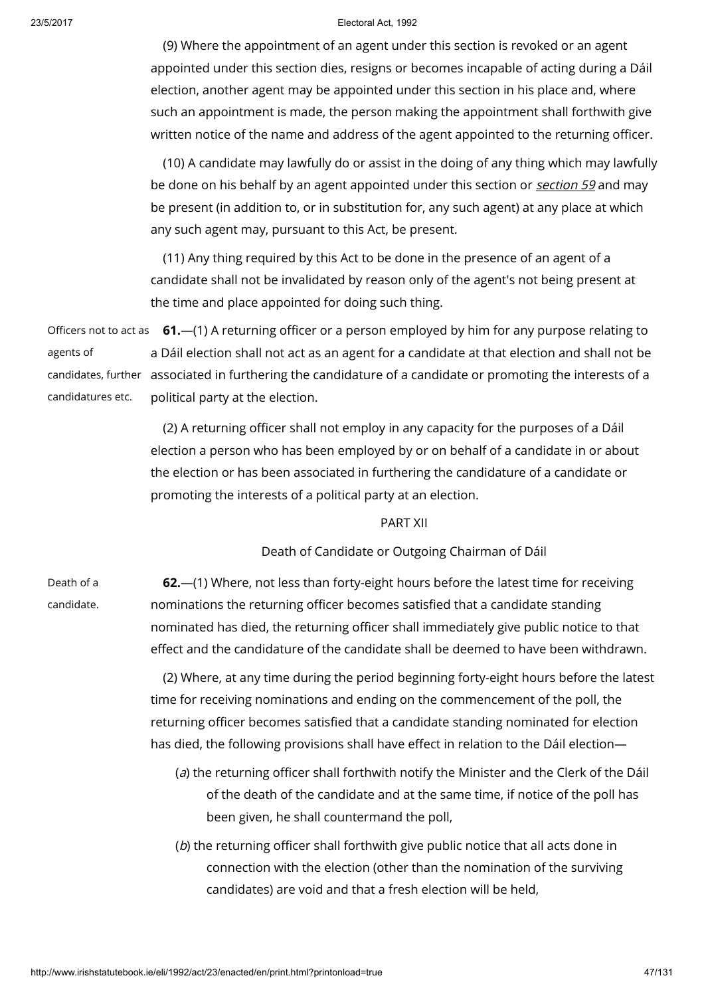(9) Where the appointment of an agent under this section is revoked or an agent appointed under this section dies, resigns or becomes incapable of acting during a Dáil election, another agent may be appointed under this section in his place and, where such an appointment is made, the person making the appointment shall forthwith give written notice of the name and address of the agent appointed to the returning officer.

(10) A candidate may lawfully do or assist in the doing of any thing which may lawfully be done on his behalf by an agent appointed under this [section](http://www.irishstatutebook.ie/1992/en/act/pub/0023/print.html#sec59) or section 59 and may be present (in addition to, or in substitution for, any such agent) at any place at which any such agent may, pursuant to this Act, be present.

(11) Any thing required by this Act to be done in the presence of an agent of a candidate shall not be invalidated by reason only of the agent's not being present at the time and place appointed for doing such thing.

Officers not to act as **61.—(1)** A returning officer or a person employed by him for any purpose relating to agents of candidates, further associated in furthering the candidature of a candidate or promoting the interests of a candidatures etc. a Dáil election shall not act as an agent for a candidate at that election and shall not be political party at the election.

> (2) A returning officer shall not employ in any capacity for the purposes of a Dáil election a person who has been employed by or on behalf of a candidate in or about the election or has been associated in furthering the candidature of a candidate or promoting the interests of a political party at an election.

## PART XII

Death of Candidate or Outgoing Chairman of Dáil

Death of a candidate.

62.—(1) Where, not less than forty-eight hours before the latest time for receiving nominations the returning officer becomes satisfied that a candidate standing nominated has died, the returning officer shall immediately give public notice to that effect and the candidature of the candidate shall be deemed to have been withdrawn.

(2) Where, at any time during the period beginning forty-eight hours before the latest time for receiving nominations and ending on the commencement of the poll, the returning officer becomes satisfied that a candidate standing nominated for election has died, the following provisions shall have effect in relation to the Dáil election—

- (a) the returning officer shall forthwith notify the Minister and the Clerk of the Dáil of the death of the candidate and at the same time, if notice of the poll has been given, he shall countermand the poll,
- (b) the returning officer shall forthwith give public notice that all acts done in connection with the election (other than the nomination of the surviving candidates) are void and that a fresh election will be held,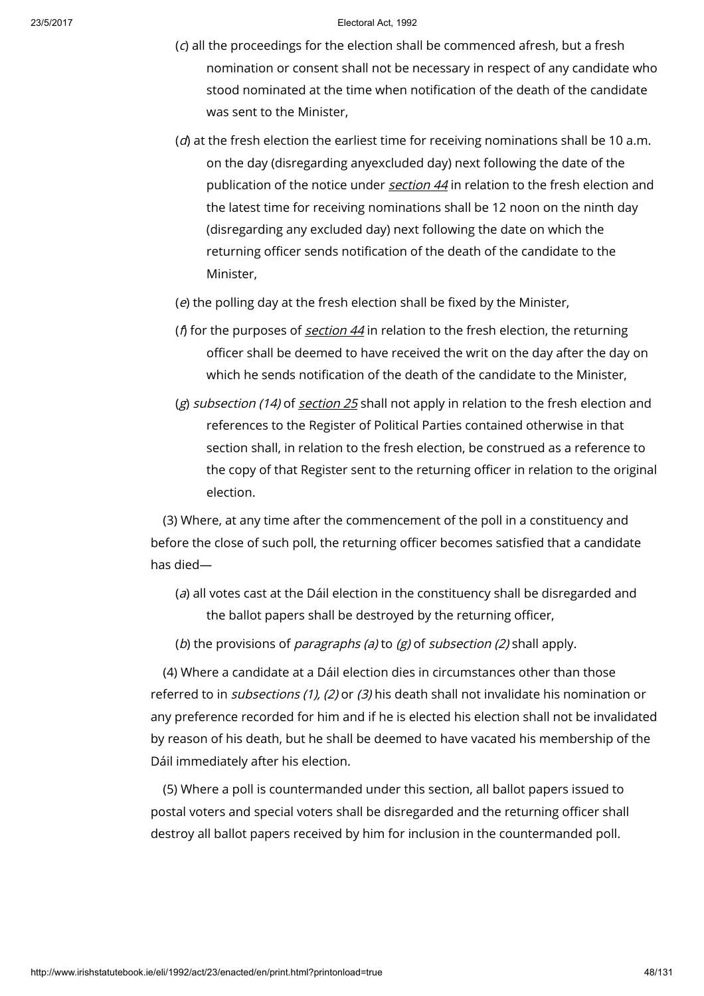- (c) all the proceedings for the election shall be commenced afresh, but a fresh nomination or consent shall not be necessary in respect of any candidate who stood nominated at the time when notification of the death of the candidate was sent to the Minister,
- ( $d$ ) at the fresh election the earliest time for receiving nominations shall be 10 a.m. on the day (disregarding anyexcluded day) next following the date of the publication of the notice under [section](http://www.irishstatutebook.ie/1992/en/act/pub/0023/print.html#sec44) 44 in relation to the fresh election and the latest time for receiving nominations shall be 12 noon on the ninth day (disregarding any excluded day) next following the date on which the returning officer sends notification of the death of the candidate to the Minister,
- (e) the polling day at the fresh election shall be fixed by the Minister,
- ( $\beta$  for the purposes of *[section](http://www.irishstatutebook.ie/1992/en/act/pub/0023/print.html#sec44) 44* in relation to the fresh election, the returning officer shall be deemed to have received the writ on the day after the day on which he sends notification of the death of the candidate to the Minister,
- (g) sub[section](http://www.irishstatutebook.ie/1992/en/act/pub/0023/print.html#sec25) (14) of section 25 shall not apply in relation to the fresh election and references to the Register of Political Parties contained otherwise in that section shall, in relation to the fresh election, be construed as a reference to the copy of that Register sent to the returning officer in relation to the original election.

(3) Where, at any time after the commencement of the poll in a constituency and before the close of such poll, the returning officer becomes satisfied that a candidate has died—

- (a) all votes cast at the Dáil election in the constituency shall be disregarded and the ballot papers shall be destroyed by the returning officer,
- (b) the provisions of *paragraphs (a)* to  $(g)$  of *subsection (2)* shall apply.

(4) Where a candidate at a Dáil election dies in circumstances other than those referred to in *subsections (1), (2)* or (3) his death shall not invalidate his nomination or any preference recorded for him and if he is elected his election shall not be invalidated by reason of his death, but he shall be deemed to have vacated his membership of the Dáil immediately after his election.

(5) Where a poll is countermanded under this section, all ballot papers issued to postal voters and special voters shall be disregarded and the returning officer shall destroy all ballot papers received by him for inclusion in the countermanded poll.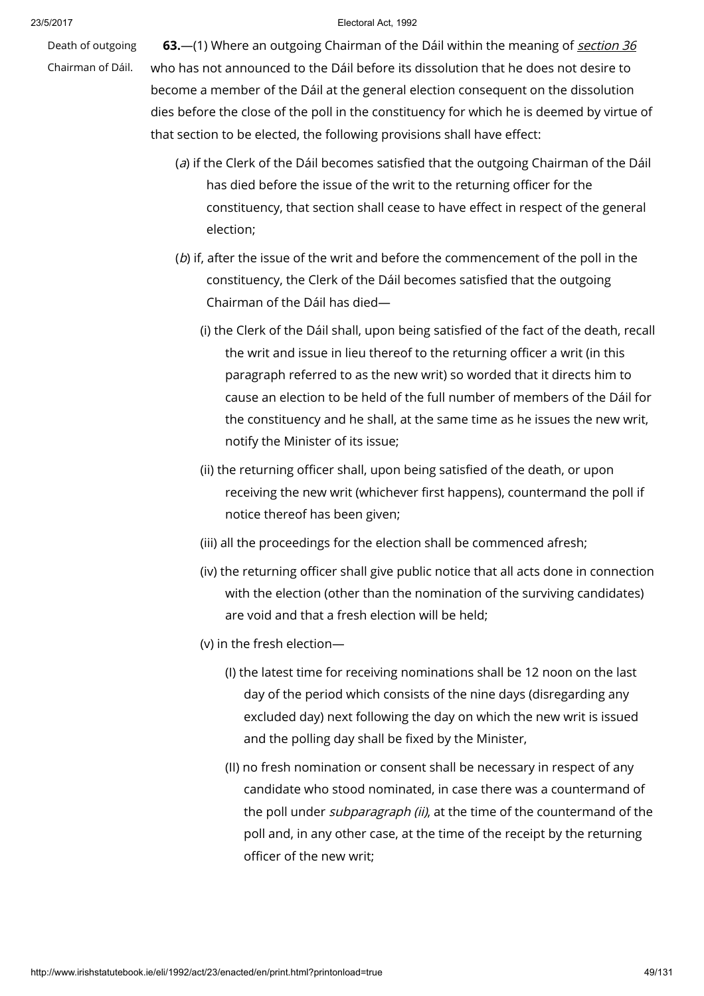Death of outgoing

Chairman of Dáil.

63.—(1) Where an outgoing Chairman of the Dáil within the meaning of *[section](http://www.irishstatutebook.ie/1992/en/act/pub/0023/print.html#sec36) 36* who has not announced to the Dáil before its dissolution that he does not desire to become a member of the Dáil at the general election consequent on the dissolution dies before the close of the poll in the constituency for which he is deemed by virtue of that section to be elected, the following provisions shall have effect:

- (a) if the Clerk of the Dáil becomes satisfied that the outgoing Chairman of the Dáil has died before the issue of the writ to the returning officer for the constituency, that section shall cease to have effect in respect of the general election;
- (b) if, after the issue of the writ and before the commencement of the poll in the constituency, the Clerk of the Dáil becomes satisfied that the outgoing Chairman of the Dáil has died—
	- (i) the Clerk of the Dáil shall, upon being satisfied of the fact of the death, recall the writ and issue in lieu thereof to the returning officer a writ (in this paragraph referred to as the new writ) so worded that it directs him to cause an election to be held of the full number of members of the Dáil for the constituency and he shall, at the same time as he issues the new writ, notify the Minister of its issue;
	- (ii) the returning officer shall, upon being satisfied of the death, or upon receiving the new writ (whichever first happens), countermand the poll if notice thereof has been given;
	- (iii) all the proceedings for the election shall be commenced afresh;
	- (iv) the returning officer shall give public notice that all acts done in connection with the election (other than the nomination of the surviving candidates) are void and that a fresh election will be held;
	- (v) in the fresh election—
		- (I) the latest time for receiving nominations shall be 12 noon on the last day of the period which consists of the nine days (disregarding any excluded day) next following the day on which the new writ is issued and the polling day shall be fixed by the Minister,
		- (II) no fresh nomination or consent shall be necessary in respect of any candidate who stood nominated, in case there was a countermand of the poll under *subparagraph (ii)*, at the time of the countermand of the poll and, in any other case, at the time of the receipt by the returning officer of the new writ;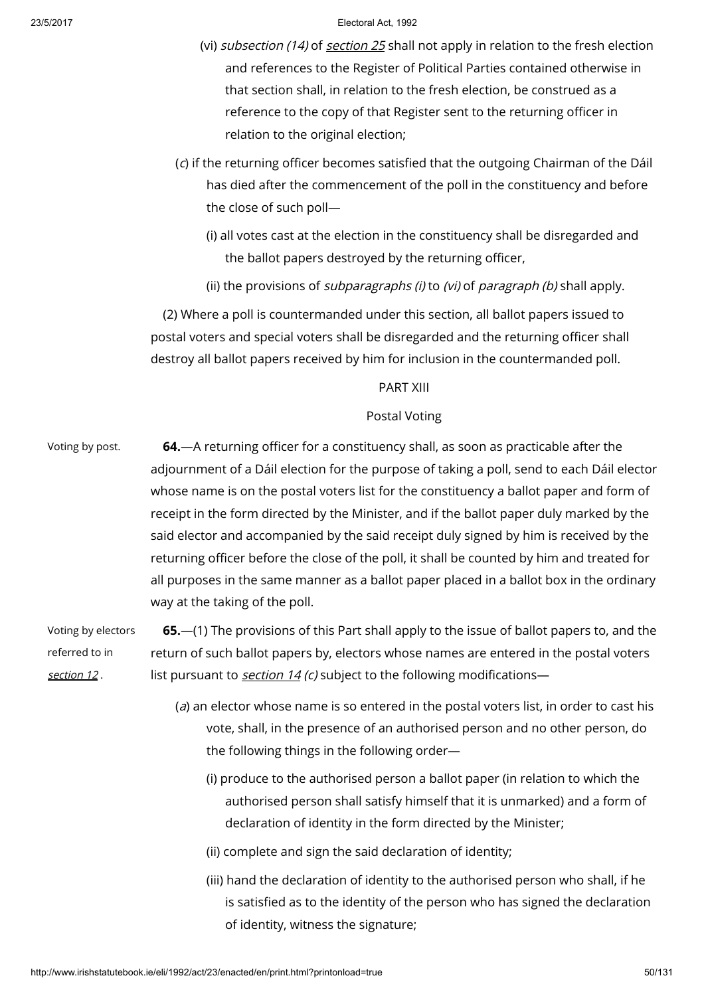- (vi) subsection (14) of [section](http://www.irishstatutebook.ie/1992/en/act/pub/0023/print.html#sec25) 25 shall not apply in relation to the fresh election and references to the Register of Political Parties contained otherwise in that section shall, in relation to the fresh election, be construed as a reference to the copy of that Register sent to the returning officer in relation to the original election;
- (c) if the returning officer becomes satisfied that the outgoing Chairman of the Dáil has died after the commencement of the poll in the constituency and before the close of such poll—
	- (i) all votes cast at the election in the constituency shall be disregarded and the ballot papers destroyed by the returning officer,
	- (ii) the provisions of *subparagraphs* (*i*) to (*vi*) of *paragraph* (*b*) shall apply.

(2) Where a poll is countermanded under this section, all ballot papers issued to postal voters and special voters shall be disregarded and the returning officer shall destroy all ballot papers received by him for inclusion in the countermanded poll.

## PART XIII

# Postal Voting

Voting by post. 64.—A returning officer for a constituency shall, as soon as practicable after the adjournment of a Dáil election for the purpose of taking a poll, send to each Dáil elector whose name is on the postal voters list for the constituency a ballot paper and form of receipt in the form directed by the Minister, and if the ballot paper duly marked by the said elector and accompanied by the said receipt duly signed by him is received by the returning officer before the close of the poll, it shall be counted by him and treated for all purposes in the same manner as a ballot paper placed in a ballot box in the ordinary way at the taking of the poll.

Voting by electors referred to in [section](http://www.irishstatutebook.ie/1992/en/act/pub/0023/print.html#sec12) 12 . 65.—(1) The provisions of this Part shall apply to the issue of ballot papers to, and the return of such ballot papers by, electors whose names are entered in the postal voters list pursuant to *[section](http://www.irishstatutebook.ie/1992/en/act/pub/0023/print.html#sec14) 14 (c)* subject to the following modifications—

- (a) an elector whose name is so entered in the postal voters list, in order to cast his vote, shall, in the presence of an authorised person and no other person, do the following things in the following order—
	- (i) produce to the authorised person a ballot paper (in relation to which the authorised person shall satisfy himself that it is unmarked) and a form of declaration of identity in the form directed by the Minister;
	- (ii) complete and sign the said declaration of identity;
	- (iii) hand the declaration of identity to the authorised person who shall, if he is satisfied as to the identity of the person who has signed the declaration of identity, witness the signature;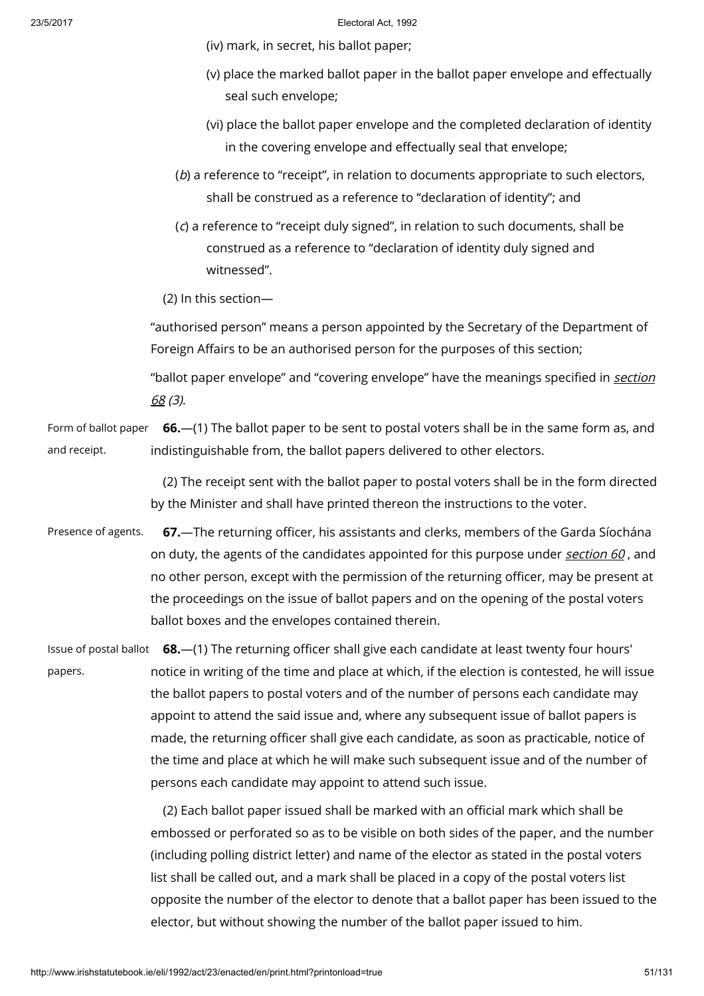(iv) mark, in secret, his ballot paper;

- (v) place the marked ballot paper in the ballot paper envelope and effectually seal such envelope;
- (vi) place the ballot paper envelope and the completed declaration of identity in the covering envelope and effectually seal that envelope;
- (b) a reference to "receipt", in relation to documents appropriate to such electors, shall be construed as a reference to "declaration of identity"; and
- (c) a reference to "receipt duly signed", in relation to such documents, shall be construed as a reference to "declaration of identity duly signed and witnessed".

(2) In this section—

"authorised person" means a person appointed by the Secretary of the Department of Foreign Affairs to be an authorised person for the purposes of this section;

"ballot paper [envelope"](http://www.irishstatutebook.ie/1992/en/act/pub/0023/print.html#sec68) and "covering envelope" have the meanings specified in section 68 (3).

Form of ballot paper and receipt. 66.—(1) The ballot paper to be sent to postal voters shall be in the same form as, and indistinguishable from, the ballot papers delivered to other electors.

> (2) The receipt sent with the ballot paper to postal voters shall be in the form directed by the Minister and shall have printed thereon the instructions to the voter.

Presence of agents. 67.—The returning officer, his assistants and clerks, members of the Garda Síochána on duty, the agents of the candidates appointed for this purpose under [section](http://www.irishstatutebook.ie/1992/en/act/pub/0023/print.html#sec60) 60, and no other person, except with the permission of the returning officer, may be present at the proceedings on the issue of ballot papers and on the opening of the postal voters ballot boxes and the envelopes contained therein.

Issue of postal ballot 68.—(1) The returning officer shall give each candidate at least twenty four hours' papers. notice in writing of the time and place at which, if the election is contested, he will issue the ballot papers to postal voters and of the number of persons each candidate may appoint to attend the said issue and, where any subsequent issue of ballot papers is made, the returning officer shall give each candidate, as soon as practicable, notice of the time and place at which he will make such subsequent issue and of the number of persons each candidate may appoint to attend such issue.

> (2) Each ballot paper issued shall be marked with an official mark which shall be embossed or perforated so as to be visible on both sides of the paper, and the number (including polling district letter) and name of the elector as stated in the postal voters list shall be called out, and a mark shall be placed in a copy of the postal voters list opposite the number of the elector to denote that a ballot paper has been issued to the elector, but without showing the number of the ballot paper issued to him.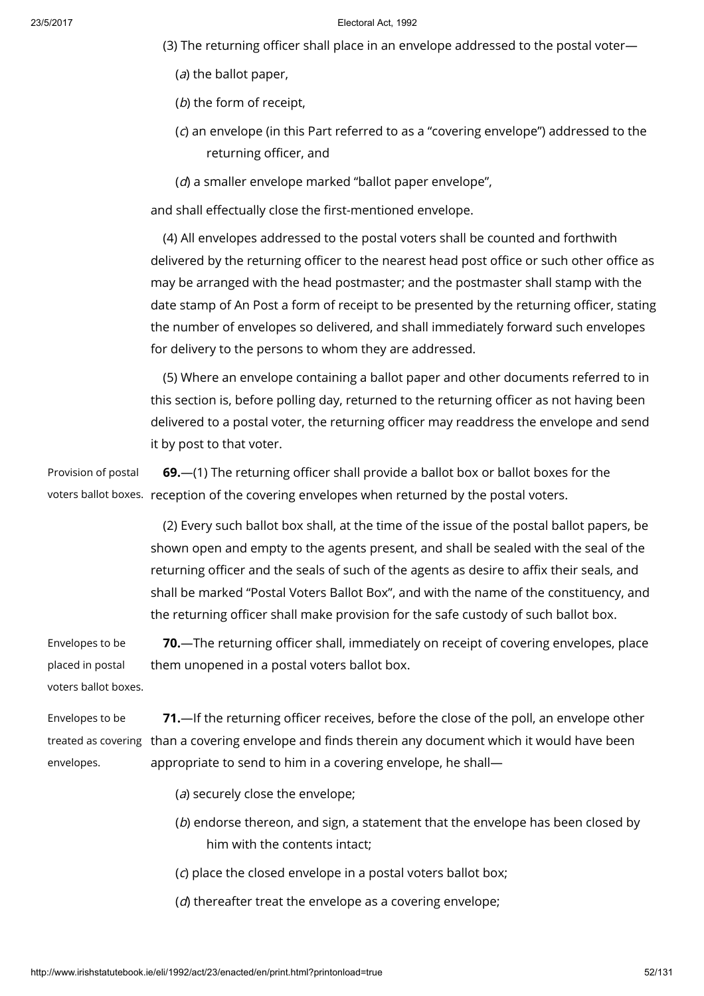- (3) The returning officer shall place in an envelope addressed to the postal voter—
	- (a) the ballot paper,
	- (b) the form of receipt,
	- (c) an envelope (in this Part referred to as a "covering envelope") addressed to the returning officer, and
	- (d) a smaller envelope marked "ballot paper envelope",

and shall effectually close the first-mentioned envelope.

(4) All envelopes addressed to the postal voters shall be counted and forthwith delivered by the returning officer to the nearest head post office or such other office as may be arranged with the head postmaster; and the postmaster shall stamp with the date stamp of An Post a form of receipt to be presented by the returning officer, stating the number of envelopes so delivered, and shall immediately forward such envelopes for delivery to the persons to whom they are addressed.

(5) Where an envelope containing a ballot paper and other documents referred to in this section is, before polling day, returned to the returning officer as not having been delivered to a postal voter, the returning officer may readdress the envelope and send it by post to that voter.

Provision of postal voters ballot boxes. reception of the covering envelopes when returned by the postal voters. 69.—(1) The returning officer shall provide a ballot box or ballot boxes for the

> (2) Every such ballot box shall, at the time of the issue of the postal ballot papers, be shown open and empty to the agents present, and shall be sealed with the seal of the returning officer and the seals of such of the agents as desire to affix their seals, and shall be marked "Postal Voters Ballot Box", and with the name of the constituency, and the returning officer shall make provision for the safe custody of such ballot box.

Envelopes to be placed in postal voters ballot boxes. 70.—The returning officer shall, immediately on receipt of covering envelopes, place them unopened in a postal voters ballot box.

Envelopes to be treated as covering  $\,$  than a covering envelope and finds therein any document which it would have been envelopes. 71.—If the returning officer receives, before the close of the poll, an envelope other appropriate to send to him in a covering envelope, he shall—

- (a) securely close the envelope;
- (b) endorse thereon, and sign, a statement that the envelope has been closed by him with the contents intact;
- (c) place the closed envelope in a postal voters ballot box;
- (d) thereafter treat the envelope as a covering envelope;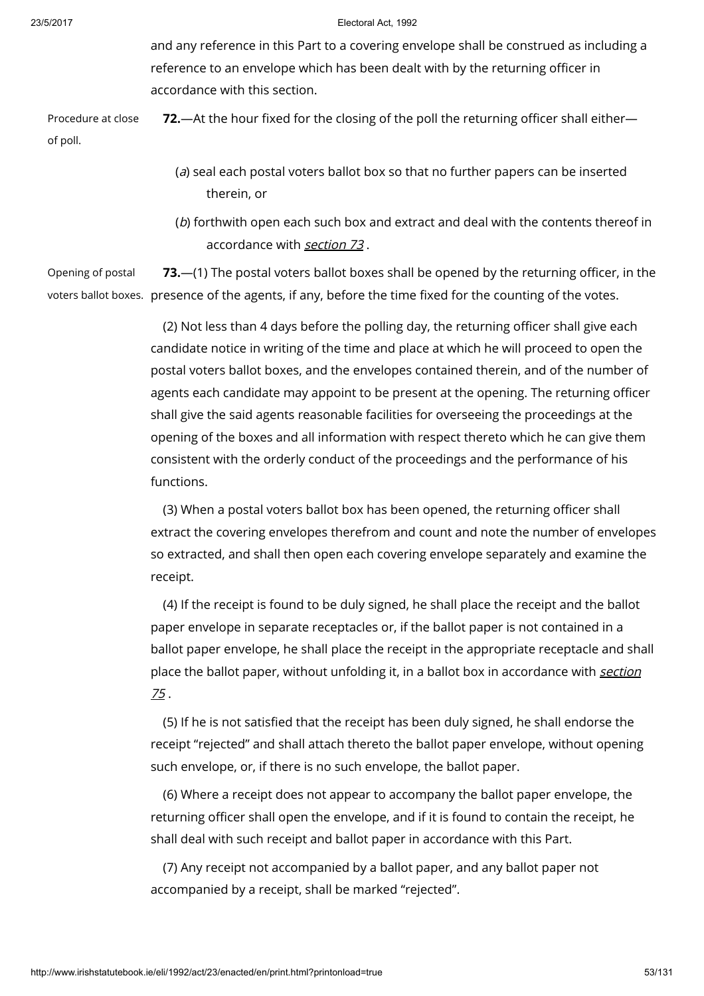and any reference in this Part to a covering envelope shall be construed as including a reference to an envelope which has been dealt with by the returning officer in accordance with this section.

Procedure at close of poll. 72.—At the hour fixed for the closing of the poll the returning officer shall either—

- (a) seal each postal voters ballot box so that no further papers can be inserted therein, or
- (b) forthwith open each such box and extract and deal with the contents thereof in accordance with [section](http://www.irishstatutebook.ie/1992/en/act/pub/0023/print.html#sec73) 73 .

Opening of postal voters ballot boxes. presence of the agents, if any, before the time fixed for the counting of the votes. 73.—(1) The postal voters ballot boxes shall be opened by the returning officer, in the

> (2) Not less than 4 days before the polling day, the returning officer shall give each candidate notice in writing of the time and place at which he will proceed to open the postal voters ballot boxes, and the envelopes contained therein, and of the number of agents each candidate may appoint to be present at the opening. The returning officer shall give the said agents reasonable facilities for overseeing the proceedings at the opening of the boxes and all information with respect thereto which he can give them consistent with the orderly conduct of the proceedings and the performance of his functions.

(3) When a postal voters ballot box has been opened, the returning officer shall extract the covering envelopes therefrom and count and note the number of envelopes so extracted, and shall then open each covering envelope separately and examine the receipt.

(4) If the receipt is found to be duly signed, he shall place the receipt and the ballot paper envelope in separate receptacles or, if the ballot paper is not contained in a ballot paper envelope, he shall place the receipt in the appropriate receptacle and shall place the ballot paper, without unfolding it, in a ballot box in [accordance](http://www.irishstatutebook.ie/1992/en/act/pub/0023/print.html#sec75) with section 75 .

(5) If he is not satisfied that the receipt has been duly signed, he shall endorse the receipt "rejected" and shall attach thereto the ballot paper envelope, without opening such envelope, or, if there is no such envelope, the ballot paper.

(6) Where a receipt does not appear to accompany the ballot paper envelope, the returning officer shall open the envelope, and if it is found to contain the receipt, he shall deal with such receipt and ballot paper in accordance with this Part.

(7) Any receipt not accompanied by a ballot paper, and any ballot paper not accompanied by a receipt, shall be marked "rejected".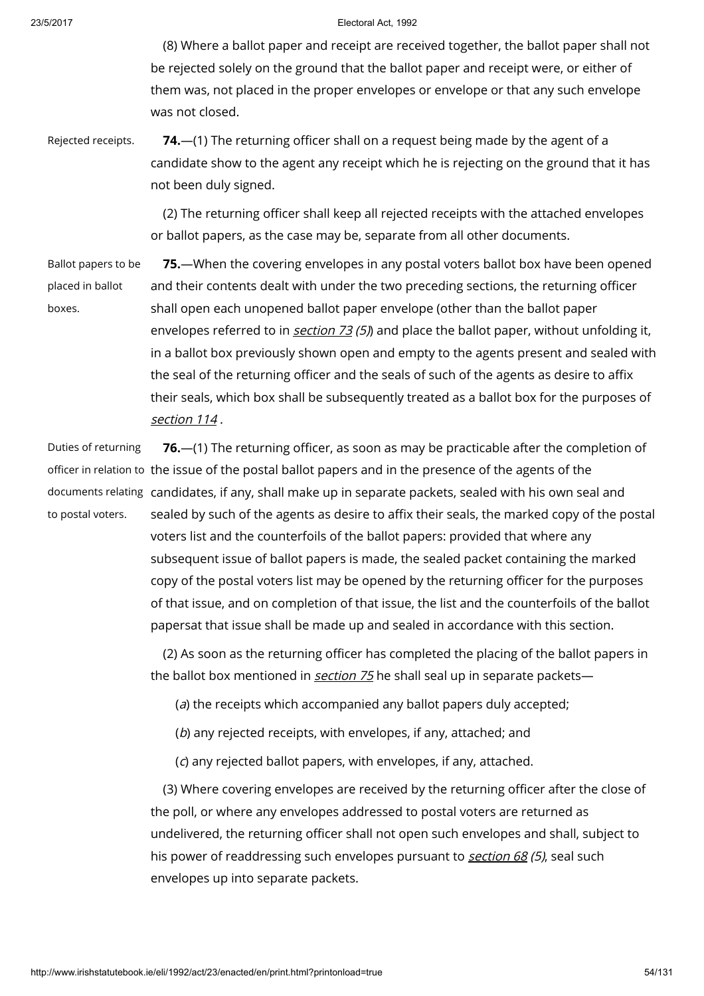(8) Where a ballot paper and receipt are received together, the ballot paper shall not be rejected solely on the ground that the ballot paper and receipt were, or either of them was, not placed in the proper envelopes or envelope or that any such envelope was not closed.

Rejected receipts.  $74.$   $-$ (1) The returning officer shall on a request being made by the agent of a candidate show to the agent any receipt which he is rejecting on the ground that it has not been duly signed.

> (2) The returning officer shall keep all rejected receipts with the attached envelopes or ballot papers, as the case may be, separate from all other documents.

Ballot papers to be placed in ballot boxes.

75.—When the covering envelopes in any postal voters ballot box have been opened and their contents dealt with under the two preceding sections, the returning officer shall open each unopened ballot paper envelope (other than the ballot paper envelopes referred to in *[section](http://www.irishstatutebook.ie/1992/en/act/pub/0023/print.html#sec73) 73 (5)*) and place the ballot paper, without unfolding it, in a ballot box previously shown open and empty to the agents present and sealed with the seal of the returning officer and the seals of such of the agents as desire to affix their seals, which box shall be subsequently treated as a ballot box for the purposes of [section](http://www.irishstatutebook.ie/1992/en/act/pub/0023/print.html#sec114) 114.

Duties of returning to postal voters.

officer in relation to the issue of the postal ballot papers and in the presence of the agents of the documents relating candidates, if any, shall make up in separate packets, sealed with his own seal and 76.—(1) The returning officer, as soon as may be practicable after the completion of sealed by such of the agents as desire to affix their seals, the marked copy of the postal voters list and the counterfoils of the ballot papers: provided that where any subsequent issue of ballot papers is made, the sealed packet containing the marked copy of the postal voters list may be opened by the returning officer for the purposes of that issue, and on completion of that issue, the list and the counterfoils of the ballot papersat that issue shall be made up and sealed in accordance with this section.

> (2) As soon as the returning officer has completed the placing of the ballot papers in the ballot box mentioned in [section](http://www.irishstatutebook.ie/1992/en/act/pub/0023/print.html#sec75) 75 he shall seal up in separate packets-

(a) the receipts which accompanied any ballot papers duly accepted;

(b) any rejected receipts, with envelopes, if any, attached; and

(c) any rejected ballot papers, with envelopes, if any, attached.

(3) Where covering envelopes are received by the returning officer after the close of the poll, or where any envelopes addressed to postal voters are returned as undelivered, the returning officer shall not open such envelopes and shall, subject to his power of readdressing such envelopes pursuant to *[section](http://www.irishstatutebook.ie/1992/en/act/pub/0023/print.html#sec68) 68 (5)*, seal such envelopes up into separate packets.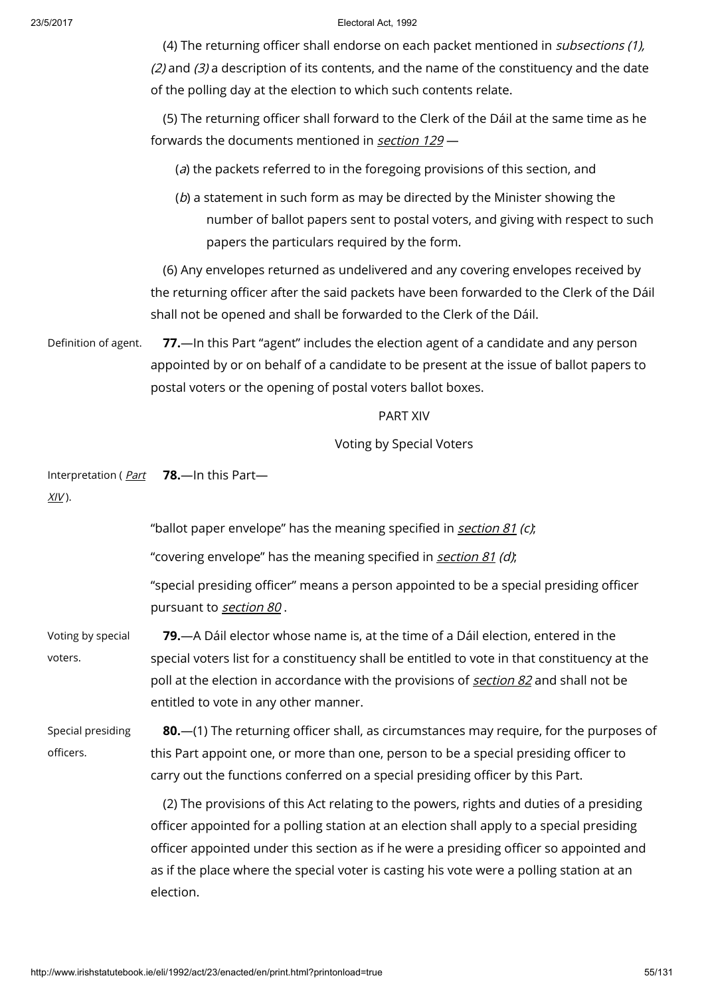(4) The returning officer shall endorse on each packet mentioned in subsections (1), (2) and (3) a description of its contents, and the name of the constituency and the date of the polling day at the election to which such contents relate.

(5) The returning officer shall forward to the Clerk of the Dáil at the same time as he forwards the documents mentioned in [section](http://www.irishstatutebook.ie/1992/en/act/pub/0023/print.html#sec129) 129 —

(a) the packets referred to in the foregoing provisions of this section, and

(b) a statement in such form as may be directed by the Minister showing the number of ballot papers sent to postal voters, and giving with respect to such papers the particulars required by the form.

(6) Any envelopes returned as undelivered and any covering envelopes received by the returning officer after the said packets have been forwarded to the Clerk of the Dáil shall not be opened and shall be forwarded to the Clerk of the Dáil.

Definition of agent. **77.**—In this Part "agent" includes the election agent of a candidate and any person appointed by or on behalf of a candidate to be present at the issue of ballot papers to postal voters or the opening of postal voters ballot boxes.

## PART XIV

## Voting by Special Voters

[Interpretation](http://www.irishstatutebook.ie/1992/en/act/pub/0023/print.html#partxiv) ( <u>Part</u> **78.**—In this Part—

 $XIV$ ).

|                                | "ballot paper envelope" has the meaning specified in section 81 (c),                                                                                                                                                                                                                                                                                                                     |
|--------------------------------|------------------------------------------------------------------------------------------------------------------------------------------------------------------------------------------------------------------------------------------------------------------------------------------------------------------------------------------------------------------------------------------|
|                                | "covering envelope" has the meaning specified in <i>section 81 (d)</i> ;                                                                                                                                                                                                                                                                                                                 |
|                                | "special presiding officer" means a person appointed to be a special presiding officer<br>pursuant to section 80.                                                                                                                                                                                                                                                                        |
| Voting by special<br>voters.   | <b>79.</b> —A Dáil elector whose name is, at the time of a Dáil election, entered in the<br>special voters list for a constituency shall be entitled to vote in that constituency at the<br>poll at the election in accordance with the provisions of section 82 and shall not be<br>entitled to vote in any other manner.                                                               |
| Special presiding<br>officers. | 80.—(1) The returning officer shall, as circumstances may require, for the purposes of<br>this Part appoint one, or more than one, person to be a special presiding officer to<br>carry out the functions conferred on a special presiding officer by this Part.                                                                                                                         |
|                                | (2) The provisions of this Act relating to the powers, rights and duties of a presiding<br>officer appointed for a polling station at an election shall apply to a special presiding<br>officer appointed under this section as if he were a presiding officer so appointed and<br>as if the place where the special voter is casting his vote were a polling station at an<br>election. |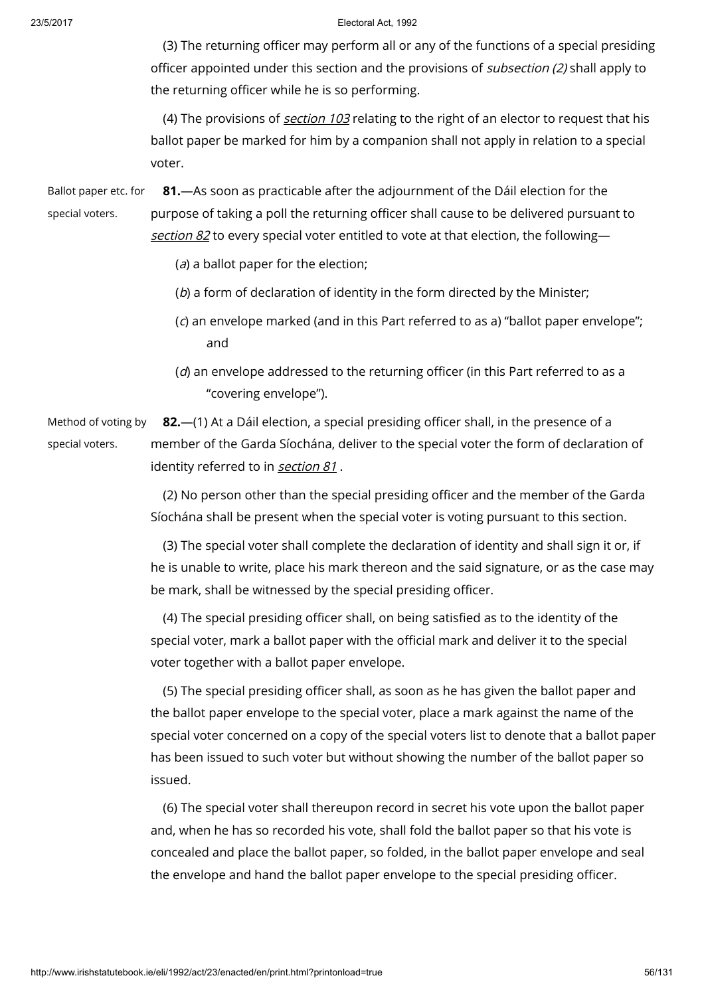(3) The returning officer may perform all or any of the functions of a special presiding officer appointed under this section and the provisions of *subsection (2)* shall apply to the returning officer while he is so performing.

(4) The provisions of *[section](http://www.irishstatutebook.ie/1992/en/act/pub/0023/print.html#sec103) 103* relating to the right of an elector to request that his ballot paper be marked for him by a companion shall not apply in relation to a special voter.

Ballot paper etc. for special voters. 81.—As soon as practicable after the adjournment of the Dáil election for the purpose of taking a poll the returning officer shall cause to be delivered pursuant to [section](http://www.irishstatutebook.ie/1992/en/act/pub/0023/print.html#sec82)  $82$  to every special voter entitled to vote at that election, the following-

- $(a)$  a ballot paper for the election;
- (b) a form of declaration of identity in the form directed by the Minister;
- (c) an envelope marked (and in this Part referred to as a) "ballot paper envelope"; and
- (d) an envelope addressed to the returning officer (in this Part referred to as a "covering envelope").

Method of voting by special voters. 82.—(1) At a Dáil election, a special presiding officer shall, in the presence of a member of the Garda Síochána, deliver to the special voter the form of declaration of identity referred to in [section](http://www.irishstatutebook.ie/1992/en/act/pub/0023/print.html#sec81) 81.

> (2) No person other than the special presiding officer and the member of the Garda Síochána shall be present when the special voter is voting pursuant to this section.

(3) The special voter shall complete the declaration of identity and shall sign it or, if he is unable to write, place his mark thereon and the said signature, or as the case may be mark, shall be witnessed by the special presiding officer.

(4) The special presiding officer shall, on being satisfied as to the identity of the special voter, mark a ballot paper with the official mark and deliver it to the special voter together with a ballot paper envelope.

(5) The special presiding officer shall, as soon as he has given the ballot paper and the ballot paper envelope to the special voter, place a mark against the name of the special voter concerned on a copy of the special voters list to denote that a ballot paper has been issued to such voter but without showing the number of the ballot paper so issued.

(6) The special voter shall thereupon record in secret his vote upon the ballot paper and, when he has so recorded his vote, shall fold the ballot paper so that his vote is concealed and place the ballot paper, so folded, in the ballot paper envelope and seal the envelope and hand the ballot paper envelope to the special presiding officer.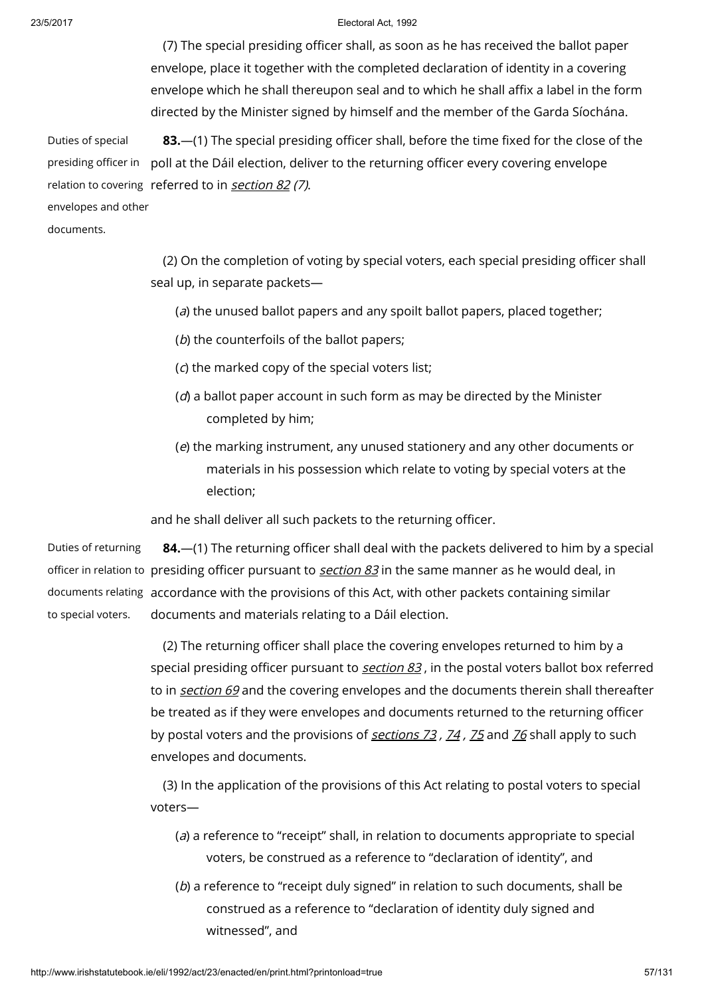(7) The special presiding officer shall, as soon as he has received the ballot paper envelope, place it together with the completed declaration of identity in a covering envelope which he shall thereupon seal and to which he shall affix a label in the form directed by the Minister signed by himself and the member of the Garda Síochána.

Duties of special presiding officer in poll at the Dáil election, deliver to the returning officer every covering envelope relation to covering referred to in **[section](http://www.irishstatutebook.ie/1992/en/act/pub/0023/print.html#sec82) 82** (7). 83.—(1) The special presiding officer shall, before the time fixed for the close of the

envelopes and other

documents.

(2) On the completion of voting by special voters, each special presiding officer shall seal up, in separate packets—

(a) the unused ballot papers and any spoilt ballot papers, placed together;

- (b) the counterfoils of the ballot papers;
- (c) the marked copy of the special voters list;
- $(d)$  a ballot paper account in such form as may be directed by the Minister completed by him;
- (e) the marking instrument, any unused stationery and any other documents or materials in his possession which relate to voting by special voters at the election;

and he shall deliver all such packets to the returning officer.

Duties of returning officer in relation to presiding officer pursuant to <u>*[section](http://www.irishstatutebook.ie/1992/en/act/pub/0023/print.html#sec83) 83*</u> in the same manner as he would deal, in documents relating accordance with the provisions of this Act, with other packets containing similar to special voters. 84.—(1) The returning officer shall deal with the packets delivered to him by a special documents and materials relating to a Dáil election.

> (2) The returning officer shall place the covering envelopes returned to him by a special presiding officer pursuant to *[section](http://www.irishstatutebook.ie/1992/en/act/pub/0023/print.html#sec83) 83*, in the postal voters ballot box referred to in [section](http://www.irishstatutebook.ie/1992/en/act/pub/0023/print.html#sec69) 69 and the covering envelopes and the documents therein shall thereafter be treated as if they were envelopes and documents returned to the returning officer by postal voters and the provisions of [sections](http://www.irishstatutebook.ie/1992/en/act/pub/0023/print.html#sec73)  $73$ ,  $74$ ,  $75$  and  $76$  shall apply to such envelopes and documents.

(3) In the application of the provisions of this Act relating to postal voters to special voters—

- (a) a reference to "receipt" shall, in relation to documents appropriate to special voters, be construed as a reference to "declaration of identity", and
- (b) a reference to "receipt duly signed" in relation to such documents, shall be construed as a reference to "declaration of identity duly signed and witnessed", and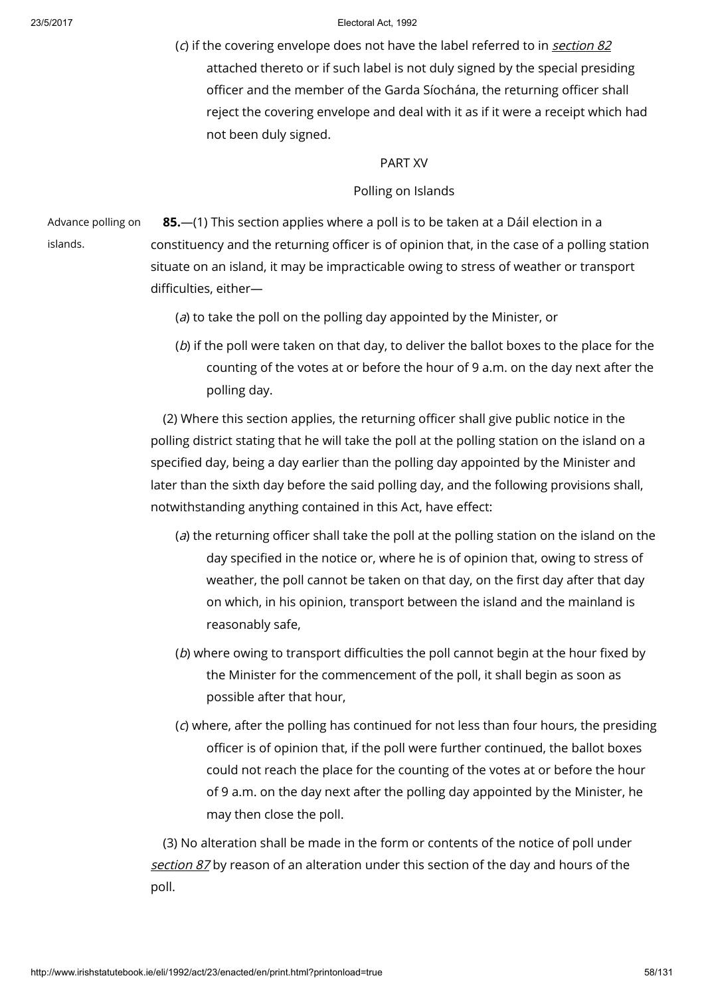(c) if the covering envelope does not have the label referred to in [section](http://www.irishstatutebook.ie/1992/en/act/pub/0023/print.html#sec82) 82 attached thereto or if such label is not duly signed by the special presiding officer and the member of the Garda Síochána, the returning officer shall reject the covering envelope and deal with it as if it were a receipt which had not been duly signed.

## PART XV

# Polling on Islands

Advance polling on islands.

85.—(1) This section applies where a poll is to be taken at a Dáil election in a constituency and the returning officer is of opinion that, in the case of a polling station situate on an island, it may be impracticable owing to stress of weather or transport difficulties, either—

- (a) to take the poll on the polling day appointed by the Minister, or
- (b) if the poll were taken on that day, to deliver the ballot boxes to the place for the counting of the votes at or before the hour of 9 a.m. on the day next after the polling day.

(2) Where this section applies, the returning officer shall give public notice in the polling district stating that he will take the poll at the polling station on the island on a specified day, being a day earlier than the polling day appointed by the Minister and later than the sixth day before the said polling day, and the following provisions shall, notwithstanding anything contained in this Act, have effect:

- (a) the returning officer shall take the poll at the polling station on the island on the day specified in the notice or, where he is of opinion that, owing to stress of weather, the poll cannot be taken on that day, on the first day after that day on which, in his opinion, transport between the island and the mainland is reasonably safe,
- (b) where owing to transport difficulties the poll cannot begin at the hour fixed by the Minister for the commencement of the poll, it shall begin as soon as possible after that hour,
- (c) where, after the polling has continued for not less than four hours, the presiding officer is of opinion that, if the poll were further continued, the ballot boxes could not reach the place for the counting of the votes at or before the hour of 9 a.m. on the day next after the polling day appointed by the Minister, he may then close the poll.

(3) No alteration shall be made in the form or contents of the notice of poll under [section](http://www.irishstatutebook.ie/1992/en/act/pub/0023/print.html#sec87) 87 by reason of an alteration under this section of the day and hours of the poll.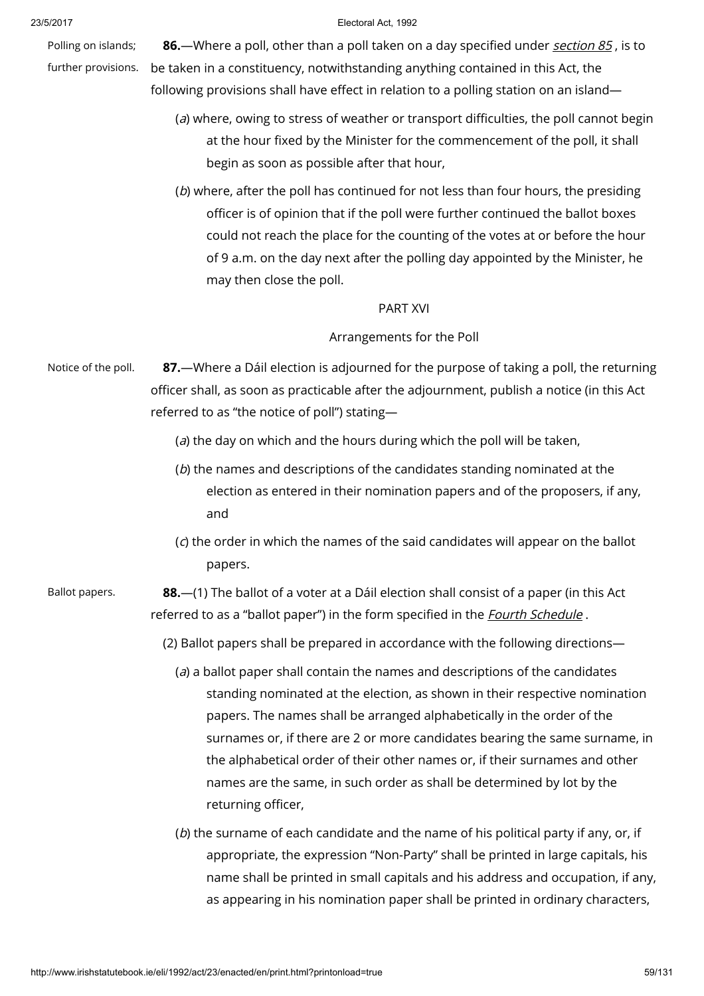Polling on islands; further provisions.

#### 23/5/2017 Electoral Act, 1992

86.—Where a poll, other than a poll taken on a day specified under *[section](http://www.irishstatutebook.ie/1992/en/act/pub/0023/print.html#sec85) 85*, is to be taken in a constituency, notwithstanding anything contained in this Act, the following provisions shall have effect in relation to a polling station on an island—

- (a) where, owing to stress of weather or transport difficulties, the poll cannot begin at the hour fixed by the Minister for the commencement of the poll, it shall begin as soon as possible after that hour,
- (b) where, after the poll has continued for not less than four hours, the presiding officer is of opinion that if the poll were further continued the ballot boxes could not reach the place for the counting of the votes at or before the hour of 9 a.m. on the day next after the polling day appointed by the Minister, he may then close the poll.

## PART XVI

# Arrangements for the Poll

Notice of the poll. 87.—Where a Dáil election is adjourned for the purpose of taking a poll, the returning officer shall, as soon as practicable after the adjournment, publish a notice (in this Act referred to as "the notice of poll") stating—

- ( $a$ ) the day on which and the hours during which the poll will be taken,
- (b) the names and descriptions of the candidates standing nominated at the election as entered in their nomination papers and of the proposers, if any, and
- (c) the order in which the names of the said candidates will appear on the ballot papers.

Ballot papers. **88.**—(1) The ballot of a voter at a Dáil election shall consist of a paper (in this Act referred to as a "ballot paper") in the form specified in the *Fourth [Schedule](http://www.irishstatutebook.ie/1992/en/act/pub/0023/print.html#sched4)*.

(2) Ballot papers shall be prepared in accordance with the following directions—

- (a) a ballot paper shall contain the names and descriptions of the candidates standing nominated at the election, as shown in their respective nomination papers. The names shall be arranged alphabetically in the order of the surnames or, if there are 2 or more candidates bearing the same surname, in the alphabetical order of their other names or, if their surnames and other names are the same, in such order as shall be determined by lot by the returning officer,
- (b) the surname of each candidate and the name of his political party if any, or, if appropriate, the expression "Non-Party" shall be printed in large capitals, his name shall be printed in small capitals and his address and occupation, if any, as appearing in his nomination paper shall be printed in ordinary characters,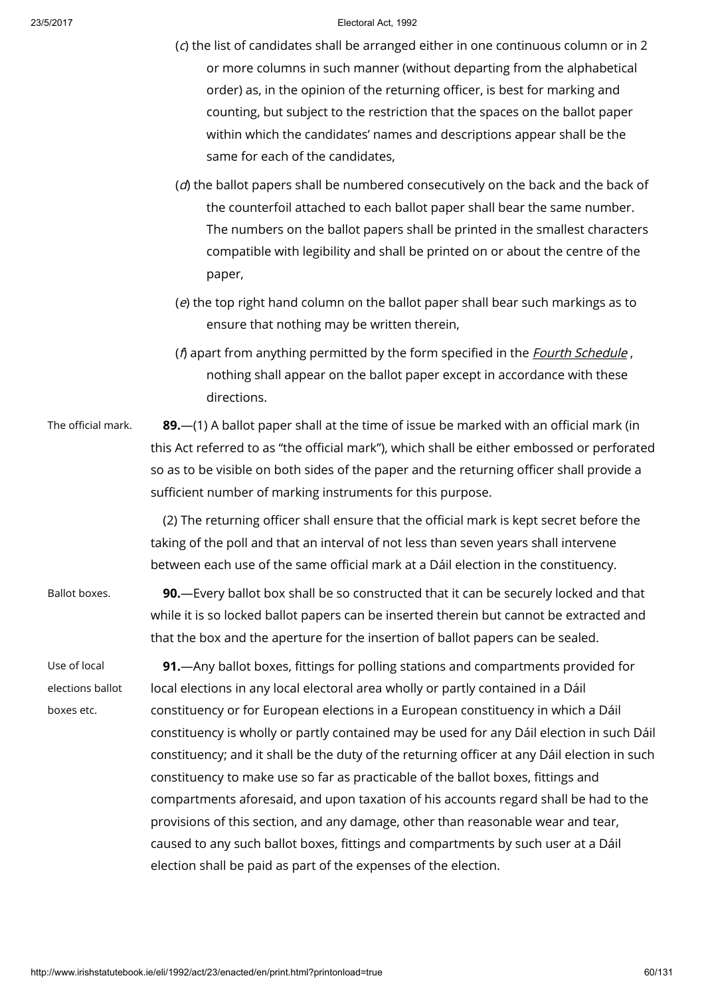|                                                | (c) the list of candidates shall be arranged either in one continuous column or in 2<br>or more columns in such manner (without departing from the alphabetical<br>order) as, in the opinion of the returning officer, is best for marking and<br>counting, but subject to the restriction that the spaces on the ballot paper<br>within which the candidates' names and descriptions appear shall be the<br>same for each of the candidates,                                                                                                                                                                                                                                                                                                                                                                |
|------------------------------------------------|--------------------------------------------------------------------------------------------------------------------------------------------------------------------------------------------------------------------------------------------------------------------------------------------------------------------------------------------------------------------------------------------------------------------------------------------------------------------------------------------------------------------------------------------------------------------------------------------------------------------------------------------------------------------------------------------------------------------------------------------------------------------------------------------------------------|
|                                                | (d) the ballot papers shall be numbered consecutively on the back and the back of<br>the counterfoil attached to each ballot paper shall bear the same number.<br>The numbers on the ballot papers shall be printed in the smallest characters<br>compatible with legibility and shall be printed on or about the centre of the<br>paper,                                                                                                                                                                                                                                                                                                                                                                                                                                                                    |
|                                                | (e) the top right hand column on the ballot paper shall bear such markings as to<br>ensure that nothing may be written therein,                                                                                                                                                                                                                                                                                                                                                                                                                                                                                                                                                                                                                                                                              |
|                                                | (f) apart from anything permitted by the form specified in the <i>Fourth Schedule</i> ,<br>nothing shall appear on the ballot paper except in accordance with these<br>directions.                                                                                                                                                                                                                                                                                                                                                                                                                                                                                                                                                                                                                           |
| The official mark.                             | 89. - (1) A ballot paper shall at the time of issue be marked with an official mark (in<br>this Act referred to as "the official mark"), which shall be either embossed or perforated<br>so as to be visible on both sides of the paper and the returning officer shall provide a<br>sufficient number of marking instruments for this purpose.                                                                                                                                                                                                                                                                                                                                                                                                                                                              |
|                                                | (2) The returning officer shall ensure that the official mark is kept secret before the<br>taking of the poll and that an interval of not less than seven years shall intervene<br>between each use of the same official mark at a Dáil election in the constituency.                                                                                                                                                                                                                                                                                                                                                                                                                                                                                                                                        |
| Ballot boxes.                                  | 90. - Every ballot box shall be so constructed that it can be securely locked and that<br>while it is so locked ballot papers can be inserted therein but cannot be extracted and<br>that the box and the aperture for the insertion of ballot papers can be sealed.                                                                                                                                                                                                                                                                                                                                                                                                                                                                                                                                         |
| Use of local<br>elections ballot<br>boxes etc. | 91. Any ballot boxes, fittings for polling stations and compartments provided for<br>local elections in any local electoral area wholly or partly contained in a Dáil<br>constituency or for European elections in a European constituency in which a Dáil<br>constituency is wholly or partly contained may be used for any Dáil election in such Dáil<br>constituency; and it shall be the duty of the returning officer at any Dáil election in such<br>constituency to make use so far as practicable of the ballot boxes, fittings and<br>compartments aforesaid, and upon taxation of his accounts regard shall be had to the<br>provisions of this section, and any damage, other than reasonable wear and tear,<br>caused to any such ballot boxes, fittings and compartments by such user at a Dáil |
|                                                | election shall be paid as part of the expenses of the election.                                                                                                                                                                                                                                                                                                                                                                                                                                                                                                                                                                                                                                                                                                                                              |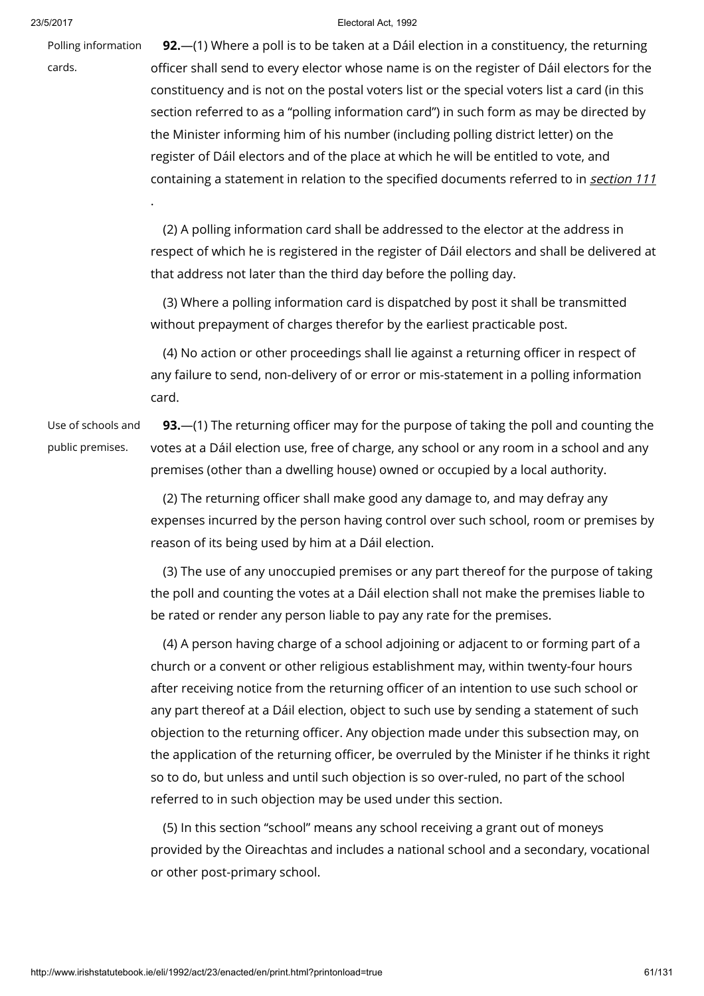Polling information

.

cards.

23/5/2017 Electoral Act, 1992

**92.**—(1) Where a poll is to be taken at a Dáil election in a constituency, the returning officer shall send to every elector whose name is on the register of Dáil electors for the constituency and is not on the postal voters list or the special voters list a card (in this section referred to as a "polling information card") in such form as may be directed by the Minister informing him of his number (including polling district letter) on the register of Dáil electors and of the place at which he will be entitled to vote, and containing a statement in relation to the specified documents referred to in [section](http://www.irishstatutebook.ie/1992/en/act/pub/0023/print.html#sec111) 111

(2) A polling information card shall be addressed to the elector at the address in respect of which he is registered in the register of Dáil electors and shall be delivered at that address not later than the third day before the polling day.

(3) Where a polling information card is dispatched by post it shall be transmitted without prepayment of charges therefor by the earliest practicable post.

(4) No action or other proceedings shall lie against a returning officer in respect of any failure to send, non-delivery of or error or mis-statement in a polling information card.

Use of schools and public premises.

93.—(1) The returning officer may for the purpose of taking the poll and counting the votes at a Dáil election use, free of charge, any school or any room in a school and any premises (other than a dwelling house) owned or occupied by a local authority.

(2) The returning officer shall make good any damage to, and may defray any expenses incurred by the person having control over such school, room or premises by reason of its being used by him at a Dáil election.

(3) The use of any unoccupied premises or any part thereof for the purpose of taking the poll and counting the votes at a Dáil election shall not make the premises liable to be rated or render any person liable to pay any rate for the premises.

(4) A person having charge of a school adjoining or adjacent to or forming part of a church or a convent or other religious establishment may, within twenty-four hours after receiving notice from the returning officer of an intention to use such school or any part thereof at a Dáil election, object to such use by sending a statement of such objection to the returning officer. Any objection made under this subsection may, on the application of the returning officer, be overruled by the Minister if he thinks it right so to do, but unless and until such objection is so over-ruled, no part of the school referred to in such objection may be used under this section.

(5) In this section "school" means any school receiving a grant out of moneys provided by the Oireachtas and includes a national school and a secondary, vocational or other post-primary school.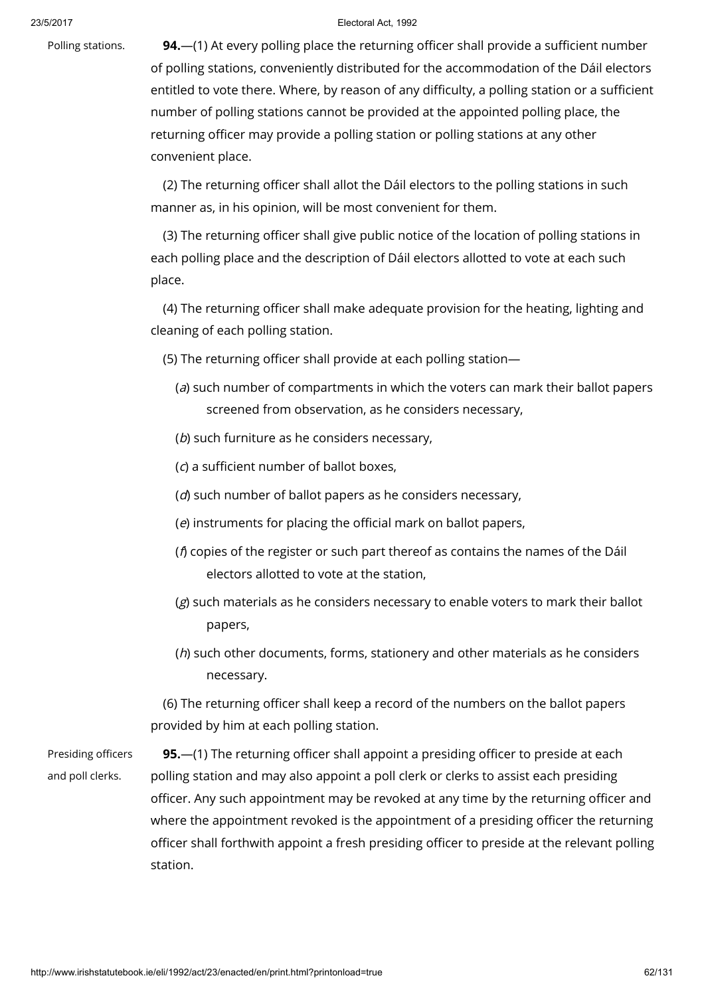Polling stations. 94.—(1) At every polling place the returning officer shall provide a sufficient number of polling stations, conveniently distributed for the accommodation of the Dáil electors entitled to vote there. Where, by reason of any difficulty, a polling station or a sufficient number of polling stations cannot be provided at the appointed polling place, the returning officer may provide a polling station or polling stations at any other convenient place.

> (2) The returning officer shall allot the Dáil electors to the polling stations in such manner as, in his opinion, will be most convenient for them.

(3) The returning officer shall give public notice of the location of polling stations in each polling place and the description of Dáil electors allotted to vote at each such place.

(4) The returning officer shall make adequate provision for the heating, lighting and cleaning of each polling station.

(5) The returning officer shall provide at each polling station—

- (a) such number of compartments in which the voters can mark their ballot papers screened from observation, as he considers necessary,
- (b) such furniture as he considers necessary,
- (c) a sufficient number of ballot boxes,
- (d) such number of ballot papers as he considers necessary,
- (e) instruments for placing the official mark on ballot papers,
- ( $\beta$  copies of the register or such part thereof as contains the names of the Dáil electors allotted to vote at the station,
- (g) such materials as he considers necessary to enable voters to mark their ballot papers,
- (h) such other documents, forms, stationery and other materials as he considers necessary.

(6) The returning officer shall keep a record of the numbers on the ballot papers provided by him at each polling station.

Presiding officers and poll clerks.

95.—(1) The returning officer shall appoint a presiding officer to preside at each polling station and may also appoint a poll clerk or clerks to assist each presiding officer. Any such appointment may be revoked at any time by the returning officer and where the appointment revoked is the appointment of a presiding officer the returning officer shall forthwith appoint a fresh presiding officer to preside at the relevant polling station.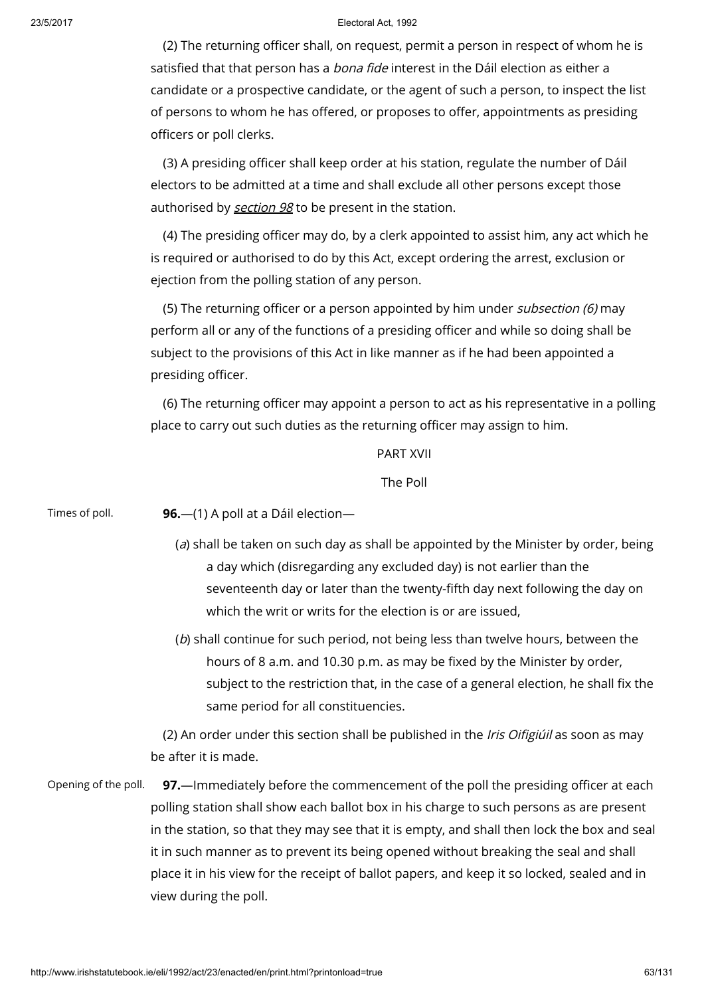(2) The returning officer shall, on request, permit a person in respect of whom he is satisfied that that person has a bona fide interest in the Dáil election as either a candidate or a prospective candidate, or the agent of such a person, to inspect the list of persons to whom he has offered, or proposes to offer, appointments as presiding officers or poll clerks.

(3) A presiding officer shall keep order at his station, regulate the number of Dáil electors to be admitted at a time and shall exclude all other persons except those authorised by [section](http://www.irishstatutebook.ie/1992/en/act/pub/0023/print.html#sec98) 98 to be present in the station.

(4) The presiding officer may do, by a clerk appointed to assist him, any act which he is required or authorised to do by this Act, except ordering the arrest, exclusion or ejection from the polling station of any person.

(5) The returning officer or a person appointed by him under subsection (6) may perform all or any of the functions of a presiding officer and while so doing shall be subject to the provisions of this Act in like manner as if he had been appointed a presiding officer.

(6) The returning officer may appoint a person to act as his representative in a polling place to carry out such duties as the returning officer may assign to him.

## PART XVII

The Poll

Times of poll.  $96.-(1)$  A poll at a Dáil election-

- (a) shall be taken on such day as shall be appointed by the Minister by order, being a day which (disregarding any excluded day) is not earlier than the seventeenth day or later than the twenty-fifth day next following the day on which the writ or writs for the election is or are issued,
- (b) shall continue for such period, not being less than twelve hours, between the hours of 8 a.m. and 10.30 p.m. as may be fixed by the Minister by order, subject to the restriction that, in the case of a general election, he shall fix the same period for all constituencies.

(2) An order under this section shall be published in the *Iris Oifigiúil* as soon as may be after it is made.

Opening of the poll. 97.—Immediately before the commencement of the poll the presiding officer at each polling station shall show each ballot box in his charge to such persons as are present in the station, so that they may see that it is empty, and shall then lock the box and seal it in such manner as to prevent its being opened without breaking the seal and shall place it in his view for the receipt of ballot papers, and keep it so locked, sealed and in view during the poll.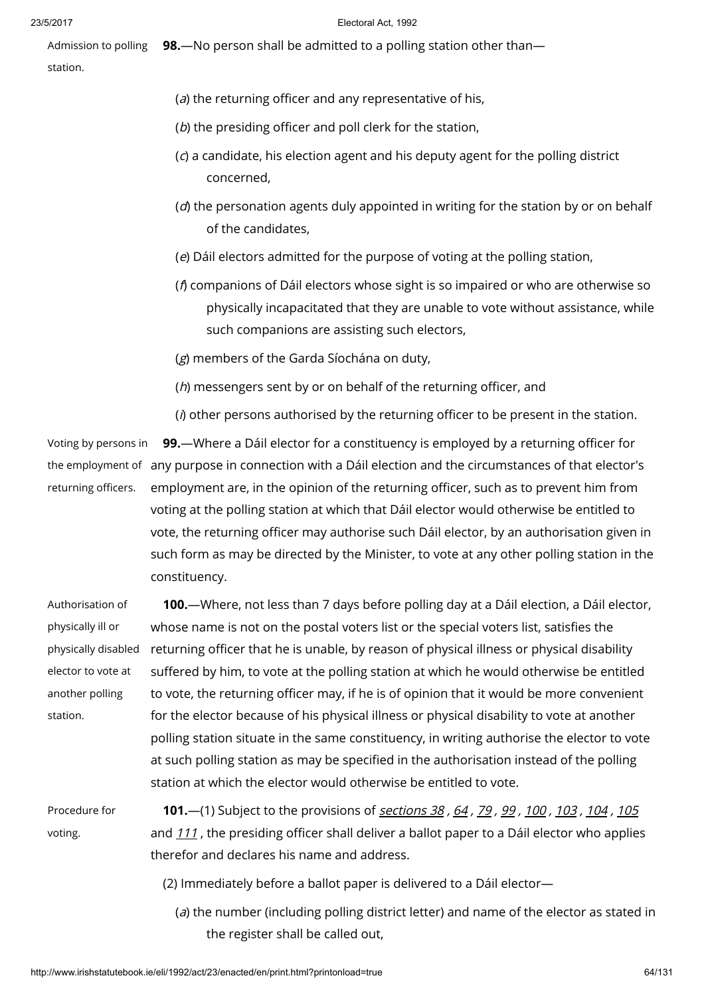Admission to polling station. 98.—No person shall be admitted to a polling station other than—

- ( $a$ ) the returning officer and any representative of his,
- (b) the presiding officer and poll clerk for the station,
- (c) a candidate, his election agent and his deputy agent for the polling district concerned,
- $(d)$  the personation agents duly appointed in writing for the station by or on behalf of the candidates,
- (e) Dáil electors admitted for the purpose of voting at the polling station,
- (f) companions of Dáil electors whose sight is so impaired or who are otherwise so physically incapacitated that they are unable to vote without assistance, while such companions are assisting such electors,

(g) members of the Garda Síochána on duty,

(h) messengers sent by or on behalf of the returning officer, and

 $(i)$  other persons authorised by the returning officer to be present in the station.

Voting by persons in the employment of any purpose in connection with a Dáil election and the circumstances of that elector's returning officers. 99.—Where a Dáil elector for a constituency is employed by a returning officer for employment are, in the opinion of the returning officer, such as to prevent him from voting at the polling station at which that Dáil elector would otherwise be entitled to vote, the returning officer may authorise such Dáil elector, by an authorisation given in such form as may be directed by the Minister, to vote at any other polling station in the constituency.

| Authorisation of    | <b>100.</b> —Where, not less than 7 days before polling day at a Dáil election, a Dáil elector, |
|---------------------|-------------------------------------------------------------------------------------------------|
| physically ill or   | whose name is not on the postal voters list or the special voters list, satisfies the           |
| physically disabled | returning officer that he is unable, by reason of physical illness or physical disability       |
| elector to vote at  | suffered by him, to vote at the polling station at which he would otherwise be entitled         |
| another polling     | to vote, the returning officer may, if he is of opinion that it would be more convenient        |
| station.            | for the elector because of his physical illness or physical disability to vote at another       |
|                     | polling station situate in the same constituency, in writing authorise the elector to vote      |
|                     | at such polling station as may be specified in the authorisation instead of the polling         |
|                     | station at which the elector would otherwise be entitled to vote.                               |
| Procedure for       | 101. - (1) Subject to the provisions of sections 38, 64, 79, 99, 100, 103, 104, 105             |
| voting.             | and 111, the presiding officer shall deliver a ballot paper to a Dáil elector who applies       |
|                     | therefor and declares his name and address.                                                     |
|                     |                                                                                                 |

- (2) Immediately before a ballot paper is delivered to a Dáil elector—
	- (a) the number (including polling district letter) and name of the elector as stated in the register shall be called out,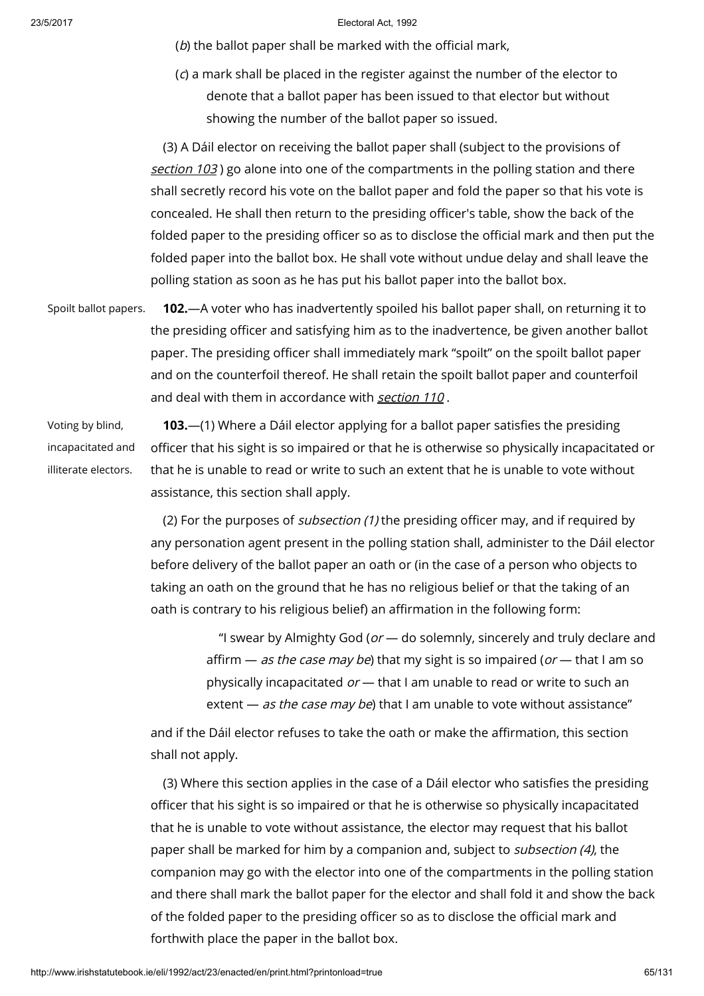(b) the ballot paper shall be marked with the official mark,

(c) a mark shall be placed in the register against the number of the elector to denote that a ballot paper has been issued to that elector but without showing the number of the ballot paper so issued.

(3) A Dáil elector on receiving the ballot paper shall (subject to the provisions of [section](http://www.irishstatutebook.ie/1992/en/act/pub/0023/print.html#sec103) 103) go alone into one of the compartments in the polling station and there shall secretly record his vote on the ballot paper and fold the paper so that his vote is concealed. He shall then return to the presiding officer's table, show the back of the folded paper to the presiding officer so as to disclose the official mark and then put the folded paper into the ballot box. He shall vote without undue delay and shall leave the polling station as soon as he has put his ballot paper into the ballot box.

Spoilt ballot papers. **102.**—A voter who has inadvertently spoiled his ballot paper shall, on returning it to the presiding officer and satisfying him as to the inadvertence, be given another ballot paper. The presiding officer shall immediately mark "spoilt" on the spoilt ballot paper and on the counterfoil thereof. He shall retain the spoilt ballot paper and counterfoil and deal with them in accordance with [section](http://www.irishstatutebook.ie/1992/en/act/pub/0023/print.html#sec110) 110 .

Voting by blind, incapacitated and illiterate electors.

103.—(1) Where a Dáil elector applying for a ballot paper satisfies the presiding officer that his sight is so impaired or that he is otherwise so physically incapacitated or that he is unable to read or write to such an extent that he is unable to vote without assistance, this section shall apply.

(2) For the purposes of *subsection (1)* the presiding officer may, and if required by any personation agent present in the polling station shall, administer to the Dáil elector before delivery of the ballot paper an oath or (in the case of a person who objects to taking an oath on the ground that he has no religious belief or that the taking of an oath is contrary to his religious belief) an affirmation in the following form:

> "I swear by Almighty God ( $or$   $-$  do solemnly, sincerely and truly declare and affirm  $-$  as the case may be) that my sight is so impaired (or  $-$  that I am so physically incapacitated  $or$  — that I am unable to read or write to such an extent  $-$  as the case may be) that I am unable to vote without assistance"

and if the Dáil elector refuses to take the oath or make the affirmation, this section shall not apply.

(3) Where this section applies in the case of a Dáil elector who satisfies the presiding officer that his sight is so impaired or that he is otherwise so physically incapacitated that he is unable to vote without assistance, the elector may request that his ballot paper shall be marked for him by a companion and, subject to *subsection (4)*, the companion may go with the elector into one of the compartments in the polling station and there shall mark the ballot paper for the elector and shall fold it and show the back of the folded paper to the presiding officer so as to disclose the official mark and forthwith place the paper in the ballot box.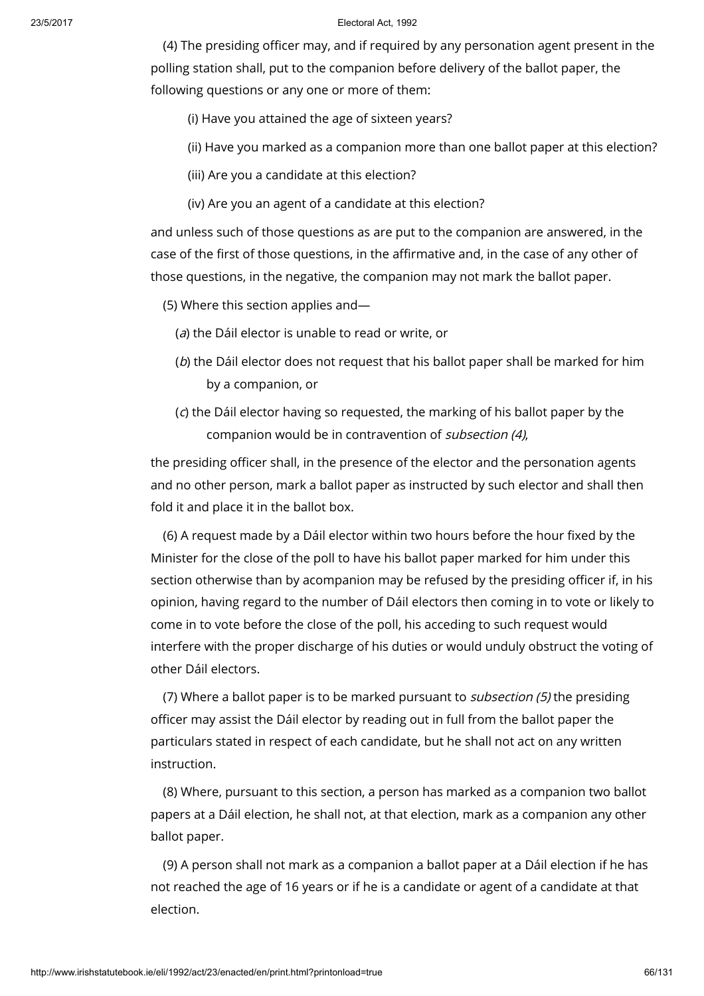(4) The presiding officer may, and if required by any personation agent present in the polling station shall, put to the companion before delivery of the ballot paper, the following questions or any one or more of them:

- (i) Have you attained the age of sixteen years?
- (ii) Have you marked as a companion more than one ballot paper at this election?
- (iii) Are you a candidate at this election?
- (iv) Are you an agent of a candidate at this election?

and unless such of those questions as are put to the companion are answered, in the case of the first of those questions, in the affirmative and, in the case of any other of those questions, in the negative, the companion may not mark the ballot paper.

- (5) Where this section applies and—
	- (a) the Dáil elector is unable to read or write, or
	- (b) the Dáil elector does not request that his ballot paper shall be marked for him by a companion, or
	- (c) the Dáil elector having so requested, the marking of his ballot paper by the companion would be in contravention of subsection (4),

the presiding officer shall, in the presence of the elector and the personation agents and no other person, mark a ballot paper as instructed by such elector and shall then fold it and place it in the ballot box.

(6) A request made by a Dáil elector within two hours before the hour fixed by the Minister for the close of the poll to have his ballot paper marked for him under this section otherwise than by acompanion may be refused by the presiding officer if, in his opinion, having regard to the number of Dáil electors then coming in to vote or likely to come in to vote before the close of the poll, his acceding to such request would interfere with the proper discharge of his duties or would unduly obstruct the voting of other Dáil electors.

(7) Where a ballot paper is to be marked pursuant to subsection (5) the presiding officer may assist the Dáil elector by reading out in full from the ballot paper the particulars stated in respect of each candidate, but he shall not act on any written instruction.

(8) Where, pursuant to this section, a person has marked as a companion two ballot papers at a Dáil election, he shall not, at that election, mark as a companion any other ballot paper.

(9) A person shall not mark as a companion a ballot paper at a Dáil election if he has not reached the age of 16 years or if he is a candidate or agent of a candidate at that election.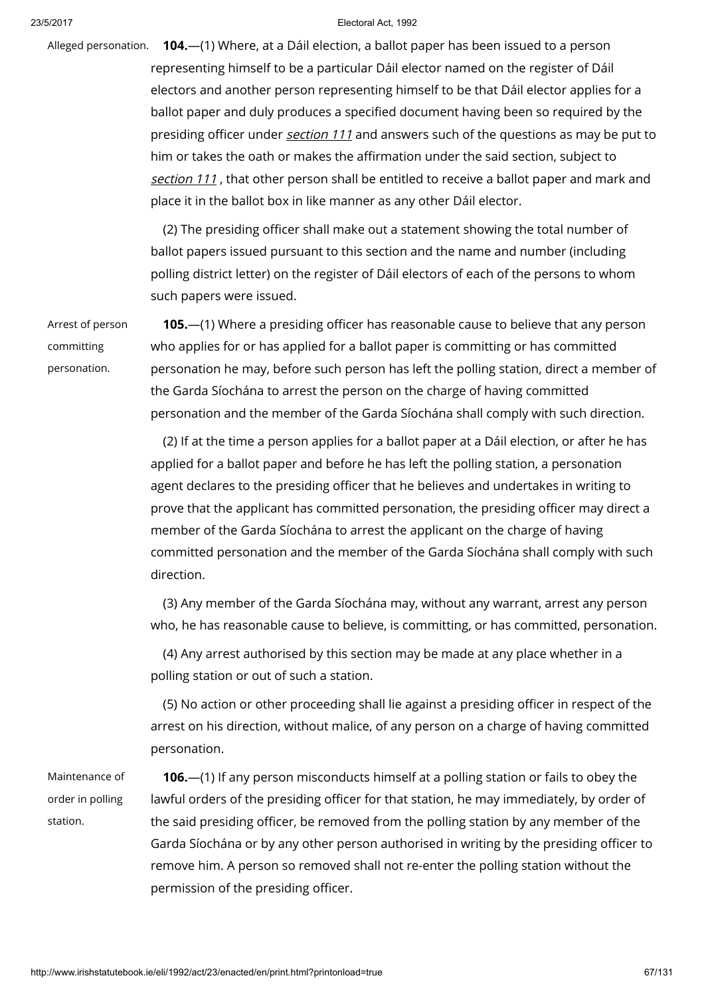Alleged personation. **104.**—(1) Where, at a Dáil election, a ballot paper has been issued to a person representing himself to be a particular Dáil elector named on the register of Dáil electors and another person representing himself to be that Dáil elector applies for a ballot paper and duly produces a specified document having been so required by the presiding officer under *[section](http://www.irishstatutebook.ie/1992/en/act/pub/0023/print.html#sec111) 111* and answers such of the questions as may be put to him or takes the oath or makes the affirmation under the said section, subject to [section](http://www.irishstatutebook.ie/1992/en/act/pub/0023/print.html#sec111) 111, that other person shall be entitled to receive a ballot paper and mark and place it in the ballot box in like manner as any other Dáil elector.

> (2) The presiding officer shall make out a statement showing the total number of ballot papers issued pursuant to this section and the name and number (including polling district letter) on the register of Dáil electors of each of the persons to whom such papers were issued.

Arrest of person committing personation.

105.—(1) Where a presiding officer has reasonable cause to believe that any person who applies for or has applied for a ballot paper is committing or has committed personation he may, before such person has left the polling station, direct a member of the Garda Síochána to arrest the person on the charge of having committed personation and the member of the Garda Síochána shall comply with such direction.

(2) If at the time a person applies for a ballot paper at a Dáil election, or after he has applied for a ballot paper and before he has left the polling station, a personation agent declares to the presiding officer that he believes and undertakes in writing to prove that the applicant has committed personation, the presiding officer may direct a member of the Garda Síochána to arrest the applicant on the charge of having committed personation and the member of the Garda Síochána shall comply with such direction.

(3) Any member of the Garda Síochána may, without any warrant, arrest any person who, he has reasonable cause to believe, is committing, or has committed, personation.

(4) Any arrest authorised by this section may be made at any place whether in a polling station or out of such a station.

(5) No action or other proceeding shall lie against a presiding officer in respect of the arrest on his direction, without malice, of any person on a charge of having committed personation.

Maintenance of order in polling station.

106.—(1) If any person misconducts himself at a polling station or fails to obey the lawful orders of the presiding officer for that station, he may immediately, by order of the said presiding officer, be removed from the polling station by any member of the Garda Síochána or by any other person authorised in writing by the presiding officer to remove him. A person so removed shall not re-enter the polling station without the permission of the presiding officer.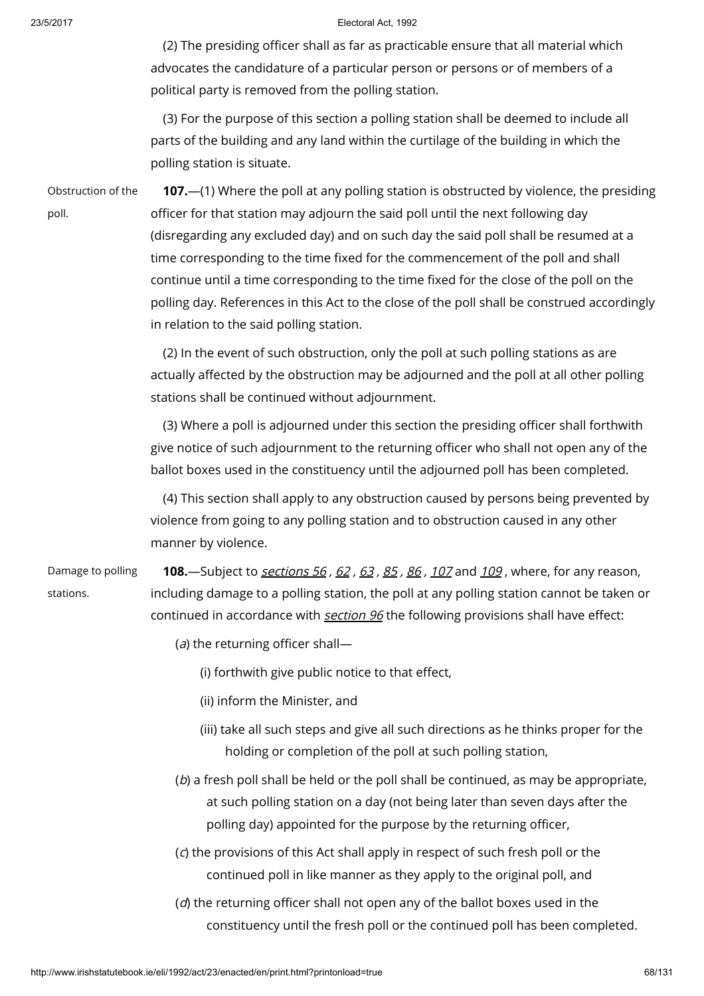(2) The presiding officer shall as far as practicable ensure that all material which advocates the candidature of a particular person or persons or of members of a political party is removed from the polling station.

(3) For the purpose of this section a polling station shall be deemed to include all parts of the building and any land within the curtilage of the building in which the polling station is situate.

Obstruction of the poll.

107.—(1) Where the poll at any polling station is obstructed by violence, the presiding officer for that station may adjourn the said poll until the next following day (disregarding any excluded day) and on such day the said poll shall be resumed at a time corresponding to the time fixed for the commencement of the poll and shall continue until a time corresponding to the time fixed for the close of the poll on the polling day. References in this Act to the close of the poll shall be construed accordingly in relation to the said polling station.

(2) In the event of such obstruction, only the poll at such polling stations as are actually affected by the obstruction may be adjourned and the poll at all other polling stations shall be continued without adjournment.

(3) Where a poll is adjourned under this section the presiding officer shall forthwith give notice of such adjournment to the returning officer who shall not open any of the ballot boxes used in the constituency until the adjourned poll has been completed.

(4) This section shall apply to any obstruction caused by persons being prevented by violence from going to any polling station and to obstruction caused in any other manner by violence.

Damage to polling stations.

108. Subject to [sections](http://www.irishstatutebook.ie/1992/en/act/pub/0023/print.html#sec56) 56, [62](http://www.irishstatutebook.ie/1992/en/act/pub/0023/print.html#sec62), [63](http://www.irishstatutebook.ie/1992/en/act/pub/0023/print.html#sec63), [85](http://www.irishstatutebook.ie/1992/en/act/pub/0023/print.html#sec85), [86](http://www.irishstatutebook.ie/1992/en/act/pub/0023/print.html#sec86), [107](http://www.irishstatutebook.ie/1992/en/act/pub/0023/print.html#sec107) and [109](http://www.irishstatutebook.ie/1992/en/act/pub/0023/print.html#sec109), where, for any reason, including damage to a polling station, the poll at any polling station cannot be taken or continued in accordance with **[section](http://www.irishstatutebook.ie/1992/en/act/pub/0023/print.html#sec96) 96** the following provisions shall have effect:

- (a) the returning officer shall-
	- (i) forthwith give public notice to that effect,
	- (ii) inform the Minister, and
	- (iii) take all such steps and give all such directions as he thinks proper for the holding or completion of the poll at such polling station,
- (b) a fresh poll shall be held or the poll shall be continued, as may be appropriate, at such polling station on a day (not being later than seven days after the polling day) appointed for the purpose by the returning officer,
- (c) the provisions of this Act shall apply in respect of such fresh poll or the continued poll in like manner as they apply to the original poll, and
- (d) the returning officer shall not open any of the ballot boxes used in the constituency until the fresh poll or the continued poll has been completed.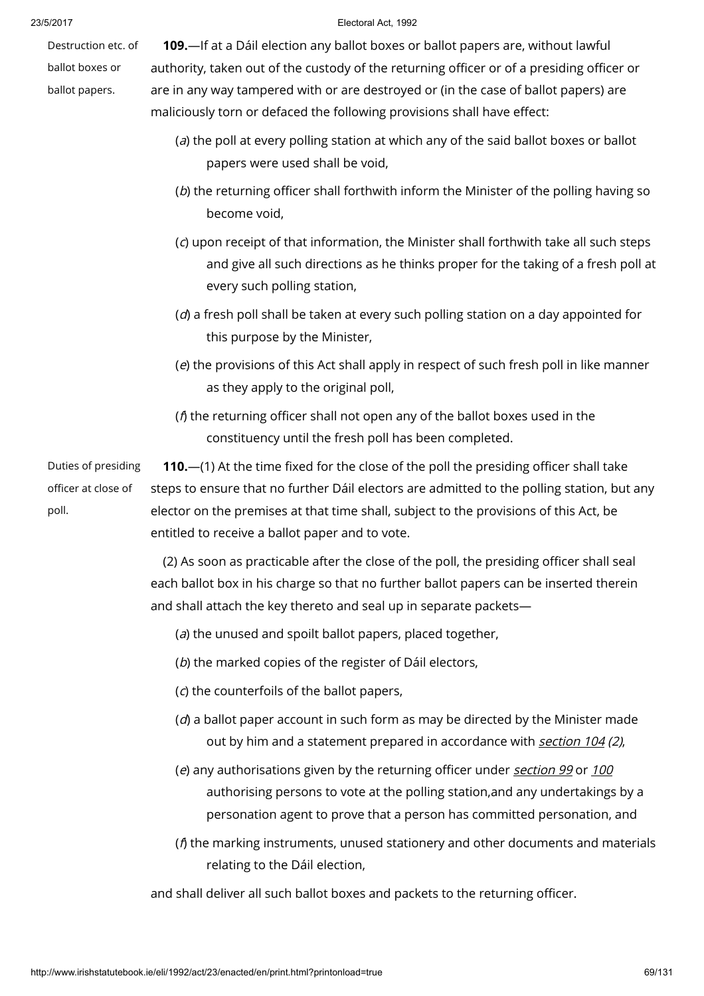Destruction etc. of ballot boxes or

ballot papers.

#### 23/5/2017 Electoral Act, 1992

109.—If at a Dáil election any ballot boxes or ballot papers are, without lawful authority, taken out of the custody of the returning officer or of a presiding officer or are in any way tampered with or are destroyed or (in the case of ballot papers) are maliciously torn or defaced the following provisions shall have effect:

- (a) the poll at every polling station at which any of the said ballot boxes or ballot papers were used shall be void,
- (b) the returning officer shall forthwith inform the Minister of the polling having so become void,
- (c) upon receipt of that information, the Minister shall forthwith take all such steps and give all such directions as he thinks proper for the taking of a fresh poll at every such polling station,
- $(d)$  a fresh poll shall be taken at every such polling station on a day appointed for this purpose by the Minister,
- (e) the provisions of this Act shall apply in respect of such fresh poll in like manner as they apply to the original poll,
- ( $f$ ) the returning officer shall not open any of the ballot boxes used in the constituency until the fresh poll has been completed.

Duties of presiding officer at close of poll. 110.—(1) At the time fixed for the close of the poll the presiding officer shall take steps to ensure that no further Dáil electors are admitted to the polling station, but any elector on the premises at that time shall, subject to the provisions of this Act, be entitled to receive a ballot paper and to vote.

> (2) As soon as practicable after the close of the poll, the presiding officer shall seal each ballot box in his charge so that no further ballot papers can be inserted therein and shall attach the key thereto and seal up in separate packets—

- (a) the unused and spoilt ballot papers, placed together,
- (b) the marked copies of the register of Dáil electors,
- (c) the counterfoils of the ballot papers,
- $(d)$  a ballot paper account in such form as may be directed by the Minister made out by him and a statement prepared in accordance with [section](http://www.irishstatutebook.ie/1992/en/act/pub/0023/print.html#sec104) 104 (2),
- (e) any authorisations given by the returning officer under [section](http://www.irishstatutebook.ie/1992/en/act/pub/0023/print.html#sec99) 99 or [100](http://www.irishstatutebook.ie/1992/en/act/pub/0023/print.html#sec100) authorising persons to vote at the polling station,and any undertakings by a personation agent to prove that a person has committed personation, and
- (f) the marking instruments, unused stationery and other documents and materials relating to the Dáil election,

and shall deliver all such ballot boxes and packets to the returning officer.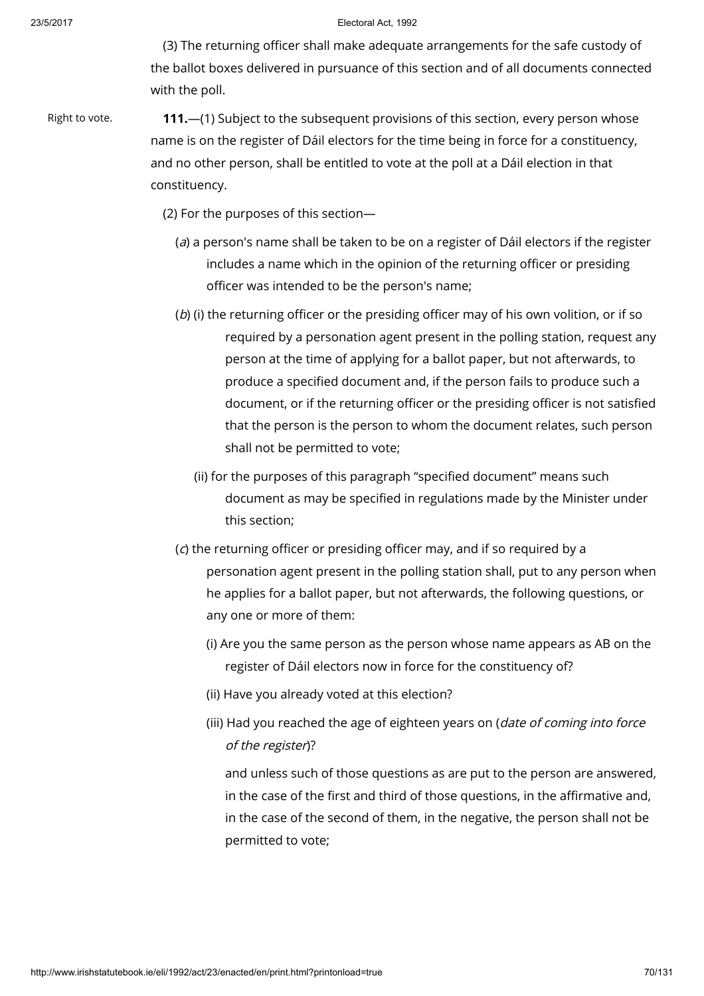(3) The returning officer shall make adequate arrangements for the safe custody of the ballot boxes delivered in pursuance of this section and of all documents connected with the poll.

Right to vote. **111.**—(1) Subject to the subsequent provisions of this section, every person whose name is on the register of Dáil electors for the time being in force for a constituency, and no other person, shall be entitled to vote at the poll at a Dáil election in that constituency.

(2) For the purposes of this section—

- (a) a person's name shall be taken to be on a register of Dáil electors if the register includes a name which in the opinion of the returning officer or presiding officer was intended to be the person's name;
- (b) (i) the returning officer or the presiding officer may of his own volition, or if so required by a personation agent present in the polling station, request any person at the time of applying for a ballot paper, but not afterwards, to produce a specified document and, if the person fails to produce such a document, or if the returning officer or the presiding officer is not satisfied that the person is the person to whom the document relates, such person shall not be permitted to vote;
	- (ii) for the purposes of this paragraph "specified document" means such document as may be specified in regulations made by the Minister under this section;
- (c) the returning officer or presiding officer may, and if so required by a personation agent present in the polling station shall, put to any person when he applies for a ballot paper, but not afterwards, the following questions, or any one or more of them:
	- (i) Are you the same person as the person whose name appears as AB on the register of Dáil electors now in force for the constituency of?
	- (ii) Have you already voted at this election?
	- (iii) Had you reached the age of eighteen years on (*date of coming into force* of the register)?

and unless such of those questions as are put to the person are answered, in the case of the first and third of those questions, in the affirmative and, in the case of the second of them, in the negative, the person shall not be permitted to vote;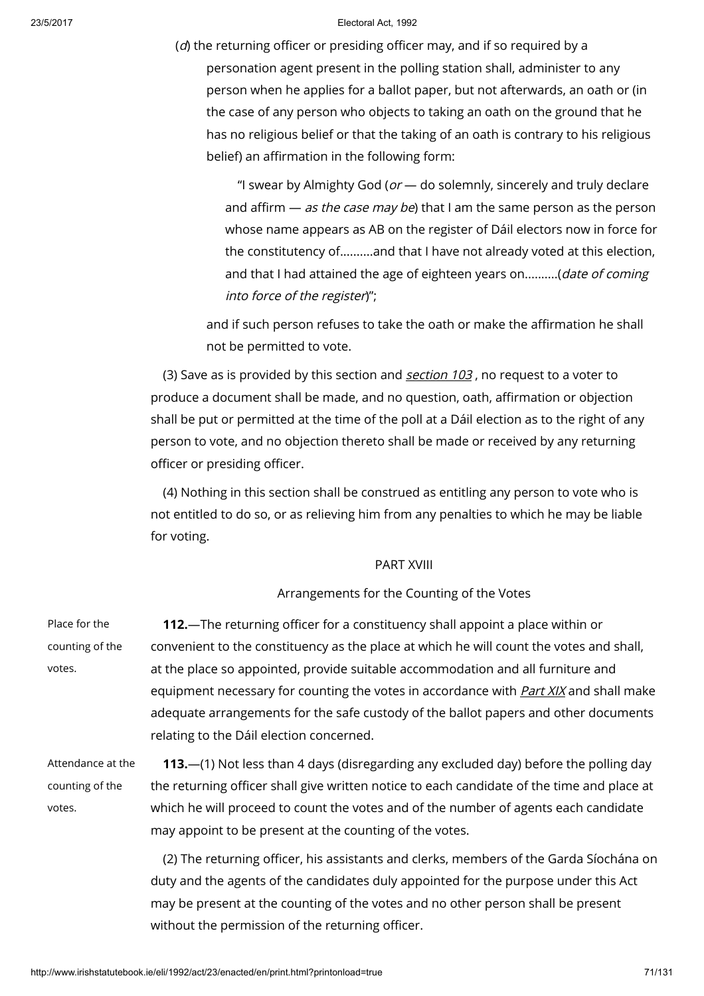$(d)$  the returning officer or presiding officer may, and if so required by a personation agent present in the polling station shall, administer to any person when he applies for a ballot paper, but not afterwards, an oath or (in the case of any person who objects to taking an oath on the ground that he has no religious belief or that the taking of an oath is contrary to his religious belief) an affirmation in the following form:

"I swear by Almighty God ( $or$   $-$  do solemnly, sincerely and truly declare and affirm  $-$  as the case may be) that I am the same person as the person whose name appears as AB on the register of Dáil electors now in force for the constitutency of..........and that I have not already voted at this election, and that I had attained the age of eighteen years on..........(date of coming into force of the register)";

and if such person refuses to take the oath or make the affirmation he shall not be permitted to vote.

(3) Save as is provided by this [section](http://www.irishstatutebook.ie/1992/en/act/pub/0023/print.html#sec103) and section  $103$ , no request to a voter to produce a document shall be made, and no question, oath, affirmation or objection shall be put or permitted at the time of the poll at a Dáil election as to the right of any person to vote, and no objection thereto shall be made or received by any returning officer or presiding officer.

(4) Nothing in this section shall be construed as entitling any person to vote who is not entitled to do so, or as relieving him from any penalties to which he may be liable for voting.

# PART XVIII

# Arrangements for the Counting of the Votes

| Place for the     | <b>112.</b> —The returning officer for a constituency shall appoint a place within or        |
|-------------------|----------------------------------------------------------------------------------------------|
| counting of the   | convenient to the constituency as the place at which he will count the votes and shall,      |
| votes.            | at the place so appointed, provide suitable accommodation and all furniture and              |
|                   | equipment necessary for counting the votes in accordance with <b>Part XIX</b> and shall make |
|                   | adequate arrangements for the safe custody of the ballot papers and other documents          |
|                   | relating to the Dáil election concerned.                                                     |
| Attendance at the | 113.—(1) Not less than 4 days (disregarding any excluded day) before the polling day         |
| counting of the   | the returning officer shall give written notice to each candidate of the time and place at   |
| votes.            | which he will proceed to count the votes and of the number of agents each candidate          |
|                   | may appoint to be present at the counting of the votes.                                      |
|                   | (2) The returning officer, his assistants and clerks, members of the Garda Síochána on       |

(2) The returning officer, his assistants and clerks, members of the Garda Síochána on duty and the agents of the candidates duly appointed for the purpose under this Act may be present at the counting of the votes and no other person shall be present without the permission of the returning officer.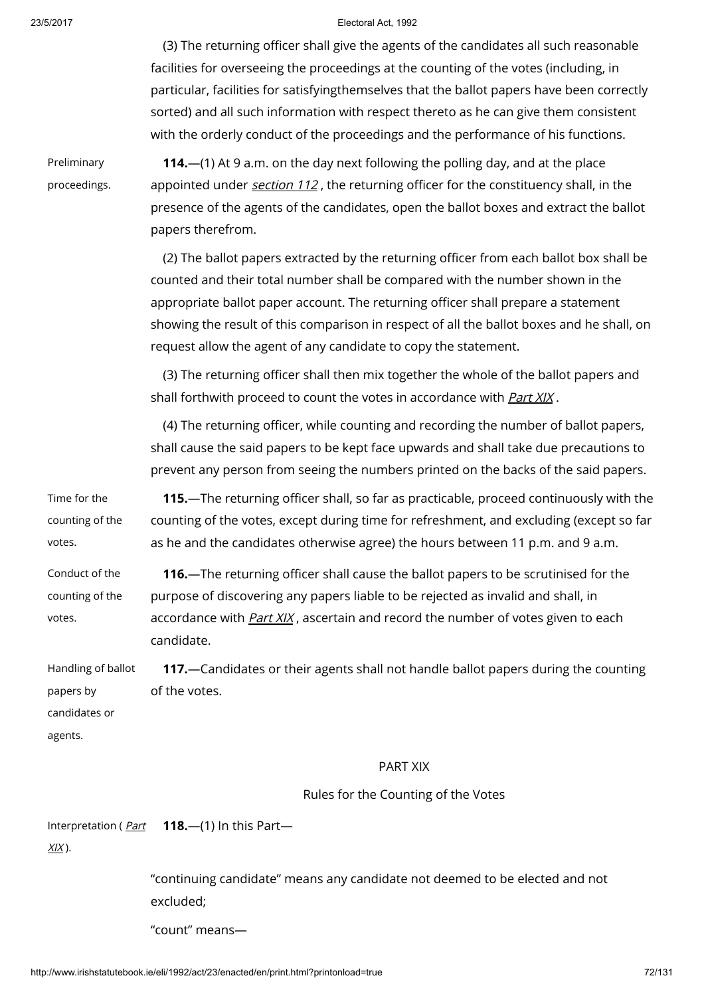(3) The returning officer shall give the agents of the candidates all such reasonable facilities for overseeing the proceedings at the counting of the votes (including, in particular, facilities for satisfyingthemselves that the ballot papers have been correctly sorted) and all such information with respect thereto as he can give them consistent with the orderly conduct of the proceedings and the performance of his functions.

Preliminary proceedings.

114.—(1) At 9 a.m. on the day next following the polling day, and at the place appointed under *[section](http://www.irishstatutebook.ie/1992/en/act/pub/0023/print.html#sec112) 112*, the returning officer for the constituency shall, in the presence of the agents of the candidates, open the ballot boxes and extract the ballot papers therefrom.

(2) The ballot papers extracted by the returning officer from each ballot box shall be counted and their total number shall be compared with the number shown in the appropriate ballot paper account. The returning officer shall prepare a statement showing the result of this comparison in respect of all the ballot boxes and he shall, on request allow the agent of any candidate to copy the statement.

(3) The returning officer shall then mix together the whole of the ballot papers and shall forthwith proceed to count the votes in accordance with *[Part](http://www.irishstatutebook.ie/1992/en/act/pub/0023/print.html#partxix) XIX*.

(4) The returning officer, while counting and recording the number of ballot papers, shall cause the said papers to be kept face upwards and shall take due precautions to prevent any person from seeing the numbers printed on the backs of the said papers.

Time for the counting of the votes. 115.—The returning officer shall, so far as practicable, proceed continuously with the counting of the votes, except during time for refreshment, and excluding (except so far as he and the candidates otherwise agree) the hours between 11 p.m. and 9 a.m.

Conduct of the counting of the 116.—The returning officer shall cause the ballot papers to be scrutinised for the purpose of discovering any papers liable to be rejected as invalid and shall, in accordance with *[Part](http://www.irishstatutebook.ie/1992/en/act/pub/0023/print.html#partxix) XIX*, ascertain and record the number of votes given to each candidate.

Handling of ballot papers by candidates or agents. 117.—Candidates or their agents shall not handle ballot papers during the counting of the votes.

### PART XIX

Rules for the Counting of the Votes

[Interpretation](http://www.irishstatutebook.ie/1992/en/act/pub/0023/print.html#partxix) ( *Part* 118.—(1) In this Part—

 $XIX$ ).

votes.

"continuing candidate" means any candidate not deemed to be elected and not excluded;

"count" means—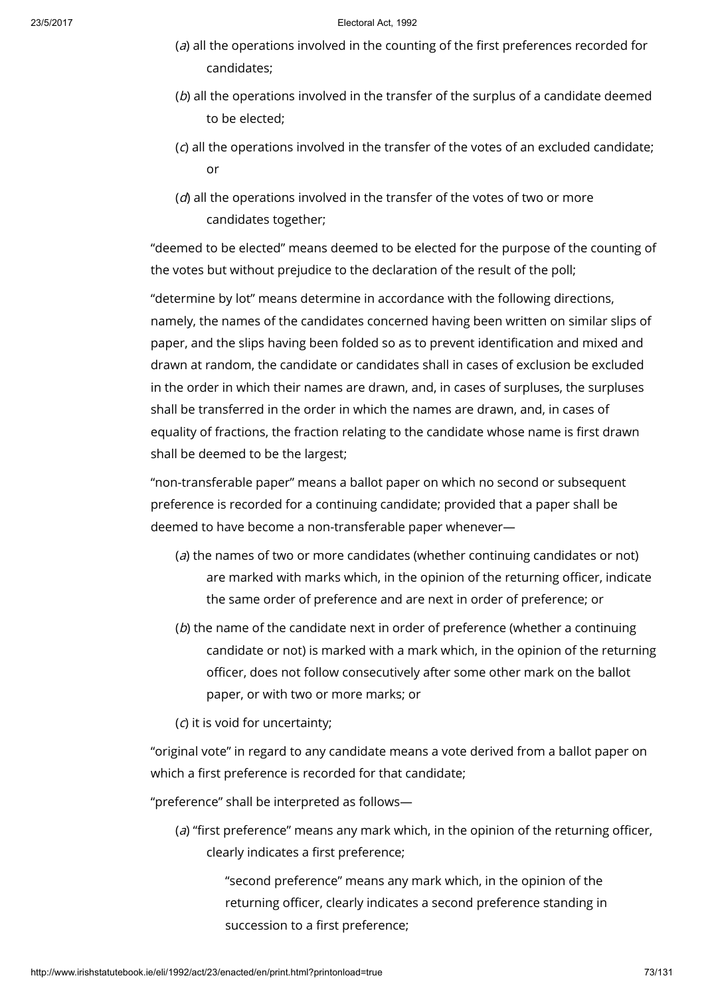- (a) all the operations involved in the counting of the first preferences recorded for candidates;
- $(b)$  all the operations involved in the transfer of the surplus of a candidate deemed to be elected;
- (c) all the operations involved in the transfer of the votes of an excluded candidate; or
- $(d)$  all the operations involved in the transfer of the votes of two or more candidates together;

"deemed to be elected" means deemed to be elected for the purpose of the counting of the votes but without prejudice to the declaration of the result of the poll;

"determine by lot" means determine in accordance with the following directions, namely, the names of the candidates concerned having been written on similar slips of paper, and the slips having been folded so as to prevent identification and mixed and drawn at random, the candidate or candidates shall in cases of exclusion be excluded in the order in which their names are drawn, and, in cases of surpluses, the surpluses shall be transferred in the order in which the names are drawn, and, in cases of equality of fractions, the fraction relating to the candidate whose name is first drawn shall be deemed to be the largest;

"non-transferable paper" means a ballot paper on which no second or subsequent preference is recorded for a continuing candidate; provided that a paper shall be deemed to have become a non-transferable paper whenever—

- (a) the names of two or more candidates (whether continuing candidates or not) are marked with marks which, in the opinion of the returning officer, indicate the same order of preference and are next in order of preference; or
- (b) the name of the candidate next in order of preference (whether a continuing candidate or not) is marked with a mark which, in the opinion of the returning officer, does not follow consecutively after some other mark on the ballot paper, or with two or more marks; or
- (c) it is void for uncertainty;

"original vote" in regard to any candidate means a vote derived from a ballot paper on which a first preference is recorded for that candidate;

"preference" shall be interpreted as follows—

(a) "first preference" means any mark which, in the opinion of the returning officer, clearly indicates a first preference;

> "second preference" means any mark which, in the opinion of the returning officer, clearly indicates a second preference standing in succession to a first preference;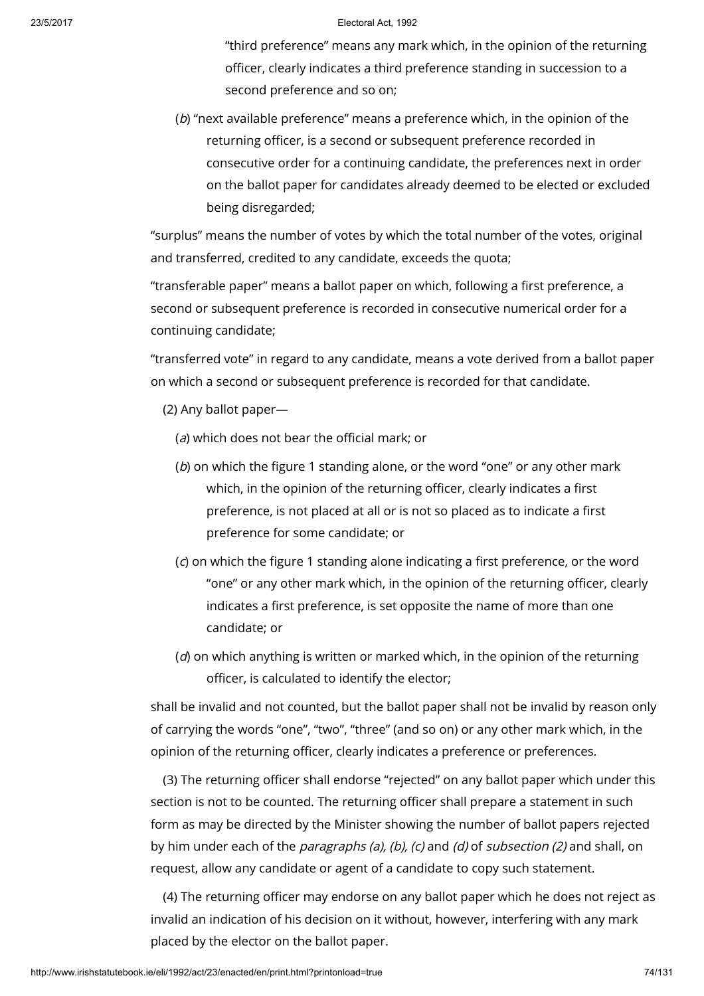"third preference" means any mark which, in the opinion of the returning officer, clearly indicates a third preference standing in succession to a second preference and so on;

(b) "next available preference" means a preference which, in the opinion of the returning officer, is a second or subsequent preference recorded in consecutive order for a continuing candidate, the preferences next in order on the ballot paper for candidates already deemed to be elected or excluded being disregarded;

"surplus" means the number of votes by which the total number of the votes, original and transferred, credited to any candidate, exceeds the quota;

"transferable paper" means a ballot paper on which, following a first preference, a second or subsequent preference is recorded in consecutive numerical order for a continuing candidate;

"transferred vote" in regard to any candidate, means a vote derived from a ballot paper on which a second or subsequent preference is recorded for that candidate.

- (2) Any ballot paper—
	- (a) which does not bear the official mark; or
	- (b) on which the figure 1 standing alone, or the word "one" or any other mark which, in the opinion of the returning officer, clearly indicates a first preference, is not placed at all or is not so placed as to indicate a first preference for some candidate; or
	- (c) on which the figure 1 standing alone indicating a first preference, or the word "one" or any other mark which, in the opinion of the returning officer, clearly indicates a first preference, is set opposite the name of more than one candidate; or
	- $(d)$  on which anything is written or marked which, in the opinion of the returning officer, is calculated to identify the elector;

shall be invalid and not counted, but the ballot paper shall not be invalid by reason only of carrying the words "one", "two", "three" (and so on) or any other mark which, in the opinion of the returning officer, clearly indicates a preference or preferences.

(3) The returning officer shall endorse "rejected" on any ballot paper which under this section is not to be counted. The returning officer shall prepare a statement in such form as may be directed by the Minister showing the number of ballot papers rejected by him under each of the *paragraphs (a), (b), (c)* and *(d)* of *subsection (2)* and shall, on request, allow any candidate or agent of a candidate to copy such statement.

(4) The returning officer may endorse on any ballot paper which he does not reject as invalid an indication of his decision on it without, however, interfering with any mark placed by the elector on the ballot paper.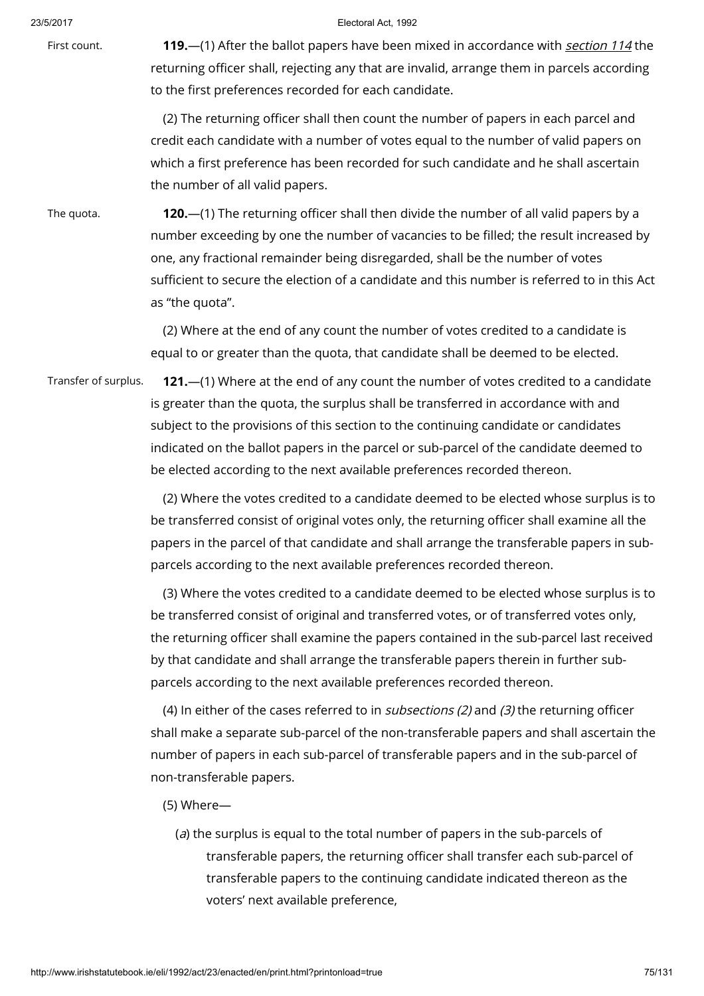First count. 119.—(1) After the ballot papers have been mixed in accordance with *[section](http://www.irishstatutebook.ie/1992/en/act/pub/0023/print.html#sec114) 114* the returning officer shall, rejecting any that are invalid, arrange them in parcels according to the first preferences recorded for each candidate.

> (2) The returning officer shall then count the number of papers in each parcel and credit each candidate with a number of votes equal to the number of valid papers on which a first preference has been recorded for such candidate and he shall ascertain the number of all valid papers.

The quota. 120.—(1) The returning officer shall then divide the number of all valid papers by a number exceeding by one the number of vacancies to be filled; the result increased by one, any fractional remainder being disregarded, shall be the number of votes sufficient to secure the election of a candidate and this number is referred to in this Act as "the quota".

> (2) Where at the end of any count the number of votes credited to a candidate is equal to or greater than the quota, that candidate shall be deemed to be elected.

Transfer of surplus. 121.—(1) Where at the end of any count the number of votes credited to a candidate is greater than the quota, the surplus shall be transferred in accordance with and subject to the provisions of this section to the continuing candidate or candidates indicated on the ballot papers in the parcel or sub-parcel of the candidate deemed to be elected according to the next available preferences recorded thereon.

> (2) Where the votes credited to a candidate deemed to be elected whose surplus is to be transferred consist of original votes only, the returning officer shall examine all the papers in the parcel of that candidate and shall arrange the transferable papers in subparcels according to the next available preferences recorded thereon.

> (3) Where the votes credited to a candidate deemed to be elected whose surplus is to be transferred consist of original and transferred votes, or of transferred votes only, the returning officer shall examine the papers contained in the sub-parcel last received by that candidate and shall arrange the transferable papers therein in further subparcels according to the next available preferences recorded thereon.

> (4) In either of the cases referred to in subsections (2) and (3) the returning officer shall make a separate sub-parcel of the non-transferable papers and shall ascertain the number of papers in each sub-parcel of transferable papers and in the sub-parcel of non-transferable papers.

- (5) Where—
	- (a) the surplus is equal to the total number of papers in the sub-parcels of transferable papers, the returning officer shall transfer each sub-parcel of transferable papers to the continuing candidate indicated thereon as the voters' next available preference,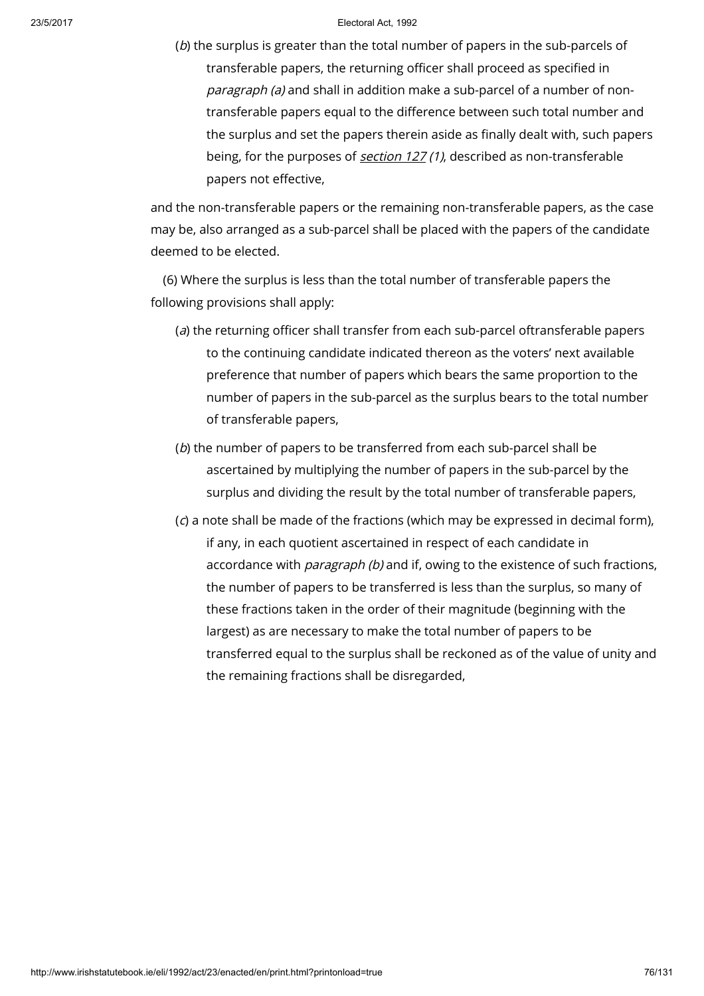(b) the surplus is greater than the total number of papers in the sub-parcels of transferable papers, the returning officer shall proceed as specified in paragraph (a) and shall in addition make a sub-parcel of a number of nontransferable papers equal to the difference between such total number and the surplus and set the papers therein aside as finally dealt with, such papers being, for the purposes of [section](http://www.irishstatutebook.ie/1992/en/act/pub/0023/print.html#sec127) 127 (1), described as non-transferable papers not effective,

and the non-transferable papers or the remaining non-transferable papers, as the case may be, also arranged as a sub-parcel shall be placed with the papers of the candidate deemed to be elected.

(6) Where the surplus is less than the total number of transferable papers the following provisions shall apply:

- (a) the returning officer shall transfer from each sub-parcel oftransferable papers to the continuing candidate indicated thereon as the voters' next available preference that number of papers which bears the same proportion to the number of papers in the sub-parcel as the surplus bears to the total number of transferable papers,
- (b) the number of papers to be transferred from each sub-parcel shall be ascertained by multiplying the number of papers in the sub-parcel by the surplus and dividing the result by the total number of transferable papers,
- (c) a note shall be made of the fractions (which may be expressed in decimal form), if any, in each quotient ascertained in respect of each candidate in accordance with *paragraph (b)* and if, owing to the existence of such fractions, the number of papers to be transferred is less than the surplus, so many of these fractions taken in the order of their magnitude (beginning with the largest) as are necessary to make the total number of papers to be transferred equal to the surplus shall be reckoned as of the value of unity and the remaining fractions shall be disregarded,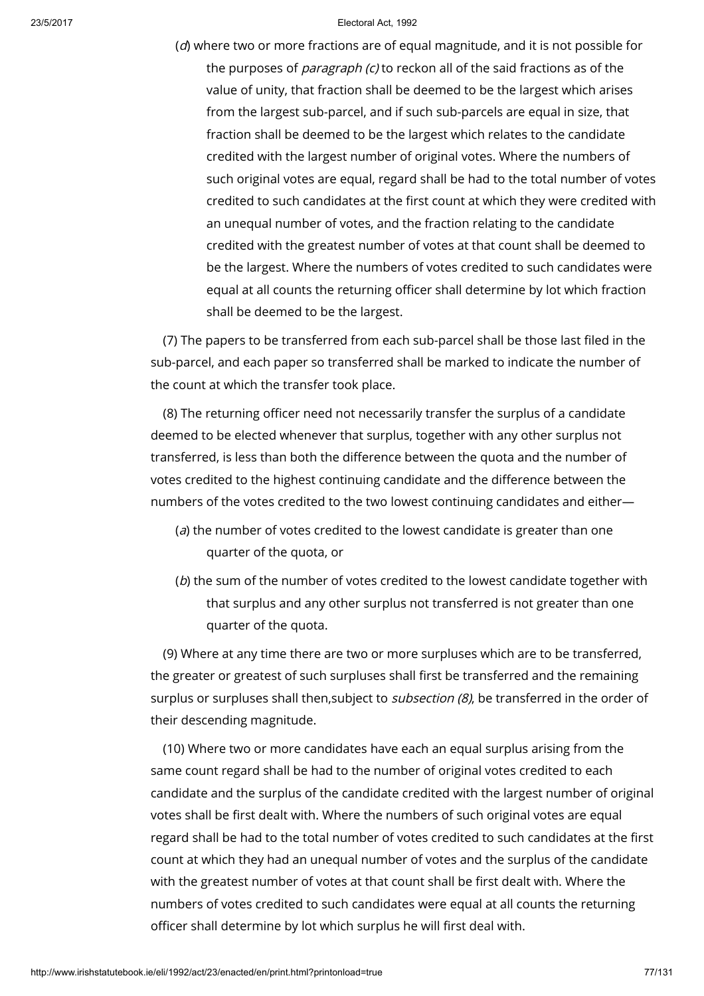(d) where two or more fractions are of equal magnitude, and it is not possible for the purposes of *paragraph (c)* to reckon all of the said fractions as of the value of unity, that fraction shall be deemed to be the largest which arises from the largest sub-parcel, and if such sub-parcels are equal in size, that fraction shall be deemed to be the largest which relates to the candidate credited with the largest number of original votes. Where the numbers of such original votes are equal, regard shall be had to the total number of votes credited to such candidates at the first count at which they were credited with an unequal number of votes, and the fraction relating to the candidate credited with the greatest number of votes at that count shall be deemed to be the largest. Where the numbers of votes credited to such candidates were equal at all counts the returning officer shall determine by lot which fraction shall be deemed to be the largest.

(7) The papers to be transferred from each sub-parcel shall be those last filed in the sub-parcel, and each paper so transferred shall be marked to indicate the number of the count at which the transfer took place.

(8) The returning officer need not necessarily transfer the surplus of a candidate deemed to be elected whenever that surplus, together with any other surplus not transferred, is less than both the difference between the quota and the number of votes credited to the highest continuing candidate and the difference between the numbers of the votes credited to the two lowest continuing candidates and either—

- (a) the number of votes credited to the lowest candidate is greater than one quarter of the quota, or
- (b) the sum of the number of votes credited to the lowest candidate together with that surplus and any other surplus not transferred is not greater than one quarter of the quota.

(9) Where at any time there are two or more surpluses which are to be transferred, the greater or greatest of such surpluses shall first be transferred and the remaining surplus or surpluses shall then, subject to *subsection (8)*, be transferred in the order of their descending magnitude.

(10) Where two or more candidates have each an equal surplus arising from the same count regard shall be had to the number of original votes credited to each candidate and the surplus of the candidate credited with the largest number of original votes shall be first dealt with. Where the numbers of such original votes are equal regard shall be had to the total number of votes credited to such candidates at the first count at which they had an unequal number of votes and the surplus of the candidate with the greatest number of votes at that count shall be first dealt with. Where the numbers of votes credited to such candidates were equal at all counts the returning officer shall determine by lot which surplus he will first deal with.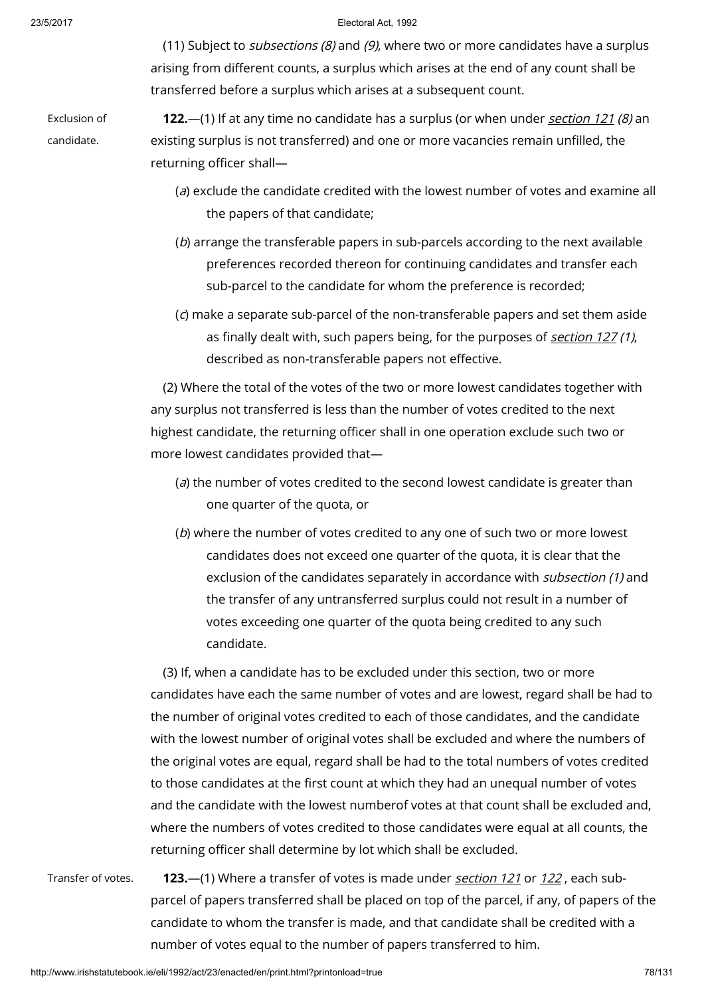(11) Subject to *subsections (8)* and (9), where two or more candidates have a surplus arising from different counts, a surplus which arises at the end of any count shall be transferred before a surplus which arises at a subsequent count.

Exclusion of

candidate.

**122.**—(1) If at any time no candidate has a surplus (or when under *[section](http://www.irishstatutebook.ie/1992/en/act/pub/0023/print.html#sec121) 121 (8)* an existing surplus is not transferred) and one or more vacancies remain unfilled, the returning officer shall—

- (a) exclude the candidate credited with the lowest number of votes and examine all the papers of that candidate;
- (b) arrange the transferable papers in sub-parcels according to the next available preferences recorded thereon for continuing candidates and transfer each sub-parcel to the candidate for whom the preference is recorded;
- (c) make a separate sub-parcel of the non-transferable papers and set them aside as finally dealt with, such papers being, for the purposes of [section](http://www.irishstatutebook.ie/1992/en/act/pub/0023/print.html#sec127) 127(1), described as non-transferable papers not effective.

(2) Where the total of the votes of the two or more lowest candidates together with any surplus not transferred is less than the number of votes credited to the next highest candidate, the returning officer shall in one operation exclude such two or more lowest candidates provided that—

- (a) the number of votes credited to the second lowest candidate is greater than one quarter of the quota, or
- (b) where the number of votes credited to any one of such two or more lowest candidates does not exceed one quarter of the quota, it is clear that the exclusion of the candidates separately in accordance with *subsection (1)* and the transfer of any untransferred surplus could not result in a number of votes exceeding one quarter of the quota being credited to any such candidate.

(3) If, when a candidate has to be excluded under this section, two or more candidates have each the same number of votes and are lowest, regard shall be had to the number of original votes credited to each of those candidates, and the candidate with the lowest number of original votes shall be excluded and where the numbers of the original votes are equal, regard shall be had to the total numbers of votes credited to those candidates at the first count at which they had an unequal number of votes and the candidate with the lowest numberof votes at that count shall be excluded and, where the numbers of votes credited to those candidates were equal at all counts, the returning officer shall determine by lot which shall be excluded.

Transfer of votes. 123.—(1) Where a transfer of votes is made under [section](http://www.irishstatutebook.ie/1992/en/act/pub/0023/print.html#sec121) 121 or [122](http://www.irishstatutebook.ie/1992/en/act/pub/0023/print.html#sec122), each subparcel of papers transferred shall be placed on top of the parcel, if any, of papers of the candidate to whom the transfer is made, and that candidate shall be credited with a number of votes equal to the number of papers transferred to him.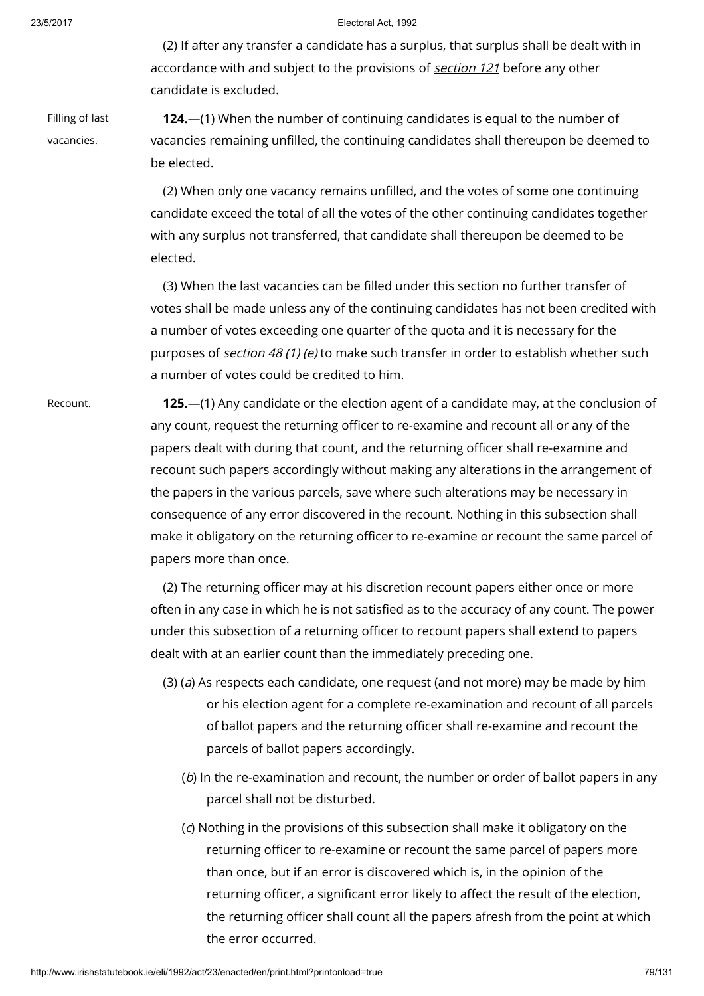(2) If after any transfer a candidate has a surplus, that surplus shall be dealt with in accordance with and subject to the provisions of **[section](http://www.irishstatutebook.ie/1992/en/act/pub/0023/print.html#sec121) 121** before any other candidate is excluded.

Filling of last

vacancies.

124.—(1) When the number of continuing candidates is equal to the number of vacancies remaining unfilled, the continuing candidates shall thereupon be deemed to be elected.

(2) When only one vacancy remains unfilled, and the votes of some one continuing candidate exceed the total of all the votes of the other continuing candidates together with any surplus not transferred, that candidate shall thereupon be deemed to be elected.

(3) When the last vacancies can be filled under this section no further transfer of votes shall be made unless any of the continuing candidates has not been credited with a number of votes exceeding one quarter of the quota and it is necessary for the purposes of [section](http://www.irishstatutebook.ie/1992/en/act/pub/0023/print.html#sec48) 48 (1) (e) to make such transfer in order to establish whether such a number of votes could be credited to him.

Recount. 125.—(1) Any candidate or the election agent of a candidate may, at the conclusion of any count, request the returning officer to re-examine and recount all or any of the papers dealt with during that count, and the returning officer shall re-examine and recount such papers accordingly without making any alterations in the arrangement of the papers in the various parcels, save where such alterations may be necessary in consequence of any error discovered in the recount. Nothing in this subsection shall make it obligatory on the returning officer to re-examine or recount the same parcel of papers more than once.

> (2) The returning officer may at his discretion recount papers either once or more often in any case in which he is not satisfied as to the accuracy of any count. The power under this subsection of a returning officer to recount papers shall extend to papers dealt with at an earlier count than the immediately preceding one.

- (3) (a) As respects each candidate, one request (and not more) may be made by him or his election agent for a complete re-examination and recount of all parcels of ballot papers and the returning officer shall re-examine and recount the parcels of ballot papers accordingly.
	- (b) In the re-examination and recount, the number or order of ballot papers in any parcel shall not be disturbed.
	- (c) Nothing in the provisions of this subsection shall make it obligatory on the returning officer to re-examine or recount the same parcel of papers more than once, but if an error is discovered which is, in the opinion of the returning officer, a significant error likely to affect the result of the election, the returning officer shall count all the papers afresh from the point at which the error occurred.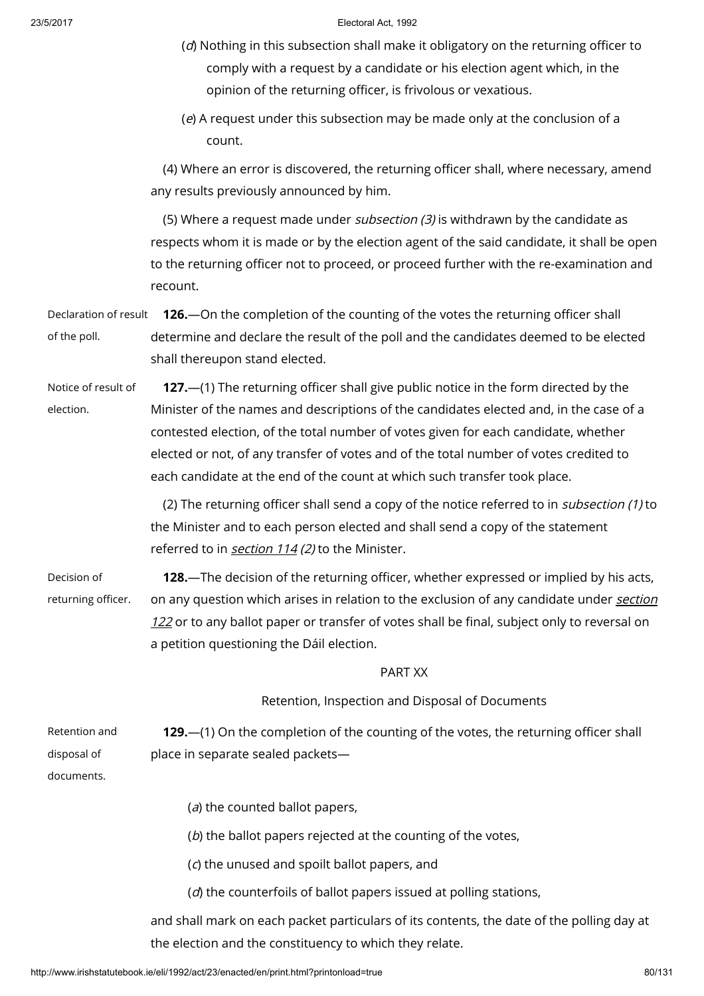- (d) Nothing in this subsection shall make it obligatory on the returning officer to comply with a request by a candidate or his election agent which, in the opinion of the returning officer, is frivolous or vexatious.
- (e) A request under this subsection may be made only at the conclusion of a count.

(4) Where an error is discovered, the returning officer shall, where necessary, amend any results previously announced by him.

(5) Where a request made under *subsection (3)* is withdrawn by the candidate as respects whom it is made or by the election agent of the said candidate, it shall be open to the returning officer not to proceed, or proceed further with the re-examination and recount.

Declaration of result of the poll. 126.—On the completion of the counting of the votes the returning officer shall determine and declare the result of the poll and the candidates deemed to be elected shall thereupon stand elected.

Notice of result of election. 127.—(1) The returning officer shall give public notice in the form directed by the Minister of the names and descriptions of the candidates elected and, in the case of a contested election, of the total number of votes given for each candidate, whether elected or not, of any transfer of votes and of the total number of votes credited to each candidate at the end of the count at which such transfer took place.

> (2) The returning officer shall send a copy of the notice referred to in subsection (1) to the Minister and to each person elected and shall send a copy of the statement referred to in **[section](http://www.irishstatutebook.ie/1992/en/act/pub/0023/print.html#sec114) 114** (2) to the Minister.

Decision of returning officer. 128.—The decision of the returning officer, whether expressed or implied by his acts, on any question which arises in relation to the exclusion of any [candidate](http://www.irishstatutebook.ie/1992/en/act/pub/0023/print.html#sec122) under section 122 or to any ballot paper or transfer of votes shall be final, subject only to reversal on a petition questioning the Dáil election.

# PART XX

Retention, Inspection and Disposal of Documents

| Retention and | <b>129.</b> (1) On the completion of the counting of the votes, the returning officer shall |
|---------------|---------------------------------------------------------------------------------------------|
| disposal of   | place in separate sealed packets—                                                           |
| documents.    |                                                                                             |

- $(a)$  the counted ballot papers,
- $(b)$  the ballot papers rejected at the counting of the votes,
- (c) the unused and spoilt ballot papers, and
- $(d)$  the counterfoils of ballot papers issued at polling stations,

and shall mark on each packet particulars of its contents, the date of the polling day at the election and the constituency to which they relate.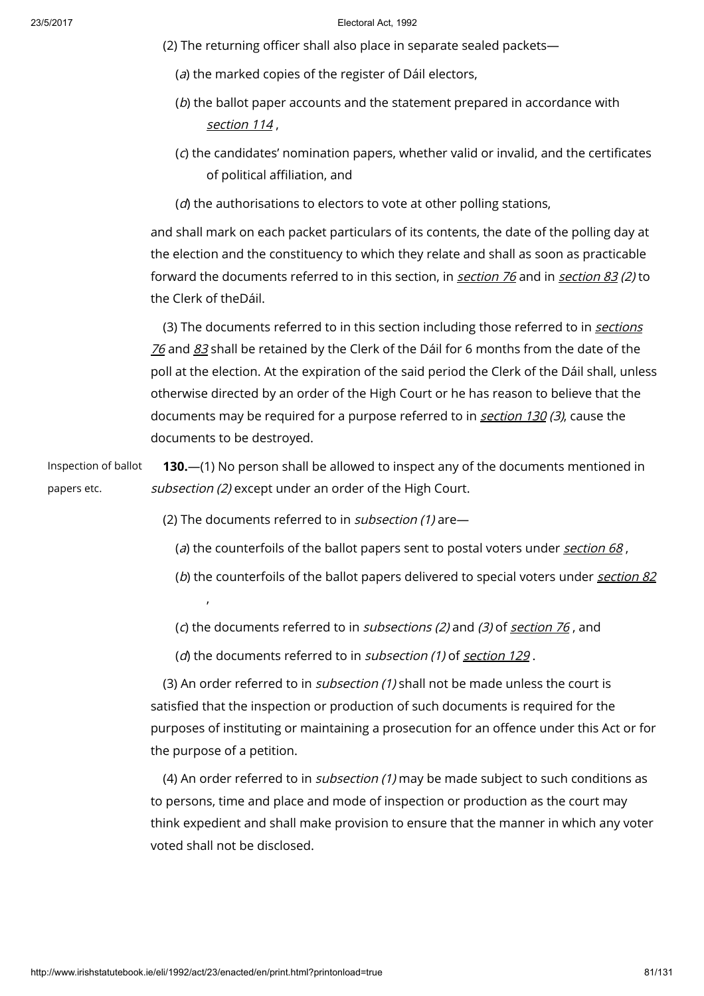- (2) The returning officer shall also place in separate sealed packets—
	- (a) the marked copies of the register of Dáil electors,
	- (b) the ballot paper accounts and the statement prepared in accordance with [section](http://www.irishstatutebook.ie/1992/en/act/pub/0023/print.html#sec114) 114,
	- (c) the candidates' nomination papers, whether valid or invalid, and the certificates of political affiliation, and
	- $(d)$  the authorisations to electors to vote at other polling stations,

and shall mark on each packet particulars of its contents, the date of the polling day at the election and the constituency to which they relate and shall as soon as practicable forward the documents referred to in this [section](http://www.irishstatutebook.ie/1992/en/act/pub/0023/print.html#sec83), in section 76 and in section 83 (2) to the Clerk of theDáil.

(3) The [documents](http://www.irishstatutebook.ie/1992/en/act/pub/0023/print.html#sec76) referred to in this section including those referred to in sections  $76$  and  $83$  shall be retained by the Clerk of the Dáil for 6 months from the date of the poll at the election. At the expiration of the said period the Clerk of the Dáil shall, unless otherwise directed by an order of the High Court or he has reason to believe that the documents may be required for a purpose referred to in [section](http://www.irishstatutebook.ie/1992/en/act/pub/0023/print.html#sec130) 130 (3), cause the documents to be destroyed.

Inspection of ballot papers etc. 130.—(1) No person shall be allowed to inspect any of the documents mentioned in subsection (2) except under an order of the High Court.

(2) The documents referred to in *subsection (1)* are-

- (a) the counterfoils of the ballot papers sent to postal voters under [section](http://www.irishstatutebook.ie/1992/en/act/pub/0023/print.html#sec68) 68,
- (b) the counterfoils of the ballot papers delivered to special voters under [section](http://www.irishstatutebook.ie/1992/en/act/pub/0023/print.html#sec82) 82 ,
- (c) the documents referred to in *sub[section](http://www.irishstatutebook.ie/1992/en/act/pub/0023/print.html#sec76)s (2)* and (3) of section  $76$ , and
- (d) the documents referred to in sub[section](http://www.irishstatutebook.ie/1992/en/act/pub/0023/print.html#sec129) (1) of section 129.

(3) An order referred to in *subsection (1)* shall not be made unless the court is satisfied that the inspection or production of such documents is required for the purposes of instituting or maintaining a prosecution for an offence under this Act or for the purpose of a petition.

(4) An order referred to in subsection (1) may be made subject to such conditions as to persons, time and place and mode of inspection or production as the court may think expedient and shall make provision to ensure that the manner in which any voter voted shall not be disclosed.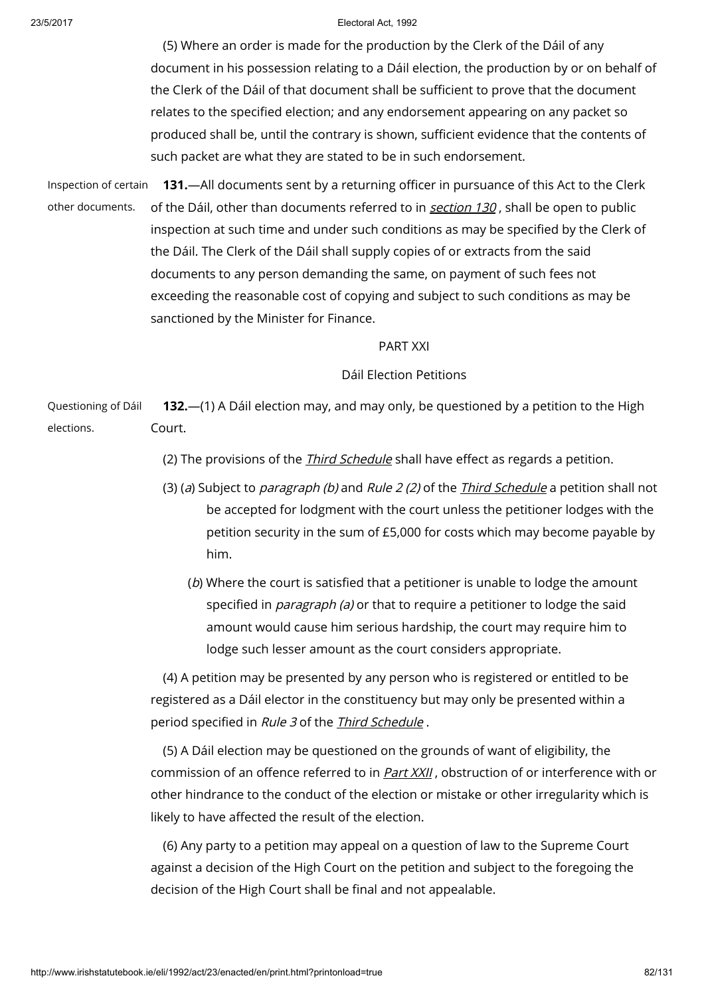(5) Where an order is made for the production by the Clerk of the Dáil of any document in his possession relating to a Dáil election, the production by or on behalf of the Clerk of the Dáil of that document shall be sufficient to prove that the document relates to the specified election; and any endorsement appearing on any packet so produced shall be, until the contrary is shown, sufficient evidence that the contents of such packet are what they are stated to be in such endorsement.

Inspection of certain other documents. 131.—All documents sent by a returning officer in pursuance of this Act to the Clerk of the Dáil, other than documents referred to in [section](http://www.irishstatutebook.ie/1992/en/act/pub/0023/print.html#sec130) 130, shall be open to public inspection at such time and under such conditions as may be specified by the Clerk of the Dáil. The Clerk of the Dáil shall supply copies of or extracts from the said documents to any person demanding the same, on payment of such fees not exceeding the reasonable cost of copying and subject to such conditions as may be sanctioned by the Minister for Finance.

# PART XXI

# Dáil Election Petitions

Questioning of Dáil elections. 132.—(1) A Dáil election may, and may only, be questioned by a petition to the High Court.

(2) The provisions of the *Third [Schedule](http://www.irishstatutebook.ie/1992/en/act/pub/0023/print.html#sched3)* shall have effect as regards a petition.

- (3) (a) Subject to *paragraph (b)* and Rule 2 (2) of the *Third [Schedule](http://www.irishstatutebook.ie/1992/en/act/pub/0023/print.html#sched3)* a petition shall not be accepted for lodgment with the court unless the petitioner lodges with the petition security in the sum of £5,000 for costs which may become payable by him.
	- (b) Where the court is satisfied that a petitioner is unable to lodge the amount specified in *paragraph (a)* or that to require a petitioner to lodge the said amount would cause him serious hardship, the court may require him to lodge such lesser amount as the court considers appropriate.

(4) A petition may be presented by any person who is registered or entitled to be registered as a Dáil elector in the constituency but may only be presented within a period specified in Rule 3 of the Third [Schedule](http://www.irishstatutebook.ie/1992/en/act/pub/0023/print.html#sched3) .

(5) A Dáil election may be questioned on the grounds of want of eligibility, the commission of an offence referred to in [Part](http://www.irishstatutebook.ie/1992/en/act/pub/0023/print.html#partxxii) XXII , obstruction of or interference with or other hindrance to the conduct of the election or mistake or other irregularity which is likely to have affected the result of the election.

(6) Any party to a petition may appeal on a question of law to the Supreme Court against a decision of the High Court on the petition and subject to the foregoing the decision of the High Court shall be final and not appealable.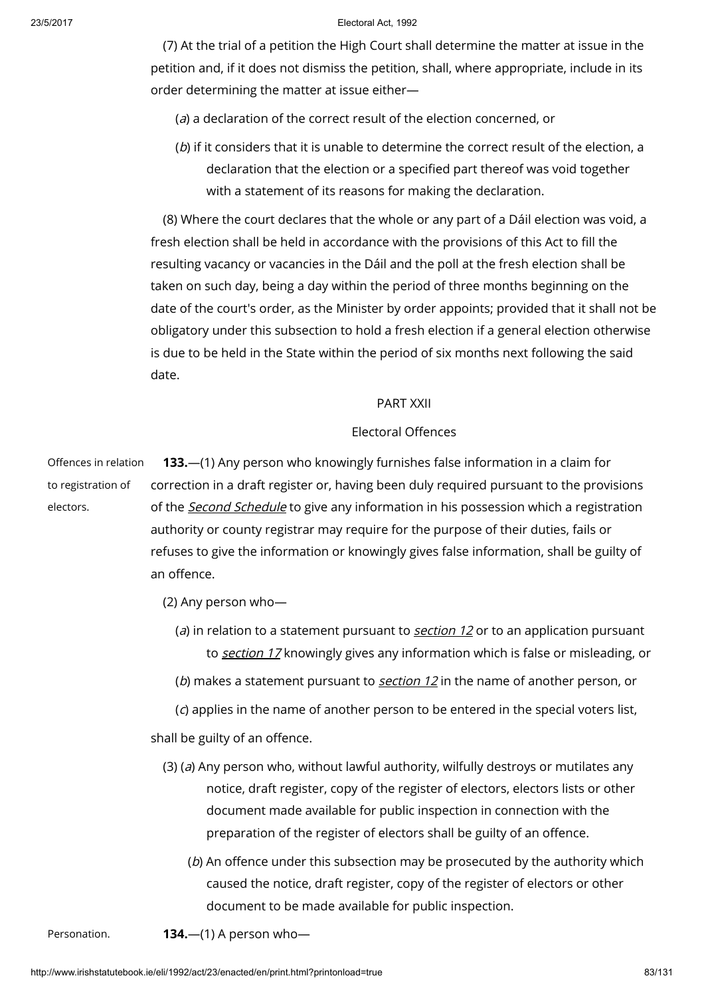(7) At the trial of a petition the High Court shall determine the matter at issue in the petition and, if it does not dismiss the petition, shall, where appropriate, include in its order determining the matter at issue either—

(a) a declaration of the correct result of the election concerned, or

(b) if it considers that it is unable to determine the correct result of the election, a declaration that the election or a specified part thereof was void together with a statement of its reasons for making the declaration.

(8) Where the court declares that the whole or any part of a Dáil election was void, a fresh election shall be held in accordance with the provisions of this Act to fill the resulting vacancy or vacancies in the Dáil and the poll at the fresh election shall be taken on such day, being a day within the period of three months beginning on the date of the court's order, as the Minister by order appoints; provided that it shall not be obligatory under this subsection to hold a fresh election if a general election otherwise is due to be held in the State within the period of six months next following the said date.

# PART XXII

# Electoral Offences

Offences in relation to registration of electors. 133.—(1) Any person who knowingly furnishes false information in a claim for correction in a draft register or, having been duly required pursuant to the provisions of the *Second [Schedule](http://www.irishstatutebook.ie/1992/en/act/pub/0023/print.html#sched2)* to give any information in his possession which a registration authority or county registrar may require for the purpose of their duties, fails or refuses to give the information or knowingly gives false information, shall be guilty of an offence.

(2) Any person who—

- (a) in relation to a statement pursuant to *[section](http://www.irishstatutebook.ie/1992/en/act/pub/0023/print.html#sec12) 12* or to an application pursuant to [section](http://www.irishstatutebook.ie/1992/en/act/pub/0023/print.html#sec17) 17 knowingly gives any information which is false or misleading, or
- (b) makes a statement pursuant to [section](http://www.irishstatutebook.ie/1992/en/act/pub/0023/print.html#sec12)  $12$  in the name of another person, or

(c) applies in the name of another person to be entered in the special voters list,

shall be guilty of an offence.

- $(3)$  (a) Any person who, without lawful authority, wilfully destroys or mutilates any notice, draft register, copy of the register of electors, electors lists or other document made available for public inspection in connection with the preparation of the register of electors shall be guilty of an offence.
	- (b) An offence under this subsection may be prosecuted by the authority which caused the notice, draft register, copy of the register of electors or other document to be made available for public inspection.
- Personation.  $134.$ —(1) A person who—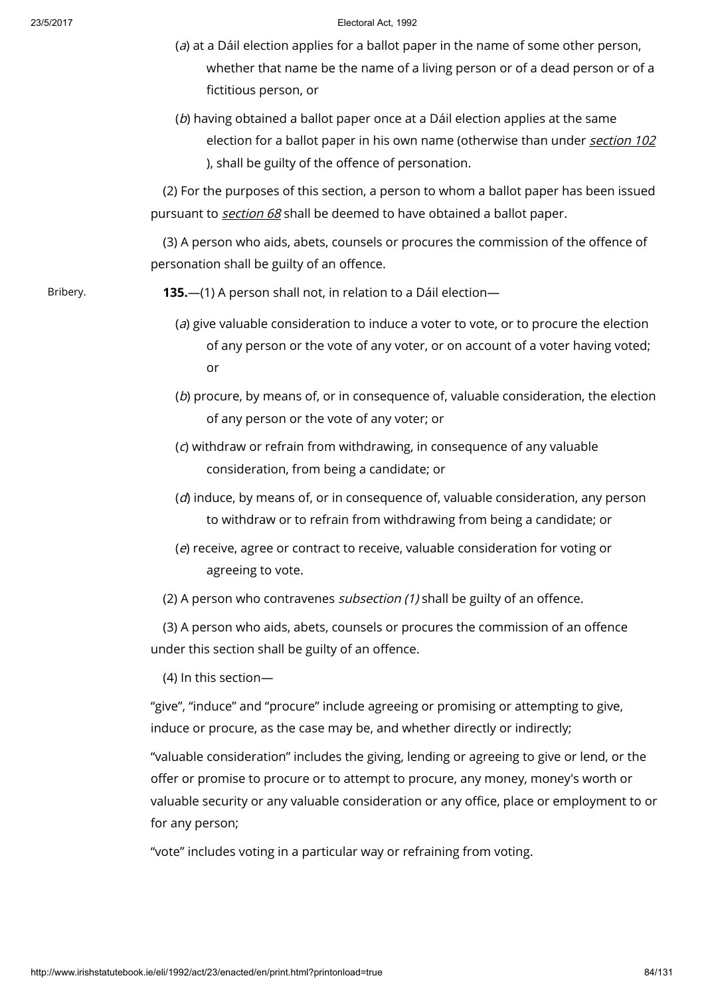- (a) at a Dáil election applies for a ballot paper in the name of some other person, whether that name be the name of a living person or of a dead person or of a fictitious person, or
- (b) having obtained a ballot paper once at a Dáil election applies at the same election for a ballot paper in his own name (otherwise than under [section](http://www.irishstatutebook.ie/1992/en/act/pub/0023/print.html#sec102) 102 ), shall be guilty of the offence of personation.

(2) For the purposes of this section, a person to whom a ballot paper has been issued pursuant to [section](http://www.irishstatutebook.ie/1992/en/act/pub/0023/print.html#sec68) 68 shall be deemed to have obtained a ballot paper.

(3) A person who aids, abets, counsels or procures the commission of the offence of personation shall be guilty of an offence.

Bribery. 135.—(1) A person shall not, in relation to a Dáil election—

- (a) give valuable consideration to induce a voter to vote, or to procure the election of any person or the vote of any voter, or on account of a voter having voted; or
- (b) procure, by means of, or in consequence of, valuable consideration, the election of any person or the vote of any voter; or
- (c) withdraw or refrain from withdrawing, in consequence of any valuable consideration, from being a candidate; or
- (d) induce, by means of, or in consequence of, valuable consideration, any person to withdraw or to refrain from withdrawing from being a candidate; or
- (e) receive, agree or contract to receive, valuable consideration for voting or agreeing to vote.
- (2) A person who contravenes *subsection (1)* shall be guilty of an offence.

(3) A person who aids, abets, counsels or procures the commission of an offence under this section shall be guilty of an offence.

(4) In this section—

"give", "induce" and "procure" include agreeing or promising or attempting to give, induce or procure, as the case may be, and whether directly or indirectly;

"valuable consideration" includes the giving, lending or agreeing to give or lend, or the offer or promise to procure or to attempt to procure, any money, money's worth or valuable security or any valuable consideration or any office, place or employment to or for any person;

"vote" includes voting in a particular way or refraining from voting.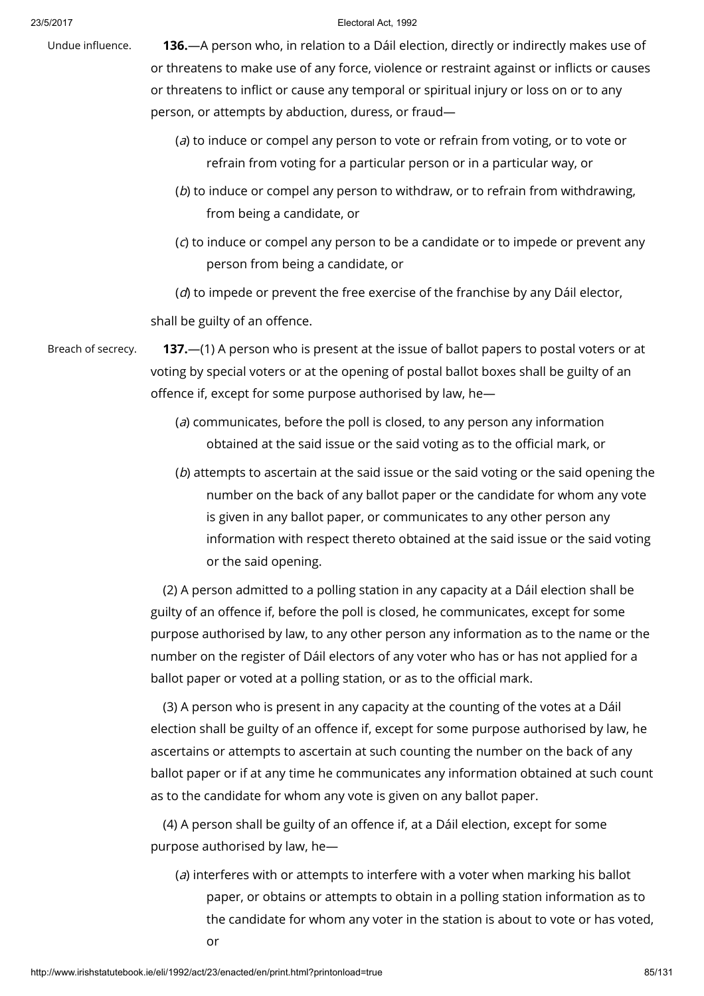Undue influence. **136.**—A person who, in relation to a Dáil election, directly or indirectly makes use of or threatens to make use of any force, violence or restraint against or inflicts or causes or threatens to inflict or cause any temporal or spiritual injury or loss on or to any person, or attempts by abduction, duress, or fraud—

- (a) to induce or compel any person to vote or refrain from voting, or to vote or refrain from voting for a particular person or in a particular way, or
- (b) to induce or compel any person to withdraw, or to refrain from withdrawing, from being a candidate, or
- (c) to induce or compel any person to be a candidate or to impede or prevent any person from being a candidate, or

 $(d)$  to impede or prevent the free exercise of the franchise by any Dáil elector,

shall be guilty of an offence.

Breach of secrecy. **137.**—(1) A person who is present at the issue of ballot papers to postal voters or at voting by special voters or at the opening of postal ballot boxes shall be guilty of an offence if, except for some purpose authorised by law, he—

- (a) communicates, before the poll is closed, to any person any information obtained at the said issue or the said voting as to the official mark, or
- (b) attempts to ascertain at the said issue or the said voting or the said opening the number on the back of any ballot paper or the candidate for whom any vote is given in any ballot paper, or communicates to any other person any information with respect thereto obtained at the said issue or the said voting or the said opening.

(2) A person admitted to a polling station in any capacity at a Dáil election shall be guilty of an offence if, before the poll is closed, he communicates, except for some purpose authorised by law, to any other person any information as to the name or the number on the register of Dáil electors of any voter who has or has not applied for a ballot paper or voted at a polling station, or as to the official mark.

(3) A person who is present in any capacity at the counting of the votes at a Dáil election shall be guilty of an offence if, except for some purpose authorised by law, he ascertains or attempts to ascertain at such counting the number on the back of any ballot paper or if at any time he communicates any information obtained at such count as to the candidate for whom any vote is given on any ballot paper.

(4) A person shall be guilty of an offence if, at a Dáil election, except for some purpose authorised by law, he—

(a) interferes with or attempts to interfere with a voter when marking his ballot paper, or obtains or attempts to obtain in a polling station information as to the candidate for whom any voter in the station is about to vote or has voted, or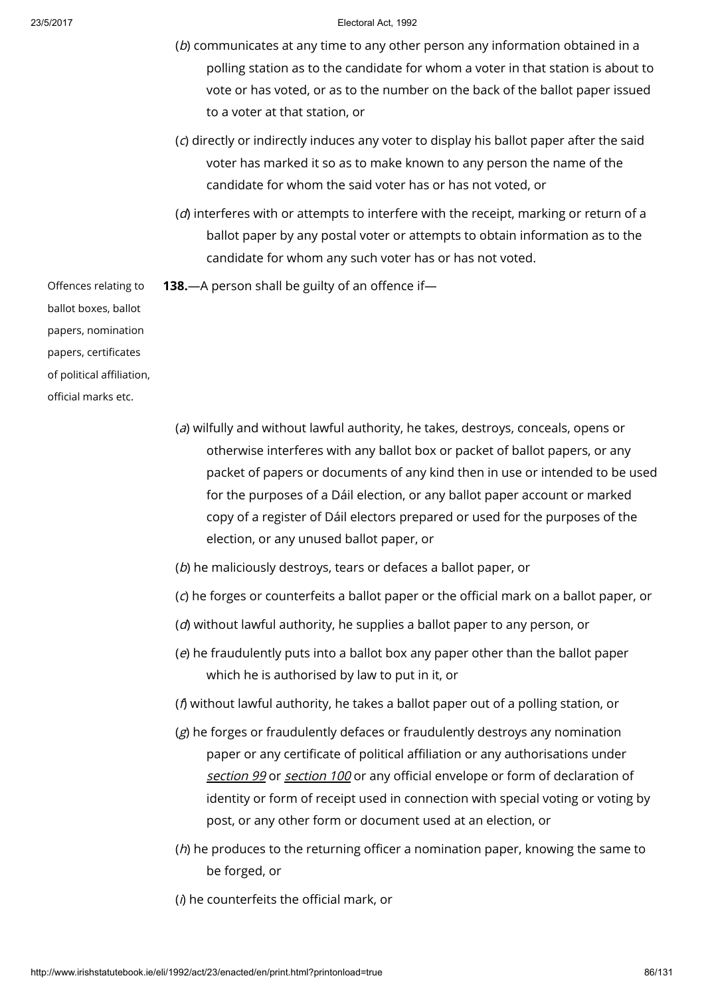- (b) communicates at any time to any other person any information obtained in a polling station as to the candidate for whom a voter in that station is about to vote or has voted, or as to the number on the back of the ballot paper issued to a voter at that station, or
- (c) directly or indirectly induces any voter to display his ballot paper after the said voter has marked it so as to make known to any person the name of the candidate for whom the said voter has or has not voted, or
- $(d)$  interferes with or attempts to interfere with the receipt, marking or return of a ballot paper by any postal voter or attempts to obtain information as to the candidate for whom any such voter has or has not voted.
- 138.—A person shall be guilty of an offence if—

Offences relating to ballot boxes, ballot papers, nomination papers, certificates of political affiliation, official marks etc.

- (a) wilfully and without lawful authority, he takes, destroys, conceals, opens or otherwise interferes with any ballot box or packet of ballot papers, or any packet of papers or documents of any kind then in use or intended to be used for the purposes of a Dáil election, or any ballot paper account or marked copy of a register of Dáil electors prepared or used for the purposes of the election, or any unused ballot paper, or
- (b) he maliciously destroys, tears or defaces a ballot paper, or
- (c) he forges or counterfeits a ballot paper or the official mark on a ballot paper, or
- (d) without lawful authority, he supplies a ballot paper to any person, or
- (e) he fraudulently puts into a ballot box any paper other than the ballot paper which he is authorised by law to put in it, or
- (f) without lawful authority, he takes a ballot paper out of a polling station, or
- (g) he forges or fraudulently defaces or fraudulently destroys any nomination paper or any certificate of political affiliation or any authorisations under [section](http://www.irishstatutebook.ie/1992/en/act/pub/0023/print.html#sec99) 99 or [section](http://www.irishstatutebook.ie/1992/en/act/pub/0023/print.html#sec100) 100 or any official envelope or form of declaration of identity or form of receipt used in connection with special voting or voting by post, or any other form or document used at an election, or
- (*h*) he produces to the returning officer a nomination paper, knowing the same to be forged, or
- $(h)$  he counterfeits the official mark, or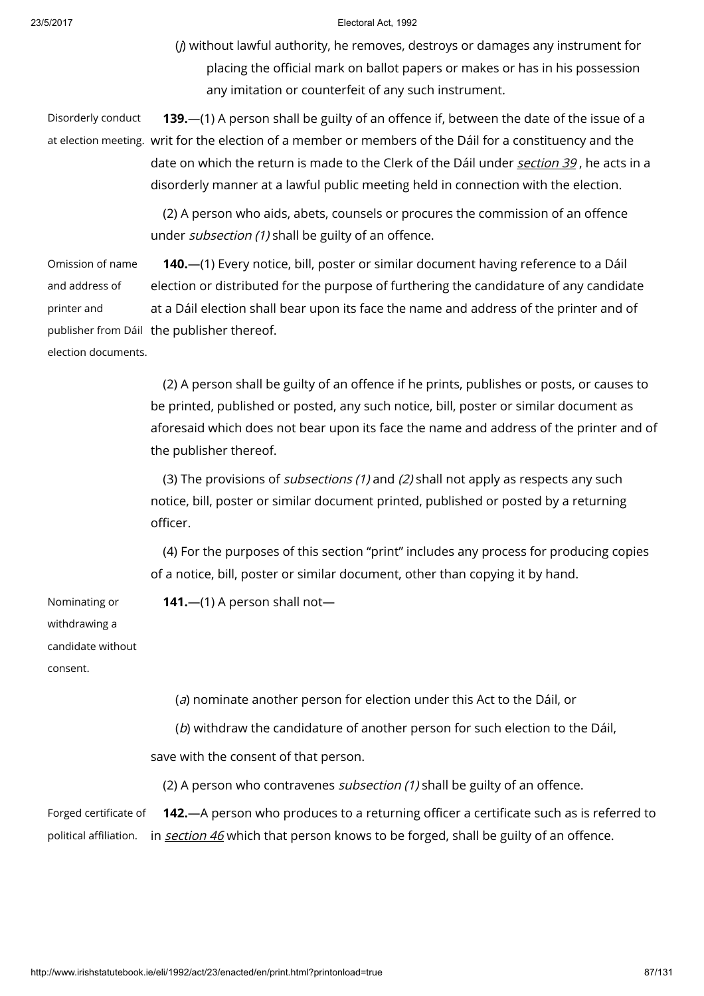(j) without lawful authority, he removes, destroys or damages any instrument for placing the official mark on ballot papers or makes or has in his possession any imitation or counterfeit of any such instrument.

Disorderly conduct at election meeting. writ for the election of a member or members of the Dáil for a constituency and the 139.—(1) A person shall be guilty of an offence if, between the date of the issue of a date on which the return is made to the Clerk of the Dáil under *[section](http://www.irishstatutebook.ie/1992/en/act/pub/0023/print.html#sec39) 39*, he acts in a disorderly manner at a lawful public meeting held in connection with the election.

> (2) A person who aids, abets, counsels or procures the commission of an offence under subsection (1) shall be guilty of an offence.

Omission of name and address of printer and publisher from Dáil the publisher thereof. election documents. 140.—(1) Every notice, bill, poster or similar document having reference to a Dáil election or distributed for the purpose of furthering the candidature of any candidate at a Dáil election shall bear upon its face the name and address of the printer and of

> (2) A person shall be guilty of an offence if he prints, publishes or posts, or causes to be printed, published or posted, any such notice, bill, poster or similar document as aforesaid which does not bear upon its face the name and address of the printer and of the publisher thereof.

(3) The provisions of *subsections (1)* and (2) shall not apply as respects any such notice, bill, poster or similar document printed, published or posted by a returning officer.

(4) For the purposes of this section "print" includes any process for producing copies of a notice, bill, poster or similar document, other than copying it by hand.

Nominating or withdrawing a candidate without consent.

141. $-$ (1) A person shall not $-$ 

(a) nominate another person for election under this Act to the Dáil, or (b) withdraw the candidature of another person for such election to the Dáil, save with the consent of that person. (2) A person who contravenes *subsection (1)* shall be guilty of an offence. Forged certificate of 142.—A person who produces to a returning officer a certificate such as is referred to

political affiliation. in <u>*[section](http://www.irishstatutebook.ie/1992/en/act/pub/0023/print.html#sec46) 46*</u> which that person knows to be forged, shall be guilty of an offence.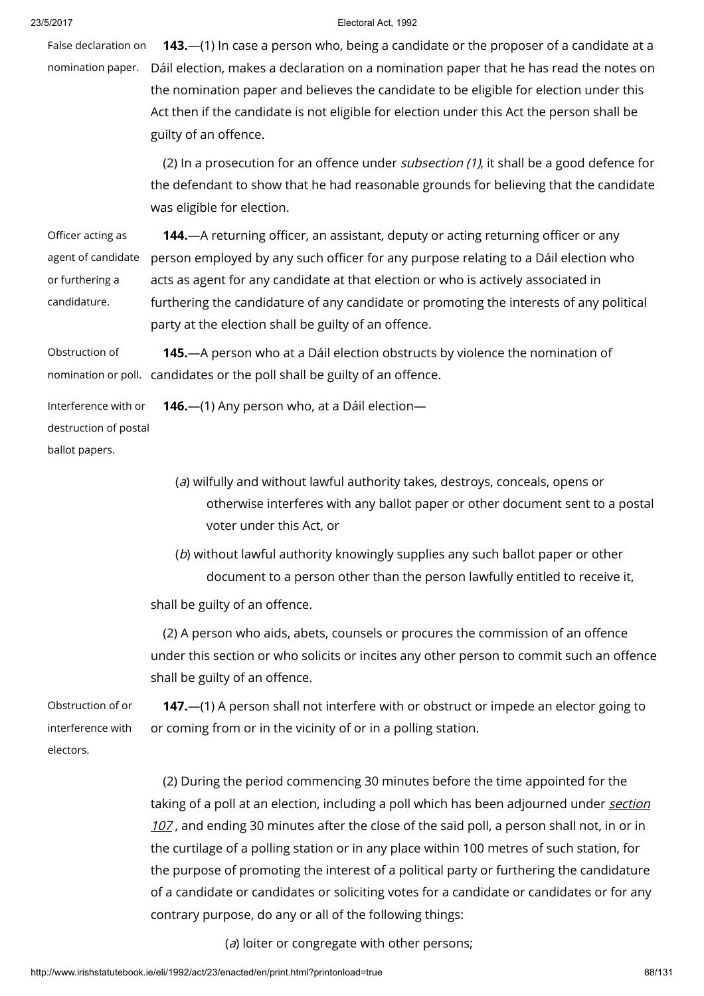False declaration on nomination paper. Dáil election, makes a declaration on a nomination paper that he has read the notes on **143.**—(1) In case a person who, being a candidate or the proposer of a candidate at a the nomination paper and believes the candidate to be eligible for election under this Act then if the candidate is not eligible for election under this Act the person shall be guilty of an offence.

> (2) In a prosecution for an offence under *subsection (1)*, it shall be a good defence for the defendant to show that he had reasonable grounds for believing that the candidate was eligible for election.

Officer acting as agent of candidate or furthering a candidature. 144.—A returning officer, an assistant, deputy or acting returning officer or any person employed by any such officer for any purpose relating to a Dáil election who acts as agent for any candidate at that election or who is actively associated in furthering the candidature of any candidate or promoting the interests of any political party at the election shall be guilty of an offence.

Obstruction of nomination or poll. candidates or the poll shall be guilty of an offence. 145.—A person who at a Dáil election obstructs by violence the nomination of

Interference with or destruction of postal ballot papers. 146.—(1) Any person who, at a Dáil election—

- (a) wilfully and without lawful authority takes, destroys, conceals, opens or otherwise interferes with any ballot paper or other document sent to a postal voter under this Act, or
- (b) without lawful authority knowingly supplies any such ballot paper or other document to a person other than the person lawfully entitled to receive it,

shall be guilty of an offence.

(2) A person who aids, abets, counsels or procures the commission of an offence under this section or who solicits or incites any other person to commit such an offence shall be guilty of an offence.

Obstruction of or interference with electors. 147.—(1) A person shall not interfere with or obstruct or impede an elector going to or coming from or in the vicinity of or in a polling station.

> (2) During the period commencing 30 minutes before the time appointed for the taking of a poll at an election, including a poll which has been [adjourned](http://www.irishstatutebook.ie/1992/en/act/pub/0023/print.html#sec107) under section 107, and ending 30 minutes after the close of the said poll, a person shall not, in or in the curtilage of a polling station or in any place within 100 metres of such station, for the purpose of promoting the interest of a political party or furthering the candidature of a candidate or candidates or soliciting votes for a candidate or candidates or for any contrary purpose, do any or all of the following things:

> > (a) loiter or congregate with other persons;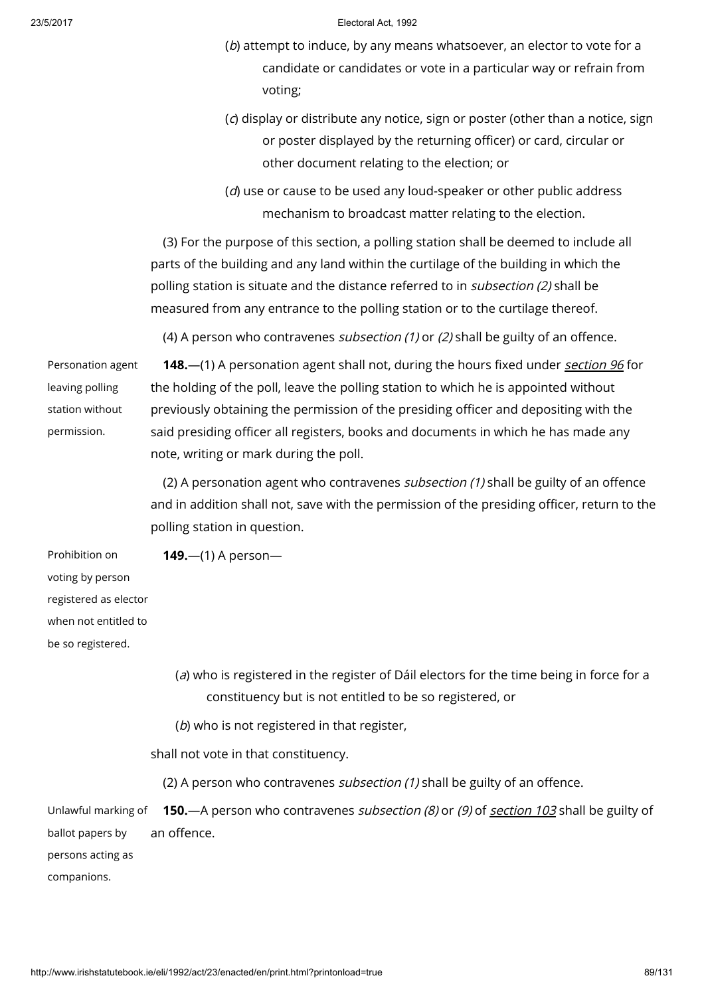- (b) attempt to induce, by any means whatsoever, an elector to vote for a candidate or candidates or vote in a particular way or refrain from voting;
- (c) display or distribute any notice, sign or poster (other than a notice, sign or poster displayed by the returning officer) or card, circular or other document relating to the election; or
- (d) use or cause to be used any loud-speaker or other public address mechanism to broadcast matter relating to the election.

(3) For the purpose of this section, a polling station shall be deemed to include all parts of the building and any land within the curtilage of the building in which the polling station is situate and the distance referred to in *subsection (2)* shall be measured from any entrance to the polling station or to the curtilage thereof.

(4) A person who contravenes *subsection (1)* or (2) shall be guilty of an offence.

Personation agent leaving polling station without permission.

148.—(1) A personation agent shall not, during the hours fixed under [section](http://www.irishstatutebook.ie/1992/en/act/pub/0023/print.html#sec96) 96 for the holding of the poll, leave the polling station to which he is appointed without previously obtaining the permission of the presiding officer and depositing with the said presiding officer all registers, books and documents in which he has made any note, writing or mark during the poll.

(2) A personation agent who contravenes subsection (1) shall be guilty of an offence and in addition shall not, save with the permission of the presiding officer, return to the polling station in question.

Prohibition on voting by person registered as elector when not entitled to be so registered.

(a) who is registered in the register of Dáil electors for the time being in force for a constituency but is not entitled to be so registered, or

(b) who is not registered in that register,

shall not vote in that constituency.

149.—(1) A person—

(2) A person who contravenes *subsection (1)* shall be guilty of an offence.

Unlawful marking of ballot papers by 150.—A person who contravenes subsection (8) or (9) of [section](http://www.irishstatutebook.ie/1992/en/act/pub/0023/print.html#sec103) 103 shall be guilty of an offence.

persons acting as

companions.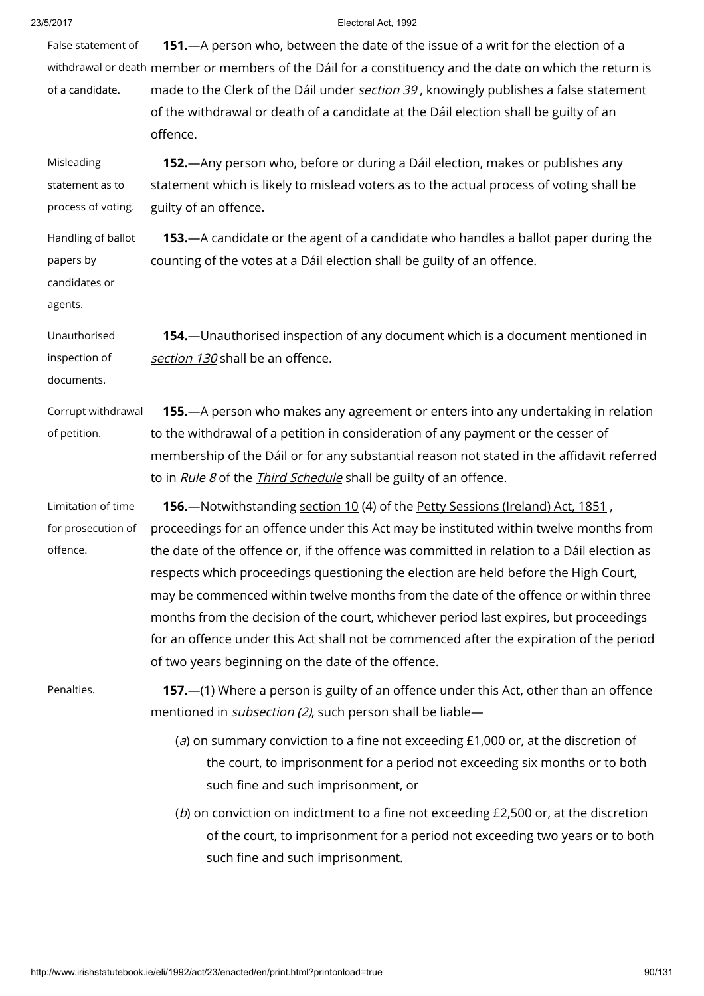| 23/5/2017                                                   | Electoral Act. 1992                                                                                                                                                                                                                                                                                                                                                                                                                                                                                               |
|-------------------------------------------------------------|-------------------------------------------------------------------------------------------------------------------------------------------------------------------------------------------------------------------------------------------------------------------------------------------------------------------------------------------------------------------------------------------------------------------------------------------------------------------------------------------------------------------|
| False statement of                                          | 151. A person who, between the date of the issue of a writ for the election of a                                                                                                                                                                                                                                                                                                                                                                                                                                  |
|                                                             | withdrawal or death member or members of the Dáil for a constituency and the date on which the return is                                                                                                                                                                                                                                                                                                                                                                                                          |
| of a candidate.                                             | made to the Clerk of the Dáil under section 39, knowingly publishes a false statement<br>of the withdrawal or death of a candidate at the Dáil election shall be guilty of an<br>offence.                                                                                                                                                                                                                                                                                                                         |
| Misleading                                                  | 152.—Any person who, before or during a Dáil election, makes or publishes any                                                                                                                                                                                                                                                                                                                                                                                                                                     |
| statement as to                                             | statement which is likely to mislead voters as to the actual process of voting shall be                                                                                                                                                                                                                                                                                                                                                                                                                           |
| process of voting.                                          | guilty of an offence.                                                                                                                                                                                                                                                                                                                                                                                                                                                                                             |
| Handling of ballot<br>papers by<br>candidates or<br>agents. | <b>153.</b> —A candidate or the agent of a candidate who handles a ballot paper during the<br>counting of the votes at a Dáil election shall be guilty of an offence.                                                                                                                                                                                                                                                                                                                                             |
| Unauthorised<br>inspection of<br>documents.                 | 154. - Unauthorised inspection of any document which is a document mentioned in<br>section 130 shall be an offence.                                                                                                                                                                                                                                                                                                                                                                                               |
| Corrupt withdrawal<br>of petition.                          | <b>155.</b> —A person who makes any agreement or enters into any undertaking in relation<br>to the withdrawal of a petition in consideration of any payment or the cesser of                                                                                                                                                                                                                                                                                                                                      |
|                                                             | membership of the Dáil or for any substantial reason not stated in the affidavit referred<br>to in Rule 8 of the <i>Third Schedule</i> shall be guilty of an offence.                                                                                                                                                                                                                                                                                                                                             |
| Limitation of time                                          | 156. Notwithstanding section 10 (4) of the Petty Sessions (Ireland) Act, 1851,                                                                                                                                                                                                                                                                                                                                                                                                                                    |
| for prosecution of                                          | proceedings for an offence under this Act may be instituted within twelve months from                                                                                                                                                                                                                                                                                                                                                                                                                             |
| offence.                                                    | the date of the offence or, if the offence was committed in relation to a Dáil election as<br>respects which proceedings questioning the election are held before the High Court,<br>may be commenced within twelve months from the date of the offence or within three<br>months from the decision of the court, whichever period last expires, but proceedings<br>for an offence under this Act shall not be commenced after the expiration of the period<br>of two years beginning on the date of the offence. |
| Penalties.                                                  | 157. - (1) Where a person is guilty of an offence under this Act, other than an offence<br>mentioned in <i>subsection (2)</i> , such person shall be liable-                                                                                                                                                                                                                                                                                                                                                      |
|                                                             | (a) on summary conviction to a fine not exceeding £1,000 or, at the discretion of<br>the court, to imprisonment for a period not exceeding six months or to both<br>such fine and such imprisonment, or                                                                                                                                                                                                                                                                                                           |
|                                                             | ( $b$ ) on conviction on indictment to a fine not exceeding £2,500 or, at the discretion<br>of the court, to imprisonment for a period not exceeding two years or to both<br>such fine and such imprisonment.                                                                                                                                                                                                                                                                                                     |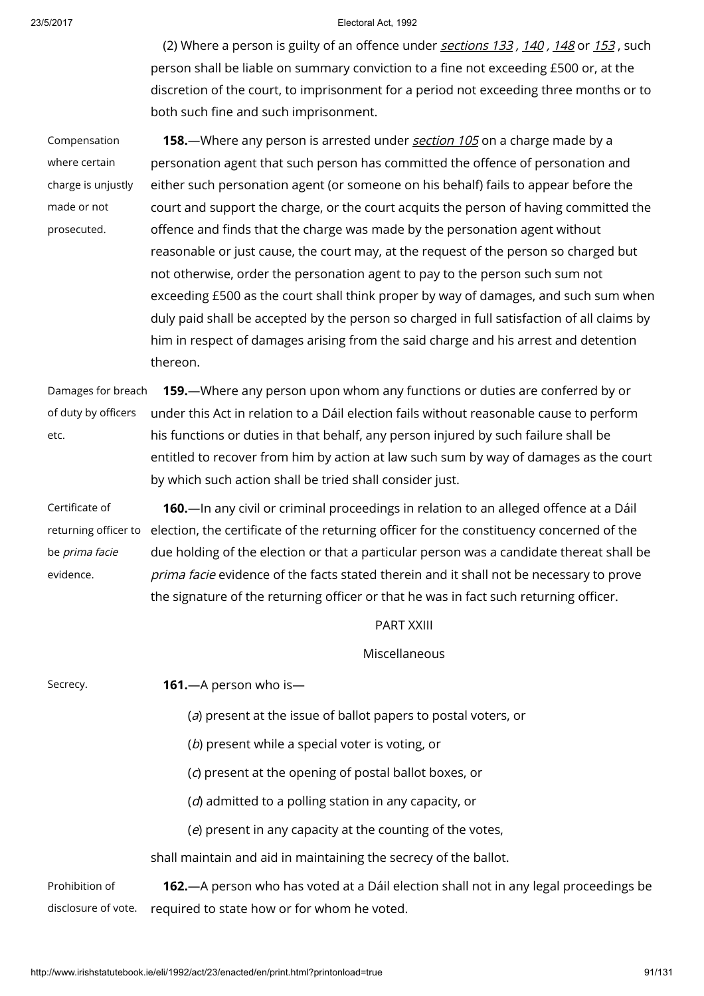(2) Where a person is guilty of an offence under [sections](http://www.irishstatutebook.ie/1992/en/act/pub/0023/print.html#sec133) 133, [140](http://www.irishstatutebook.ie/1992/en/act/pub/0023/print.html#sec140), [148](http://www.irishstatutebook.ie/1992/en/act/pub/0023/print.html#sec148) or [153](http://www.irishstatutebook.ie/1992/en/act/pub/0023/print.html#sec153), such person shall be liable on summary conviction to a fine not exceeding £500 or, at the discretion of the court, to imprisonment for a period not exceeding three months or to both such fine and such imprisonment.

Compensation where certain charge is unjustly made or not prosecuted.

158.—Where any person is arrested under [section](http://www.irishstatutebook.ie/1992/en/act/pub/0023/print.html#sec105) 105 on a charge made by a personation agent that such person has committed the offence of personation and either such personation agent (or someone on his behalf) fails to appear before the court and support the charge, or the court acquits the person of having committed the offence and finds that the charge was made by the personation agent without reasonable or just cause, the court may, at the request of the person so charged but not otherwise, order the personation agent to pay to the person such sum not exceeding £500 as the court shall think proper by way of damages, and such sum when duly paid shall be accepted by the person so charged in full satisfaction of all claims by him in respect of damages arising from the said charge and his arrest and detention thereon.

Damages for breach of duty by officers etc. 159.—Where any person upon whom any functions or duties are conferred by or under this Act in relation to a Dáil election fails without reasonable cause to perform his functions or duties in that behalf, any person injured by such failure shall be entitled to recover from him by action at law such sum by way of damages as the court by which such action shall be tried shall consider just.

Certificate of returning officer to be prima facie evidence. 160.—In any civil or criminal proceedings in relation to an alleged offence at a Dáil election, the certificate of the returning officer for the constituency concerned of the due holding of the election or that a particular person was a candidate thereat shall be prima facie evidence of the facts stated therein and it shall not be necessary to prove the signature of the returning officer or that he was in fact such returning officer.

PART XXIII

Miscellaneous

Secrecy. **161.**—A person who is—

- (a) present at the issue of ballot papers to postal voters, or
- (b) present while a special voter is voting, or
- (c) present at the opening of postal ballot boxes, or
- (d) admitted to a polling station in any capacity, or
- (e) present in any capacity at the counting of the votes,

shall maintain and aid in maintaining the secrecy of the ballot.

Prohibition of disclosure of vote. 162.—A person who has voted at a Dáil election shall not in any legal proceedings be required to state how or for whom he voted.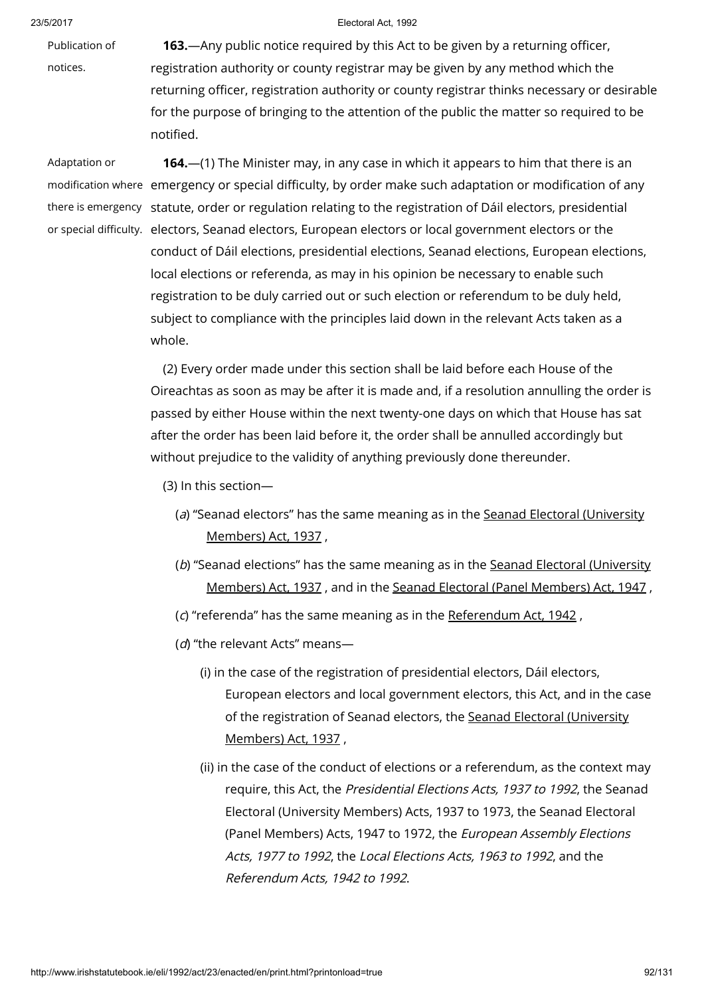Publication of

# notices.

**163.**—Any public notice required by this Act to be given by a returning officer, registration authority or county registrar may be given by any method which the returning officer, registration authority or county registrar thinks necessary or desirable for the purpose of bringing to the attention of the public the matter so required to be notified.

Adaptation or

modification where emergency or special difficulty, by order make such adaptation or modification of any there is emergency statute, order or regulation relating to the registration of Dáil electors, presidential or special difficulty. electors, Seanad electors, European electors or local government electors or the 164.—(1) The Minister may, in any case in which it appears to him that there is an conduct of Dáil elections, presidential elections, Seanad elections, European elections, local elections or referenda, as may in his opinion be necessary to enable such registration to be duly carried out or such election or referendum to be duly held, subject to compliance with the principles laid down in the relevant Acts taken as a whole.

> (2) Every order made under this section shall be laid before each House of the Oireachtas as soon as may be after it is made and, if a resolution annulling the order is passed by either House within the next twenty-one days on which that House has sat after the order has been laid before it, the order shall be annulled accordingly but without prejudice to the validity of anything previously done thereunder.

- (3) In this section—
	- (a) "Seanad electors" has the same meaning as in the Seanad Electoral [\(University](http://www.irishstatutebook.ie/1937/en/act/pub/0030/index.html) Members) Act, 1937 ,
	- (b) "Seanad elections" has the same meaning as in the Seanad Electoral [\(University](http://www.irishstatutebook.ie/1937/en/act/pub/0030/index.html) Members) Act, 1937 , and in the Seanad Electoral (Panel [Members\)](http://www.irishstatutebook.ie/1947/en/act/pub/0042/index.html) Act, 1947 ,
	- (c) "referenda" has the same meaning as in the [Referendum](http://www.irishstatutebook.ie/1942/en/act/pub/0008/index.html) Act, 1942 ,
	- (d) "the relevant Acts" means-
		- (i) in the case of the registration of presidential electors, Dáil electors, European electors and local government electors, this Act, and in the case of the [registration](http://www.irishstatutebook.ie/1937/en/act/pub/0030/index.html) of Seanad electors, the Seanad Electoral (University Members) Act, 1937 ,
		- (ii) in the case of the conduct of elections or a referendum, as the context may require, this Act, the Presidential Elections Acts, 1937 to 1992, the Seanad Electoral (University Members) Acts, 1937 to 1973, the Seanad Electoral (Panel Members) Acts, 1947 to 1972, the European Assembly Elections Acts, 1977 to 1992, the Local Elections Acts, 1963 to 1992, and the Referendum Acts, 1942 to 1992.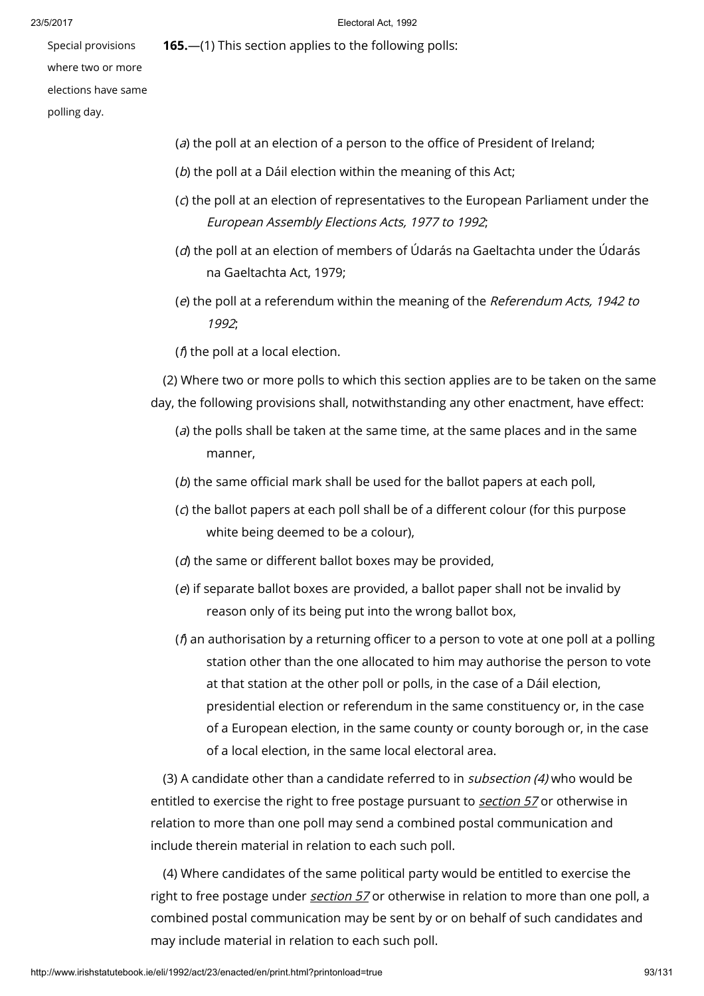165.—(1) This section applies to the following polls:

Special provisions where two or more elections have same polling day.

- (a) the poll at an election of a person to the office of President of Ireland;
- (b) the poll at a Dáil election within the meaning of this Act;
- (c) the poll at an election of representatives to the European Parliament under the European Assembly Elections Acts, 1977 to 1992;
- (d) the poll at an election of members of Údarás na Gaeltachta under the Údarás na Gaeltachta Act, 1979;
- (e) the poll at a referendum within the meaning of the Referendum Acts, 1942 to 1992;
- ( $f$ ) the poll at a local election.

(2) Where two or more polls to which this section applies are to be taken on the same day, the following provisions shall, notwithstanding any other enactment, have effect:

- $(a)$  the polls shall be taken at the same time, at the same places and in the same manner,
- (b) the same official mark shall be used for the ballot papers at each poll,
- (c) the ballot papers at each poll shall be of a different colour (for this purpose white being deemed to be a colour),
- (d) the same or different ballot boxes may be provided,
- (e) if separate ballot boxes are provided, a ballot paper shall not be invalid by reason only of its being put into the wrong ballot box,
- ( $f$ ) an authorisation by a returning officer to a person to vote at one poll at a polling station other than the one allocated to him may authorise the person to vote at that station at the other poll or polls, in the case of a Dáil election, presidential election or referendum in the same constituency or, in the case of a European election, in the same county or county borough or, in the case of a local election, in the same local electoral area.

(3) A candidate other than a candidate referred to in subsection (4) who would be entitled to exercise the right to free postage pursuant to [section](http://www.irishstatutebook.ie/1992/en/act/pub/0023/print.html#sec57) 57 or otherwise in relation to more than one poll may send a combined postal communication and include therein material in relation to each such poll.

(4) Where candidates of the same political party would be entitled to exercise the right to free postage under *[section](http://www.irishstatutebook.ie/1992/en/act/pub/0023/print.html#sec57) 57* or otherwise in relation to more than one poll, a combined postal communication may be sent by or on behalf of such candidates and may include material in relation to each such poll.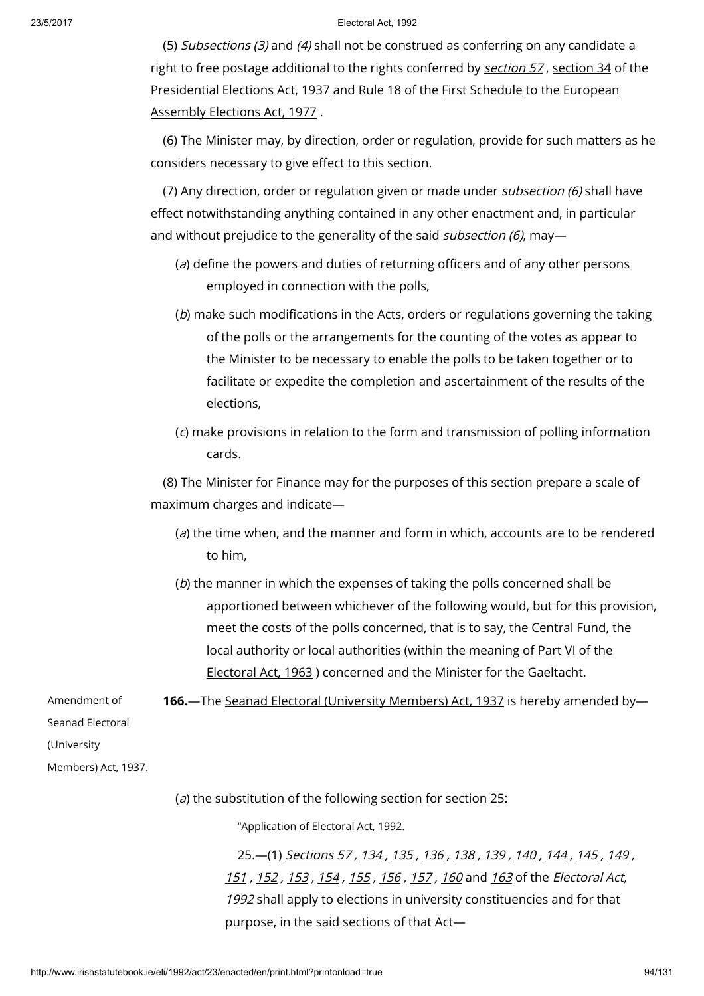(5) Subsections (3) and (4) shall not be construed as conferring on any candidate a right to free postage additional to the rights conferred by [section](http://www.irishstatutebook.ie/1937/en/act/pub/0032/sec0034.html#sec34) 57, section 34 of the [Presidential](http://www.irishstatutebook.ie/1937/en/act/pub/0032/index.html) Elections Act, 1937 and Rule 18 of the First [Schedule](http://www.irishstatutebook.ie/1977/en/act/pub/0030/index.html) to the European Assembly Elections Act, 1977 .

(6) The Minister may, by direction, order or regulation, provide for such matters as he considers necessary to give effect to this section.

(7) Any direction, order or regulation given or made under subsection (6) shall have effect notwithstanding anything contained in any other enactment and, in particular and without prejudice to the generality of the said *subsection (6)*, may-

- (a) define the powers and duties of returning officers and of any other persons employed in connection with the polls,
- (b) make such modifications in the Acts, orders or regulations governing the taking of the polls or the arrangements for the counting of the votes as appear to the Minister to be necessary to enable the polls to be taken together or to facilitate or expedite the completion and ascertainment of the results of the elections,
- (c) make provisions in relation to the form and transmission of polling information cards.

(8) The Minister for Finance may for the purposes of this section prepare a scale of maximum charges and indicate—

- $(a)$  the time when, and the manner and form in which, accounts are to be rendered to him,
- (b) the manner in which the expenses of taking the polls concerned shall be apportioned between whichever of the following would, but for this provision, meet the costs of the polls concerned, that is to say, the Central Fund, the local authority or local authorities (within the meaning of Part VI of the [Electoral](http://www.irishstatutebook.ie/1963/en/act/pub/0019/index.html) Act, 1963 ) concerned and the Minister for the Gaeltacht.

166.—The Seanad Electoral [\(University](http://www.irishstatutebook.ie/1937/en/act/pub/0030/index.html) Members) Act, 1937 is hereby amended by—

Seanad Electoral

Amendment of

(University

Members) Act, 1937.

( $a$ ) the substitution of the following section for section 25:

"Application of Electoral Act, 1992.

25.—(1) [Sections](http://www.irishstatutebook.ie/1992/en/act/pub/0023/print.html#sec57) 57 , [134](http://www.irishstatutebook.ie/1992/en/act/pub/0023/print.html#sec134) , [135](http://www.irishstatutebook.ie/1992/en/act/pub/0023/print.html#sec135) , [136](http://www.irishstatutebook.ie/1992/en/act/pub/0023/print.html#sec136) , [138](http://www.irishstatutebook.ie/1992/en/act/pub/0023/print.html#sec138) , [139](http://www.irishstatutebook.ie/1992/en/act/pub/0023/print.html#sec139) , [140](http://www.irishstatutebook.ie/1992/en/act/pub/0023/print.html#sec140) , [144](http://www.irishstatutebook.ie/1992/en/act/pub/0023/print.html#sec144) , [145](http://www.irishstatutebook.ie/1992/en/act/pub/0023/print.html#sec145) , [149](http://www.irishstatutebook.ie/1992/en/act/pub/0023/print.html#sec149) , [151](http://www.irishstatutebook.ie/1992/en/act/pub/0023/print.html#sec151) , [152](http://www.irishstatutebook.ie/1992/en/act/pub/0023/print.html#sec152) , [153](http://www.irishstatutebook.ie/1992/en/act/pub/0023/print.html#sec153) , [154](http://www.irishstatutebook.ie/1992/en/act/pub/0023/print.html#sec154) , [155](http://www.irishstatutebook.ie/1992/en/act/pub/0023/print.html#sec155) , [156](http://www.irishstatutebook.ie/1992/en/act/pub/0023/print.html#sec156) , [157](http://www.irishstatutebook.ie/1992/en/act/pub/0023/print.html#sec157) , [160](http://www.irishstatutebook.ie/1992/en/act/pub/0023/print.html#sec160) and [163](http://www.irishstatutebook.ie/1992/en/act/pub/0023/print.html#sec163) of the Electoral Act, 1992 shall apply to elections in university constituencies and for that purpose, in the said sections of that Act—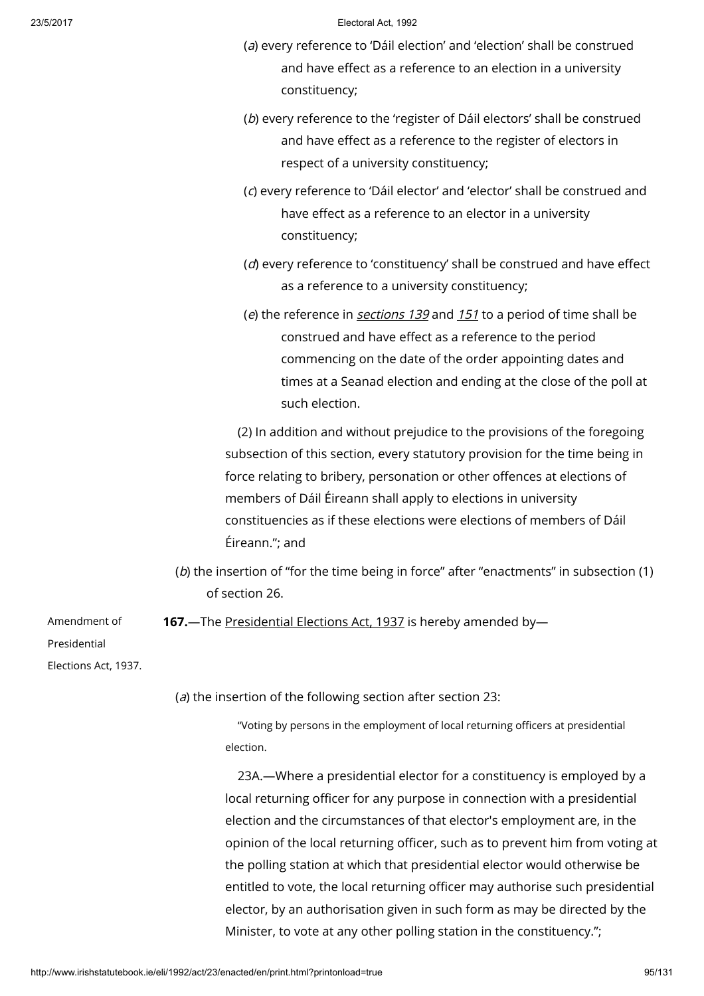- (a) every reference to 'Dáil election' and 'election' shall be construed and have effect as a reference to an election in a university constituency;
- (b) every reference to the 'register of Dáil electors' shall be construed and have effect as a reference to the register of electors in respect of a university constituency;
- (c) every reference to 'Dáil elector' and 'elector' shall be construed and have effect as a reference to an elector in a university constituency;
- (d) every reference to 'constituency' shall be construed and have effect as a reference to a university constituency;
- (e) the reference in [sections](http://www.irishstatutebook.ie/1992/en/act/pub/0023/print.html#sec139) 139 and  $151$  to a period of time shall be construed and have effect as a reference to the period commencing on the date of the order appointing dates and times at a Seanad election and ending at the close of the poll at such election.

(2) In addition and without prejudice to the provisions of the foregoing subsection of this section, every statutory provision for the time being in force relating to bribery, personation or other offences at elections of members of Dáil Éireann shall apply to elections in university constituencies as if these elections were elections of members of Dáil Éireann."; and

(b) the insertion of "for the time being in force" after "enactments" in subsection (1) of section 26.

167. The [Presidential](http://www.irishstatutebook.ie/1937/en/act/pub/0032/index.html) Elections Act, 1937 is hereby amended by-

Presidential

Amendment of

Elections Act, 1937.

(a) the insertion of the following section after section 23:

"Voting by persons in the employment of local returning officers at presidential election.

23A.—Where a presidential elector for a constituency is employed by a local returning officer for any purpose in connection with a presidential election and the circumstances of that elector's employment are, in the opinion of the local returning officer, such as to prevent him from voting at the polling station at which that presidential elector would otherwise be entitled to vote, the local returning officer may authorise such presidential elector, by an authorisation given in such form as may be directed by the Minister, to vote at any other polling station in the constituency.";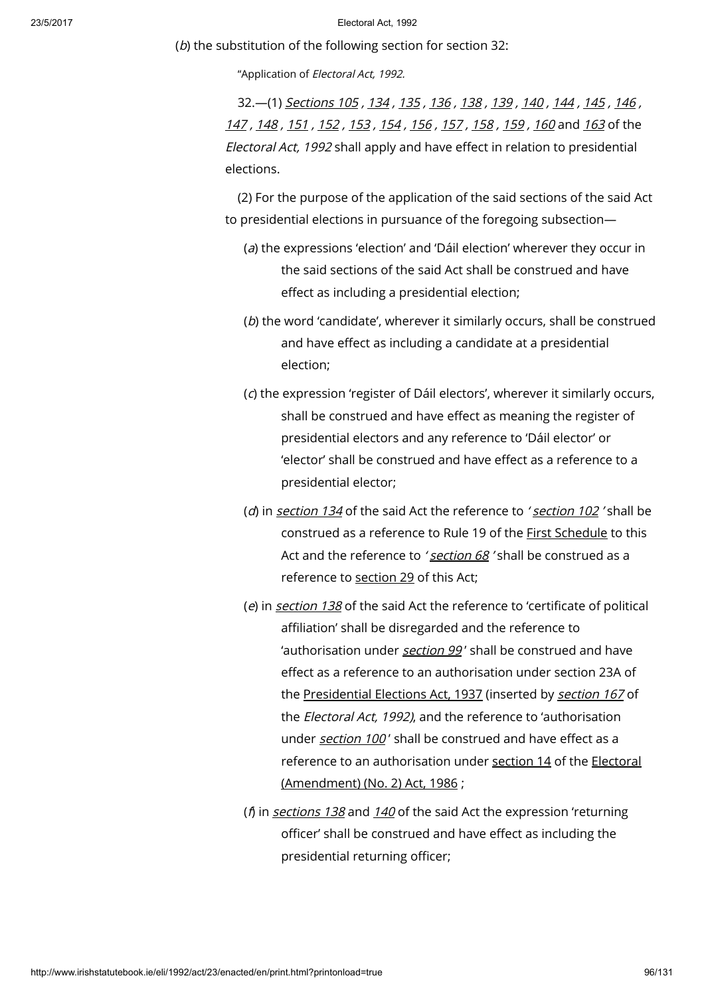(b) the substitution of the following section for section 32:

"Application of Electoral Act, 1992.

32.—(1) [Sections](http://www.irishstatutebook.ie/1992/en/act/pub/0023/print.html#sec105) 105 , [134](http://www.irishstatutebook.ie/1992/en/act/pub/0023/print.html#sec134) , [135](http://www.irishstatutebook.ie/1992/en/act/pub/0023/print.html#sec135) , [136](http://www.irishstatutebook.ie/1992/en/act/pub/0023/print.html#sec136) , [138](http://www.irishstatutebook.ie/1992/en/act/pub/0023/print.html#sec138) , [139](http://www.irishstatutebook.ie/1992/en/act/pub/0023/print.html#sec139) , [140](http://www.irishstatutebook.ie/1992/en/act/pub/0023/print.html#sec140) , [144](http://www.irishstatutebook.ie/1992/en/act/pub/0023/print.html#sec144) , [145](http://www.irishstatutebook.ie/1992/en/act/pub/0023/print.html#sec145) , [146](http://www.irishstatutebook.ie/1992/en/act/pub/0023/print.html#sec146) , [147](http://www.irishstatutebook.ie/1992/en/act/pub/0023/print.html#sec147) , [148](http://www.irishstatutebook.ie/1992/en/act/pub/0023/print.html#sec148) , [151](http://www.irishstatutebook.ie/1992/en/act/pub/0023/print.html#sec151) , [152](http://www.irishstatutebook.ie/1992/en/act/pub/0023/print.html#sec152) , [153](http://www.irishstatutebook.ie/1992/en/act/pub/0023/print.html#sec153) , [154](http://www.irishstatutebook.ie/1992/en/act/pub/0023/print.html#sec154) , [156](http://www.irishstatutebook.ie/1992/en/act/pub/0023/print.html#sec156) , [157](http://www.irishstatutebook.ie/1992/en/act/pub/0023/print.html#sec157) , [158](http://www.irishstatutebook.ie/1992/en/act/pub/0023/print.html#sec158) , [159](http://www.irishstatutebook.ie/1992/en/act/pub/0023/print.html#sec159) , [160](http://www.irishstatutebook.ie/1992/en/act/pub/0023/print.html#sec160) and [163](http://www.irishstatutebook.ie/1992/en/act/pub/0023/print.html#sec163) of the Electoral Act, 1992 shall apply and have effect in relation to presidential elections.

(2) For the purpose of the application of the said sections of the said Act to presidential elections in pursuance of the foregoing subsection—

- (a) the expressions 'election' and 'Dáil election' wherever they occur in the said sections of the said Act shall be construed and have effect as including a presidential election;
- (b) the word 'candidate', wherever it similarly occurs, shall be construed and have effect as including a candidate at a presidential election;
- (c) the expression 'register of Dáil electors', wherever it similarly occurs, shall be construed and have effect as meaning the register of presidential electors and any reference to 'Dáil elector' or 'elector' shall be construed and have effect as a reference to a presidential elector;
- (d) in [section](http://www.irishstatutebook.ie/1992/en/act/pub/0023/print.html#sec102) 134 of the said Act the reference to 'section 102' shall be construed as a reference to Rule 19 of the First [Schedule](http://www.irishstatutebook.ie/1992/en/act/pub/0023/print.html#sched1) to this Act and the reference to ' [section](http://www.irishstatutebook.ie/1992/en/act/pub/0023/print.html#sec68) 68 ' shall be construed as a reference to [section](http://www.irishstatutebook.ie/1992/en/act/pub/0023/print.html#sec29) 29 of this Act;
- (e) in [section](http://www.irishstatutebook.ie/1992/en/act/pub/0023/print.html#sec138) 138 of the said Act the reference to 'certificate of political affiliation' shall be disregarded and the reference to 'authorisation under [section](http://www.irishstatutebook.ie/1992/en/act/pub/0023/print.html#sec99) 99' shall be construed and have effect as a reference to an authorisation under section 23A of the [Presidential](http://www.irishstatutebook.ie/1937/en/act/pub/0032/index.html) Elections Act, 1937 (inserted by [section](http://www.irishstatutebook.ie/1992/en/act/pub/0023/print.html#sec167) 167 of the Electoral Act, 1992), and the reference to 'authorisation under *[section](http://www.irishstatutebook.ie/1992/en/act/pub/0023/print.html#sec100) 100'* shall be construed and have effect as a reference to an authorisation under [section](http://www.irishstatutebook.ie/1986/en/act/pub/0035/sec0014.html#sec14) 14 of the Electoral [\(Amendment\)](http://www.irishstatutebook.ie/1986/en/act/pub/0035/index.html) (No. 2) Act, 1986 ;
- ( $\beta$  in [sections](http://www.irishstatutebook.ie/1992/en/act/pub/0023/print.html#sec138) 138 and [140](http://www.irishstatutebook.ie/1992/en/act/pub/0023/print.html#sec140) of the said Act the expression 'returning officer' shall be construed and have effect as including the presidential returning officer;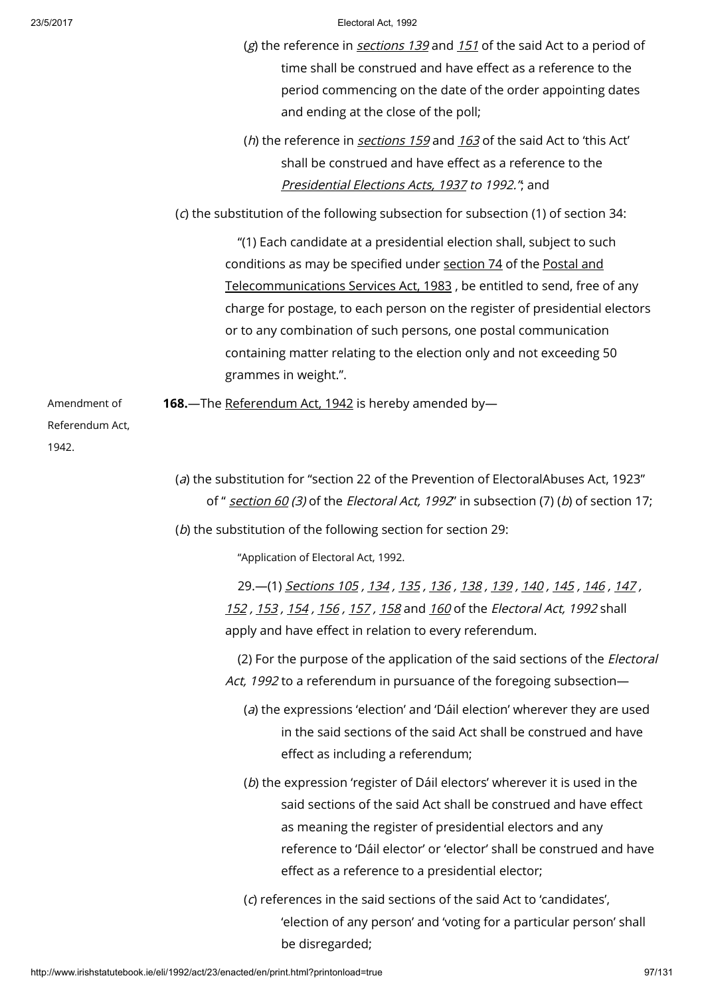| 23/5/2017                                | Electoral Act, 1992<br>(g) the reference in <i>sections 139</i> and 151 of the said Act to a period of<br>time shall be construed and have effect as a reference to the<br>period commencing on the date of the order appointing dates<br>and ending at the close of the poll;                                                                                                                                                                                          |
|------------------------------------------|-------------------------------------------------------------------------------------------------------------------------------------------------------------------------------------------------------------------------------------------------------------------------------------------------------------------------------------------------------------------------------------------------------------------------------------------------------------------------|
|                                          | (h) the reference in sections 159 and 163 of the said Act to 'this Act'<br>shall be construed and have effect as a reference to the<br>Presidential Elections Acts, 1937 to 1992.", and                                                                                                                                                                                                                                                                                 |
|                                          | (c) the substitution of the following subsection for subsection (1) of section 34:                                                                                                                                                                                                                                                                                                                                                                                      |
|                                          | "(1) Each candidate at a presidential election shall, subject to such<br>conditions as may be specified under section 74 of the Postal and<br>Telecommunications Services Act, 1983, be entitled to send, free of any<br>charge for postage, to each person on the register of presidential electors<br>or to any combination of such persons, one postal communication<br>containing matter relating to the election only and not exceeding 50<br>grammes in weight.". |
| Amendment of<br>Referendum Act,<br>1942. | 168. The Referendum Act, 1942 is hereby amended by-                                                                                                                                                                                                                                                                                                                                                                                                                     |
|                                          | (a) the substitution for "section 22 of the Prevention of ElectoralAbuses Act, 1923"<br>of " section 60 (3) of the Electoral Act, 1992" in subsection (7) (b) of section 17;<br>(b) the substitution of the following section for section 29:                                                                                                                                                                                                                           |
|                                          | "Application of Electoral Act, 1992.                                                                                                                                                                                                                                                                                                                                                                                                                                    |
|                                          | 29. (1) Sections 105, 134, 135, 136, 138, 139, 140, 145, 146, 147,<br>152, 153, 154, 156, 157, 158 and 160 of the <i>Electoral Act</i> , 1992 shall<br>apply and have effect in relation to every referendum.                                                                                                                                                                                                                                                           |
|                                          | (2) For the purpose of the application of the said sections of the <i>Electoral</i><br>Act, 1992 to a referendum in pursuance of the foregoing subsection-                                                                                                                                                                                                                                                                                                              |

- (a) the expressions 'election' and 'Dáil election' wherever they are used in the said sections of the said Act shall be construed and have effect as including a referendum;
- (b) the expression 'register of Dáil electors' wherever it is used in the said sections of the said Act shall be construed and have effect as meaning the register of presidential electors and any reference to 'Dáil elector' or 'elector' shall be construed and have effect as a reference to a presidential elector;
- (c) references in the said sections of the said Act to 'candidates', 'election of any person' and 'voting for a particular person' shall be disregarded;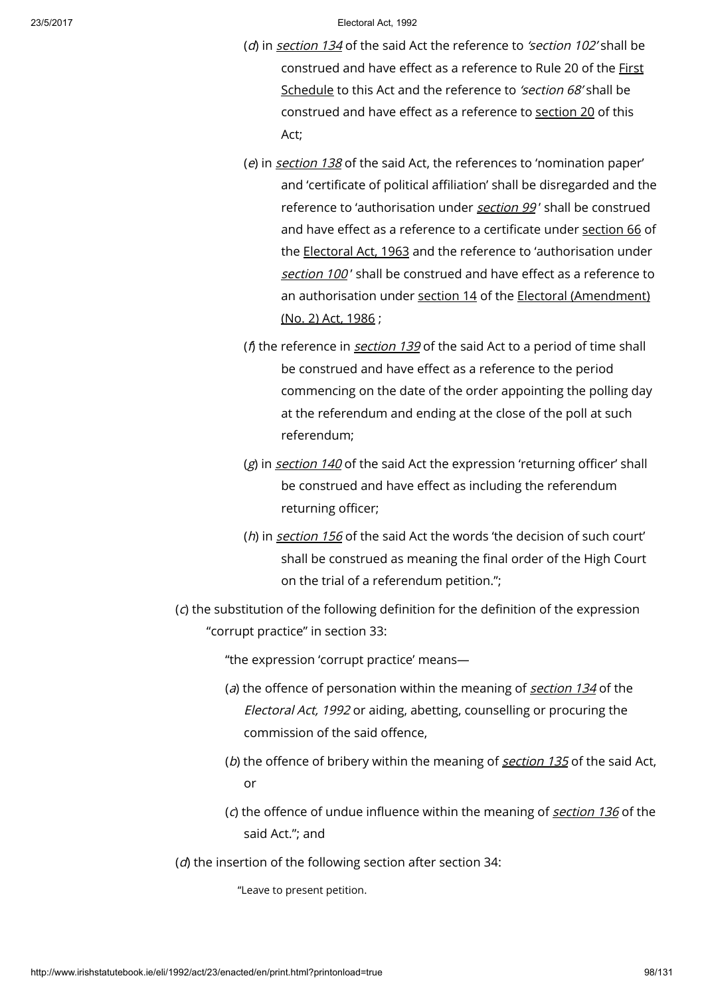- (d) in [section](http://www.irishstatutebook.ie/1992/en/act/pub/0023/print.html#sec134) 134 of the said Act the reference to 'section 102' shall be [construed](http://www.irishstatutebook.ie/1992/en/act/pub/0023/print.html#sched1) and have effect as a reference to Rule 20 of the First Schedule to this Act and the reference to 'section 68' shall be construed and have effect as a reference to [section](http://www.irishstatutebook.ie/1992/en/act/pub/0023/print.html#sec20) 20 of this Act;
- (e) in [section](http://www.irishstatutebook.ie/1992/en/act/pub/0023/print.html#sec138) 138 of the said Act, the references to 'nomination paper' and 'certificate of political affiliation' shall be disregarded and the reference to 'authorisation under [section](http://www.irishstatutebook.ie/1992/en/act/pub/0023/print.html#sec99) 99' shall be construed and have effect as a reference to a certificate under [section](http://www.irishstatutebook.ie/1963/en/act/pub/0019/sec0066.html#sec66) 66 of the [Electoral](http://www.irishstatutebook.ie/1963/en/act/pub/0019/index.html) Act, 1963 and the reference to 'authorisation under [section](http://www.irishstatutebook.ie/1992/en/act/pub/0023/print.html#sec100) 100' shall be construed and have effect as a reference to an authorisation under [section](http://www.irishstatutebook.ie/1986/en/act/pub/0035/sec0014.html#sec14) 14 of the Electoral [\(Amendment\)](http://www.irishstatutebook.ie/1986/en/act/pub/0035/index.html) (No. 2) Act, 1986 ;
- ( $\beta$ ) the reference in *[section](http://www.irishstatutebook.ie/1992/en/act/pub/0023/print.html#sec139) 139* of the said Act to a period of time shall be construed and have effect as a reference to the period commencing on the date of the order appointing the polling day at the referendum and ending at the close of the poll at such referendum;
- (g) in [section](http://www.irishstatutebook.ie/1992/en/act/pub/0023/print.html#sec140) 140 of the said Act the expression 'returning officer' shall be construed and have effect as including the referendum returning officer;
- (h) in [section](http://www.irishstatutebook.ie/1992/en/act/pub/0023/print.html#sec156) 156 of the said Act the words 'the decision of such court' shall be construed as meaning the final order of the High Court on the trial of a referendum petition.";
- (c) the substitution of the following definition for the definition of the expression "corrupt practice" in section 33:

"the expression 'corrupt practice' means—

- (a) the offence of personation within the meaning of [section](http://www.irishstatutebook.ie/1992/en/act/pub/0023/print.html#sec134) 134 of the Electoral Act, 1992 or aiding, abetting, counselling or procuring the commission of the said offence,
- (b) the offence of bribery within the meaning of  $section 135$  $section 135$  of the said Act, or
- (c) the offence of undue influence within the meaning of [section](http://www.irishstatutebook.ie/1992/en/act/pub/0023/print.html#sec136)  $136$  of the said Act."; and
- (d) the insertion of the following section after section 34:

"Leave to present petition.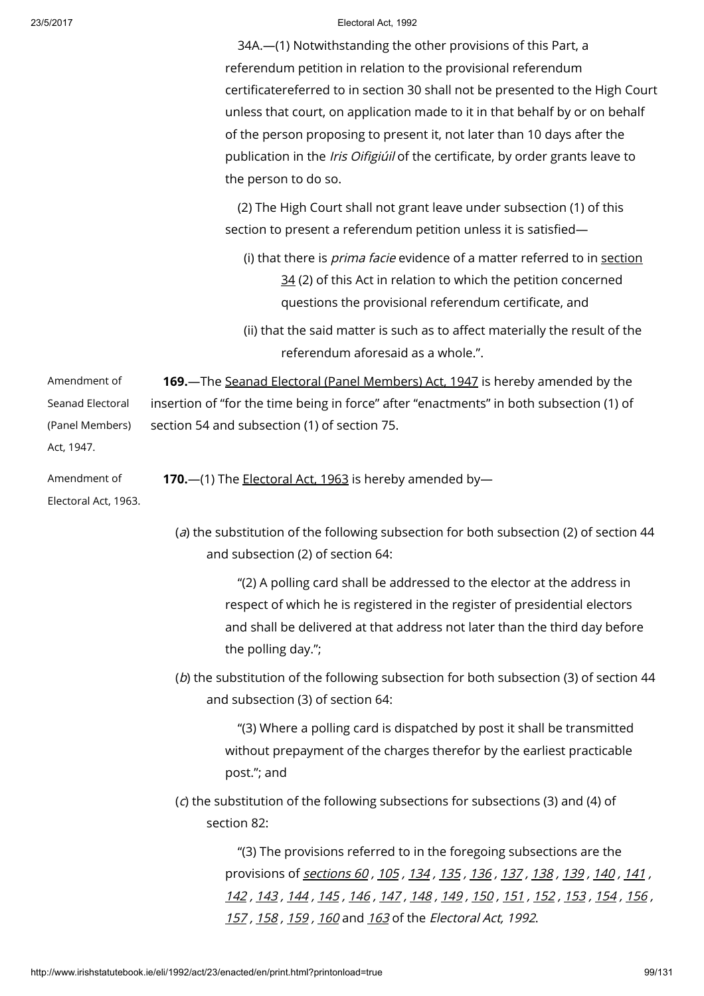|                                                                   | 34A.-(1) Notwithstanding the other provisions of this Part, a<br>referendum petition in relation to the provisional referendum<br>certificatereferred to in section 30 shall not be presented to the High Court<br>unless that court, on application made to it in that behalf by or on behalf<br>of the person proposing to present it, not later than 10 days after the<br>publication in the Iris Oifigiúil of the certificate, by order grants leave to<br>the person to do so. |
|-------------------------------------------------------------------|-------------------------------------------------------------------------------------------------------------------------------------------------------------------------------------------------------------------------------------------------------------------------------------------------------------------------------------------------------------------------------------------------------------------------------------------------------------------------------------|
|                                                                   | (2) The High Court shall not grant leave under subsection (1) of this<br>section to present a referendum petition unless it is satisfied-                                                                                                                                                                                                                                                                                                                                           |
|                                                                   | (i) that there is <i>prima facie</i> evidence of a matter referred to in section<br>34 (2) of this Act in relation to which the petition concerned<br>questions the provisional referendum certificate, and                                                                                                                                                                                                                                                                         |
|                                                                   | (ii) that the said matter is such as to affect materially the result of the<br>referendum aforesaid as a whole.".                                                                                                                                                                                                                                                                                                                                                                   |
| Amendment of<br>Seanad Electoral<br>(Panel Members)<br>Act, 1947. | 169. The Seanad Electoral (Panel Members) Act, 1947 is hereby amended by the<br>insertion of "for the time being in force" after "enactments" in both subsection (1) of<br>section 54 and subsection (1) of section 75.                                                                                                                                                                                                                                                             |
| Amendment of<br>Electoral Act, 1963.                              | 170. - (1) The <b>Electoral Act, 1963</b> is hereby amended by-                                                                                                                                                                                                                                                                                                                                                                                                                     |
|                                                                   | (a) the substitution of the following subsection for both subsection (2) of section 44<br>and subsection (2) of section 64:                                                                                                                                                                                                                                                                                                                                                         |
|                                                                   | "(2) A polling card shall be addressed to the elector at the address in<br>respect of which he is registered in the register of presidential electors<br>and shall be delivered at that address not later than the third day before<br>the polling day.";                                                                                                                                                                                                                           |
|                                                                   | (b) the substitution of the following subsection for both subsection (3) of section 44<br>and subsection (3) of section 64:                                                                                                                                                                                                                                                                                                                                                         |
|                                                                   | "(3) Where a polling card is dispatched by post it shall be transmitted<br>without prepayment of the charges therefor by the earliest practicable<br>post."; and                                                                                                                                                                                                                                                                                                                    |
|                                                                   | (c) the substitution of the following subsections for subsections (3) and (4) of<br>section 82:                                                                                                                                                                                                                                                                                                                                                                                     |
|                                                                   | "(3) The provisions referred to in the foregoing subsections are the<br>provisions of <i>sections 60, 105, 134, 135, 136, 137, 138, 139, 140, 141,</i><br><u>142 , 143 , 144 , 145 , 146 , 147 , 148 , 149 , 150 , 151 , 152 , 153 , 154 , 156 , </u><br><u>157, 158, 159, 160</u> and <u>163</u> of the <i>Electoral Act, 1992</i> .                                                                                                                                               |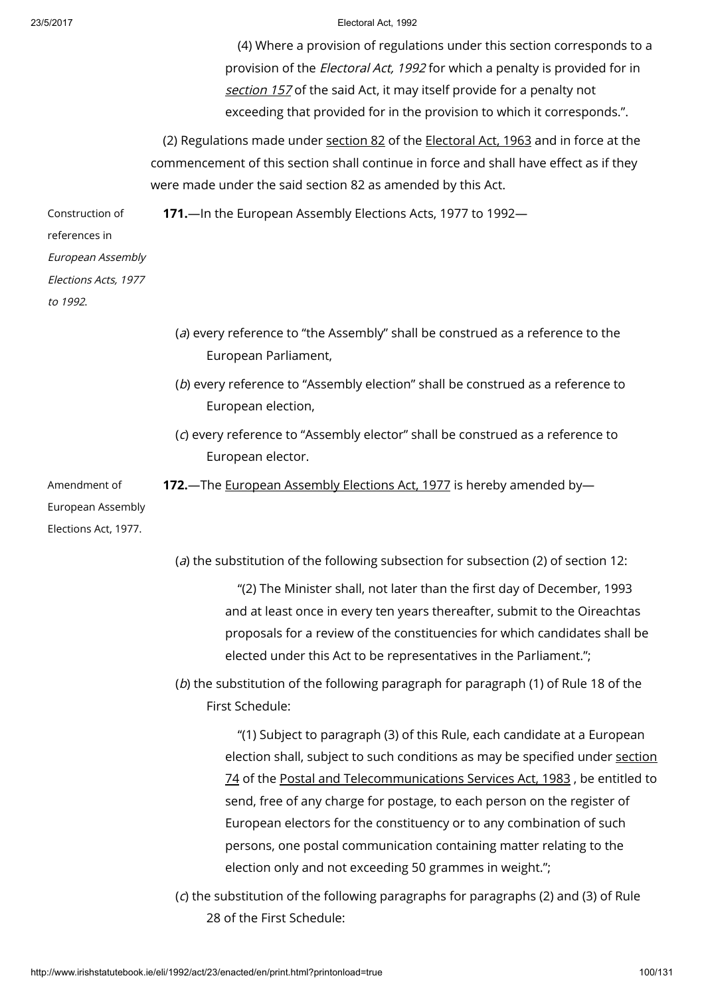|                                                                                           | (4) Where a provision of regulations under this section corresponds to a<br>provision of the <i>Electoral Act, 1992</i> for which a penalty is provided for in<br>section 157 of the said Act, it may itself provide for a penalty not<br>exceeding that provided for in the provision to which it corresponds.".                                                                                                                                                                                                                                                                                                  |
|-------------------------------------------------------------------------------------------|--------------------------------------------------------------------------------------------------------------------------------------------------------------------------------------------------------------------------------------------------------------------------------------------------------------------------------------------------------------------------------------------------------------------------------------------------------------------------------------------------------------------------------------------------------------------------------------------------------------------|
|                                                                                           | (2) Regulations made under section 82 of the Electoral Act, 1963 and in force at the<br>commencement of this section shall continue in force and shall have effect as if they<br>were made under the said section 82 as amended by this Act.                                                                                                                                                                                                                                                                                                                                                                       |
| Construction of<br>references in<br>European Assembly<br>Elections Acts, 1977<br>to 1992. | 171. - In the European Assembly Elections Acts, 1977 to 1992-                                                                                                                                                                                                                                                                                                                                                                                                                                                                                                                                                      |
|                                                                                           | (a) every reference to "the Assembly" shall be construed as a reference to the<br>European Parliament,                                                                                                                                                                                                                                                                                                                                                                                                                                                                                                             |
|                                                                                           | (b) every reference to "Assembly election" shall be construed as a reference to<br>European election,                                                                                                                                                                                                                                                                                                                                                                                                                                                                                                              |
|                                                                                           | (c) every reference to "Assembly elector" shall be construed as a reference to<br>European elector.                                                                                                                                                                                                                                                                                                                                                                                                                                                                                                                |
| Amendment of<br>European Assembly<br>Elections Act, 1977.                                 | 172. The European Assembly Elections Act, 1977 is hereby amended by-                                                                                                                                                                                                                                                                                                                                                                                                                                                                                                                                               |
|                                                                                           | (a) the substitution of the following subsection for subsection (2) of section 12:                                                                                                                                                                                                                                                                                                                                                                                                                                                                                                                                 |
|                                                                                           | "(2) The Minister shall, not later than the first day of December, 1993<br>and at least once in every ten years thereafter, submit to the Oireachtas<br>proposals for a review of the constituencies for which candidates shall be<br>elected under this Act to be representatives in the Parliament.";                                                                                                                                                                                                                                                                                                            |
|                                                                                           | (b) the substitution of the following paragraph for paragraph (1) of Rule 18 of the<br>First Schedule:                                                                                                                                                                                                                                                                                                                                                                                                                                                                                                             |
|                                                                                           | "(1) Subject to paragraph (3) of this Rule, each candidate at a European<br>election shall, subject to such conditions as may be specified under section<br>74 of the Postal and Telecommunications Services Act, 1983, be entitled to<br>send, free of any charge for postage, to each person on the register of<br>European electors for the constituency or to any combination of such<br>persons, one postal communication containing matter relating to the<br>election only and not exceeding 50 grammes in weight.";<br>(c) the substitution of the following paragraphs for paragraphs (2) and (2) of Puls |

(c) the substitution of the following paragraphs for paragraphs (2) and (3) of Rule 28 of the First Schedule: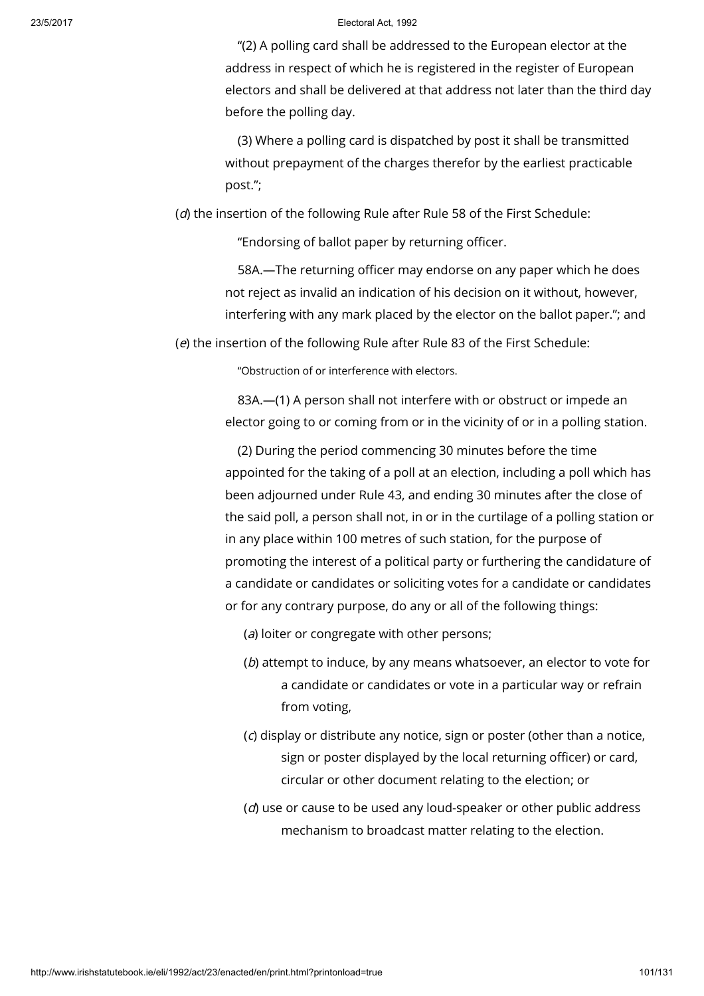"(2) A polling card shall be addressed to the European elector at the address in respect of which he is registered in the register of European electors and shall be delivered at that address not later than the third day before the polling day.

(3) Where a polling card is dispatched by post it shall be transmitted without prepayment of the charges therefor by the earliest practicable post.";

(d) the insertion of the following Rule after Rule 58 of the First Schedule:

"Endorsing of ballot paper by returning officer.

58A.—The returning officer may endorse on any paper which he does not reject as invalid an indication of his decision on it without, however, interfering with any mark placed by the elector on the ballot paper."; and

(e) the insertion of the following Rule after Rule 83 of the First Schedule:

"Obstruction of or interference with electors.

83A.—(1) A person shall not interfere with or obstruct or impede an elector going to or coming from or in the vicinity of or in a polling station.

(2) During the period commencing 30 minutes before the time appointed for the taking of a poll at an election, including a poll which has been adjourned under Rule 43, and ending 30 minutes after the close of the said poll, a person shall not, in or in the curtilage of a polling station or in any place within 100 metres of such station, for the purpose of promoting the interest of a political party or furthering the candidature of a candidate or candidates or soliciting votes for a candidate or candidates or for any contrary purpose, do any or all of the following things:

(a) loiter or congregate with other persons;

- (b) attempt to induce, by any means whatsoever, an elector to vote for a candidate or candidates or vote in a particular way or refrain from voting,
- (c) display or distribute any notice, sign or poster (other than a notice, sign or poster displayed by the local returning officer) or card, circular or other document relating to the election; or
- $(d)$  use or cause to be used any loud-speaker or other public address mechanism to broadcast matter relating to the election.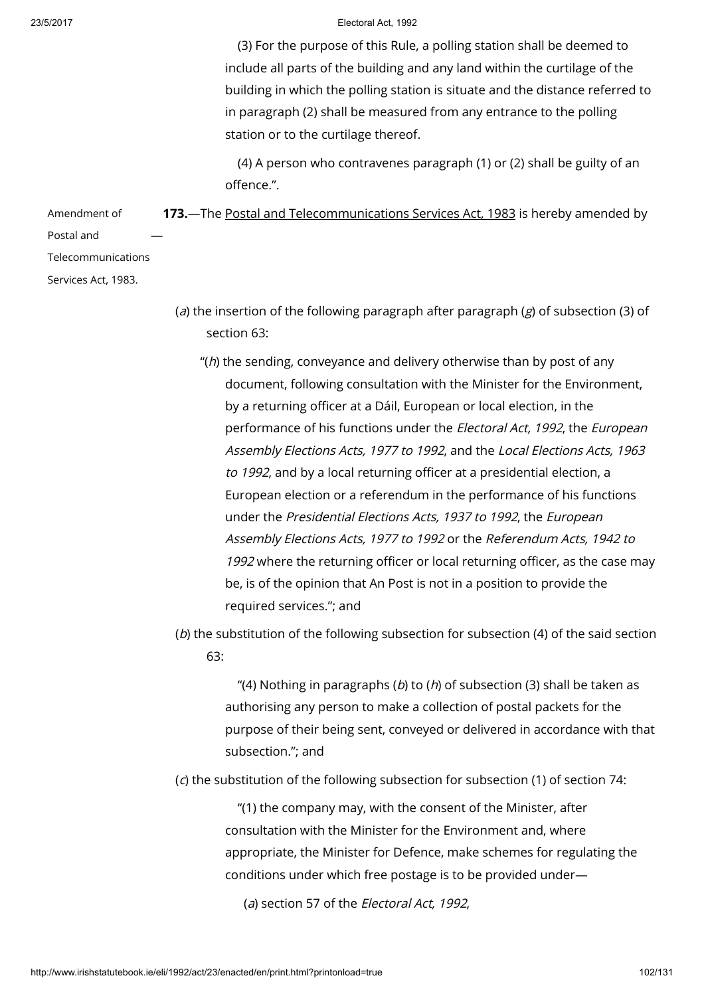(3) For the purpose of this Rule, a polling station shall be deemed to include all parts of the building and any land within the curtilage of the building in which the polling station is situate and the distance referred to in paragraph (2) shall be measured from any entrance to the polling station or to the curtilage thereof.

(4) A person who contravenes paragraph (1) or (2) shall be guilty of an offence.".

Amendment of Postal and 173.—The Postal and [Telecommunications](http://www.irishstatutebook.ie/1983/en/act/pub/0024/index.html) Services Act, 1983 is hereby amended by —

Telecommunications

Services Act, 1983.

- (a) the insertion of the following paragraph after paragraph ( $g$ ) of subsection (3) of section 63:
	- " $(h)$  the sending, conveyance and delivery otherwise than by post of any document, following consultation with the Minister for the Environment, by a returning officer at a Dáil, European or local election, in the performance of his functions under the *Electoral Act, 1992*, the *European* Assembly Elections Acts, 1977 to 1992, and the Local Elections Acts, 1963 to 1992, and by a local returning officer at a presidential election, a European election or a referendum in the performance of his functions under the Presidential Elections Acts, 1937 to 1992, the European Assembly Elections Acts, 1977 to 1992 or the Referendum Acts, 1942 to 1992 where the returning officer or local returning officer, as the case may be, is of the opinion that An Post is not in a position to provide the required services."; and
- (b) the substitution of the following subsection for subsection (4) of the said section 63:

"(4) Nothing in paragraphs (b) to (h) of subsection (3) shall be taken as authorising any person to make a collection of postal packets for the purpose of their being sent, conveyed or delivered in accordance with that subsection."; and

(c) the substitution of the following subsection for subsection (1) of section 74:

"(1) the company may, with the consent of the Minister, after consultation with the Minister for the Environment and, where appropriate, the Minister for Defence, make schemes for regulating the conditions under which free postage is to be provided under—

(a) section 57 of the *Electoral Act*, 1992.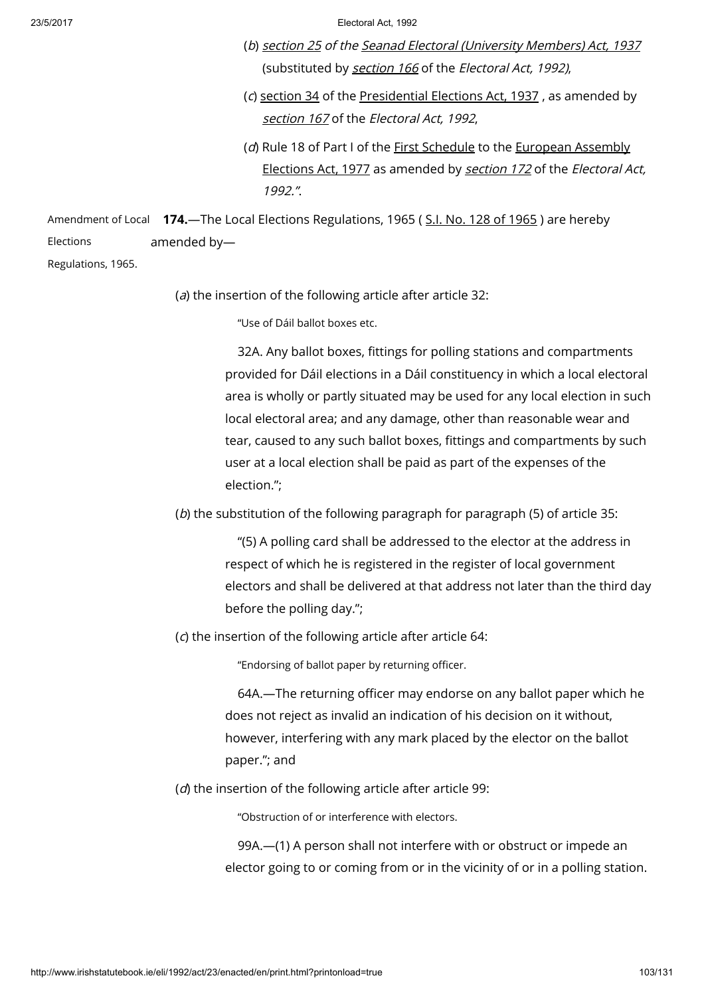- (b) [section](http://www.irishstatutebook.ie/1937/en/act/pub/0030/sec0025.html#sec25) 25 of the Seanad Electoral [\(University](http://www.irishstatutebook.ie/1937/en/act/pub/0030/index.html) Members) Act, 1937 (substituted by **[section](http://www.irishstatutebook.ie/1992/en/act/pub/0023/print.html#sec166) 166** of the Electoral Act, 1992),
- (c) [section](http://www.irishstatutebook.ie/1937/en/act/pub/0032/sec0034.html#sec34) 34 of the [Presidential](http://www.irishstatutebook.ie/1937/en/act/pub/0032/index.html) Elections Act, 1937 , as amended by [section](http://www.irishstatutebook.ie/1992/en/act/pub/0023/print.html#sec167) 167 of the Electoral Act, 1992,
- (d) Rule 18 of Part I of the First [Schedule](http://www.irishstatutebook.ie/1977/en/act/pub/0030/index.html) to the [European](http://www.irishstatutebook.ie/1977/en/act/pub/0030/index.html) Assembly Elections Act, 1977 as amended by [section](http://www.irishstatutebook.ie/1992/en/act/pub/0023/print.html#sec172) 172 of the Electoral Act, 1992.".

Amendment of Local **174.**—The Local Elections Regulations, [1965](http://www.irishstatutebook.ie/1965/en/si/0128.html) (S<u>.I. No. 128 of 1965</u> ) are hereby **Elections** amended by—

Regulations, 1965.

(a) the insertion of the following article after article 32:

"Use of Dáil ballot boxes etc.

32A. Any ballot boxes, fittings for polling stations and compartments provided for Dáil elections in a Dáil constituency in which a local electoral area is wholly or partly situated may be used for any local election in such local electoral area; and any damage, other than reasonable wear and tear, caused to any such ballot boxes, fittings and compartments by such user at a local election shall be paid as part of the expenses of the election.";

(b) the substitution of the following paragraph for paragraph (5) of article 35:

"(5) A polling card shall be addressed to the elector at the address in respect of which he is registered in the register of local government electors and shall be delivered at that address not later than the third day before the polling day.";

(c) the insertion of the following article after article 64:

"Endorsing of ballot paper by returning officer.

64A.—The returning officer may endorse on any ballot paper which he does not reject as invalid an indication of his decision on it without, however, interfering with any mark placed by the elector on the ballot paper."; and

(d) the insertion of the following article after article 99:

"Obstruction of or interference with electors.

99A.—(1) A person shall not interfere with or obstruct or impede an elector going to or coming from or in the vicinity of or in a polling station.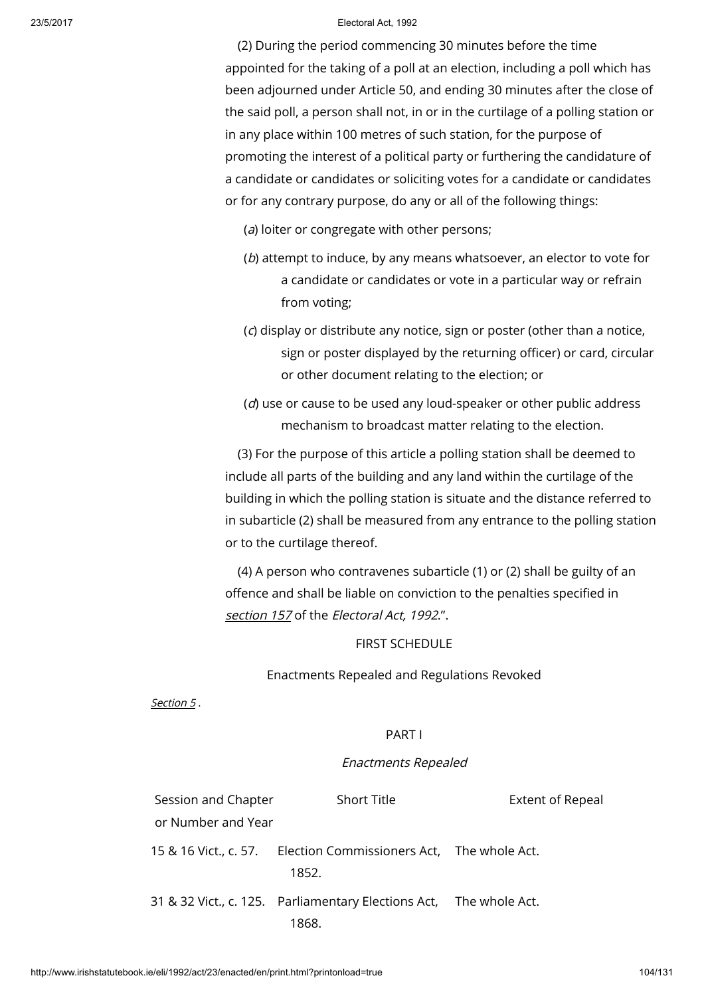(2) During the period commencing 30 minutes before the time appointed for the taking of a poll at an election, including a poll which has been adjourned under Article 50, and ending 30 minutes after the close of the said poll, a person shall not, in or in the curtilage of a polling station or in any place within 100 metres of such station, for the purpose of promoting the interest of a political party or furthering the candidature of a candidate or candidates or soliciting votes for a candidate or candidates or for any contrary purpose, do any or all of the following things:

(a) loiter or congregate with other persons;

- (b) attempt to induce, by any means whatsoever, an elector to vote for a candidate or candidates or vote in a particular way or refrain from voting;
- (c) display or distribute any notice, sign or poster (other than a notice, sign or poster displayed by the returning officer) or card, circular or other document relating to the election; or
- $(d)$  use or cause to be used any loud-speaker or other public address mechanism to broadcast matter relating to the election.

(3) For the purpose of this article a polling station shall be deemed to include all parts of the building and any land within the curtilage of the building in which the polling station is situate and the distance referred to in subarticle (2) shall be measured from any entrance to the polling station or to the curtilage thereof.

(4) A person who contravenes subarticle (1) or (2) shall be guilty of an offence and shall be liable on conviction to the penalties specified in [section](http://www.irishstatutebook.ie/1992/en/act/pub/0023/print.html#sec157) 157 of the Electoral Act, 1992.".

FIRST SCHEDULE

Enactments Repealed and Regulations Revoked

[Section](http://www.irishstatutebook.ie/1992/en/act/pub/0023/print.html#sec5) 5 .

# PART I

# Enactments Repealed

| Session and Chapter | <b>Short Title</b>                                                        | <b>Extent of Repeal</b> |
|---------------------|---------------------------------------------------------------------------|-------------------------|
| or Number and Year  |                                                                           |                         |
|                     | 15 & 16 Vict., c. 57. Election Commissioners Act, The whole Act.<br>1852. |                         |
|                     | 31 & 32 Vict., c. 125.  Parliamentary Elections Act, The whole Act.       |                         |
|                     | 1868.                                                                     |                         |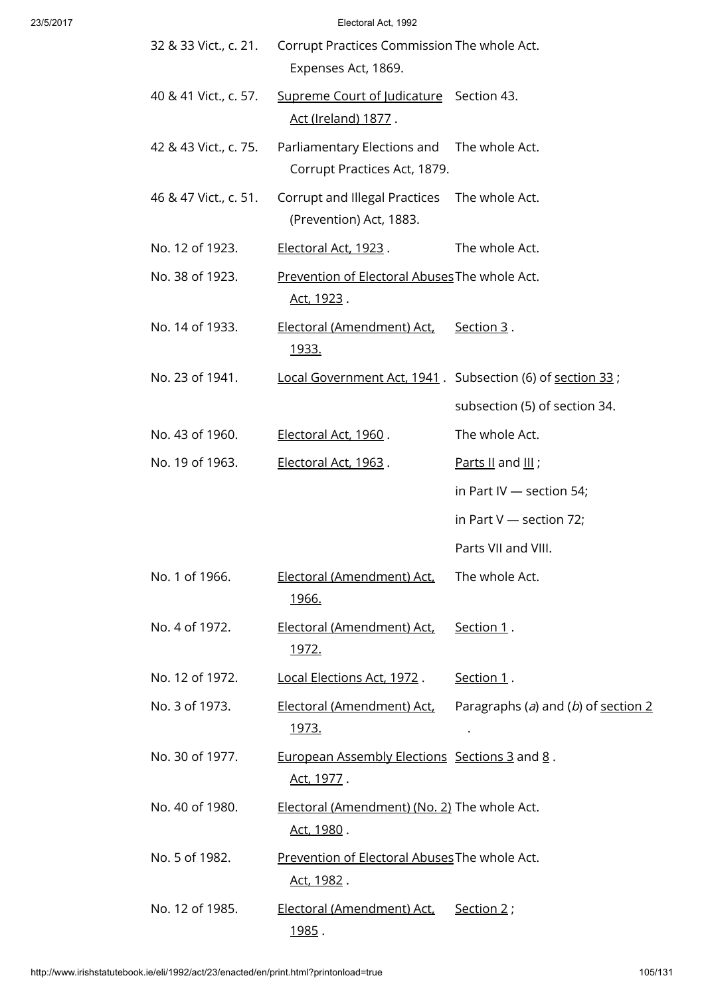| 32 & 33 Vict., c. 21. | Corrupt Practices Commission The whole Act.<br>Expenses Act, 1869.         |                                       |
|-----------------------|----------------------------------------------------------------------------|---------------------------------------|
| 40 & 41 Vict., c. 57. | Supreme Court of Judicature Section 43.<br>Act (Ireland) 1877.             |                                       |
| 42 & 43 Vict., c. 75. | Parliamentary Elections and The whole Act.<br>Corrupt Practices Act, 1879. |                                       |
| 46 & 47 Vict., c. 51. | Corrupt and Illegal Practices<br>(Prevention) Act, 1883.                   | The whole Act.                        |
| No. 12 of 1923.       | Electoral Act, 1923.                                                       | The whole Act.                        |
| No. 38 of 1923.       | Prevention of Electoral Abuses The whole Act.<br><u>Act, 1923</u> .        |                                       |
| No. 14 of 1933.       | Electoral (Amendment) Act,<br><u>1933.</u>                                 | Section 3.                            |
| No. 23 of 1941.       | Local Government Act, 1941. Subsection (6) of section 33;                  |                                       |
|                       |                                                                            | subsection (5) of section 34.         |
| No. 43 of 1960.       | Electoral Act, 1960.                                                       | The whole Act.                        |
| No. 19 of 1963.       | Electoral Act, 1963.                                                       | Parts II and $III$ ;                  |
|                       |                                                                            | in Part IV $-$ section 54;            |
|                       |                                                                            | in Part $V$ — section 72;             |
|                       |                                                                            | Parts VII and VIII.                   |
| No. 1 of 1966.        | Electoral (Amendment) Act,<br><u>1966.</u>                                 | The whole Act.                        |
| No. 4 of 1972.        | Electoral (Amendment) Act,<br><u> 1972.</u>                                | Section 1.                            |
| No. 12 of 1972.       | <u>Local Elections Act, 1972</u> .                                         | Section 1.                            |
| No. 3 of 1973.        | <u> Electoral (Amendment) Act,</u><br><u>1973.</u>                         | Paragraphs (a) and (b) of section $2$ |
| No. 30 of 1977.       | European Assembly Elections Sections 3 and 8.<br><u>Act, 1977</u> .        |                                       |
| No. 40 of 1980.       | Electoral (Amendment) (No. 2) The whole Act.<br><u>Act, 1980</u> .         |                                       |
| No. 5 of 1982.        | Prevention of Electoral Abuses The whole Act.<br><u>Act, 1982</u> .        |                                       |
| No. 12 of 1985.       | Electoral (Amendment) Act,<br><u>1985</u> .                                | Section 2 ;                           |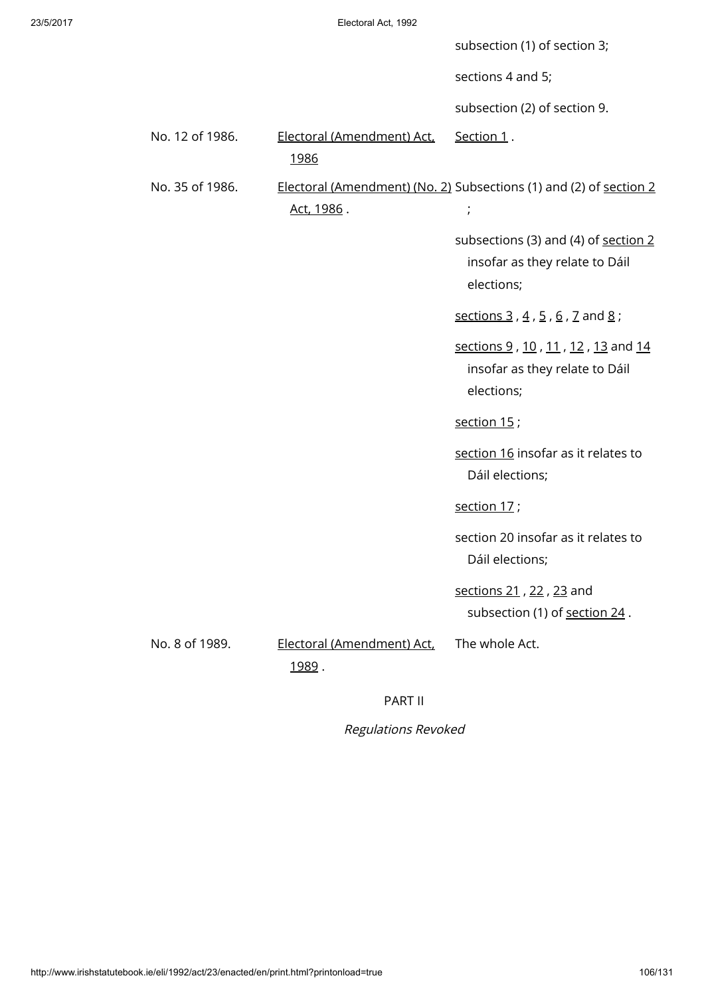|                 |                                              | subsection (1) of section 3;                                                         |
|-----------------|----------------------------------------------|--------------------------------------------------------------------------------------|
|                 |                                              | sections 4 and 5;                                                                    |
|                 |                                              | subsection (2) of section 9.                                                         |
| No. 12 of 1986. | Electoral (Amendment) Act,<br>1986           | Section 1.                                                                           |
| No. 35 of 1986. | Act, 1986.                                   | Electoral (Amendment) (No. 2) Subsections (1) and (2) of section 2<br>$\frac{1}{l}$  |
|                 |                                              | subsections (3) and (4) of section 2<br>insofar as they relate to Dáil<br>elections; |
|                 |                                              | sections 3, $4$ , $5$ , $6$ , $7$ and $8$ ;                                          |
|                 |                                              | sections 9, 10, 11, 12, 13 and 14<br>insofar as they relate to Dáil<br>elections;    |
|                 |                                              | section $15$ ;                                                                       |
|                 |                                              | section 16 insofar as it relates to<br>Dáil elections;                               |
|                 |                                              | section 17;                                                                          |
|                 |                                              | section 20 insofar as it relates to<br>Dáil elections;                               |
|                 |                                              | sections 21, 22, 23 and<br>subsection (1) of section 24.                             |
| No. 8 of 1989.  | Electoral (Amendment) Act,<br><u> 1989</u> . | The whole Act.                                                                       |

# PART II

Regulations Revoked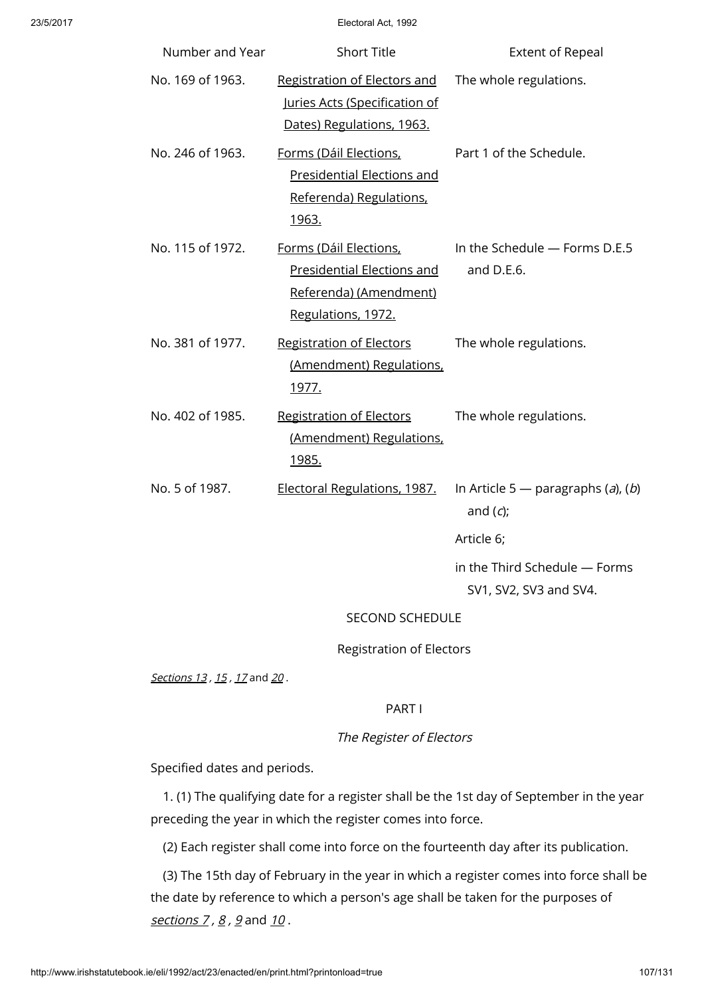| Number and Year  | <b>Short Title</b>                                                                                          | <b>Extent of Repeal</b>                                 |
|------------------|-------------------------------------------------------------------------------------------------------------|---------------------------------------------------------|
| No. 169 of 1963. | Registration of Electors and<br>Juries Acts (Specification of<br>Dates) Regulations, 1963.                  | The whole regulations.                                  |
| No. 246 of 1963. | Forms (Dáil Elections,<br><b>Presidential Elections and</b><br>Referenda) Regulations,<br>1963.             | Part 1 of the Schedule.                                 |
| No. 115 of 1972. | Forms (Dáil Elections,<br><b>Presidential Elections and</b><br>Referenda) (Amendment)<br>Regulations, 1972. | In the Schedule - Forms D.E.5<br>and D.E.6.             |
| No. 381 of 1977. | <b>Registration of Electors</b><br>(Amendment) Regulations,<br><u>1977.</u>                                 | The whole regulations.                                  |
| No. 402 of 1985. | <b>Registration of Electors</b><br>(Amendment) Regulations,<br><u>1985.</u>                                 | The whole regulations.                                  |
| No. 5 of 1987.   | Electoral Regulations, 1987.                                                                                | In Article 5 — paragraphs $(a)$ , $(b)$<br>and $(c)$ ;  |
|                  |                                                                                                             | Article 6;                                              |
|                  |                                                                                                             | in the Third Schedule - Forms<br>SV1, SV2, SV3 and SV4. |
|                  | <b>SECOND SCHEDULE</b>                                                                                      |                                                         |
|                  |                                                                                                             |                                                         |

Registration of Electors

[Sections](http://www.irishstatutebook.ie/1992/en/act/pub/0023/print.html#sec13) 13, [15](http://www.irishstatutebook.ie/1992/en/act/pub/0023/print.html#sec15), [17](http://www.irishstatutebook.ie/1992/en/act/pub/0023/print.html#sec17) and [20](http://www.irishstatutebook.ie/1992/en/act/pub/0023/print.html#sec20).

# PART I

# The Register of Electors

Specified dates and periods.

1. (1) The qualifying date for a register shall be the 1st day of September in the year preceding the year in which the register comes into force.

(2) Each register shall come into force on the fourteenth day after its publication.

(3) The 15th day of February in the year in which a register comes into force shall be the date by reference to which a person's age shall be taken for the purposes of [sections](http://www.irishstatutebook.ie/1992/en/act/pub/0023/print.html#sec7)  $7, 8, 9$  $7, 8, 9$  $7, 8, 9$  $7, 8, 9$  and  $10$ .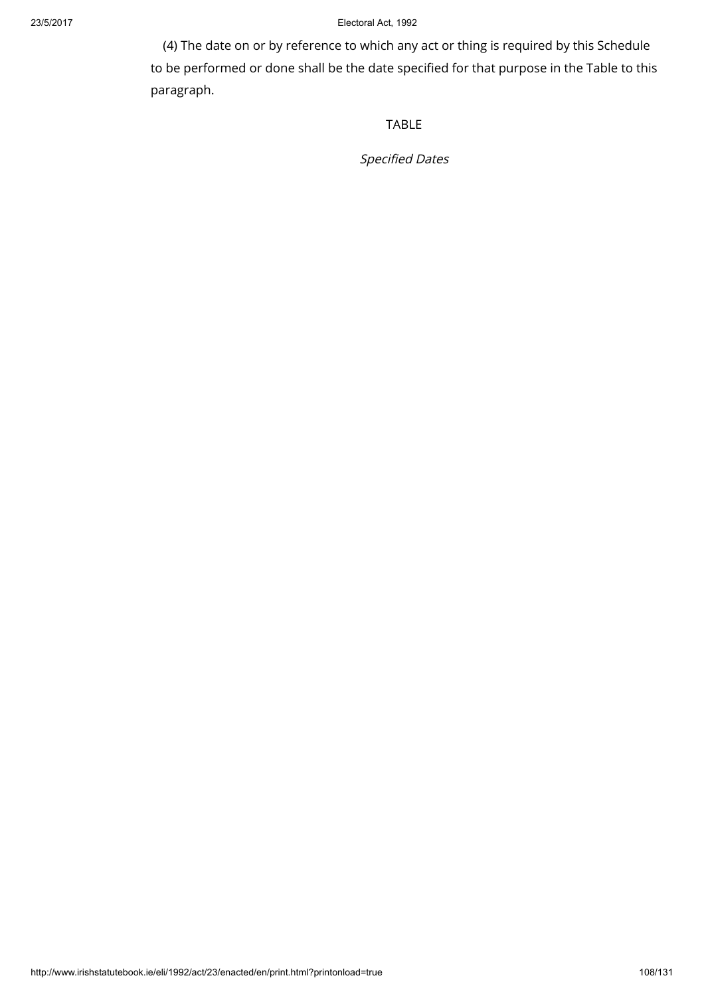(4) The date on or by reference to which any act or thing is required by this Schedule to be performed or done shall be the date specified for that purpose in the Table to this paragraph.

TABLE

Specified Dates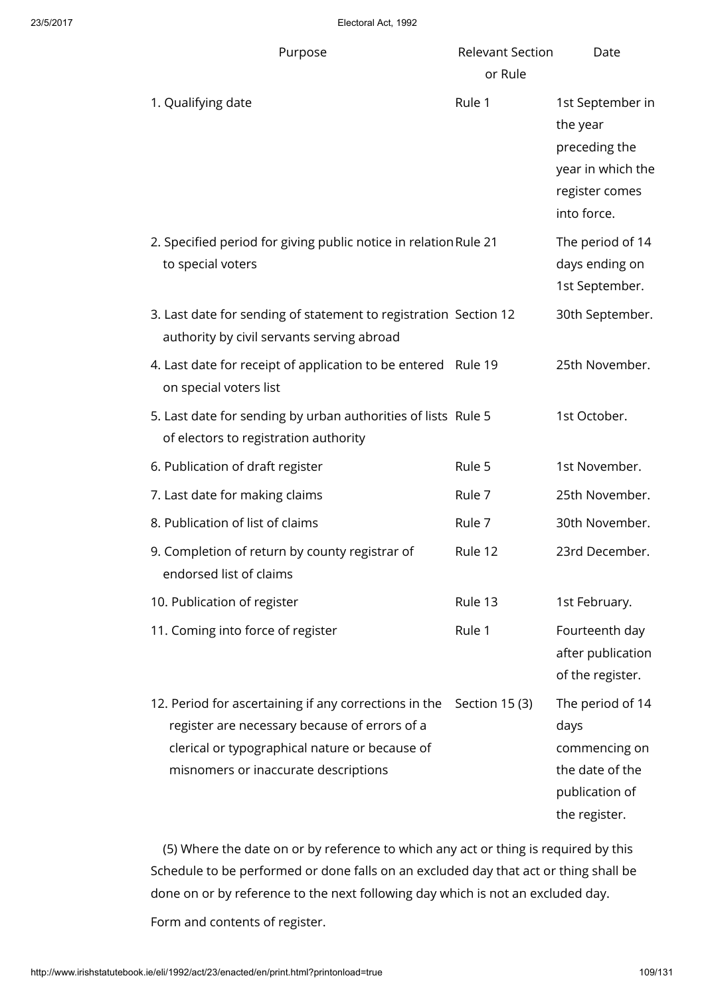| Purpose                                                                                                                                                                                          | <b>Relevant Section</b><br>or Rule | Date                                                                                                |
|--------------------------------------------------------------------------------------------------------------------------------------------------------------------------------------------------|------------------------------------|-----------------------------------------------------------------------------------------------------|
| 1. Qualifying date                                                                                                                                                                               | Rule 1                             | 1st September in<br>the year<br>preceding the<br>year in which the<br>register comes<br>into force. |
| 2. Specified period for giving public notice in relation Rule 21<br>to special voters                                                                                                            |                                    | The period of 14<br>days ending on<br>1st September.                                                |
| 3. Last date for sending of statement to registration Section 12<br>authority by civil servants serving abroad                                                                                   |                                    | 30th September.                                                                                     |
| 4. Last date for receipt of application to be entered Rule 19<br>on special voters list                                                                                                          |                                    | 25th November.                                                                                      |
| 5. Last date for sending by urban authorities of lists Rule 5<br>of electors to registration authority                                                                                           |                                    | 1st October.                                                                                        |
| 6. Publication of draft register                                                                                                                                                                 | Rule 5                             | 1st November.                                                                                       |
| 7. Last date for making claims                                                                                                                                                                   | Rule 7                             | 25th November.                                                                                      |
| 8. Publication of list of claims                                                                                                                                                                 | Rule 7                             | 30th November.                                                                                      |
| 9. Completion of return by county registrar of<br>endorsed list of claims                                                                                                                        | Rule 12                            | 23rd December.                                                                                      |
| 10. Publication of register                                                                                                                                                                      | Rule 13                            | 1st February.                                                                                       |
| 11. Coming into force of register                                                                                                                                                                | Rule 1                             | Fourteenth day<br>after publication<br>of the register.                                             |
| 12. Period for ascertaining if any corrections in the<br>register are necessary because of errors of a<br>clerical or typographical nature or because of<br>misnomers or inaccurate descriptions | Section 15 (3)                     | The period of 14<br>days<br>commencing on<br>the date of the<br>publication of<br>the register.     |

(5) Where the date on or by reference to which any act or thing is required by this Schedule to be performed or done falls on an excluded day that act or thing shall be done on or by reference to the next following day which is not an excluded day.

Form and contents of register.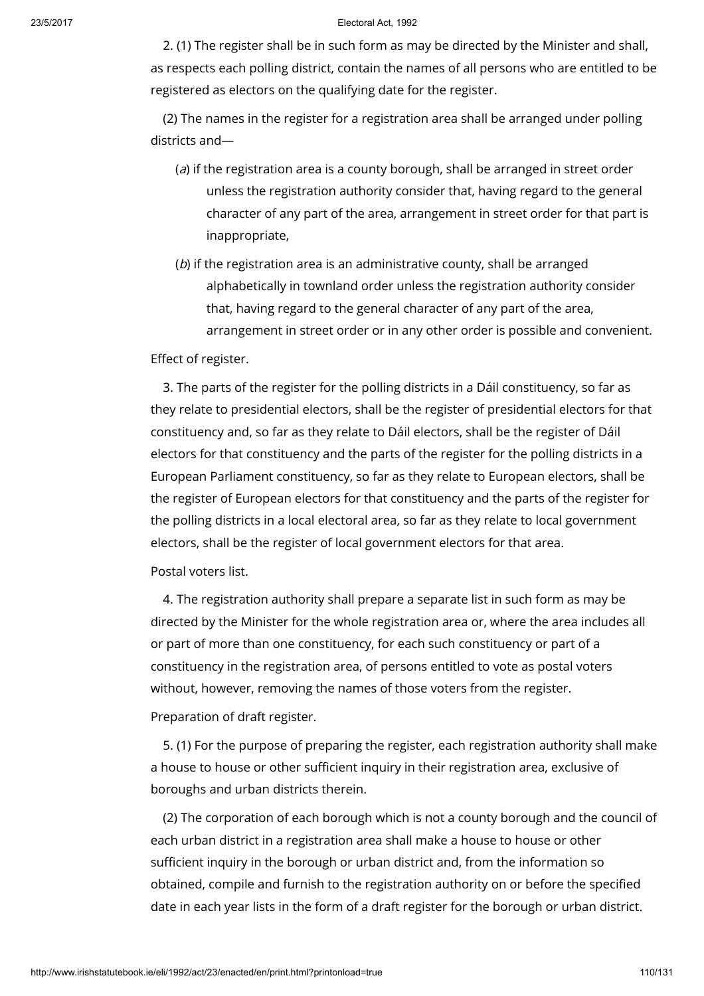2. (1) The register shall be in such form as may be directed by the Minister and shall, as respects each polling district, contain the names of all persons who are entitled to be registered as electors on the qualifying date for the register.

(2) The names in the register for a registration area shall be arranged under polling districts and—

- (a) if the registration area is a county borough, shall be arranged in street order unless the registration authority consider that, having regard to the general character of any part of the area, arrangement in street order for that part is inappropriate,
- (b) if the registration area is an administrative county, shall be arranged alphabetically in townland order unless the registration authority consider that, having regard to the general character of any part of the area, arrangement in street order or in any other order is possible and convenient.

# Effect of register.

3. The parts of the register for the polling districts in a Dáil constituency, so far as they relate to presidential electors, shall be the register of presidential electors for that constituency and, so far as they relate to Dáil electors, shall be the register of Dáil electors for that constituency and the parts of the register for the polling districts in a European Parliament constituency, so far as they relate to European electors, shall be the register of European electors for that constituency and the parts of the register for the polling districts in a local electoral area, so far as they relate to local government electors, shall be the register of local government electors for that area.

Postal voters list.

4. The registration authority shall prepare a separate list in such form as may be directed by the Minister for the whole registration area or, where the area includes all or part of more than one constituency, for each such constituency or part of a constituency in the registration area, of persons entitled to vote as postal voters without, however, removing the names of those voters from the register.

Preparation of draft register.

5. (1) For the purpose of preparing the register, each registration authority shall make a house to house or other sufficient inquiry in their registration area, exclusive of boroughs and urban districts therein.

(2) The corporation of each borough which is not a county borough and the council of each urban district in a registration area shall make a house to house or other sufficient inquiry in the borough or urban district and, from the information so obtained, compile and furnish to the registration authority on or before the specified date in each year lists in the form of a draft register for the borough or urban district.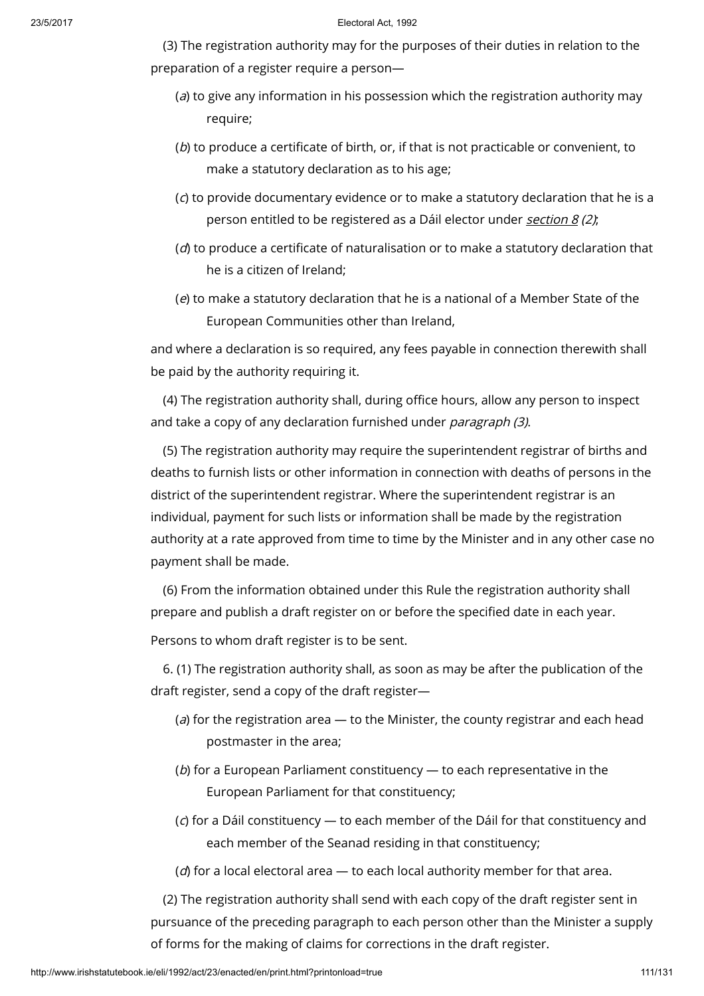(3) The registration authority may for the purposes of their duties in relation to the preparation of a register require a person—

- (a) to give any information in his possession which the registration authority may require;
- (b) to produce a certificate of birth, or, if that is not practicable or convenient, to make a statutory declaration as to his age;
- (c) to provide documentary evidence or to make a statutory declaration that he is a person entitled to be registered as a Dáil elector under [section](http://www.irishstatutebook.ie/1992/en/act/pub/0023/print.html#sec8) 8 (2);
- $(d)$  to produce a certificate of naturalisation or to make a statutory declaration that he is a citizen of Ireland;
- (e) to make a statutory declaration that he is a national of a Member State of the European Communities other than Ireland,

and where a declaration is so required, any fees payable in connection therewith shall be paid by the authority requiring it.

(4) The registration authority shall, during office hours, allow any person to inspect and take a copy of any declaration furnished under *paragraph (3)*.

(5) The registration authority may require the superintendent registrar of births and deaths to furnish lists or other information in connection with deaths of persons in the district of the superintendent registrar. Where the superintendent registrar is an individual, payment for such lists or information shall be made by the registration authority at a rate approved from time to time by the Minister and in any other case no payment shall be made.

(6) From the information obtained under this Rule the registration authority shall prepare and publish a draft register on or before the specified date in each year.

Persons to whom draft register is to be sent.

6. (1) The registration authority shall, as soon as may be after the publication of the draft register, send a copy of the draft register—

- (a) for the registration area  $-$  to the Minister, the county registrar and each head postmaster in the area;
- ( $b$ ) for a European Parliament constituency  $-$  to each representative in the European Parliament for that constituency;
- (c) for a Dáil constituency to each member of the Dáil for that constituency and each member of the Seanad residing in that constituency;

( $d$ ) for a local electoral area  $-$  to each local authority member for that area.

(2) The registration authority shall send with each copy of the draft register sent in pursuance of the preceding paragraph to each person other than the Minister a supply of forms for the making of claims for corrections in the draft register.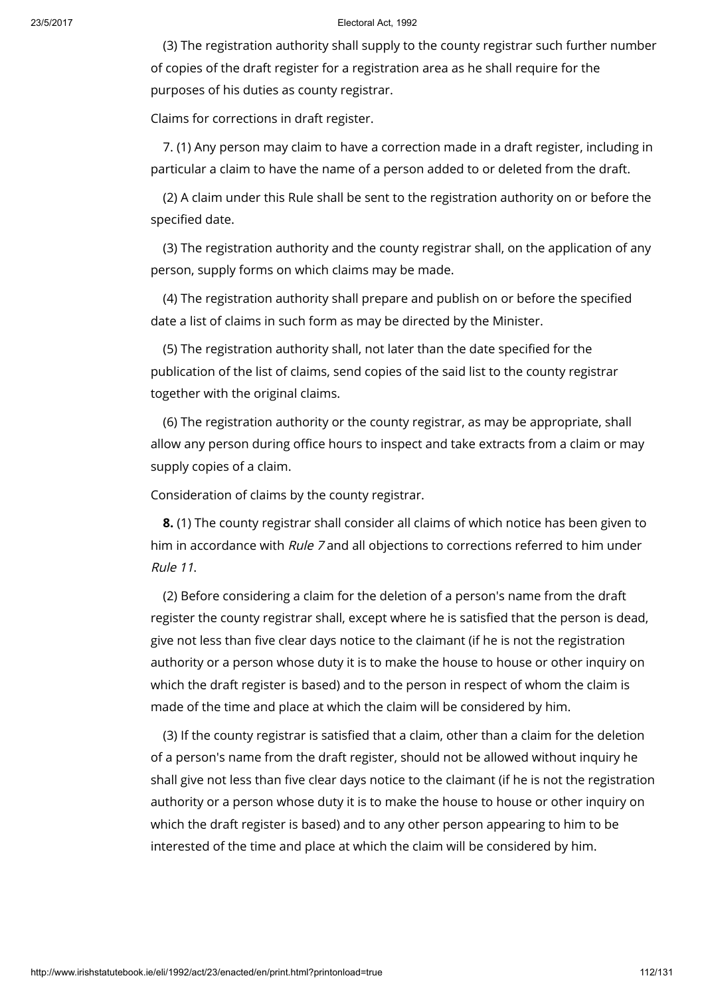(3) The registration authority shall supply to the county registrar such further number of copies of the draft register for a registration area as he shall require for the purposes of his duties as county registrar.

Claims for corrections in draft register.

7. (1) Any person may claim to have a correction made in a draft register, including in particular a claim to have the name of a person added to or deleted from the draft.

(2) A claim under this Rule shall be sent to the registration authority on or before the specified date.

(3) The registration authority and the county registrar shall, on the application of any person, supply forms on which claims may be made.

(4) The registration authority shall prepare and publish on or before the specified date a list of claims in such form as may be directed by the Minister.

(5) The registration authority shall, not later than the date specified for the publication of the list of claims, send copies of the said list to the county registrar together with the original claims.

(6) The registration authority or the county registrar, as may be appropriate, shall allow any person during office hours to inspect and take extracts from a claim or may supply copies of a claim.

Consideration of claims by the county registrar.

8. (1) The county registrar shall consider all claims of which notice has been given to him in accordance with Rule 7 and all objections to corrections referred to him under Rule 11.

(2) Before considering a claim for the deletion of a person's name from the draft register the county registrar shall, except where he is satisfied that the person is dead, give not less than five clear days notice to the claimant (if he is not the registration authority or a person whose duty it is to make the house to house or other inquiry on which the draft register is based) and to the person in respect of whom the claim is made of the time and place at which the claim will be considered by him.

(3) If the county registrar is satisfied that a claim, other than a claim for the deletion of a person's name from the draft register, should not be allowed without inquiry he shall give not less than five clear days notice to the claimant (if he is not the registration authority or a person whose duty it is to make the house to house or other inquiry on which the draft register is based) and to any other person appearing to him to be interested of the time and place at which the claim will be considered by him.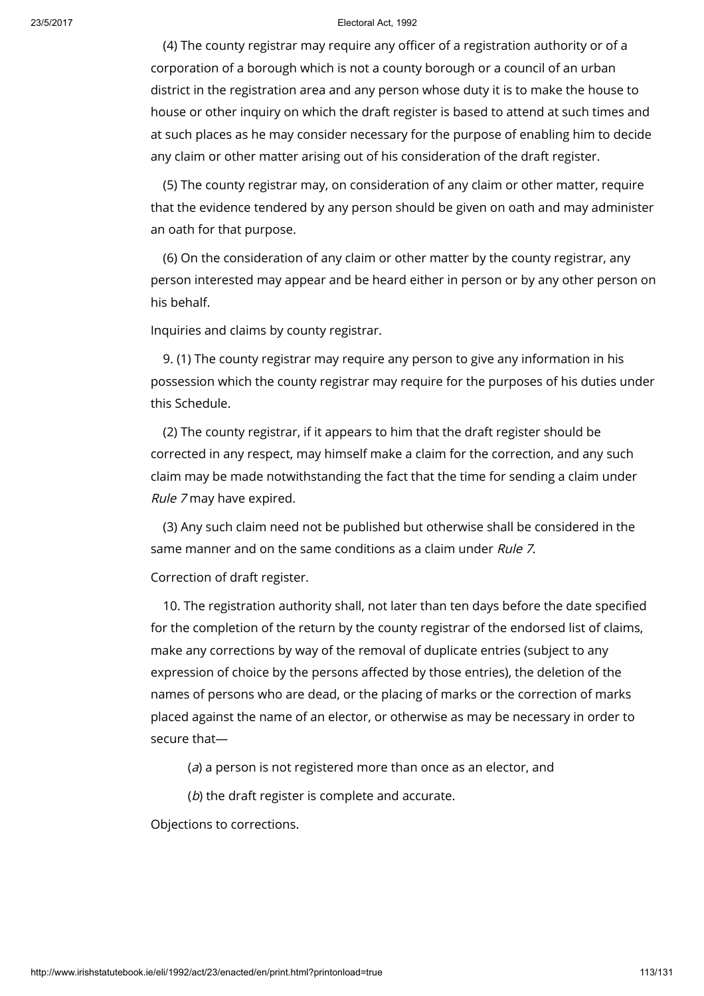(4) The county registrar may require any officer of a registration authority or of a corporation of a borough which is not a county borough or a council of an urban district in the registration area and any person whose duty it is to make the house to house or other inquiry on which the draft register is based to attend at such times and at such places as he may consider necessary for the purpose of enabling him to decide any claim or other matter arising out of his consideration of the draft register.

(5) The county registrar may, on consideration of any claim or other matter, require that the evidence tendered by any person should be given on oath and may administer an oath for that purpose.

(6) On the consideration of any claim or other matter by the county registrar, any person interested may appear and be heard either in person or by any other person on his behalf.

Inquiries and claims by county registrar.

9. (1) The county registrar may require any person to give any information in his possession which the county registrar may require for the purposes of his duties under this Schedule.

(2) The county registrar, if it appears to him that the draft register should be corrected in any respect, may himself make a claim for the correction, and any such claim may be made notwithstanding the fact that the time for sending a claim under Rule 7 may have expired.

(3) Any such claim need not be published but otherwise shall be considered in the same manner and on the same conditions as a claim under Rule 7.

Correction of draft register.

10. The registration authority shall, not later than ten days before the date specified for the completion of the return by the county registrar of the endorsed list of claims, make any corrections by way of the removal of duplicate entries (subject to any expression of choice by the persons affected by those entries), the deletion of the names of persons who are dead, or the placing of marks or the correction of marks placed against the name of an elector, or otherwise as may be necessary in order to secure that—

(a) a person is not registered more than once as an elector, and

(b) the draft register is complete and accurate.

Objections to corrections.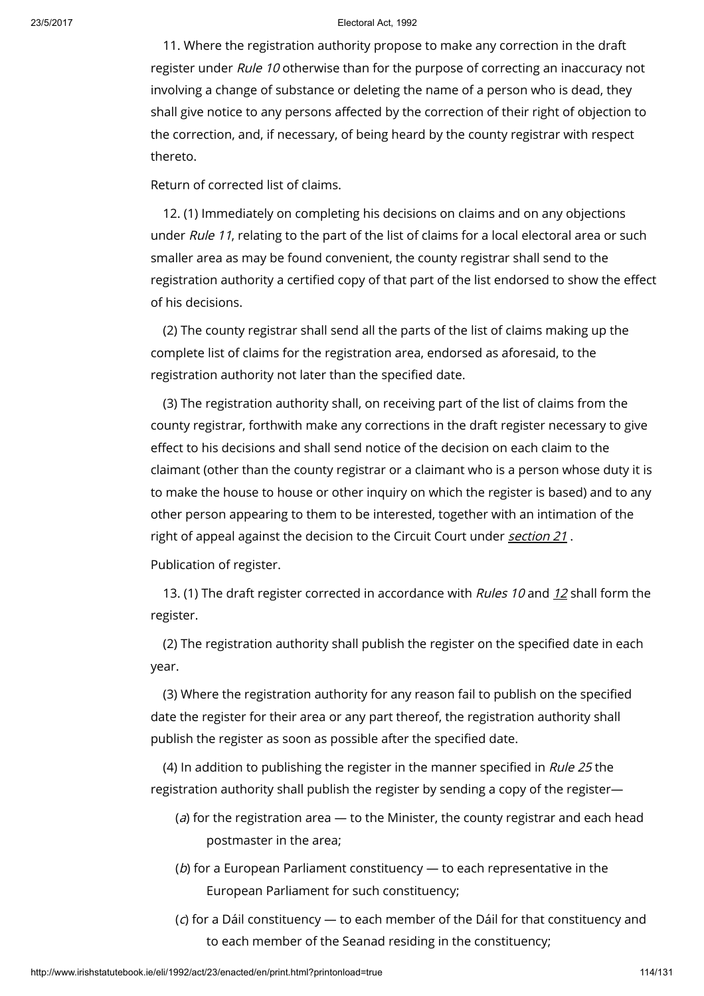11. Where the registration authority propose to make any correction in the draft register under Rule 10 otherwise than for the purpose of correcting an inaccuracy not involving a change of substance or deleting the name of a person who is dead, they shall give notice to any persons affected by the correction of their right of objection to the correction, and, if necessary, of being heard by the county registrar with respect thereto.

Return of corrected list of claims.

12. (1) Immediately on completing his decisions on claims and on any objections under *Rule 11*, relating to the part of the list of claims for a local electoral area or such smaller area as may be found convenient, the county registrar shall send to the registration authority a certified copy of that part of the list endorsed to show the effect of his decisions.

(2) The county registrar shall send all the parts of the list of claims making up the complete list of claims for the registration area, endorsed as aforesaid, to the registration authority not later than the specified date.

(3) The registration authority shall, on receiving part of the list of claims from the county registrar, forthwith make any corrections in the draft register necessary to give effect to his decisions and shall send notice of the decision on each claim to the claimant (other than the county registrar or a claimant who is a person whose duty it is to make the house to house or other inquiry on which the register is based) and to any other person appearing to them to be interested, together with an intimation of the right of appeal against the decision to the Circuit Court under [section](http://www.irishstatutebook.ie/1992/en/act/pub/0023/print.html#sec21) 21.

Publication of register.

13. (1) The draft register corrected in accordance with Rules 10 and [12](http://www.irishstatutebook.ie/1992/en/act/pub/0023/print.html#sec12) shall form the register.

(2) The registration authority shall publish the register on the specified date in each year.

(3) Where the registration authority for any reason fail to publish on the specified date the register for their area or any part thereof, the registration authority shall publish the register as soon as possible after the specified date.

(4) In addition to publishing the register in the manner specified in Rule 25 the registration authority shall publish the register by sending a copy of the register—

- (a) for the registration area  $-$  to the Minister, the county registrar and each head postmaster in the area;
- (b) for a European Parliament constituency to each representative in the European Parliament for such constituency;
- (c) for a Dáil constituency to each member of the Dáil for that constituency and to each member of the Seanad residing in the constituency;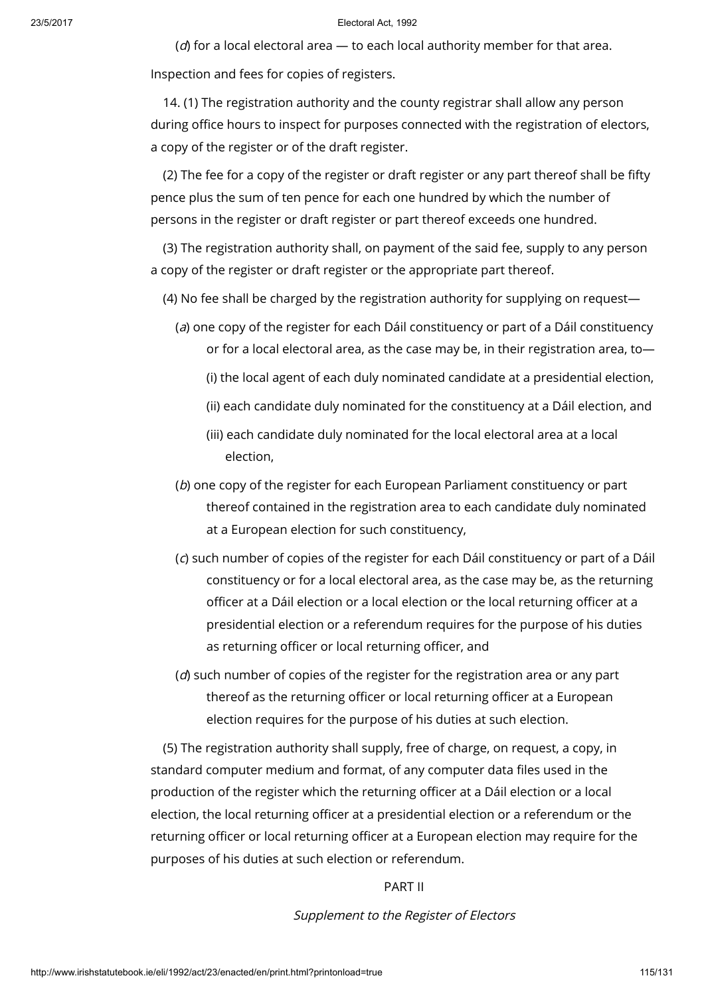( $d$ ) for a local electoral area  $-$  to each local authority member for that area. Inspection and fees for copies of registers.

14. (1) The registration authority and the county registrar shall allow any person during office hours to inspect for purposes connected with the registration of electors, a copy of the register or of the draft register.

(2) The fee for a copy of the register or draft register or any part thereof shall be fifty pence plus the sum of ten pence for each one hundred by which the number of persons in the register or draft register or part thereof exceeds one hundred.

(3) The registration authority shall, on payment of the said fee, supply to any person a copy of the register or draft register or the appropriate part thereof.

(4) No fee shall be charged by the registration authority for supplying on request—

(a) one copy of the register for each Dáil constituency or part of a Dáil constituency or for a local electoral area, as the case may be, in their registration area, to—

(i) the local agent of each duly nominated candidate at a presidential election,

- (ii) each candidate duly nominated for the constituency at a Dáil election, and
- (iii) each candidate duly nominated for the local electoral area at a local election,
- (b) one copy of the register for each European Parliament constituency or part thereof contained in the registration area to each candidate duly nominated at a European election for such constituency,
- (c) such number of copies of the register for each Dáil constituency or part of a Dáil constituency or for a local electoral area, as the case may be, as the returning officer at a Dáil election or a local election or the local returning officer at a presidential election or a referendum requires for the purpose of his duties as returning officer or local returning officer, and
- (d) such number of copies of the register for the registration area or any part thereof as the returning officer or local returning officer at a European election requires for the purpose of his duties at such election.

(5) The registration authority shall supply, free of charge, on request, a copy, in standard computer medium and format, of any computer data files used in the production of the register which the returning officer at a Dáil election or a local election, the local returning officer at a presidential election or a referendum or the returning officer or local returning officer at a European election may require for the purposes of his duties at such election or referendum.

# PART II

Supplement to the Register of Electors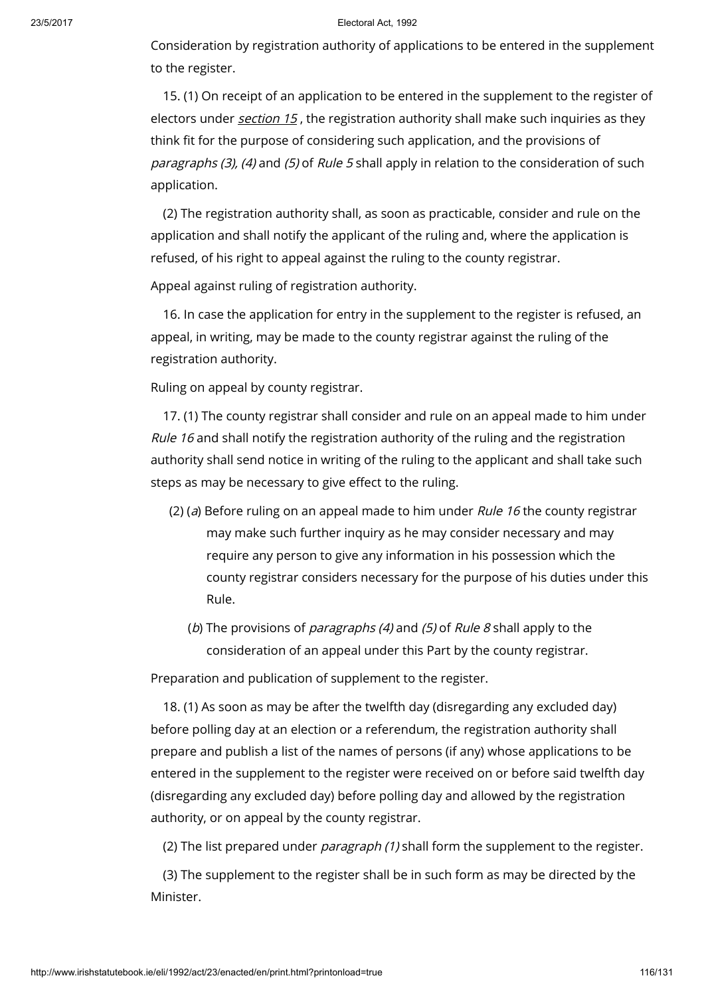Consideration by registration authority of applications to be entered in the supplement to the register.

15. (1) On receipt of an application to be entered in the supplement to the register of electors under *[section](http://www.irishstatutebook.ie/1992/en/act/pub/0023/print.html#sec15) 15*, the registration authority shall make such inquiries as they think fit for the purpose of considering such application, and the provisions of paragraphs (3), (4) and (5) of Rule 5 shall apply in relation to the consideration of such application.

(2) The registration authority shall, as soon as practicable, consider and rule on the application and shall notify the applicant of the ruling and, where the application is refused, of his right to appeal against the ruling to the county registrar.

Appeal against ruling of registration authority.

16. In case the application for entry in the supplement to the register is refused, an appeal, in writing, may be made to the county registrar against the ruling of the registration authority.

Ruling on appeal by county registrar.

17. (1) The county registrar shall consider and rule on an appeal made to him under Rule 16 and shall notify the registration authority of the ruling and the registration authority shall send notice in writing of the ruling to the applicant and shall take such steps as may be necessary to give effect to the ruling.

- (2) (a) Before ruling on an appeal made to him under Rule 16 the county registrar may make such further inquiry as he may consider necessary and may require any person to give any information in his possession which the county registrar considers necessary for the purpose of his duties under this Rule.
	- (b) The provisions of *paragraphs (4)* and (5) of *Rule 8* shall apply to the consideration of an appeal under this Part by the county registrar.

Preparation and publication of supplement to the register.

18. (1) As soon as may be after the twelfth day (disregarding any excluded day) before polling day at an election or a referendum, the registration authority shall prepare and publish a list of the names of persons (if any) whose applications to be entered in the supplement to the register were received on or before said twelfth day (disregarding any excluded day) before polling day and allowed by the registration authority, or on appeal by the county registrar.

(2) The list prepared under *paragraph (1)* shall form the supplement to the register.

(3) The supplement to the register shall be in such form as may be directed by the Minister.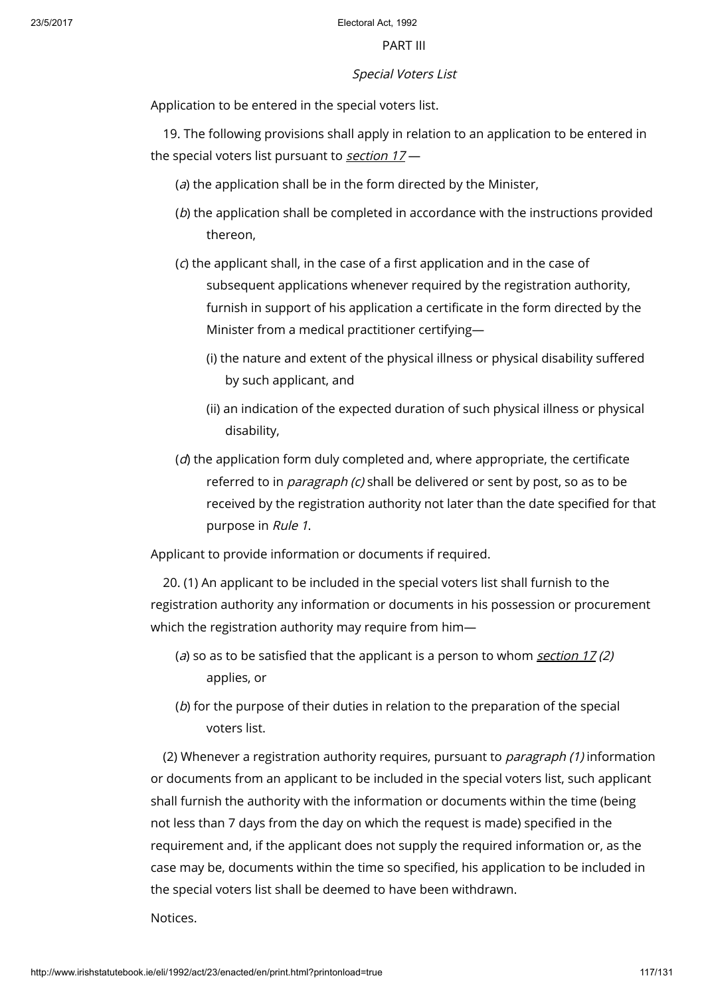### PART III

## Special Voters List

Application to be entered in the special voters list.

19. The following provisions shall apply in relation to an application to be entered in the special voters list pursuant to [section](http://www.irishstatutebook.ie/1992/en/act/pub/0023/print.html#sec17)  $17-$ 

- (a) the application shall be in the form directed by the Minister,
- (b) the application shall be completed in accordance with the instructions provided thereon,
- (c) the applicant shall, in the case of a first application and in the case of subsequent applications whenever required by the registration authority, furnish in support of his application a certificate in the form directed by the Minister from a medical practitioner certifying—
	- (i) the nature and extent of the physical illness or physical disability suffered by such applicant, and
	- (ii) an indication of the expected duration of such physical illness or physical disability,
- $(d)$  the application form duly completed and, where appropriate, the certificate referred to in *paragraph (c)* shall be delivered or sent by post, so as to be received by the registration authority not later than the date specified for that purpose in Rule 1.

Applicant to provide information or documents if required.

20. (1) An applicant to be included in the special voters list shall furnish to the registration authority any information or documents in his possession or procurement which the registration authority may require from him—

- (a) so as to be satisfied that the applicant is a person to whom [section](http://www.irishstatutebook.ie/1992/en/act/pub/0023/print.html#sec17)  $17(2)$ applies, or
- (b) for the purpose of their duties in relation to the preparation of the special voters list.

(2) Whenever a registration authority requires, pursuant to *paragraph (1)* information or documents from an applicant to be included in the special voters list, such applicant shall furnish the authority with the information or documents within the time (being not less than 7 days from the day on which the request is made) specified in the requirement and, if the applicant does not supply the required information or, as the case may be, documents within the time so specified, his application to be included in the special voters list shall be deemed to have been withdrawn.

Notices.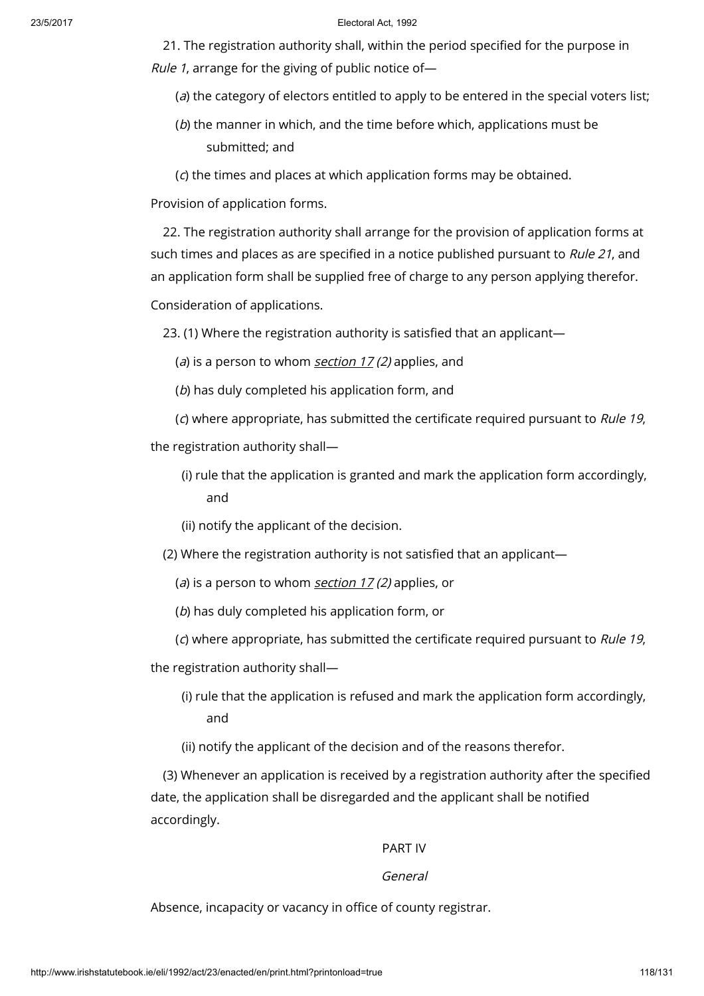21. The registration authority shall, within the period specified for the purpose in Rule 1, arrange for the giving of public notice of—

(a) the category of electors entitled to apply to be entered in the special voters list;

(b) the manner in which, and the time before which, applications must be submitted; and

(c) the times and places at which application forms may be obtained.

Provision of application forms.

22. The registration authority shall arrange for the provision of application forms at such times and places as are specified in a notice published pursuant to *Rule 21*, and an application form shall be supplied free of charge to any person applying therefor.

Consideration of applications.

23. (1) Where the registration authority is satisfied that an applicant—

(a) is a person to whom [section](http://www.irishstatutebook.ie/1992/en/act/pub/0023/print.html#sec17)  $17(2)$  applies, and

(b) has duly completed his application form, and

(c) where appropriate, has submitted the certificate required pursuant to Rule 19,

the registration authority shall—

- (i) rule that the application is granted and mark the application form accordingly, and
- (ii) notify the applicant of the decision.
- (2) Where the registration authority is not satisfied that an applicant
	- (a) is a person to whom [section](http://www.irishstatutebook.ie/1992/en/act/pub/0023/print.html#sec17)  $17(2)$  applies, or
	- (b) has duly completed his application form, or
	- (c) where appropriate, has submitted the certificate required pursuant to Rule 19,

the registration authority shall—

(i) rule that the application is refused and mark the application form accordingly, and

(ii) notify the applicant of the decision and of the reasons therefor.

(3) Whenever an application is received by a registration authority after the specified date, the application shall be disregarded and the applicant shall be notified accordingly.

### PART IV

### General

Absence, incapacity or vacancy in office of county registrar.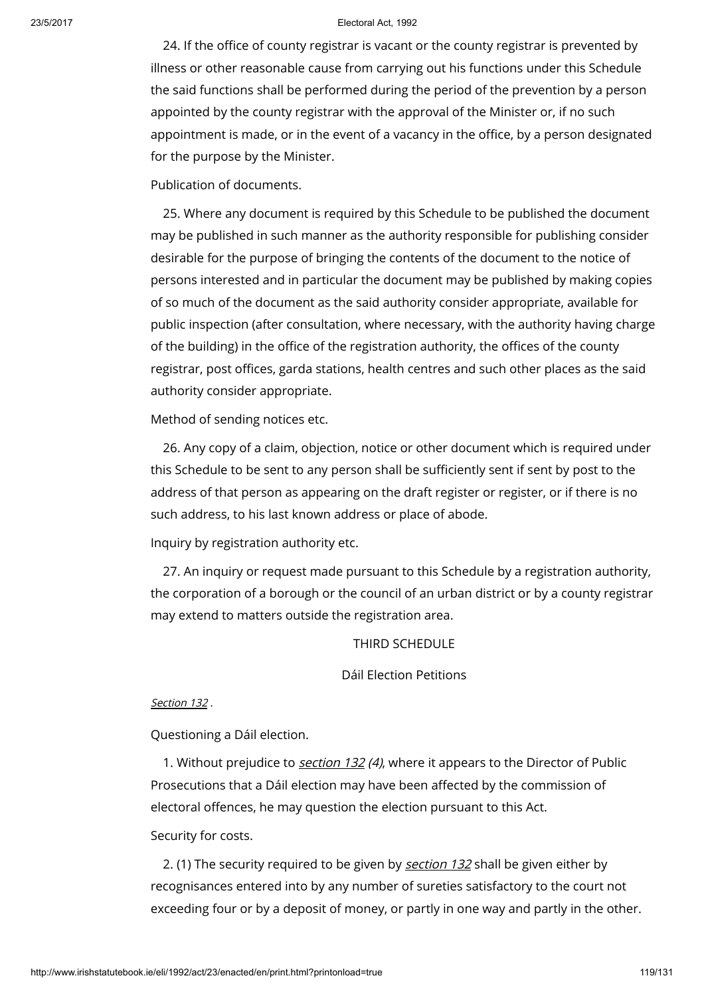24. If the office of county registrar is vacant or the county registrar is prevented by illness or other reasonable cause from carrying out his functions under this Schedule the said functions shall be performed during the period of the prevention by a person appointed by the county registrar with the approval of the Minister or, if no such appointment is made, or in the event of a vacancy in the office, by a person designated for the purpose by the Minister.

## Publication of documents.

25. Where any document is required by this Schedule to be published the document may be published in such manner as the authority responsible for publishing consider desirable for the purpose of bringing the contents of the document to the notice of persons interested and in particular the document may be published by making copies of so much of the document as the said authority consider appropriate, available for public inspection (after consultation, where necessary, with the authority having charge of the building) in the office of the registration authority, the offices of the county registrar, post offices, garda stations, health centres and such other places as the said authority consider appropriate.

Method of sending notices etc.

26. Any copy of a claim, objection, notice or other document which is required under this Schedule to be sent to any person shall be sufficiently sent if sent by post to the address of that person as appearing on the draft register or register, or if there is no such address, to his last known address or place of abode.

Inquiry by registration authority etc.

27. An inquiry or request made pursuant to this Schedule by a registration authority, the corporation of a borough or the council of an urban district or by a county registrar may extend to matters outside the registration area.

THIRD SCHEDULE

Dáil Election Petitions

### [Section](http://www.irishstatutebook.ie/1992/en/act/pub/0023/print.html#sec132) 132 .

Questioning a Dáil election.

1. Without prejudice to *[section](http://www.irishstatutebook.ie/1992/en/act/pub/0023/print.html#sec132) 132 (4)*, where it appears to the Director of Public Prosecutions that a Dáil election may have been affected by the commission of electoral offences, he may question the election pursuant to this Act.

Security for costs.

2. (1) The security required to be given by [section](http://www.irishstatutebook.ie/1992/en/act/pub/0023/print.html#sec132) 132 shall be given either by recognisances entered into by any number of sureties satisfactory to the court not exceeding four or by a deposit of money, or partly in one way and partly in the other.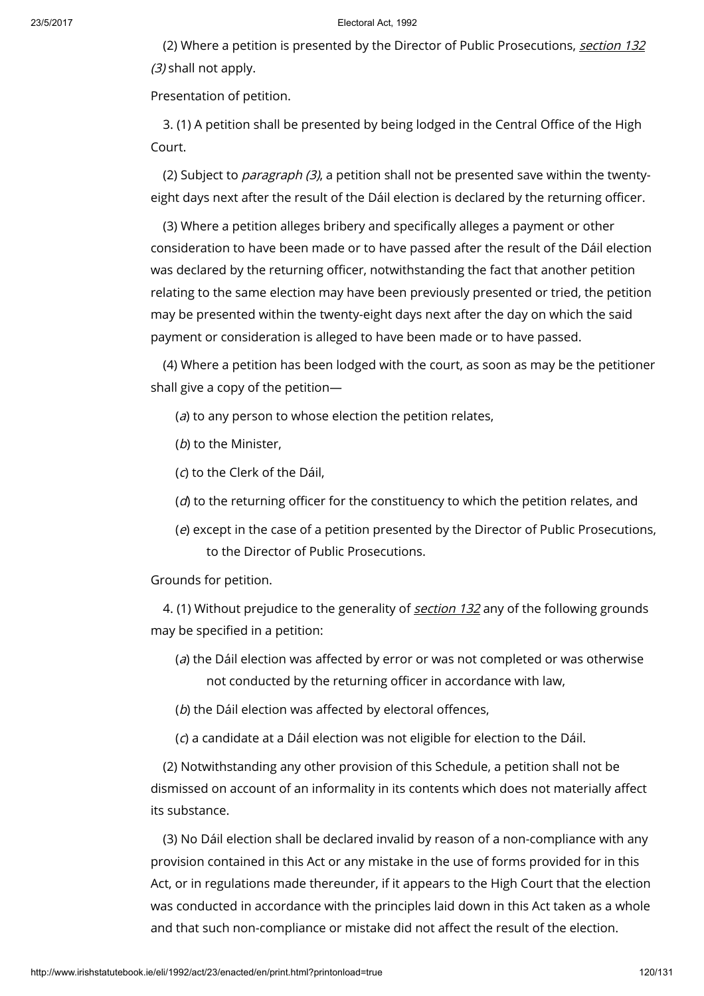(2) Where a petition is presented by the Director of Public Prosecutions, [section](http://www.irishstatutebook.ie/1992/en/act/pub/0023/print.html#sec132) 132 (3) shall not apply.

Presentation of petition.

3. (1) A petition shall be presented by being lodged in the Central Office of the High Court.

(2) Subject to *paragraph (3),* a petition shall not be presented save within the twentyeight days next after the result of the Dáil election is declared by the returning officer.

(3) Where a petition alleges bribery and specifically alleges a payment or other consideration to have been made or to have passed after the result of the Dáil election was declared by the returning officer, notwithstanding the fact that another petition relating to the same election may have been previously presented or tried, the petition may be presented within the twenty-eight days next after the day on which the said payment or consideration is alleged to have been made or to have passed.

(4) Where a petition has been lodged with the court, as soon as may be the petitioner shall give a copy of the petition—

 $(a)$  to any person to whose election the petition relates,

(b) to the Minister,

(c) to the Clerk of the Dáil,

- $(d)$  to the returning officer for the constituency to which the petition relates, and
- (e) except in the case of a petition presented by the Director of Public Prosecutions, to the Director of Public Prosecutions.

Grounds for petition.

4. (1) Without prejudice to the generality of [section](http://www.irishstatutebook.ie/1992/en/act/pub/0023/print.html#sec132) 132 any of the following grounds may be specified in a petition:

(a) the Dáil election was affected by error or was not completed or was otherwise not conducted by the returning officer in accordance with law,

(b) the Dáil election was affected by electoral offences,

(c) a candidate at a Dáil election was not eligible for election to the Dáil.

(2) Notwithstanding any other provision of this Schedule, a petition shall not be dismissed on account of an informality in its contents which does not materially affect its substance.

(3) No Dáil election shall be declared invalid by reason of a non-compliance with any provision contained in this Act or any mistake in the use of forms provided for in this Act, or in regulations made thereunder, if it appears to the High Court that the election was conducted in accordance with the principles laid down in this Act taken as a whole and that such non-compliance or mistake did not affect the result of the election.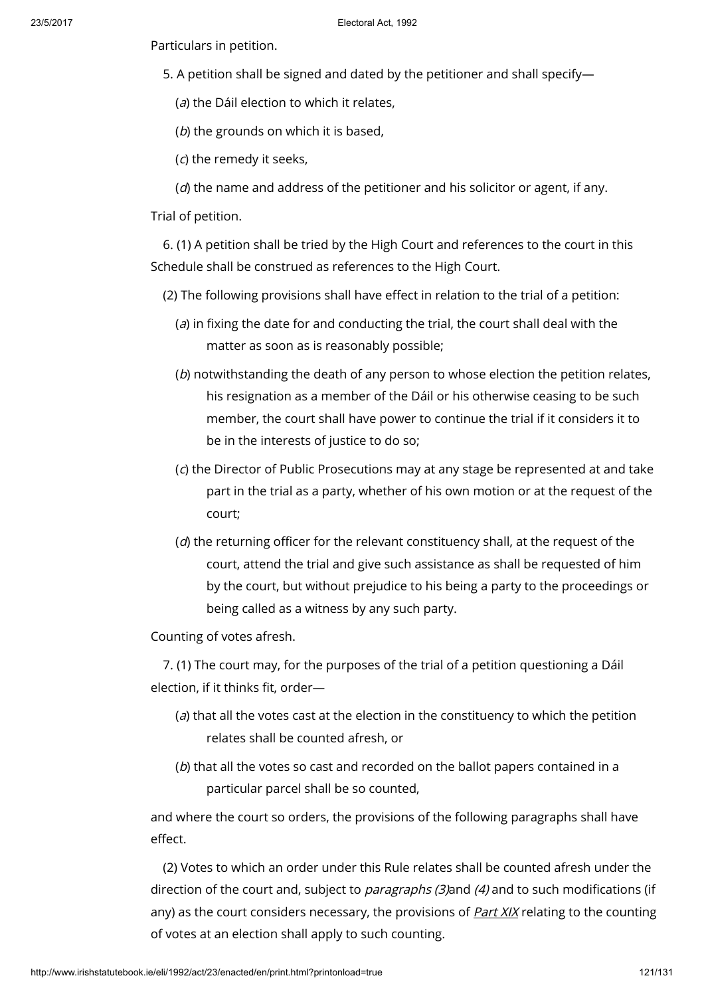Particulars in petition.

- 5. A petition shall be signed and dated by the petitioner and shall specify—
	- (a) the Dáil election to which it relates,
	- ( $b$ ) the grounds on which it is based,
	- (c) the remedy it seeks,
	- $(d)$  the name and address of the petitioner and his solicitor or agent, if any.

Trial of petition.

6. (1) A petition shall be tried by the High Court and references to the court in this Schedule shall be construed as references to the High Court.

- (2) The following provisions shall have effect in relation to the trial of a petition:
	- $(a)$  in fixing the date for and conducting the trial, the court shall deal with the matter as soon as is reasonably possible;
	- (b) notwithstanding the death of any person to whose election the petition relates, his resignation as a member of the Dáil or his otherwise ceasing to be such member, the court shall have power to continue the trial if it considers it to be in the interests of justice to do so;
	- (c) the Director of Public Prosecutions may at any stage be represented at and take part in the trial as a party, whether of his own motion or at the request of the court;
	- $(d)$  the returning officer for the relevant constituency shall, at the request of the court, attend the trial and give such assistance as shall be requested of him by the court, but without prejudice to his being a party to the proceedings or being called as a witness by any such party.

Counting of votes afresh.

7. (1) The court may, for the purposes of the trial of a petition questioning a Dáil election, if it thinks fit, order—

- $(a)$  that all the votes cast at the election in the constituency to which the petition relates shall be counted afresh, or
- (b) that all the votes so cast and recorded on the ballot papers contained in a particular parcel shall be so counted,

and where the court so orders, the provisions of the following paragraphs shall have effect.

(2) Votes to which an order under this Rule relates shall be counted afresh under the direction of the court and, subject to *paragraphs (3)*and (4) and to such modifications (if any) as the court considers necessary, the provisions of **[Part](http://www.irishstatutebook.ie/1992/en/act/pub/0023/print.html#partxix) XIX** relating to the counting of votes at an election shall apply to such counting.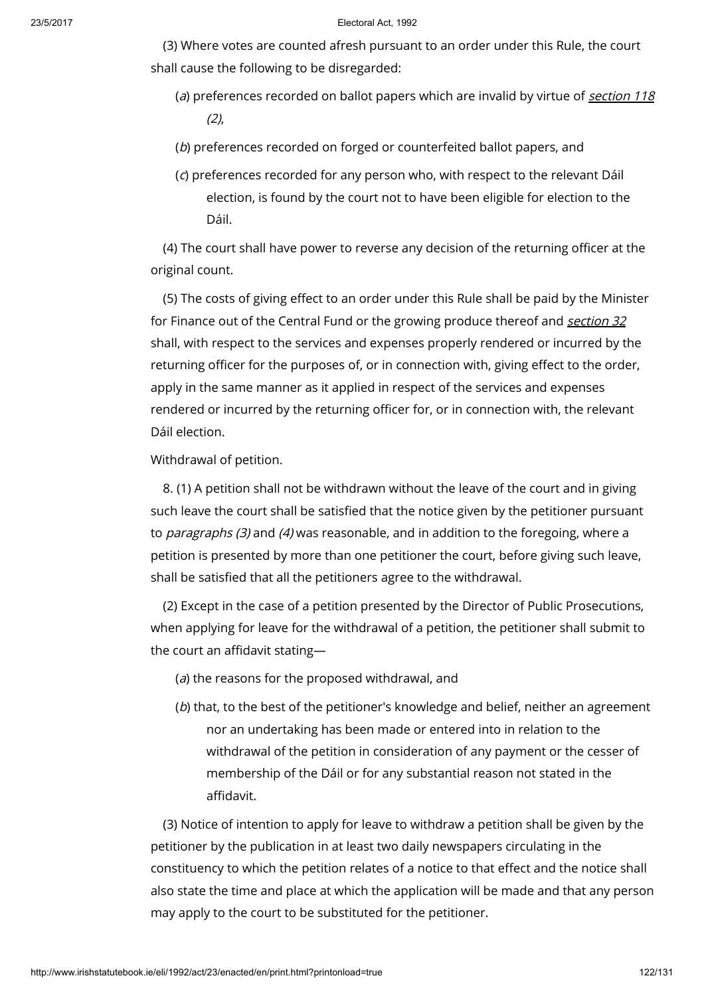(3) Where votes are counted afresh pursuant to an order under this Rule, the court shall cause the following to be disregarded:

- (a) preferences recorded on ballot papers which are invalid by virtue of [section](http://www.irishstatutebook.ie/1992/en/act/pub/0023/print.html#sec118)  $118$  $(2)$
- (b) preferences recorded on forged or counterfeited ballot papers, and
- (c) preferences recorded for any person who, with respect to the relevant Dáil election, is found by the court not to have been eligible for election to the Dáil.

(4) The court shall have power to reverse any decision of the returning officer at the original count.

(5) The costs of giving effect to an order under this Rule shall be paid by the Minister for Finance out of the Central Fund or the growing produce thereof and [section](http://www.irishstatutebook.ie/1992/en/act/pub/0023/print.html#sec32) 32 shall, with respect to the services and expenses properly rendered or incurred by the returning officer for the purposes of, or in connection with, giving effect to the order, apply in the same manner as it applied in respect of the services and expenses rendered or incurred by the returning officer for, or in connection with, the relevant Dáil election.

Withdrawal of petition.

8. (1) A petition shall not be withdrawn without the leave of the court and in giving such leave the court shall be satisfied that the notice given by the petitioner pursuant to paragraphs (3) and (4) was reasonable, and in addition to the foregoing, where a petition is presented by more than one petitioner the court, before giving such leave, shall be satisfied that all the petitioners agree to the withdrawal.

(2) Except in the case of a petition presented by the Director of Public Prosecutions, when applying for leave for the withdrawal of a petition, the petitioner shall submit to the court an affidavit stating—

- $(a)$  the reasons for the proposed withdrawal, and
- (b) that, to the best of the petitioner's knowledge and belief, neither an agreement nor an undertaking has been made or entered into in relation to the withdrawal of the petition in consideration of any payment or the cesser of membership of the Dáil or for any substantial reason not stated in the affidavit.

(3) Notice of intention to apply for leave to withdraw a petition shall be given by the petitioner by the publication in at least two daily newspapers circulating in the constituency to which the petition relates of a notice to that effect and the notice shall also state the time and place at which the application will be made and that any person may apply to the court to be substituted for the petitioner.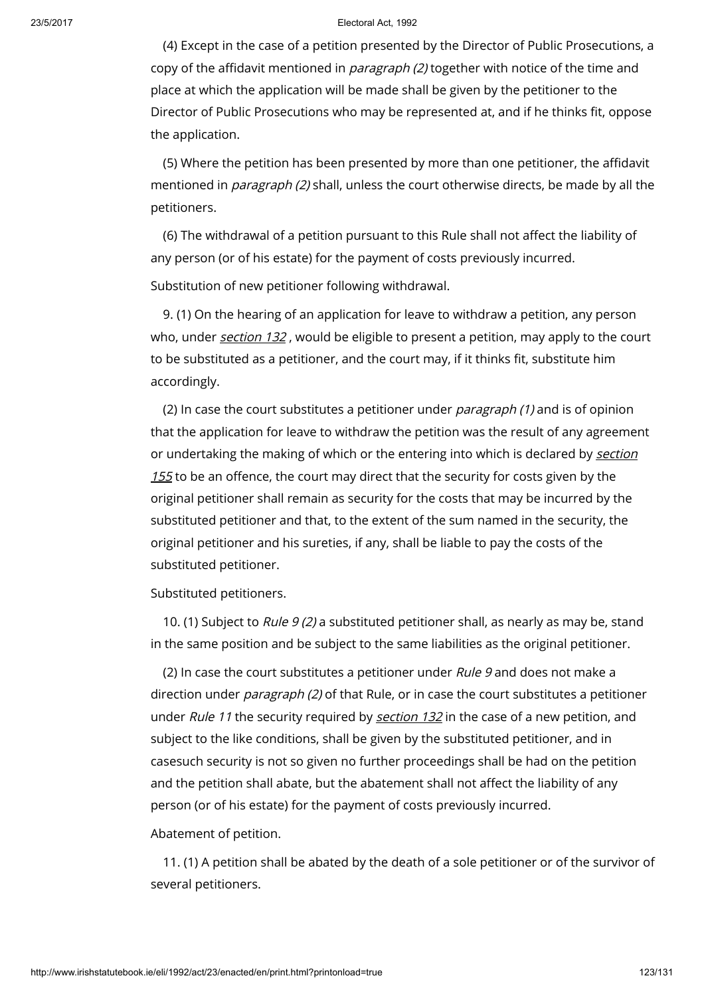(4) Except in the case of a petition presented by the Director of Public Prosecutions, a copy of the affidavit mentioned in paragraph (2) together with notice of the time and place at which the application will be made shall be given by the petitioner to the Director of Public Prosecutions who may be represented at, and if he thinks fit, oppose the application.

(5) Where the petition has been presented by more than one petitioner, the affidavit mentioned in *paragraph (2)* shall, unless the court otherwise directs, be made by all the petitioners.

(6) The withdrawal of a petition pursuant to this Rule shall not affect the liability of any person (or of his estate) for the payment of costs previously incurred.

Substitution of new petitioner following withdrawal.

9. (1) On the hearing of an application for leave to withdraw a petition, any person who, under *[section](http://www.irishstatutebook.ie/1992/en/act/pub/0023/print.html#sec132) 132*, would be eligible to present a petition, may apply to the court to be substituted as a petitioner, and the court may, if it thinks fit, substitute him accordingly.

(2) In case the court substitutes a petitioner under paragraph (1) and is of opinion that the application for leave to withdraw the petition was the result of any agreement or [undertaking](http://www.irishstatutebook.ie/1992/en/act/pub/0023/print.html#sec155) the making of which or the entering into which is declared by section  $155$  to be an offence, the court may direct that the security for costs given by the original petitioner shall remain as security for the costs that may be incurred by the substituted petitioner and that, to the extent of the sum named in the security, the original petitioner and his sureties, if any, shall be liable to pay the costs of the substituted petitioner.

Substituted petitioners.

10. (1) Subject to Rule  $9(2)$  a substituted petitioner shall, as nearly as may be, stand in the same position and be subject to the same liabilities as the original petitioner.

(2) In case the court substitutes a petitioner under Rule 9 and does not make a direction under *paragraph (2)* of that Rule, or in case the court substitutes a petitioner under Rule 11 the security required by [section](http://www.irishstatutebook.ie/1992/en/act/pub/0023/print.html#sec132) 132 in the case of a new petition, and subject to the like conditions, shall be given by the substituted petitioner, and in casesuch security is not so given no further proceedings shall be had on the petition and the petition shall abate, but the abatement shall not affect the liability of any person (or of his estate) for the payment of costs previously incurred.

Abatement of petition.

11. (1) A petition shall be abated by the death of a sole petitioner or of the survivor of several petitioners.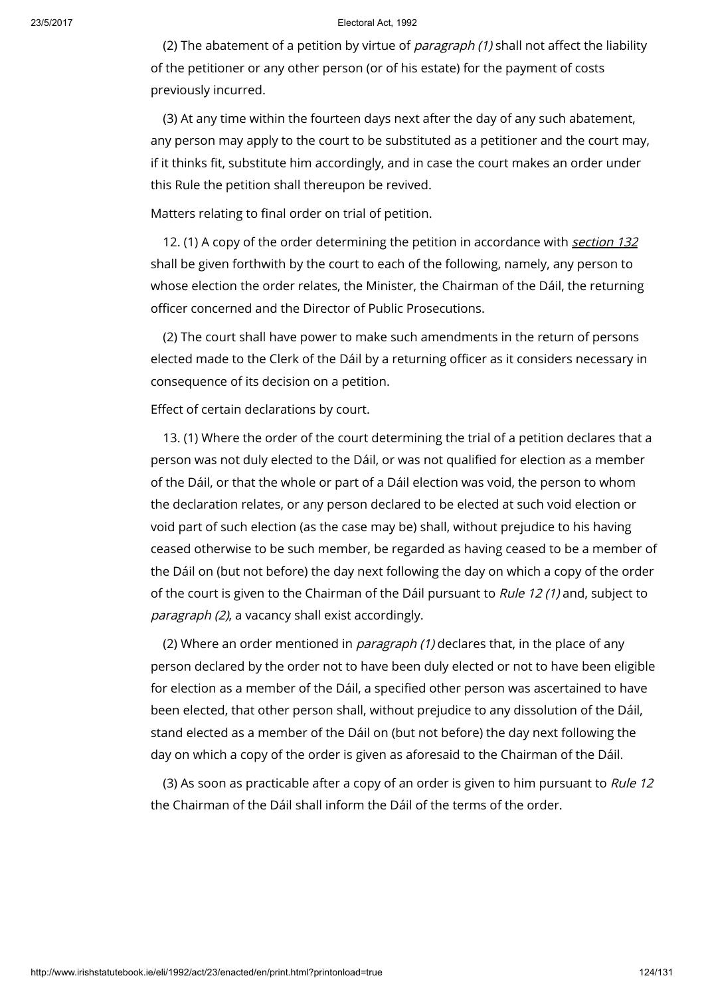(2) The abatement of a petition by virtue of *paragraph*  $(1)$  shall not affect the liability of the petitioner or any other person (or of his estate) for the payment of costs previously incurred.

(3) At any time within the fourteen days next after the day of any such abatement, any person may apply to the court to be substituted as a petitioner and the court may, if it thinks fit, substitute him accordingly, and in case the court makes an order under this Rule the petition shall thereupon be revived.

Matters relating to final order on trial of petition.

12. (1) A copy of the order determining the petition in accordance with [section](http://www.irishstatutebook.ie/1992/en/act/pub/0023/print.html#sec132) 132 shall be given forthwith by the court to each of the following, namely, any person to whose election the order relates, the Minister, the Chairman of the Dáil, the returning officer concerned and the Director of Public Prosecutions.

(2) The court shall have power to make such amendments in the return of persons elected made to the Clerk of the Dáil by a returning officer as it considers necessary in consequence of its decision on a petition.

Effect of certain declarations by court.

13. (1) Where the order of the court determining the trial of a petition declares that a person was not duly elected to the Dáil, or was not qualified for election as a member of the Dáil, or that the whole or part of a Dáil election was void, the person to whom the declaration relates, or any person declared to be elected at such void election or void part of such election (as the case may be) shall, without prejudice to his having ceased otherwise to be such member, be regarded as having ceased to be a member of the Dáil on (but not before) the day next following the day on which a copy of the order of the court is given to the Chairman of the Dáil pursuant to Rule 12 (1) and, subject to paragraph (2), a vacancy shall exist accordingly.

(2) Where an order mentioned in *paragraph (1)* declares that, in the place of any person declared by the order not to have been duly elected or not to have been eligible for election as a member of the Dáil, a specified other person was ascertained to have been elected, that other person shall, without prejudice to any dissolution of the Dáil, stand elected as a member of the Dáil on (but not before) the day next following the day on which a copy of the order is given as aforesaid to the Chairman of the Dáil.

(3) As soon as practicable after a copy of an order is given to him pursuant to Rule 12 the Chairman of the Dáil shall inform the Dáil of the terms of the order.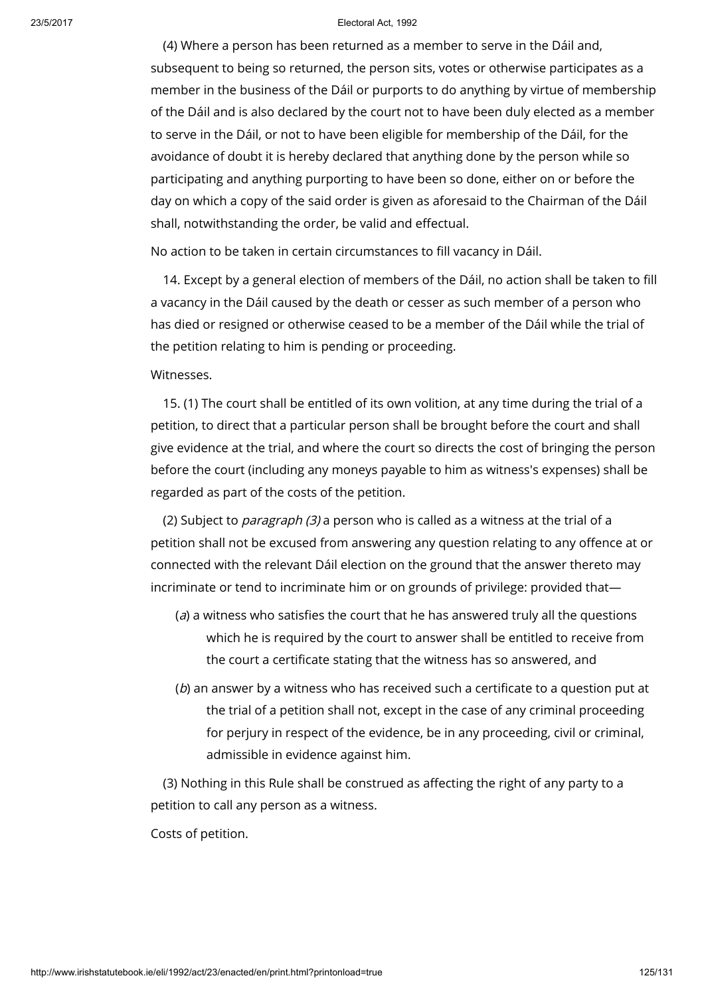(4) Where a person has been returned as a member to serve in the Dáil and, subsequent to being so returned, the person sits, votes or otherwise participates as a member in the business of the Dáil or purports to do anything by virtue of membership of the Dáil and is also declared by the court not to have been duly elected as a member to serve in the Dáil, or not to have been eligible for membership of the Dáil, for the avoidance of doubt it is hereby declared that anything done by the person while so participating and anything purporting to have been so done, either on or before the day on which a copy of the said order is given as aforesaid to the Chairman of the Dáil shall, notwithstanding the order, be valid and effectual.

No action to be taken in certain circumstances to fill vacancy in Dáil.

14. Except by a general election of members of the Dáil, no action shall be taken to fill a vacancy in the Dáil caused by the death or cesser as such member of a person who has died or resigned or otherwise ceased to be a member of the Dáil while the trial of the petition relating to him is pending or proceeding.

## Witnesses.

15. (1) The court shall be entitled of its own volition, at any time during the trial of a petition, to direct that a particular person shall be brought before the court and shall give evidence at the trial, and where the court so directs the cost of bringing the person before the court (including any moneys payable to him as witness's expenses) shall be regarded as part of the costs of the petition.

(2) Subject to paragraph (3) a person who is called as a witness at the trial of a petition shall not be excused from answering any question relating to any offence at or connected with the relevant Dáil election on the ground that the answer thereto may incriminate or tend to incriminate him or on grounds of privilege: provided that—

- $(a)$  a witness who satisfies the court that he has answered truly all the questions which he is required by the court to answer shall be entitled to receive from the court a certificate stating that the witness has so answered, and
- (b) an answer by a witness who has received such a certificate to a question put at the trial of a petition shall not, except in the case of any criminal proceeding for perjury in respect of the evidence, be in any proceeding, civil or criminal, admissible in evidence against him.

(3) Nothing in this Rule shall be construed as affecting the right of any party to a petition to call any person as a witness.

Costs of petition.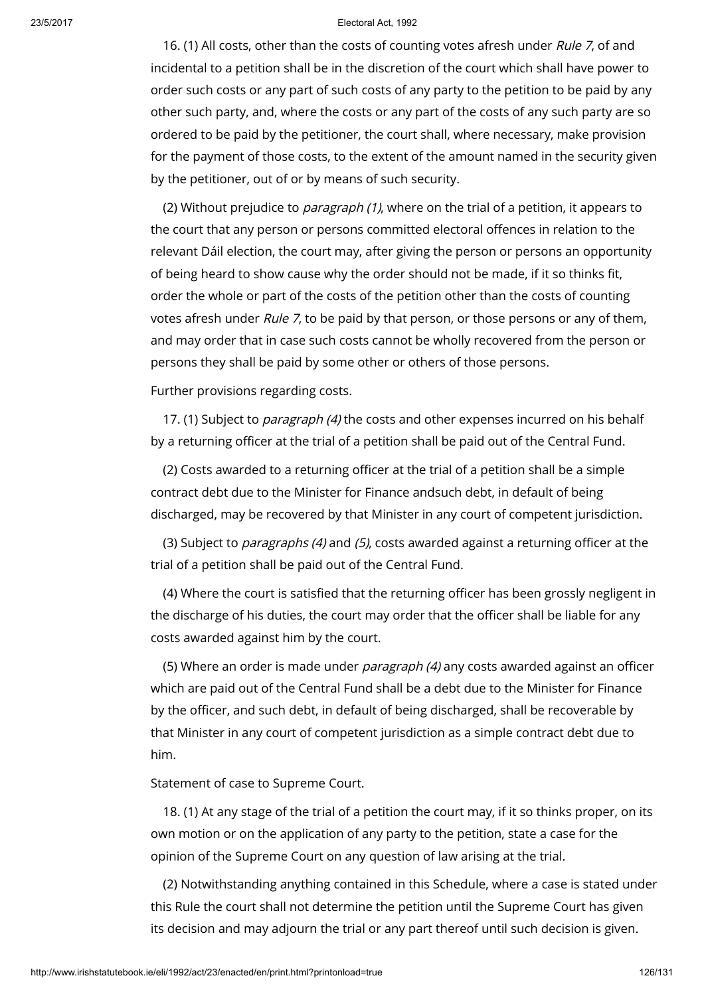16. (1) All costs, other than the costs of counting votes afresh under Rule 7, of and incidental to a petition shall be in the discretion of the court which shall have power to order such costs or any part of such costs of any party to the petition to be paid by any other such party, and, where the costs or any part of the costs of any such party are so ordered to be paid by the petitioner, the court shall, where necessary, make provision for the payment of those costs, to the extent of the amount named in the security given by the petitioner, out of or by means of such security.

(2) Without prejudice to *paragraph (1)*, where on the trial of a petition, it appears to the court that any person or persons committed electoral offences in relation to the relevant Dáil election, the court may, after giving the person or persons an opportunity of being heard to show cause why the order should not be made, if it so thinks fit, order the whole or part of the costs of the petition other than the costs of counting votes afresh under Rule 7, to be paid by that person, or those persons or any of them, and may order that in case such costs cannot be wholly recovered from the person or persons they shall be paid by some other or others of those persons.

Further provisions regarding costs.

17. (1) Subject to *paragraph (4)* the costs and other expenses incurred on his behalf by a returning officer at the trial of a petition shall be paid out of the Central Fund.

(2) Costs awarded to a returning officer at the trial of a petition shall be a simple contract debt due to the Minister for Finance andsuch debt, in default of being discharged, may be recovered by that Minister in any court of competent jurisdiction.

(3) Subject to paragraphs (4) and (5), costs awarded against a returning officer at the trial of a petition shall be paid out of the Central Fund.

(4) Where the court is satisfied that the returning officer has been grossly negligent in the discharge of his duties, the court may order that the officer shall be liable for any costs awarded against him by the court.

(5) Where an order is made under *paragraph (4)* any costs awarded against an officer which are paid out of the Central Fund shall be a debt due to the Minister for Finance by the officer, and such debt, in default of being discharged, shall be recoverable by that Minister in any court of competent jurisdiction as a simple contract debt due to him.

Statement of case to Supreme Court.

18. (1) At any stage of the trial of a petition the court may, if it so thinks proper, on its own motion or on the application of any party to the petition, state a case for the opinion of the Supreme Court on any question of law arising at the trial.

(2) Notwithstanding anything contained in this Schedule, where a case is stated under this Rule the court shall not determine the petition until the Supreme Court has given its decision and may adjourn the trial or any part thereof until such decision is given.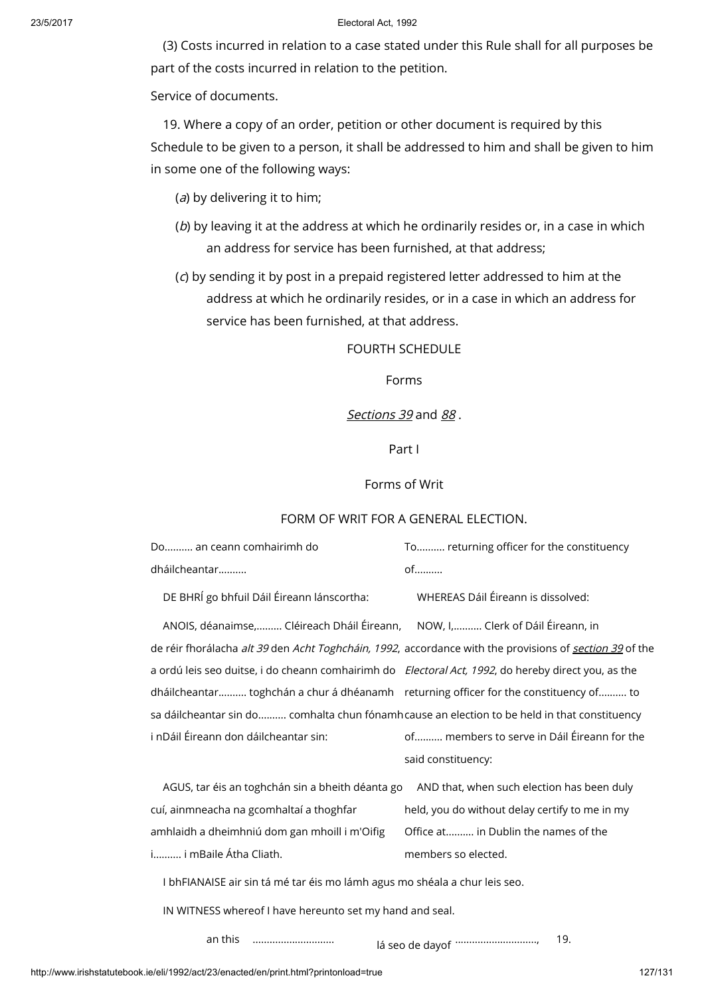(3) Costs incurred in relation to a case stated under this Rule shall for all purposes be part of the costs incurred in relation to the petition.

Service of documents.

19. Where a copy of an order, petition or other document is required by this Schedule to be given to a person, it shall be addressed to him and shall be given to him in some one of the following ways:

- (a) by delivering it to him;
- (b) by leaving it at the address at which he ordinarily resides or, in a case in which an address for service has been furnished, at that address;
- (c) by sending it by post in a prepaid registered letter addressed to him at the address at which he ordinarily resides, or in a case in which an address for service has been furnished, at that address.

FOURTH SCHEDULE

Forms

### [Sections](http://www.irishstatutebook.ie/1992/en/act/pub/0023/print.html#sec39) 39 and [88](http://www.irishstatutebook.ie/1992/en/act/pub/0023/print.html#sec88).

Part I

## Forms of Writ

### FORM OF WRIT FOR A GENERAL ELECTION.

| Do an ceann comhairimh do | To returning officer for the constituency |
|---------------------------|-------------------------------------------|
| dháilcheantar             | of………                                     |

DE BHRÍ go bhfuil Dáil Éireann lánscortha: WHEREAS Dáil Éireann is dissolved:

ANOIS, déanaimse,......... Cléireach Dháil Éireann, NOW, I,.......... Clerk of Dáil Éireann, in de réir fhorálacha *alt 39* den *Acht Toghcháin, 1992*, accordance with the provisions of <u>sect*ion 39*</u> of the a ordú leis seo duitse, i do cheann comhairimh do *Electoral Act, 1992*, do hereby direct you, as the dháilcheantar.......... toghchán a chur á dhéanamh returning officer for the constituency of.......... to sa dáilcheantar sin do.......... comhalta chun fónamh cause an election to be held in that constituency i nDáil Éireann don dáilcheantar sin: of.......... members to serve in Dáil Éireann for the said constituency:

AGUS, tar éis an toghchán sin a bheith déanta go AND that, when such election has been duly cuí, ainmneacha na gcomhaltaí a thoghfar amhlaidh a dheimhniú dom gan mhoill i m'Oifig i.......... i mBaile Átha Cliath. held, you do without delay certify to me in my Office at.......... in Dublin the names of the members so elected.

I bhFIANAISE air sin tá mé tar éis mo lámh agus mo shéala a chur leis seo.

IN WITNESS whereof I have hereunto set my hand and seal.

an this .............................

lá seo de dayof ............................., 19.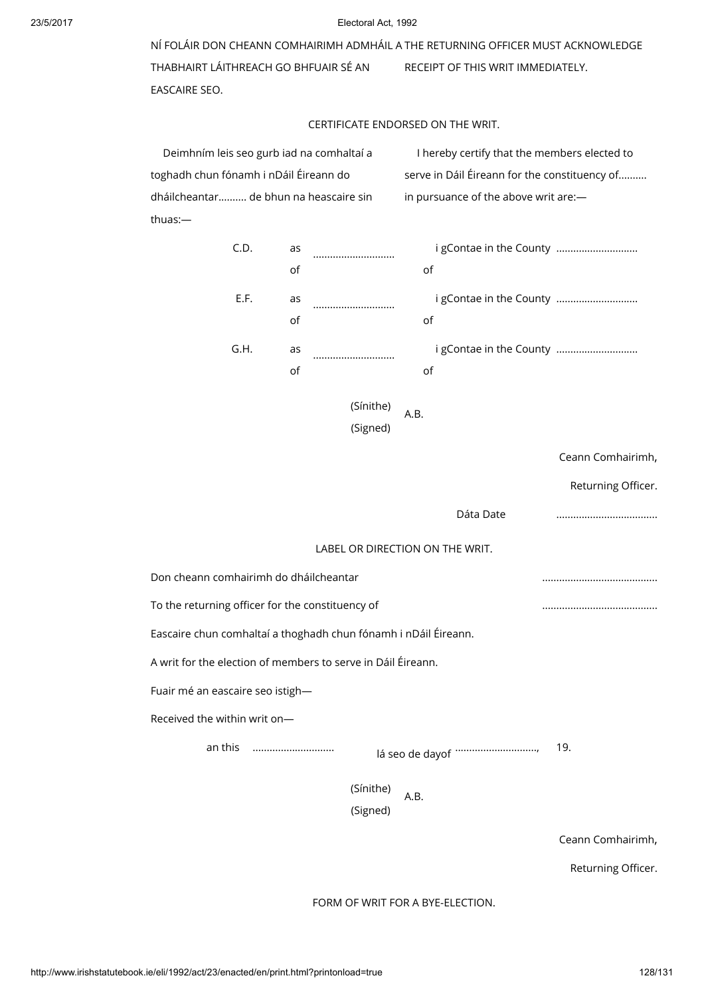NÍ FOLÁIR DON CHEANN COMHAIRIMH ADMHÁIL A THE RETURNING OFFICER MUST ACKNOWLEDGE THABHAIRT LÁITHREACH GO BHFUAIR SÉ AN EASCAIRE SEO. RECEIPT OF THIS WRIT IMMEDIATELY.

# CERTIFICATE ENDORSED ON THE WRIT.

Deimhním leis seo gurb iad na comhaltaí a toghadh chun fónamh i nDáil Éireann do dháilcheantar.......... de bhun na heascaire sin thuas:—

I hereby certify that the members elected to serve in Dáil Éireann for the constituency of.......... in pursuance of the above writ are:—

|                              | C.D.    | as<br>of                               |                                                                 | of   | i gContae in the County    |                    |
|------------------------------|---------|----------------------------------------|-----------------------------------------------------------------|------|----------------------------|--------------------|
|                              | E.F.    | as<br>of                               |                                                                 | of   | i gContae in the County    |                    |
|                              | G.H.    | as<br>of                               |                                                                 | оf   | i gContae in the County    |                    |
|                              |         |                                        | (Sínithe)<br>(Signed)                                           | A.B. |                            |                    |
|                              |         |                                        |                                                                 |      |                            | Ceann Comhairimh,  |
|                              |         |                                        |                                                                 |      |                            | Returning Officer. |
|                              |         |                                        |                                                                 |      | Dáta Date                  |                    |
|                              |         |                                        | LABEL OR DIRECTION ON THE WRIT.                                 |      |                            |                    |
|                              |         | Don cheann comhairimh do dháilcheantar |                                                                 |      |                            |                    |
|                              |         |                                        | To the returning officer for the constituency of                |      |                            |                    |
|                              |         |                                        | Eascaire chun comhaltaí a thoghadh chun fónamh i nDáil Éireann. |      |                            |                    |
|                              |         |                                        | A writ for the election of members to serve in Dáil Éireann.    |      |                            |                    |
|                              |         | Fuair mé an eascaire seo istigh-       |                                                                 |      |                            |                    |
| Received the within writ on- |         |                                        |                                                                 |      |                            |                    |
|                              | an this |                                        |                                                                 |      | lá seo de dayof ………………………… | 19.                |
|                              |         |                                        | (Sínithe)<br>(Signed)                                           | A.B. |                            |                    |
|                              |         |                                        |                                                                 |      |                            |                    |

Ceann Comhairimh,

Returning Officer.

FORM OF WRIT FOR A BYE-ELECTION.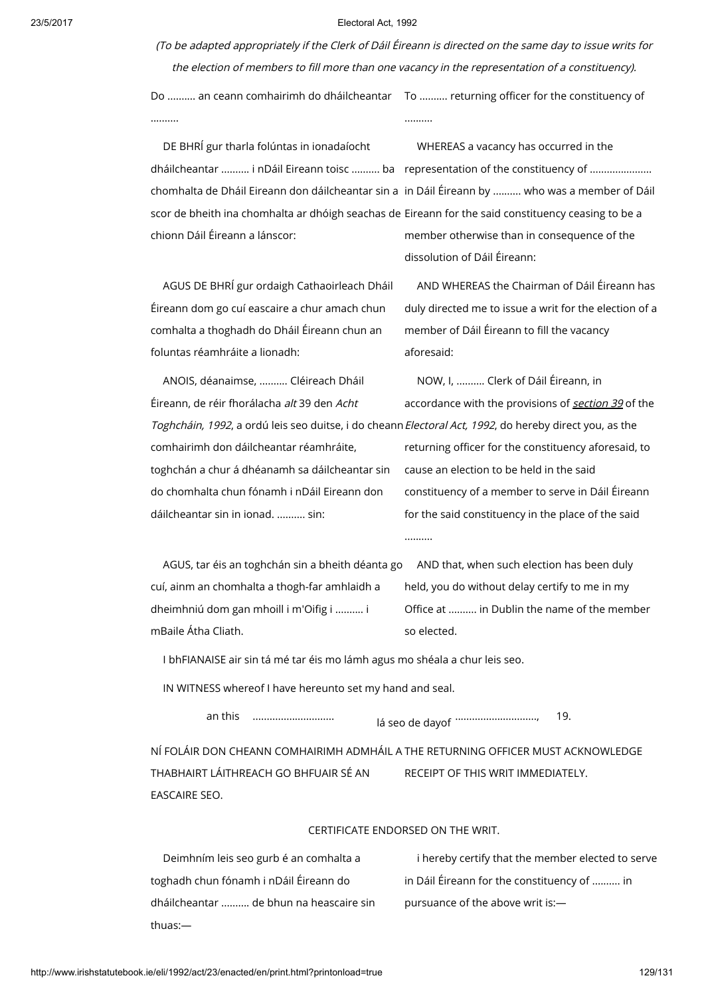(To be adapted appropriately if the Clerk of Dáil Éireann is directed on the same day to issue writs for the election of members to fill more than one vacancy in the representation of <sup>a</sup> constituency).

Do ………. an ceann comhairimh do dháilcheantar To ………. returning officer for the constituency of .......... ..........

DE BHRÍ gur tharla folúntas in ionadaíocht scor de bheith ina chomhalta ar dhóigh seachas de Eireann for the said constituency ceasing to be a chionn Dáil Éireann a lánscor:

dháilcheantar .......... i nDáil Eireann toisc .......... ba representation of the constituency of ................... chomhalta de Dháil Eireann don dáilcheantar sin a in Dáil Éireann by .......... who was a member of Dáil member otherwise than in consequence of the dissolution of Dáil Éireann:

WHEREAS a vacancy has occurred in the

AGUS DE BHRÍ gur ordaigh Cathaoirleach Dháil Éireann dom go cuí eascaire a chur amach chun comhalta a thoghadh do Dháil Éireann chun an foluntas réamhráite a lionadh:

AND WHEREAS the Chairman of Dáil Éireann has duly directed me to issue a writ for the election of a member of Dáil Éireann to fill the vacancy aforesaid:

ANOIS, déanaimse, .......... Cléireach Dháil Éireann, de réir fhorálacha alt 39 den Acht *Toghcháin, 1992*, a ordú leis seo duitse, i do cheann*Electoral Act, 1992*, do hereby direct you, as the comhairimh don dáilcheantar réamhráite, toghchán a chur á dhéanamh sa dáilcheantar sin do chomhalta chun fónamh i nDáil Eireann don dáilcheantar sin in ionad. .......... sin: NOW, I, .......... Clerk of Dáil Éireann, in accordance with the provisions of [section](http://www.irishstatutebook.ie/1992/en/act/pub/0023/print.html#sec39) 39 of the returning officer for the constituency aforesaid, to cause an election to be held in the said constituency of a member to serve in Dáil Éireann for the said constituency in the place of the said

..........

AGUS, tar éis an toghchán sin a bheith déanta go AND that, when such election has been duly cuí, ainm an chomhalta a thogh-far amhlaidh a dheimhniú dom gan mhoill i m'Oifig i .......... i mBaile Átha Cliath.

held, you do without delay certify to me in my Office at .......... in Dublin the name of the member so elected.

I bhFIANAISE air sin tá mé tar éis mo lámh agus mo shéala a chur leis seo.

IN WITNESS whereof I have hereunto set my hand and seal.

an this .............................

lá seo de dayof ............................., 19.

NÍ FOLÁIR DON CHEANN COMHAIRIMH ADMHÁIL A THE RETURNING OFFICER MUST ACKNOWLEDGE THABHAIRT LÁITHREACH GO BHFUAIR SÉ AN EASCAIRE SEO. RECEIPT OF THIS WRIT IMMEDIATELY.

### CERTIFICATE ENDORSED ON THE WRIT.

Deimhním leis seo gurb é an comhalta a toghadh chun fónamh i nDáil Éireann do dháilcheantar .......... de bhun na heascaire sin thuas:—

i hereby certify that the member elected to serve in Dáil Éireann for the constituency of .......... in pursuance of the above writ is:—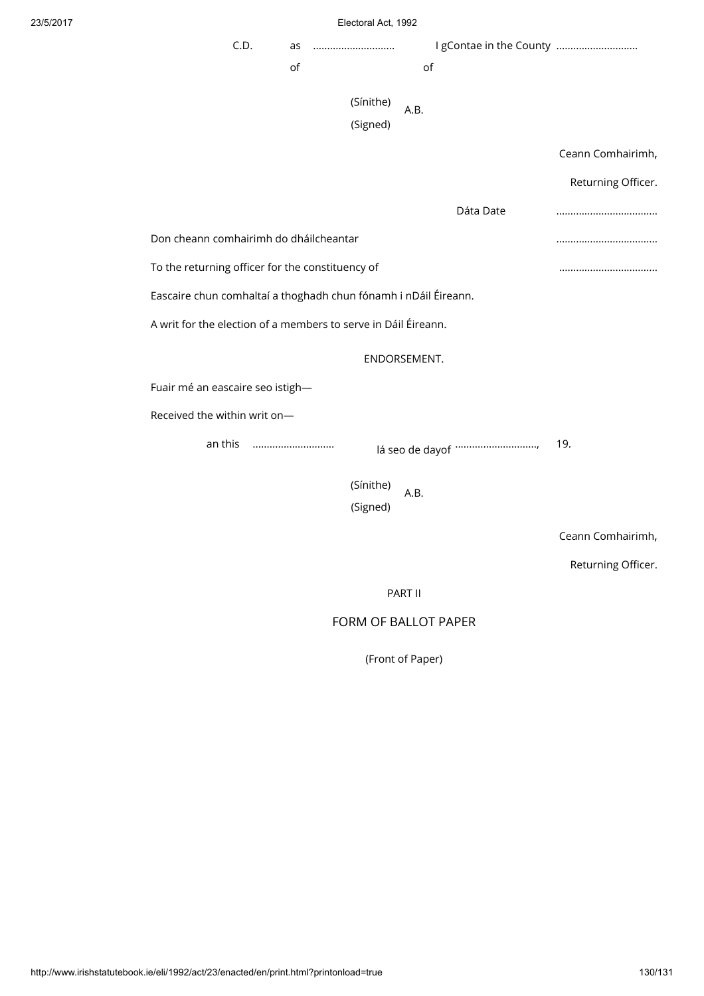| Electoral Act. 1992 |  |
|---------------------|--|
|                     |  |

|                                                                 | Electoral Act, 1992   |                            |                    |
|-----------------------------------------------------------------|-----------------------|----------------------------|--------------------|
| C.D.<br>as                                                      |                       | I gContae in the County    |                    |
| of                                                              |                       | of                         |                    |
|                                                                 | (Sínithe)<br>(Signed) | A.B.                       |                    |
|                                                                 |                       |                            | Ceann Comhairimh,  |
|                                                                 |                       |                            | Returning Officer. |
|                                                                 |                       | Dáta Date                  |                    |
| Don cheann comhairimh do dháilcheantar                          |                       |                            |                    |
| To the returning officer for the constituency of                |                       |                            |                    |
| Eascaire chun comhaltaí a thoghadh chun fónamh i nDáil Éireann. |                       |                            |                    |
| A writ for the election of a members to serve in Dáil Éireann.  |                       |                            |                    |
| ENDORSEMENT.                                                    |                       |                            |                    |
| Fuair mé an eascaire seo istigh-                                |                       |                            |                    |
| Received the within writ on-                                    |                       |                            |                    |
| an this                                                         |                       | lá seo de dayof ………………………… | 19.                |
|                                                                 | (Sínithe)<br>(Signed) | A.B.                       |                    |
|                                                                 |                       |                            | Ceann Comhairimh,  |
|                                                                 |                       |                            | Returning Officer. |
|                                                                 |                       | PART II                    |                    |
|                                                                 |                       | FORM OF BALLOT PAPER       |                    |
|                                                                 |                       | (Front of Paper)           |                    |